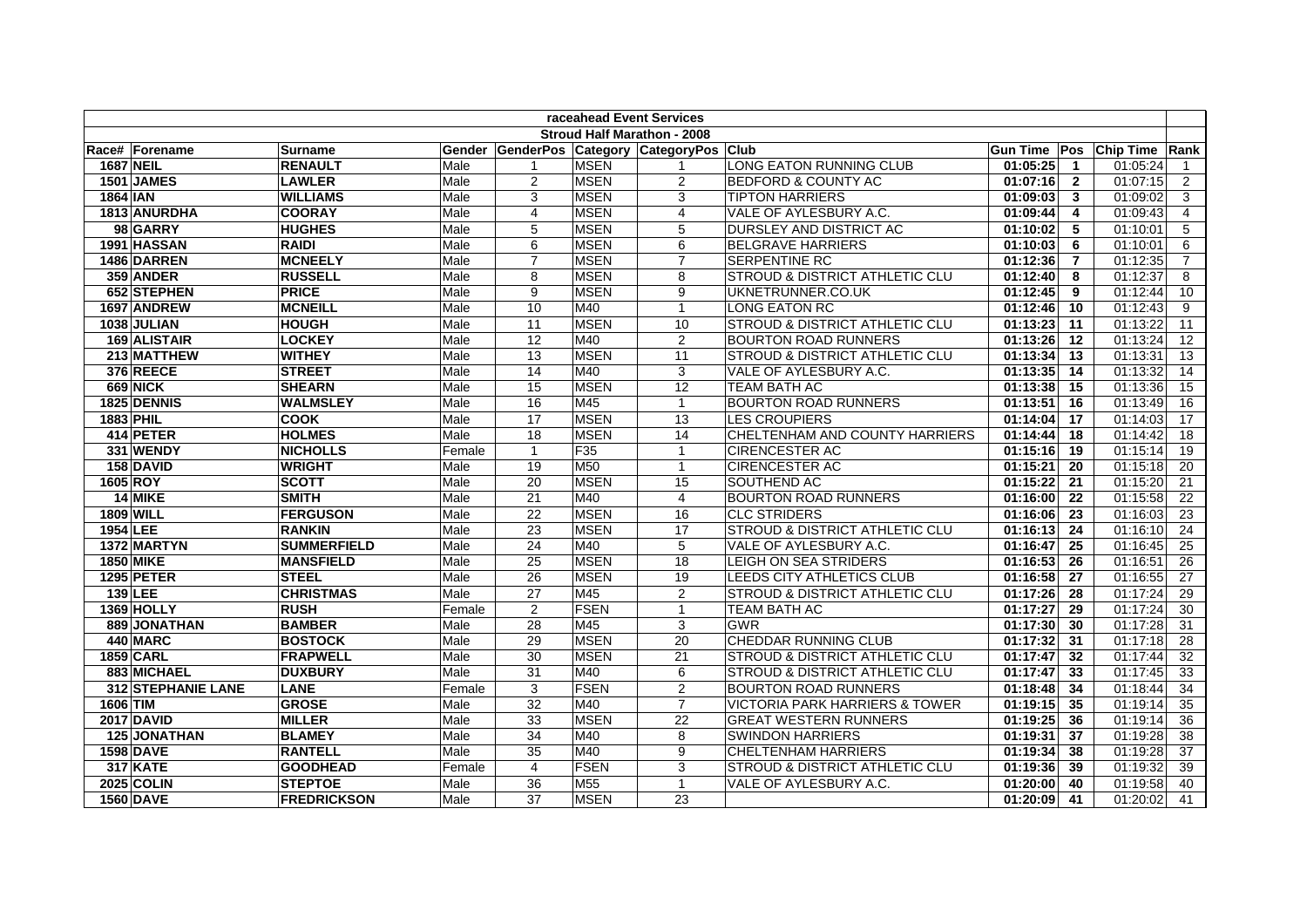| raceahead Event Services |                    |                    |        |                 |                 |                                    |                                           |               |                |                             |                |
|--------------------------|--------------------|--------------------|--------|-----------------|-----------------|------------------------------------|-------------------------------------------|---------------|----------------|-----------------------------|----------------|
|                          |                    |                    |        |                 |                 | <b>Stroud Half Marathon - 2008</b> |                                           |               |                |                             |                |
|                          | Race# Forename     | <b>Surname</b>     | Gender |                 |                 | GenderPos Category CategoryPos     | <b>Club</b>                               |               |                | Gun Time Pos Chip Time Rank |                |
| <b>1687 NEIL</b>         |                    | <b>RENAULT</b>     | Male   |                 | <b>MSEN</b>     | -1                                 | LONG EATON RUNNING CLUB                   | 01:05:25      | $\overline{1}$ | 01:05:24                    | $\mathbf{1}$   |
|                          | 1501 JAMES         | <b>LAWLER</b>      | Male   | $\overline{2}$  | <b>MSEN</b>     | $\overline{2}$                     | <b>BEDFORD &amp; COUNTY AC</b>            | 01:07:16      | $\overline{2}$ | 01:07:15                    | $\overline{2}$ |
| <b>1864 IAN</b>          |                    | <b>WILLIAMS</b>    | Male   | 3               | <b>MSEN</b>     | 3                                  | <b>TIPTON HARRIERS</b>                    | 01:09:03      | $\mathbf{3}$   | 01:09:02                    | 3              |
|                          | 1813 ANURDHA       | <b>COORAY</b>      | Male   | 4               | <b>MSEN</b>     | 4                                  | VALE OF AYLESBURY A.C.                    | 01:09:44      | 4              | 01:09:43                    | 4              |
|                          | 98 GARRY           | <b>HUGHES</b>      | Male   | 5               | <b>MSEN</b>     | 5                                  | DURSLEY AND DISTRICT AC                   | 01:10:02      | 5              | 01:10:01                    | 5              |
|                          | 1991 HASSAN        | <b>RAIDI</b>       | Male   | 6               | <b>MSEN</b>     | 6                                  | <b>BELGRAVE HARRIERS</b>                  | 01:10:03      | 6              | 01:10:01                    | 6              |
|                          | 1486 DARREN        | <b>MCNEELY</b>     | Male   | $\overline{7}$  | <b>MSEN</b>     | $\overline{7}$                     | SERPENTINE RC                             | 01:12:36      | $\overline{7}$ | 01:12:35                    | $\overline{7}$ |
|                          | 359 ANDER          | <b>RUSSELL</b>     | Male   | 8               | <b>MSEN</b>     | 8                                  | <b>STROUD &amp; DISTRICT ATHLETIC CLU</b> | 01:12:40      | 8              | 01:12:37                    | 8              |
|                          | 652 STEPHEN        | <b>PRICE</b>       | Male   | 9               | <b>MSEN</b>     | 9                                  | UKNETRUNNER.CO.UK                         | 01:12:45      | 9              | 01:12:44                    | 10             |
|                          | 1697 ANDREW        | <b>MCNEILL</b>     | Male   | 10              | M40             | $\overline{1}$                     | LONG EATON RC                             | 01:12:46      | 10             | 01:12:43                    | 9              |
|                          | 1038 JULIAN        | <b>HOUGH</b>       | Male   | 11              | <b>MSEN</b>     | 10                                 | STROUD & DISTRICT ATHLETIC CLU            | $01:13:23$ 11 |                | 01:13:22                    | 11             |
|                          | 169 ALISTAIR       | <b>LOCKEY</b>      | Male   | 12              | M40             | 2                                  | <b>BOURTON ROAD RUNNERS</b>               | $01:13:26$ 12 |                | 01:13:24                    | 12             |
|                          | 213 MATTHEW        | <b>WITHEY</b>      | Male   | 13              | <b>MSEN</b>     | 11                                 | STROUD & DISTRICT ATHLETIC CLU            | 01:13:34      | 13             | 01:13:31                    | 13             |
|                          | 376 REECE          | <b>STREET</b>      | Male   | 14              | M40             | 3                                  | VALE OF AYLESBURY A.C.                    | 01:13:35      | 14             | 01:13:32                    | 14             |
|                          | <b>669 NICK</b>    | <b>SHEARN</b>      | Male   | 15              | <b>MSEN</b>     | 12                                 | <b>TEAM BATH AC</b>                       | 01:13:38      | 15             | 01:13:36                    | 15             |
|                          | 1825 DENNIS        | <b>WALMSLEY</b>    | Male   | 16              | M45             | $\overline{1}$                     | <b>BOURTON ROAD RUNNERS</b>               | 01:13:51      | 16             | 01:13:49                    | 16             |
| <b>1883 PHIL</b>         |                    | <b>COOK</b>        | Male   | 17              | <b>MSEN</b>     | 13                                 | <b>LES CROUPIERS</b>                      | 01:14:04      | 17             | 01:14:03                    | 17             |
|                          | 414 PETER          | <b>HOLMES</b>      | Male   | 18              | <b>MSEN</b>     | 14                                 | CHELTENHAM AND COUNTY HARRIERS            | 01:14:44      | 18             | 01:14:42                    | 18             |
|                          | 331 WENDY          | <b>NICHOLLS</b>    | Female | $\mathbf{1}$    | F35             | $\overline{1}$                     | <b>CIRENCESTER AC</b>                     | 01:15:16      | 19             | 01:15:14                    | 19             |
|                          | 158 DAVID          | <b>WRIGHT</b>      | Male   | 19              | M50             | $\overline{1}$                     | <b>CIRENCESTER AC</b>                     | 01:15:21      | 20             | 01:15:18                    | 20             |
| 1605 ROY                 |                    | <b>SCOTT</b>       | Male   | 20              | <b>MSEN</b>     | 15                                 | SOUTHEND AC                               | 01:15:22      | 21             | 01:15:20                    | 21             |
|                          | 14 MIKE            | <b>SMITH</b>       | Male   | 21              | M40             | $\overline{4}$                     | <b>BOURTON ROAD RUNNERS</b>               | $01:16:00$ 22 |                | 01:15:58                    | 22             |
|                          | <b>1809 WILL</b>   | <b>FERGUSON</b>    | Male   | 22              | <b>MSEN</b>     | 16                                 | <b>CLC STRIDERS</b>                       | 01:16:06      | 23             | 01:16:03                    | 23             |
| <b>1954 LEE</b>          |                    | <b>RANKIN</b>      | Male   | 23              | <b>MSEN</b>     | 17                                 | <b>STROUD &amp; DISTRICT ATHLETIC CLU</b> | $01:16:13$ 24 |                | 01:16:10                    | 24             |
|                          | 1372 MARTYN        | <b>SUMMERFIELD</b> | Male   | 24              | M40             | 5                                  | VALE OF AYLESBURY A.C.                    | 01:16:47      | 25             | 01:16:45                    | 25             |
|                          | <b>1850 MIKE</b>   | <b>MANSFIELD</b>   | Male   | 25              | <b>MSEN</b>     | 18                                 | LEIGH ON SEA STRIDERS                     | 01:16:53      | 26             | 01:16:51                    | 26             |
|                          | 1295 PETER         | <b>STEEL</b>       | Male   | 26              | <b>MSEN</b>     | 19                                 | LEEDS CITY ATHLETICS CLUB                 | 01:16:58      | 27             | 01:16:55                    | 27             |
|                          | <b>139 LEE</b>     | <b>CHRISTMAS</b>   | Male   | $\overline{27}$ | M45             | $\overline{2}$                     | STROUD & DISTRICT ATHLETIC CLU            | 01:17:26      | 28             | 01:17:24                    | 29             |
|                          | 1369 HOLLY         | <b>RUSH</b>        | Female | 2               | <b>FSEN</b>     | $\overline{1}$                     | <b>TEAM BATH AC</b>                       | 01:17:27      | 29             | 01:17:24                    | 30             |
|                          | 889 JONATHAN       | <b>BAMBER</b>      | Male   | 28              | M45             | 3                                  | <b>GWR</b>                                | 01:17:30      | 30             | 01:17:28                    | 31             |
|                          | 440 MARC           | <b>BOSTOCK</b>     | Male   | $\overline{29}$ | <b>MSEN</b>     | 20                                 | CHEDDAR RUNNING CLUB                      | 01:17:32      | 31             | 01:17:18                    | 28             |
|                          | <b>1859 CARL</b>   | <b>FRAPWELL</b>    | Male   | 30              | <b>MSEN</b>     | 21                                 | <b>STROUD &amp; DISTRICT ATHLETIC CLU</b> | 01:17:47      | 32             | 01:17:44                    | 32             |
|                          | 883 MICHAEL        | <b>DUXBURY</b>     | Male   | 31              | M40             | 6                                  | <b>STROUD &amp; DISTRICT ATHLETIC CLU</b> | 01:17:47      | 33             | 01:17:45                    | 33             |
|                          | 312 STEPHANIE LANE | <b>LANE</b>        | Female | 3               | <b>FSEN</b>     | $\overline{2}$                     | <b>BOURTON ROAD RUNNERS</b>               | 01:18:48      | -34            | 01:18:44                    | 34             |
| 1606 TIM                 |                    | <b>GROSE</b>       | Male   | $\overline{32}$ | M40             | $\overline{7}$                     | <b>VICTORIA PARK HARRIERS &amp; TOWER</b> | 01:19:15      | 35             | 01:19:14                    | 35             |
|                          | <b>2017 DAVID</b>  | <b>MILLER</b>      | Male   | 33              | <b>MSEN</b>     | $\overline{22}$                    | <b>GREAT WESTERN RUNNERS</b>              | 01:19:25      | 36             | 01:19:14                    | 36             |
|                          | 125 JONATHAN       | <b>BLAMEY</b>      | Male   | 34              | M40             | 8                                  | <b>SWINDON HARRIERS</b>                   | 01:19:31      | -37            | 01:19:28                    | 38             |
|                          | <b>1598 DAVE</b>   | <b>RANTELL</b>     | Male   | 35              | M40             | 9                                  | <b>CHELTENHAM HARRIERS</b>                | 01:19:34      | 38             | 01:19:28                    | 37             |
|                          | 317 KATE           | <b>GOODHEAD</b>    | Female | $\overline{4}$  | <b>FSEN</b>     | 3                                  | STROUD & DISTRICT ATHLETIC CLU            | 01:19:36      | 39             | 01:19:32                    | 39             |
|                          | <b>2025 COLIN</b>  | <b>STEPTOE</b>     | Male   | 36              | M <sub>55</sub> | $\overline{1}$                     | VALE OF AYLESBURY A.C.                    | 01:20:00      | -40            | 01:19:58                    | 40             |
|                          | <b>1560 DAVE</b>   | <b>FREDRICKSON</b> | Male   | 37              | <b>MSEN</b>     | 23                                 |                                           | 01:20:09      | 41             | 01:20:02                    | 41             |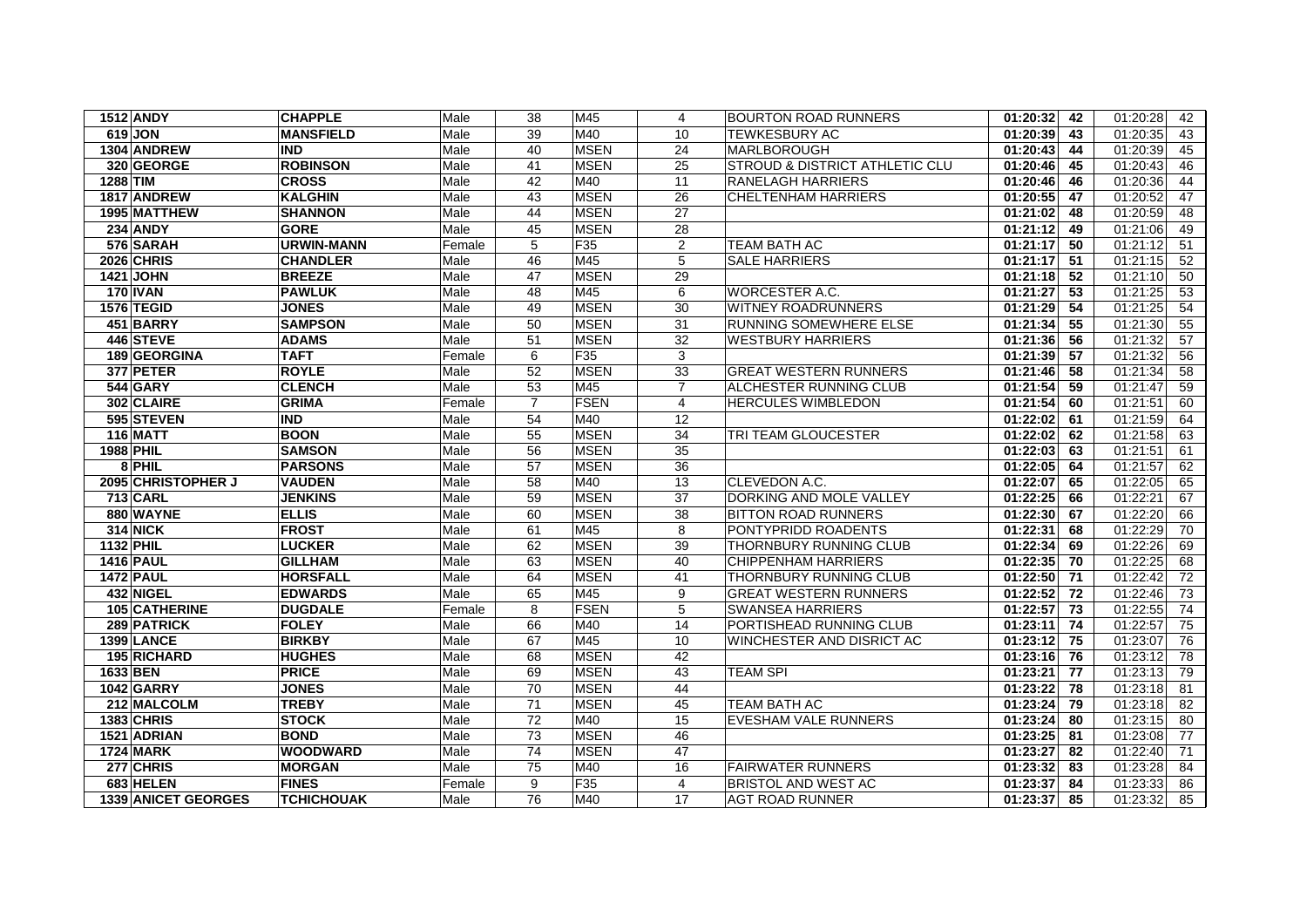| 1512 ANDY                  | <b>CHAPPLE</b>    | Male   | 38              | M45             | 4               | <b>BOURTON ROAD RUNNERS</b>    | 01:20:32<br>42 | 01:20:28<br>42 |
|----------------------------|-------------------|--------|-----------------|-----------------|-----------------|--------------------------------|----------------|----------------|
| 619 JON                    | <b>MANSFIELD</b>  | Male   | 39              | M40             | 10              | <b>TEWKESBURY AC</b>           | 01:20:39<br>43 | 01:20:35<br>43 |
| 1304 ANDREW                | <b>IND</b>        | Male   | 40              | <b>MSEN</b>     | 24              | MARLBOROUGH                    | 01:20:43<br>44 | 01:20:39<br>45 |
| 320 GEORGE                 | <b>ROBINSON</b>   | Male   | 41              | <b>MSEN</b>     | 25              | STROUD & DISTRICT ATHLETIC CLU | 01:20:46<br>45 | 46<br>01:20:43 |
| <b>1288 TIM</b>            | <b>CROSS</b>      | Male   | 42              | M40             | 11              | <b>RANELAGH HARRIERS</b>       | 01:20:46<br>46 | 01:20:36<br>44 |
| 1817 ANDREW                | <b>KALGHIN</b>    | Male   | 43              | <b>MSEN</b>     | 26              | <b>CHELTENHAM HARRIERS</b>     | 47<br>01:20:55 | 01:20:52<br>47 |
| 1995 MATTHEW               | <b>SHANNON</b>    | Male   | 44              | <b>MSEN</b>     | $\overline{27}$ |                                | 48<br>01:21:02 | 01:20:59<br>48 |
| <b>234 ANDY</b>            | <b>GORE</b>       | Male   | 45              | <b>MSEN</b>     | 28              |                                | 01:21:12<br>49 | 01:21:06<br>49 |
| 576 SARAH                  | <b>URWIN-MANN</b> | Female | 5               | F35             | $\overline{2}$  | <b>TEAM BATH AC</b>            | 01:21:17<br>50 | 01:21:12<br>51 |
| <b>2026 CHRIS</b>          | <b>CHANDLER</b>   | Male   | 46              | M45             | 5               | <b>SALE HARRIERS</b>           | 01:21:17<br>51 | 01:21:15<br>52 |
| <b>1421 JOHN</b>           | <b>BREEZE</b>     | Male   | 47              | <b>MSEN</b>     | 29              |                                | 01:21:18<br>52 | 01:21:10<br>50 |
| <b>170 IVAN</b>            | <b>PAWLUK</b>     | Male   | 48              | M45             | 6               | WORCESTER A.C.                 | 53<br>01:21:27 | 01:21:25<br>53 |
| 1576 TEGID                 | <b>JONES</b>      | Male   | 49              | <b>MSEN</b>     | 30              | <b>WITNEY ROADRUNNERS</b>      | 54<br>01:21:29 | 01:21:25<br>54 |
| 451 BARRY                  | <b>SAMPSON</b>    | Male   | 50              | <b>MSEN</b>     | 31              | <b>RUNNING SOMEWHERE ELSE</b>  | 01:21:34<br>55 | 01:21:30<br>55 |
| 446 STEVE                  | <b>ADAMS</b>      | Male   | 51              | <b>MSEN</b>     | 32              | <b>WESTBURY HARRIERS</b>       | 01:21:36<br>56 | 01:21:32<br>57 |
| 189 GEORGINA               | <b>TAFT</b>       | Female | 6               | F35             | 3               |                                | 01:21:39<br>57 | 01:21:32<br>56 |
| 377 PETER                  | <b>ROYLE</b>      | Male   | 52              | <b>MSEN</b>     | 33              | <b>GREAT WESTERN RUNNERS</b>   | 01:21:46<br>58 | 01:21:34<br>58 |
| <b>544 GARY</b>            | <b>CLENCH</b>     | Male   | 53              | M45             | $\overline{7}$  | <b>ALCHESTER RUNNING CLUB</b>  | 01:21:54<br>59 | 01:21:47<br>59 |
| 302 CLAIRE                 | <b>GRIMA</b>      | Female | $\overline{7}$  | <b>FSEN</b>     | 4               | <b>HERCULES WIMBLEDON</b>      | 01:21:54<br>60 | 01:21:51<br>60 |
| 595 STEVEN                 | <b>IND</b>        | Male   | 54              | M40             | $\overline{12}$ |                                | 01:22:02<br>61 | 01:21:59<br>64 |
| <b>116 MATT</b>            | <b>BOON</b>       | Male   | 55              | <b>MSEN</b>     | 34              | TRI TEAM GLOUCESTER            | 01:22:02<br>62 | 01:21:58<br>63 |
| 1988 PHIL                  | <b>SAMSON</b>     | Male   | 56              | <b>MSEN</b>     | 35              |                                | 63<br>01:22:03 | 01:21:51<br>61 |
| 8 PHIL                     | <b>PARSONS</b>    | Male   | 57              | <b>MSEN</b>     | $\overline{36}$ |                                | 01:22:05<br>64 | 01:21:57<br>62 |
| 2095 CHRISTOPHER J         | <b>VAUDEN</b>     | Male   | 58              | M40             | 13              | CLEVEDON A.C.                  | 01:22:07<br>65 | 01:22:05<br>65 |
| <b>713 CARL</b>            | <b>JENKINS</b>    | Male   | 59              | <b>MSEN</b>     | 37              | DORKING AND MOLE VALLEY        | 01:22:25<br>66 | 01:22:21<br>67 |
| 880 WAYNE                  | <b>ELLIS</b>      | Male   | 60              | <b>MSEN</b>     | 38              | <b>BITTON ROAD RUNNERS</b>     | 01:22:30<br>67 | 01:22:20<br>66 |
| <b>314 NICK</b>            | <b>FROST</b>      | Male   | 61              | M45             | 8               | PONTYPRIDD ROADENTS            | 01:22:31<br>68 | 01:22:29<br>70 |
| 1132 PHIL                  | <b>LUCKER</b>     | Male   | 62              | <b>MSEN</b>     | 39              | THORNBURY RUNNING CLUB         | 01:22:34<br>69 | 01:22:26<br>69 |
| <b>1416 PAUL</b>           | <b>GILLHAM</b>    | Male   | 63              | <b>MSEN</b>     | 40              | <b>CHIPPENHAM HARRIERS</b>     | 01:22:35<br>70 | 01:22:25<br>68 |
| <b>1472 PAUL</b>           | <b>HORSFALL</b>   | Male   | 64              | <b>MSEN</b>     | 41              | THORNBURY RUNNING CLUB         | $01:22:50$ 71  | 01:22:42<br>72 |
| 432 NIGEL                  | <b>EDWARDS</b>    | Male   | 65              | M45             | 9               | <b>GREAT WESTERN RUNNERS</b>   | 01:22:52<br>72 | 01:22:46<br>73 |
| 105 CATHERINE              | <b>DUGDALE</b>    | Female | 8               | <b>FSEN</b>     | 5               | <b>SWANSEA HARRIERS</b>        | 01:22:57<br>73 | 01:22:55<br>74 |
| 289 PATRICK                | <b>FOLEY</b>      | Male   | 66              | M40             | 14              | PORTISHEAD RUNNING CLUB        | 01:23:11<br>74 | 01:22:57<br>75 |
| 1399 LANCE                 | <b>BIRKBY</b>     | Male   | 67              | M45             | 10              | WINCHESTER AND DISRICT AC      | $01:23:12$ 75  | 01:23:07<br>76 |
| 195 RICHARD                | <b>HUGHES</b>     | Male   | 68              | <b>MSEN</b>     | 42              |                                | 01:23:16<br>76 | 01:23:12<br>78 |
| 1633 BEN                   | <b>PRICE</b>      | Male   | 69              | <b>MSEN</b>     | 43              | <b>TEAM SPI</b>                | 01:23:21<br>77 | 01:23:13<br>79 |
| 1042 GARRY                 | <b>JONES</b>      | Male   | 70              | <b>MSEN</b>     | 44              |                                | 01:23:22<br>78 | 01:23:18<br>81 |
| 212 MALCOLM                | <b>TREBY</b>      | Male   | 71              | <b>MSEN</b>     | 45              | <b>TEAM BATH AC</b>            | 79<br>01:23:24 | 01:23:18<br>82 |
| <b>1383 CHRIS</b>          | <b>STOCK</b>      | Male   | 72              | M40             | 15              | EVESHAM VALE RUNNERS           | 01:23:24<br>80 | 01:23:15<br>80 |
| 1521 ADRIAN                | <b>BOND</b>       | Male   | 73              | <b>MSEN</b>     | 46              |                                | 01:23:25<br>81 | 01:23:08<br>77 |
| <b>1724 MARK</b>           | <b>WOODWARD</b>   | Male   | 74              | <b>MSEN</b>     | 47              |                                | 01:23:27<br>82 | 01:22:40<br>71 |
| 277 CHRIS                  | <b>MORGAN</b>     | Male   | $\overline{75}$ | M40             | 16              | <b>FAIRWATER RUNNERS</b>       | 01:23:32<br>83 | 01:23:28<br>84 |
| 683 HELEN                  | <b>FINES</b>      | Female | 9               | F <sub>35</sub> | 4               | BRISTOL AND WEST AC            | 01:23:37<br>84 | 01:23:33<br>86 |
| <b>1339 ANICET GEORGES</b> | <b>TCHICHOUAK</b> | Male   | 76              | M40             | 17              | <b>AGT ROAD RUNNER</b>         | 01:23:37<br>85 | 01:23:32<br>85 |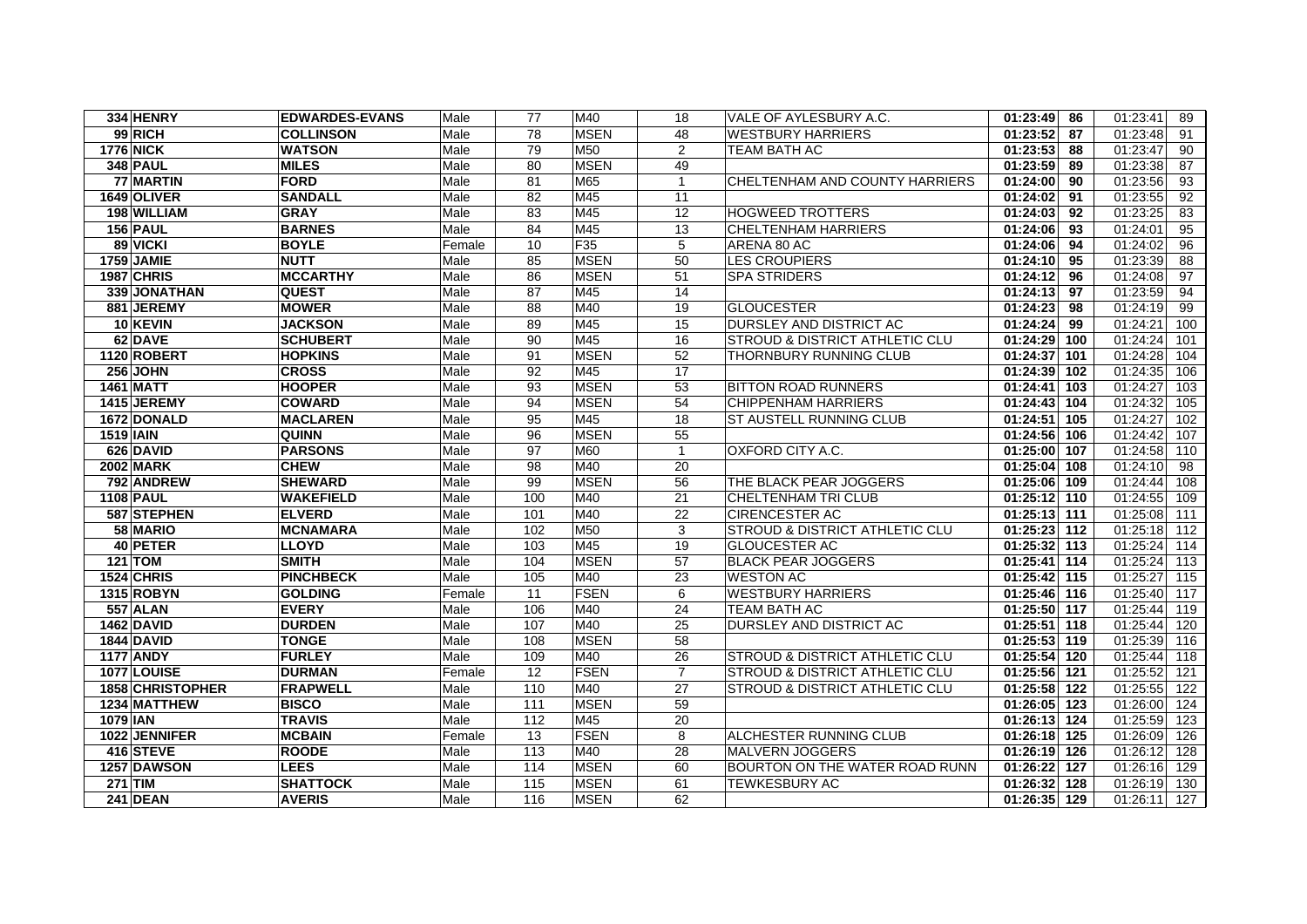| 334 HENRY        | <b>EDWARDES-EVANS</b> | Male   | 77              | M40         | 18              | VALE OF AYLESBURY A.C.                    | $\overline{01:}23:49$ 86 | 01:23:41<br>89  |
|------------------|-----------------------|--------|-----------------|-------------|-----------------|-------------------------------------------|--------------------------|-----------------|
| 99 RICH          | <b>COLLINSON</b>      | Male   | 78              | <b>MSEN</b> | 48              | <b>WESTBURY HARRIERS</b>                  | $01:23:52$ 87            | 01:23:48<br>91  |
| <b>1776 NICK</b> | <b>WATSON</b>         | Male   | 79              | M50         | 2               | TEAM BATH AC                              | 01:23:53<br>88           | 01:23:47<br>90  |
| 348 PAUL         | <b>MILES</b>          | Male   | 80              | <b>MSEN</b> | 49              |                                           | $01:23:59$ 89            | 87<br>01:23:38  |
| 77 MARTIN        | <b>FORD</b>           | Male   | 81              | M65         | $\mathbf{1}$    | CHELTENHAM AND COUNTY HARRIERS            | $01:24:00$ 90            | 01:23:56<br>93  |
| 1649 OLIVER      | <b>SANDALL</b>        | Male   | 82              | M45         | 11              |                                           | 01:24:02<br>91           | 92<br>01:23:55  |
| 198 WILLIAM      | <b>GRAY</b>           | Male   | 83              | M45         | 12              | <b>HOGWEED TROTTERS</b>                   | 92<br>01:24:03           | 01:23:25<br>83  |
| <b>156 PAUL</b>  | <b>BARNES</b>         | Male   | 84              | M45         | 13              | <b>CHELTENHAM HARRIERS</b>                | 01:24:06<br>93           | 01:24:01<br>95  |
| 89 VICKI         | <b>BOYLE</b>          | Female | 10              | F35         | 5               | ARENA 80 AC                               | 94<br>01:24:06           | 01:24:02<br>96  |
| 1759 JAMIE       | <b>NUTT</b>           | Male   | 85              | <b>MSEN</b> | 50              | <b>LES CROUPIERS</b>                      | $01:24:10$ 95            | 01:23:39<br>88  |
| 1987 CHRIS       | <b>MCCARTHY</b>       | Male   | 86              | <b>MSEN</b> | 51              | <b>SPA STRIDERS</b>                       | 01:24:12<br>96           | 97<br>01:24:08  |
| 339 JONATHAN     | <b>QUEST</b>          | Male   | 87              | M45         | 14              |                                           | 01:24:13 97              | 01:23:59<br>94  |
| 881 JEREMY       | <b>MOWER</b>          | Male   | 88              | M40         | 19              | <b>GLOUCESTER</b>                         | 01:24:23<br>98           | 01:24:19<br>99  |
| 10 KEVIN         | <b>JACKSON</b>        | Male   | 89              | M45         | 15              | DURSLEY AND DISTRICT AC                   | 01:24:24<br>99           | 01:24:21<br>100 |
| 62 DAVE          | <b>SCHUBERT</b>       | Male   | 90              | M45         | 16              | STROUD & DISTRICT ATHLETIC CLU            | 01:24:29 100             | 01:24:24<br>101 |
| 1120 ROBERT      | <b>HOPKINS</b>        | Male   | 91              | <b>MSEN</b> | 52              | THORNBURY RUNNING CLUB                    | 01:24:37 101             | 01:24:28<br>104 |
| <b>256 JOHN</b>  | <b>CROSS</b>          | Male   | 92              | M45         | 17              |                                           | 01:24:39 102             | 01:24:35<br>106 |
| <b>1461 MATT</b> | <b>HOOPER</b>         | Male   | 93              | <b>MSEN</b> | 53              | <b>BITTON ROAD RUNNERS</b>                | 01:24:41 103             | 01:24:27<br>103 |
| 1415 JEREMY      | <b>COWARD</b>         | Male   | 94              | <b>MSEN</b> | 54              | <b>CHIPPENHAM HARRIERS</b>                | 01:24:43 104             | 01:24:32<br>105 |
| 1672 DONALD      | <b>MACLAREN</b>       | Male   | $\overline{95}$ | M45         | $\overline{18}$ | ST AUSTELL RUNNING CLUB                   | 01:24:51 105             | 102<br>01:24:27 |
| <b>1519 IAIN</b> | <b>QUINN</b>          | Male   | 96              | <b>MSEN</b> | 55              |                                           | 01:24:56 106             | 01:24:42<br>107 |
| 626 DAVID        | <b>PARSONS</b>        | Male   | 97              | M60         | $\mathbf{1}$    | OXFORD CITY A.C.                          | 01:25:00 107             | 01:24:58<br>110 |
| <b>2002 MARK</b> | <b>CHEW</b>           | Male   | 98              | M40         | 20              |                                           | $01:25:04$ 108           | 01:24:10<br>98  |
| 792 ANDREW       | <b>SHEWARD</b>        | Male   | 99              | <b>MSEN</b> | 56              | THE BLACK PEAR JOGGERS                    | 01:25:06 109             | 01:24:44<br>108 |
| <b>1108 PAUL</b> | <b>WAKEFIELD</b>      | Male   | 100             | M40         | 21              | CHELTENHAM TRI CLUB                       | 01:25:12 110             | 01:24:55<br>109 |
| 587 STEPHEN      | <b>ELVERD</b>         | Male   | 101             | M40         | 22              | <b>CIRENCESTER AC</b>                     | $01:25:13$ 111           | 01:25:08<br>111 |
| 58 MARIO         | <b>MCNAMARA</b>       | Male   | 102             | M50         | 3               | STROUD & DISTRICT ATHLETIC CLU            | 01:25:23 112             | 01:25:18<br>112 |
| 40 PETER         | <b>LLOYD</b>          | Male   | 103             | M45         | 19              | <b>GLOUCESTER AC</b>                      | 01:25:32 113             | 01:25:24<br>114 |
| <b>121 TOM</b>   | <b>SMITH</b>          | Male   | 104             | <b>MSEN</b> | 57              | <b>BLACK PEAR JOGGERS</b>                 | 01:25:41 114             | 01:25:24<br>113 |
| 1524 CHRIS       | <b>PINCHBECK</b>      | Male   | 105             | M40         | 23              | <b>WESTON AC</b>                          | 01:25:42 115             | 01:25:27<br>115 |
| 1315 ROBYN       | <b>GOLDING</b>        | Female | 11              | <b>FSEN</b> | 6               | <b>WESTBURY HARRIERS</b>                  | 01:25:46 116             | 01:25:40<br>117 |
| <b>557 ALAN</b>  | <b>EVERY</b>          | Male   | 106             | M40         | 24              | TEAM BATH AC                              | 01:25:50 117             | 01:25:44<br>119 |
| 1462 DAVID       | <b>DURDEN</b>         | Male   | 107             | M40         | 25              | DURSLEY AND DISTRICT AC                   | 01:25:51 118             | 01:25:44<br>120 |
| 1844 DAVID       | <b>TONGE</b>          | Male   | 108             | <b>MSEN</b> | 58              |                                           | $01:25:53$ 119           | 01:25:39<br>116 |
| <b>1177 ANDY</b> | <b>FURLEY</b>         | Male   | 109             | M40         | 26              | STROUD & DISTRICT ATHLETIC CLU            | $01:25:54$ 120           | 01:25:44<br>118 |
| 1077 LOUISE      | <b>DURMAN</b>         | Female | 12              | <b>FSEN</b> | $\overline{7}$  | <b>STROUD &amp; DISTRICT ATHLETIC CLU</b> | 01:25:56 121             | 01:25:52<br>121 |
| 1858 CHRISTOPHER | <b>FRAPWELL</b>       | Male   | 110             | M40         | 27              | STROUD & DISTRICT ATHLETIC CLU            | 01:25:58 122             | 01:25:55<br>122 |
| 1234 MATTHEW     | <b>BISCO</b>          | Male   | 111             | <b>MSEN</b> | 59              |                                           | 01:26:05 123             | 01:26:00<br>124 |
| 1079 IAN         | <b>TRAVIS</b>         | Male   | 112             | M45         | 20              |                                           | 01:26:13 124             | 01:25:59<br>123 |
| 1022 JENNIFER    | <b>MCBAIN</b>         | Female | 13              | <b>FSEN</b> | $\,8\,$         | <b>ALCHESTER RUNNING CLUB</b>             | 01:26:18 125             | 01:26:09<br>126 |
| 416 STEVE        | <b>ROODE</b>          | Male   | 113             | M40         | 28              | MALVERN JOGGERS                           | 01:26:19 126             | 01:26:12<br>128 |
| 1257 DAWSON      | <b>LEES</b>           | Male   | 114             | <b>MSEN</b> | 60              | BOURTON ON THE WATER ROAD RUNN            | 01:26:22 127             | 01:26:16<br>129 |
| $271$ TIM        | <b>SHATTOCK</b>       | Male   | 115             | <b>MSEN</b> | 61              | <b>TEWKESBURY AC</b>                      | 01:26:32 128             | 01:26:19<br>130 |
| 241 DEAN         | <b>AVERIS</b>         | Male   | 116             | <b>MSEN</b> | 62              |                                           | 01:26:35 129             | 01:26:11<br>127 |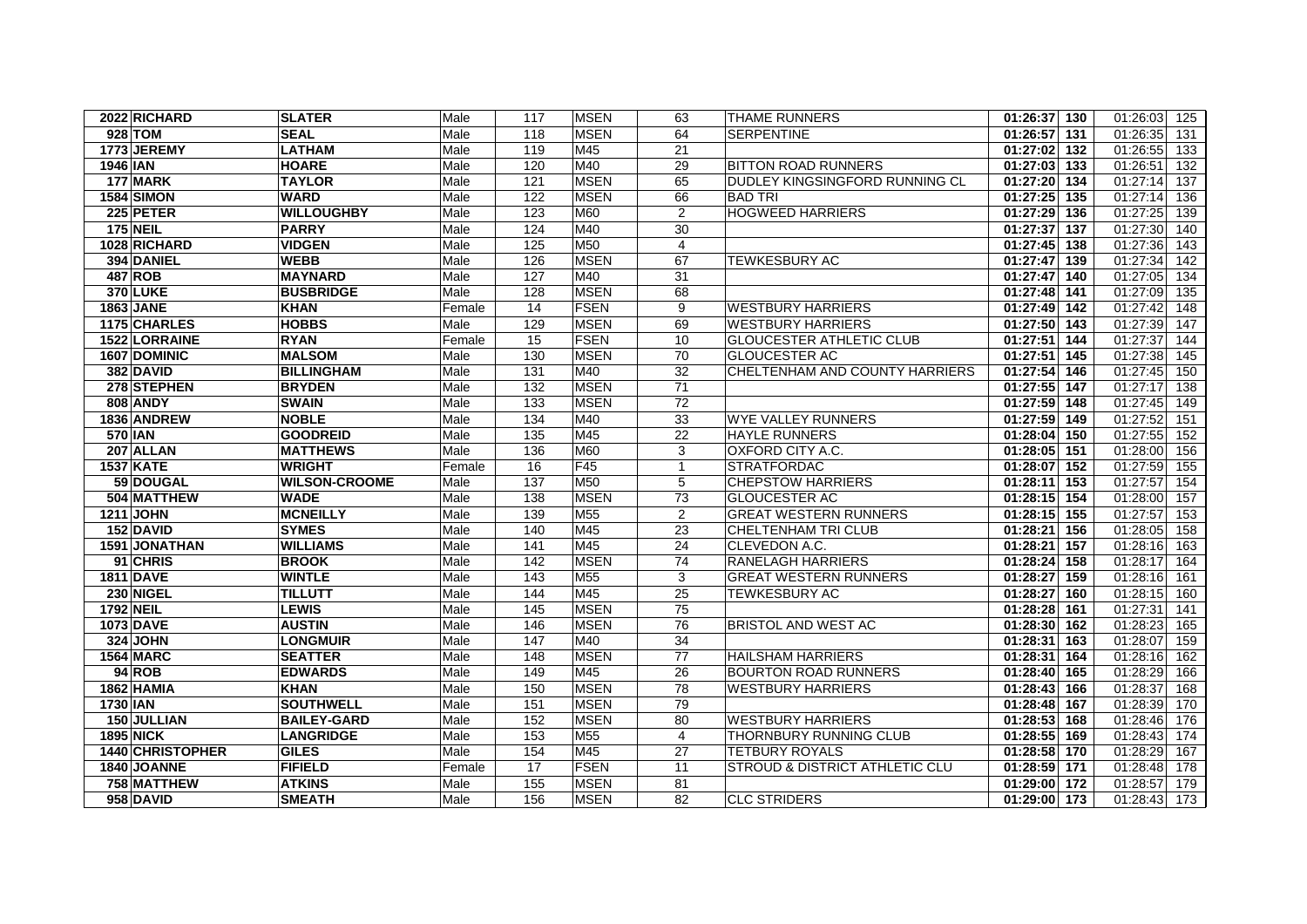| 2022 RICHARD      | <b>SLATER</b>        | Male   | 117            | <b>MSEN</b>     | 63             | <b>THAME RUNNERS</b>            | 01:26:37 130   | 01:26:03<br>125 |
|-------------------|----------------------|--------|----------------|-----------------|----------------|---------------------------------|----------------|-----------------|
| 928 TOM           | <b>SEAL</b>          | Male   | 118            | <b>MSEN</b>     | 64             | <b>SERPENTINE</b>               | 01:26:57 131   | 01:26:35<br>131 |
| 1773 JEREMY       | <b>LATHAM</b>        | Male   | 119            | M45             | 21             |                                 | 01:27:02 132   | 01:26:55<br>133 |
| <b>1946 IAN</b>   | <b>HOARE</b>         | Male   | 120            | M40             | 29             | <b>BITTON ROAD RUNNERS</b>      | 01:27:03 133   | 132<br>01:26:51 |
| 177 MARK          | <b>TAYLOR</b>        | Male   | 121            | <b>MSEN</b>     | 65             | DUDLEY KINGSINGFORD RUNNING CL  | 01:27:20 134   | 01:27:14<br>137 |
| <b>1584 SIMON</b> | WARD                 | Male   | 122            | <b>MSEN</b>     | 66             | BAD TRI                         | 01:27:25 135   | 01:27:14<br>136 |
| 225 PETER         | <b>WILLOUGHBY</b>    | Male   | 123            | M60             | 2              | <b>HOGWEED HARRIERS</b>         | $01:27:29$ 136 | 01:27:25<br>139 |
| <b>175 NEIL</b>   | <b>PARRY</b>         | Male   | 124            | M40             | 30             |                                 | 01:27:37 137   | 01:27:30<br>140 |
| 1028 RICHARD      | <b>VIDGEN</b>        | Male   | 125            | M50             | $\overline{4}$ |                                 | 01:27:45 138   | 01:27:36<br>143 |
| 394 DANIEL        | <b>WEBB</b>          | Male   | 126            | <b>MSEN</b>     | 67             | TEWKESBURY AC                   | 01:27:47 139   | 01:27:34<br>142 |
| 487 ROB           | <b>MAYNARD</b>       | Male   | 127            | M40             | 31             |                                 | 01:27:47 140   | 01:27:05<br>134 |
| <b>370 LUKE</b>   | <b>BUSBRIDGE</b>     | Male   | 128            | <b>MSEN</b>     | 68             |                                 | 01:27:48 141   | 01:27:09<br>135 |
| <b>1863 JANE</b>  | <b>KHAN</b>          | Female | 14             | <b>FSEN</b>     | 9              | <b>WESTBURY HARRIERS</b>        | 01:27:49 142   | 01:27:42<br>148 |
| 1175 CHARLES      | <b>HOBBS</b>         | Male   | 129            | <b>MSEN</b>     | 69             | <b>WESTBURY HARRIERS</b>        | 01:27:50 143   | 01:27:39<br>147 |
| 1522 LORRAINE     | <b>RYAN</b>          | Female | 15             | <b>FSEN</b>     | 10             | <b>GLOUCESTER ATHLETIC CLUB</b> | $01:27:51$ 144 | 01:27:37<br>144 |
| 1607 DOMINIC      | <b>MALSOM</b>        | Male   | 130            | <b>MSEN</b>     | 70             | <b>GLOUCESTER AC</b>            | $01:27:51$ 145 | 01:27:38<br>145 |
| 382 DAVID         | <b>BILLINGHAM</b>    | Male   | 131            | M40             | 32             | CHELTENHAM AND COUNTY HARRIERS  | 01:27:54 146   | 01:27:45<br>150 |
| 278 STEPHEN       | <b>BRYDEN</b>        | Male   | 132            | <b>MSEN</b>     | 71             |                                 | 01:27:55 147   | 01:27:17<br>138 |
| <b>808 ANDY</b>   | <b>SWAIN</b>         | Male   | 133            | <b>MSEN</b>     | 72             |                                 | 01:27:59 148   | 01:27:45<br>149 |
| 1836 ANDREW       | <b>NOBLE</b>         | Male   | $\frac{1}{34}$ | M40             | 33             | <b>WYE VALLEY RUNNERS</b>       | 01:27:59 149   | 01:27:52<br>151 |
| 570 IAN           | <b>GOODREID</b>      | Male   | 135            | M45             | 22             | <b>HAYLE RUNNERS</b>            | 01:28:04 150   | 01:27:55<br>152 |
| 207 ALLAN         | <b>MATTHEWS</b>      | Male   | 136            | M60             | 3              | OXFORD CITY A.C.                | 01:28:05 151   | 156<br>01:28:00 |
| <b>1537 KATE</b>  | WRIGHT               | Female | 16             | F45             | $\mathbf{1}$   | <b>STRATFORDAC</b>              | $01:28:07$ 152 | 155<br>01:27:59 |
| 59 DOUGAL         | <b>WILSON-CROOME</b> | Male   | 137            | M50             | 5              | <b>CHEPSTOW HARRIERS</b>        | $01:28:11$ 153 | 01:27:57<br>154 |
| 504 MATTHEW       | <b>WADE</b>          | Male   | 138            | <b>MSEN</b>     | 73             | <b>GLOUCESTER AC</b>            | 01:28:15 154   | 01:28:00<br>157 |
| <b>1211 JOHN</b>  | <b>MCNEILLY</b>      | Male   | 139            | M <sub>55</sub> | $\overline{2}$ | <b>GREAT WESTERN RUNNERS</b>    | 01:28:15 155   | 01:27:57<br>153 |
| 152 DAVID         | <b>SYMES</b>         | Male   | 140            | M45             | 23             | <b>CHELTENHAM TRI CLUB</b>      | 01:28:21 156   | 01:28:05<br>158 |
| 1591 JONATHAN     | WILLIAMS             | Male   | 141            | M45             | 24             | CLEVEDON A.C.                   | 01:28:21 157   | 01:28:16<br>163 |
| 91 CHRIS          | <b>BROOK</b>         | Male   | 142            | <b>MSEN</b>     | 74             | RANELAGH HARRIERS               | 01:28:24 158   | 01:28:17<br>164 |
| <b>1811 DAVE</b>  | <b>WINTLE</b>        | Male   | 143            | M <sub>55</sub> | 3              | <b>GREAT WESTERN RUNNERS</b>    | 01:28:27 159   | 01:28:16<br>161 |
| 230 NIGEL         | <b>TILLUTT</b>       | Male   | 144            | M45             | 25             | <b>TEWKESBURY AC</b>            | 01:28:27 160   | 01:28:15<br>160 |
| 1792 NEIL         | <b>LEWIS</b>         | Male   | 145            | <b>MSEN</b>     | 75             |                                 | 01:28:28 161   | 01:27:31<br>141 |
| 1073 DAVE         | <b>AUSTIN</b>        | Male   | 146            | <b>MSEN</b>     | 76             | <b>BRISTOL AND WEST AC</b>      | 01:28:30 162   | 01:28:23<br>165 |
| 324 JOHN          | <b>LONGMUIR</b>      | Male   | 147            | M40             | 34             |                                 | 01:28:31 163   | 01:28:07<br>159 |
| <b>1564 MARC</b>  | <b>SEATTER</b>       | Male   | 148            | <b>MSEN</b>     | 77             | <b>HAILSHAM HARRIERS</b>        | 01:28:31 164   | 01:28:16<br>162 |
| <b>94 ROB</b>     | <b>EDWARDS</b>       | Male   | 149            | M45             | 26             | <b>BOURTON ROAD RUNNERS</b>     | 01:28:40 165   | 01:28:29<br>166 |
| 1862 HAMIA        | <b>KHAN</b>          | Male   | 150            | <b>MSEN</b>     | 78             | <b>WESTBURY HARRIERS</b>        | 01:28:43 166   | 01:28:37<br>168 |
| <b>1730 IAN</b>   | <b>SOUTHWELL</b>     | Male   | 151            | <b>MSEN</b>     | 79             |                                 | 01:28:48 167   | 01:28:39<br>170 |
| 150 JULLIAN       | <b>BAILEY-GARD</b>   | Male   | 152            | <b>MSEN</b>     | 80             | <b>WESTBURY HARRIERS</b>        | 01:28:53 168   | 01:28:46<br>176 |
| <b>1895 NICK</b>  | <b>LANGRIDGE</b>     | Male   | 153            | M <sub>55</sub> | $\overline{4}$ | <b>THORNBURY RUNNING CLUB</b>   | 01:28:55 169   | 01:28:43<br>174 |
| 1440 CHRISTOPHER  | <b>GILES</b>         | Male   | 154            | M45             | 27             | <b>TETBURY ROYALS</b>           | 01:28:58 170   | 01:28:29<br>167 |
| 1840 JOANNE       | <b>FIFIELD</b>       | Female | 17             | <b>FSEN</b>     | 11             | STROUD & DISTRICT ATHLETIC CLU  | 01:28:59 171   | 01:28:48<br>178 |
| 758 MATTHEW       | <b>ATKINS</b>        | Male   | 155            | <b>MSEN</b>     | 81             |                                 | 01:29:00 172   | 01:28:57<br>179 |
| 958 DAVID         | <b>SMEATH</b>        | Male   | 156            | <b>MSEN</b>     | 82             | <b>CLC STRIDERS</b>             | 01:29:00 173   | 01:28:43<br>173 |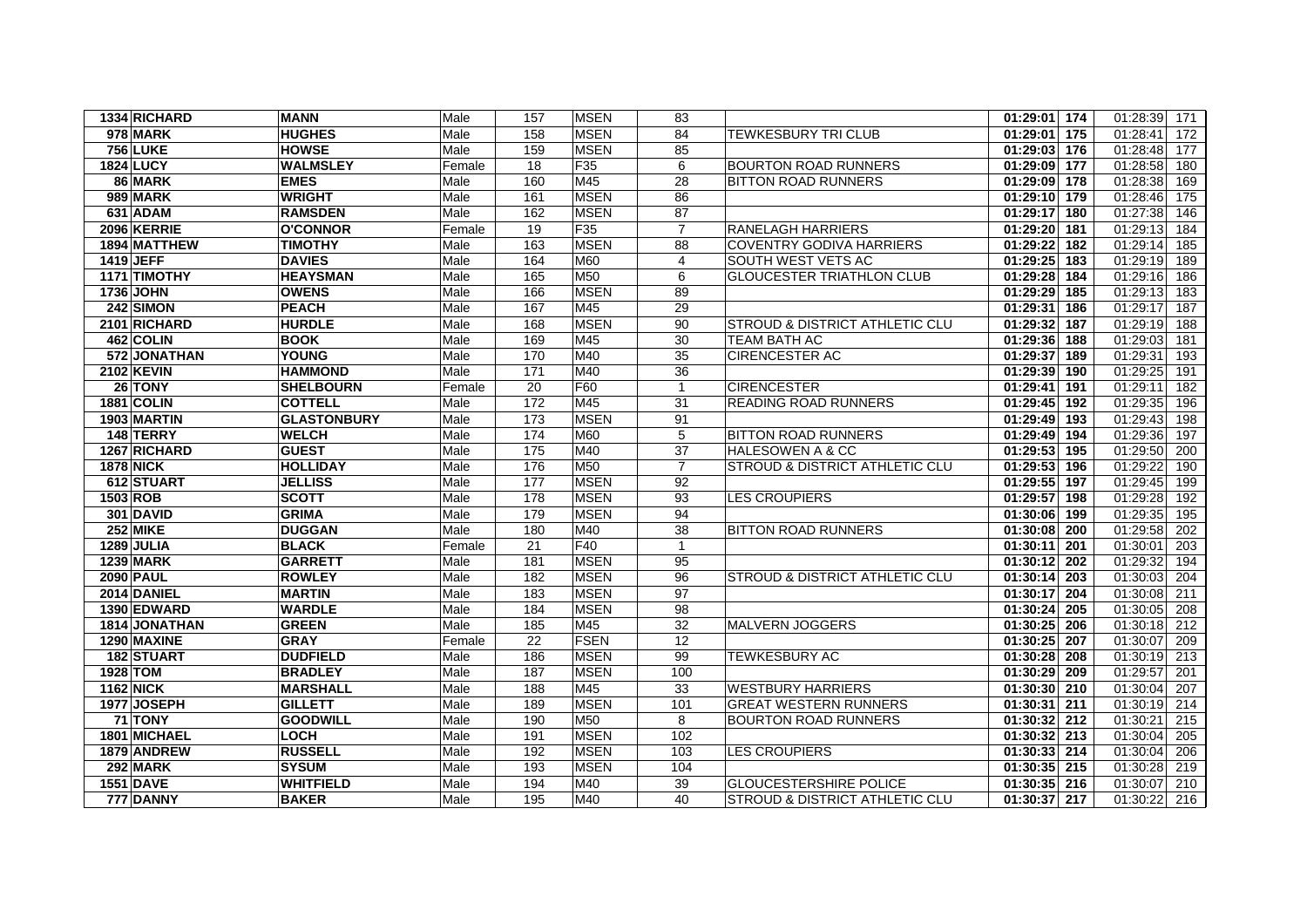| 1334 RICHARD      | <b>MANN</b>        | Male   | 157 | <b>MSEN</b> | 83                       |                                           | 01:29:01 174 | 01:28:39<br>171 |
|-------------------|--------------------|--------|-----|-------------|--------------------------|-------------------------------------------|--------------|-----------------|
| 978 MARK          | <b>HUGHES</b>      | Male   | 158 | <b>MSEN</b> | 84                       | TEWKESBURY TRI CLUB                       | 01:29:01 175 | 01:28:41<br>172 |
| <b>756 LUKE</b>   | <b>HOWSE</b>       | Male   | 159 | <b>MSEN</b> | 85                       |                                           | 01:29:03 176 | 01:28:48<br>177 |
| <b>1824 LUCY</b>  | <b>WALMSLEY</b>    | Female | 18  | F35         | 6                        | <b>BOURTON ROAD RUNNERS</b>               | 01:29:09 177 | 01:28:58<br>180 |
| 86 MARK           | <b>EMES</b>        | Male   | 160 | M45         | 28                       | <b>BITTON ROAD RUNNERS</b>                | 01:29:09 178 | 01:28:38<br>169 |
| <b>989 MARK</b>   | <b>WRIGHT</b>      | Male   | 161 | <b>MSEN</b> | 86                       |                                           | 01:29:10 179 | 01:28:46<br>175 |
| 631 ADAM          | <b>RAMSDEN</b>     | Male   | 162 | <b>MSEN</b> | 87                       |                                           | 01:29:17 180 | 01:27:38<br>146 |
| 2096 KERRIE       | <b>O'CONNOR</b>    | Female | 19  | F35         | $\overline{7}$           | <b>RANELAGH HARRIERS</b>                  | 01:29:20 181 | 01:29:13<br>184 |
| 1894 MATTHEW      | <b>TIMOTHY</b>     | Male   | 163 | <b>MSEN</b> | 88                       | <b>COVENTRY GODIVA HARRIERS</b>           | 01:29:22 182 | 01:29:14<br>185 |
| 1419 JEFF         | <b>DAVIES</b>      | Male   | 164 | M60         | $\overline{\mathcal{A}}$ | SOUTH WEST VETS AC                        | 01:29:25 183 | 01:29:19<br>189 |
| 1171 TIMOTHY      | <b>HEAYSMAN</b>    | Male   | 165 | M50         | 6                        | <b>GLOUCESTER TRIATHLON CLUB</b>          | 01:29:28 184 | 01:29:16<br>186 |
| 1736 JOHN         | <b>OWENS</b>       | Male   | 166 | <b>MSEN</b> | 89                       |                                           | 01:29:29 185 | 01:29:13<br>183 |
| $242$ SIMON       | <b>PEACH</b>       | Male   | 167 | M45         | 29                       |                                           | 01:29:31 186 | 01:29:17<br>187 |
| 2101 RICHARD      | <b>HURDLE</b>      | Male   | 168 | <b>MSEN</b> | 90                       | <b>STROUD &amp; DISTRICT ATHLETIC CLU</b> | 01:29:32 187 | 01:29:19<br>188 |
| 462 COLIN         | <b>BOOK</b>        | Male   | 169 | M45         | 30                       | TEAM BATH AC                              | 01:29:36 188 | 01:29:03<br>181 |
| 572 JONATHAN      | <b>YOUNG</b>       | Male   | 170 | M40         | 35                       | <b>CIRENCESTER AC</b>                     | 01:29:37 189 | 01:29:31<br>193 |
| <b>2102 KEVIN</b> | <b>HAMMOND</b>     | Male   | 171 | M40         | $\overline{36}$          |                                           | 01:29:39 190 | 01:29:25<br>191 |
| 26 TONY           | <b>SHELBOURN</b>   | Female | 20  | F60         | $\mathbf{1}$             | <b>CIRENCESTER</b>                        | 01:29:41 191 | 01:29:11<br>182 |
| 1881 COLIN        | <b>COTTELL</b>     | Male   | 172 | M45         | 31                       | <b>READING ROAD RUNNERS</b>               | 01:29:45 192 | 01:29:35<br>196 |
| 1903 MARTIN       | <b>GLASTONBURY</b> | Male   | 173 | <b>MSEN</b> | 91                       |                                           | 01:29:49 193 | 01:29:43<br>198 |
| 148 TERRY         | <b>WELCH</b>       | Male   | 174 | M60         | 5                        | <b>BITTON ROAD RUNNERS</b>                | 01:29:49 194 | 01:29:36<br>197 |
| 1267 RICHARD      | <b>GUEST</b>       | Male   | 175 | M40         | 37                       | <b>HALESOWEN A &amp; CC</b>               | 01:29:53 195 | 01:29:50<br>200 |
| <b>1878 NICK</b>  | <b>HOLLIDAY</b>    | Male   | 176 | M50         | $\overline{7}$           | STROUD & DISTRICT ATHLETIC CLU            | 01:29:53 196 | 01:29:22<br>190 |
| 612 STUART        | <b>JELLISS</b>     | Male   | 177 | <b>MSEN</b> | 92                       |                                           | 01:29:55 197 | 01:29:45<br>199 |
| 1503 ROB          | <b>SCOTT</b>       | Male   | 178 | <b>MSEN</b> | 93                       | <b>LES CROUPIERS</b>                      | 01:29:57 198 | 01:29:28<br>192 |
| 301 DAVID         | <b>GRIMA</b>       | Male   | 179 | <b>MSEN</b> | 94                       |                                           | 01:30:06 199 | 01:29:35<br>195 |
| 252 MIKE          | <b>DUGGAN</b>      | Male   | 180 | M40         | 38                       | <b>BITTON ROAD RUNNERS</b>                | 01:30:08 200 | 01:29:58<br>202 |
| 1289 JULIA        | <b>BLACK</b>       | Female | 21  | F40         | $\overline{1}$           |                                           | 01:30:11 201 | 01:30:01<br>203 |
| <b>1239 MARK</b>  | <b>GARRETT</b>     | Male   | 181 | <b>MSEN</b> | 95                       |                                           | 01:30:12 202 | 01:29:32<br>194 |
| <b>2090 PAUL</b>  | <b>ROWLEY</b>      | Male   | 182 | <b>MSEN</b> | 96                       | <b>STROUD &amp; DISTRICT ATHLETIC CLU</b> | 01:30:14 203 | 01:30:03<br>204 |
| 2014 DANIEL       | <b>MARTIN</b>      | Male   | 183 | <b>MSEN</b> | 97                       |                                           | 01:30:17 204 | 01:30:08<br>211 |
| 1390 EDWARD       | <b>WARDLE</b>      | Male   | 184 | <b>MSEN</b> | 98                       |                                           | 01:30:24 205 | 01:30:05<br>208 |
| 1814 JONATHAN     | <b>GREEN</b>       | Male   | 185 | M45         | 32                       | <b>MALVERN JOGGERS</b>                    | 01:30:25 206 | 01:30:18<br>212 |
| 1290 MAXINE       | <b>GRAY</b>        | Female | 22  | <b>FSEN</b> | 12                       |                                           | 01:30:25 207 | 01:30:07<br>209 |
| 182 STUART        | <b>DUDFIELD</b>    | Male   | 186 | <b>MSEN</b> | 99                       | <b>TEWKESBURY AC</b>                      | 01:30:28 208 | 01:30:19<br>213 |
| 1928 TOM          | <b>BRADLEY</b>     | Male   | 187 | <b>MSEN</b> | 100                      |                                           | 01:30:29 209 | 01:29:57<br>201 |
| <b>1162 NICK</b>  | <b>MARSHALL</b>    | Male   | 188 | M45         | 33                       | <b>WESTBURY HARRIERS</b>                  | 01:30:30 210 | 01:30:04<br>207 |
| 1977 JOSEPH       | <b>GILLETT</b>     | Male   | 189 | <b>MSEN</b> | 101                      | <b>GREAT WESTERN RUNNERS</b>              | 01:30:31 211 | 01:30:19<br>214 |
| 71 TONY           | <b>GOODWILL</b>    | Male   | 190 | M50         | 8                        | <b>BOURTON ROAD RUNNERS</b>               | 01:30:32 212 | 01:30:21<br>215 |
| 1801 MICHAEL      | <b>LOCH</b>        | Male   | 191 | <b>MSEN</b> | 102                      |                                           | 01:30:32 213 | 01:30:04<br>205 |
| 1879 ANDREW       | <b>RUSSELL</b>     | Male   | 192 | <b>MSEN</b> | 103                      | <b>LES CROUPIERS</b>                      | 01:30:33 214 | 01:30:04<br>206 |
| 292 MARK          | <b>SYSUM</b>       | Male   | 193 | <b>MSEN</b> | 104                      |                                           | 01:30:35 215 | 01:30:28<br>219 |
| <b>1551 DAVE</b>  | <b>WHITFIELD</b>   | Male   | 194 | M40         | 39                       | <b>GLOUCESTERSHIRE POLICE</b>             | 01:30:35 216 | 01:30:07<br>210 |
| 777 DANNY         | <b>BAKER</b>       | Male   | 195 | M40         | 40                       | <b>STROUD &amp; DISTRICT ATHLETIC CLU</b> | 01:30:37 217 | 216<br>01:30:22 |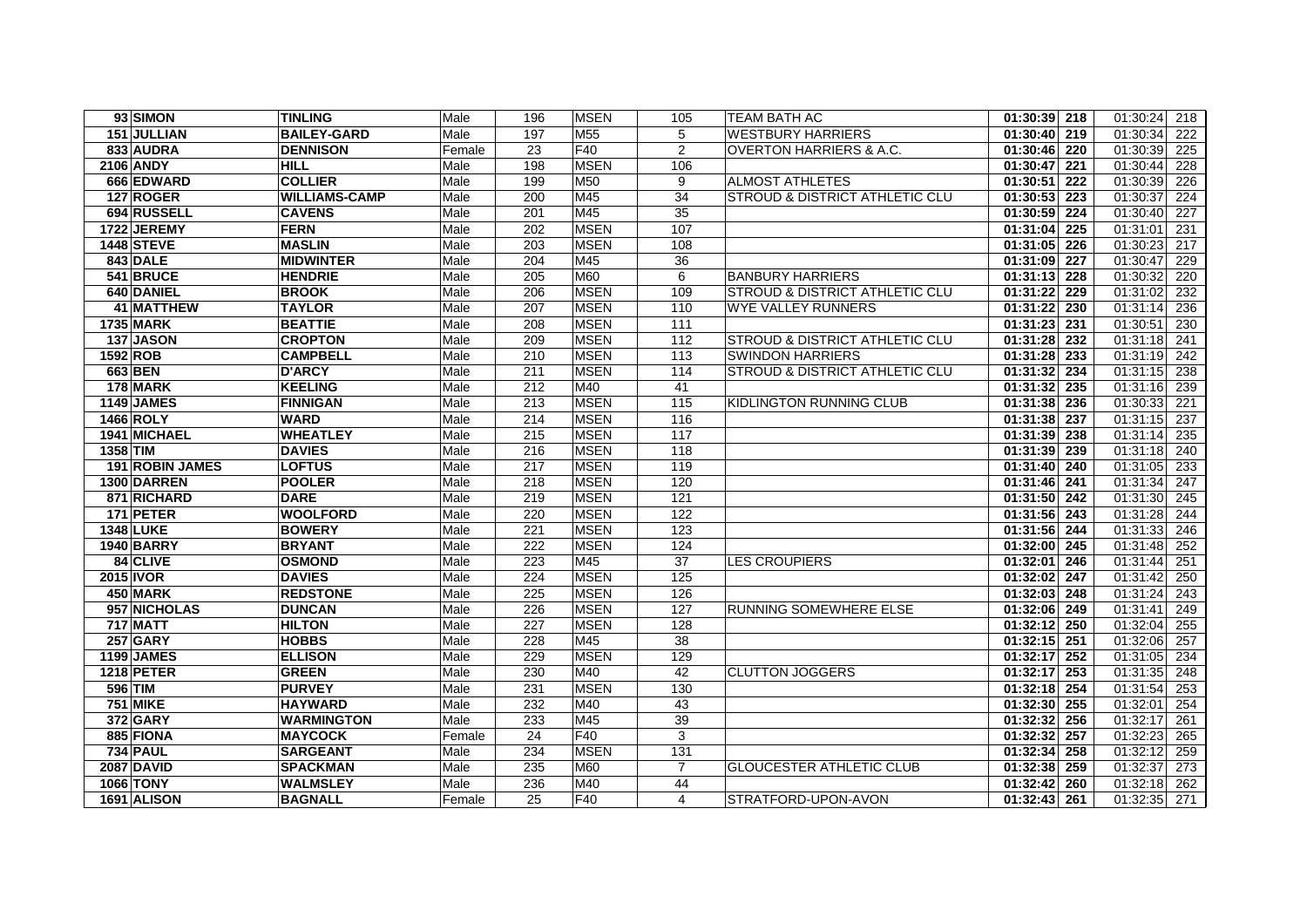| 93 SIMON          | <b>TINLING</b>       | Male   | 196 | <b>MSEN</b>     | 105            | <b>TEAM BATH AC</b>                       | 01:30:39 218              | 01:30:24<br>218 |
|-------------------|----------------------|--------|-----|-----------------|----------------|-------------------------------------------|---------------------------|-----------------|
| 151 JULLIAN       | <b>BAILEY-GARD</b>   | Male   | 197 | M <sub>55</sub> | 5              | <b>WESTBURY HARRIERS</b>                  | 01:30:40 219              | 01:30:34<br>222 |
| 833 AUDRA         | <b>DENNISON</b>      | Female | 23  | F40             | 2              | <b>OVERTON HARRIERS &amp; A.C.</b>        | 01:30:46 220              | 01:30:39<br>225 |
| <b>2106 ANDY</b>  | <b>HILL</b>          | Male   | 198 | <b>MSEN</b>     | 106            |                                           | $01:30:47$ 221            | 01:30:44<br>228 |
| 666 EDWARD        | <b>COLLIER</b>       | Male   | 199 | M50             | 9              | <b>ALMOST ATHLETES</b>                    | 01:30:51 222              | 01:30:39<br>226 |
| 127 ROGER         | <b>WILLIAMS-CAMP</b> | Male   | 200 | M45             | 34             | <b>STROUD &amp; DISTRICT ATHLETIC CLU</b> | 01:30:53 223              | 01:30:37<br>224 |
| 694 RUSSELL       | <b>CAVENS</b>        | Male   | 201 | M45             | 35             |                                           | 01:30:59 224              | 227<br>01:30:40 |
| 1722 JEREMY       | <b>FERN</b>          | Male   | 202 | <b>MSEN</b>     | 107            |                                           | 01:31:04 225              | 01:31:01<br>231 |
| <b>1448 STEVE</b> | <b>MASLIN</b>        | Male   | 203 | <b>MSEN</b>     | 108            |                                           | 01:31:05 226              | 01:30:23<br>217 |
| 843 DALE          | <b>MIDWINTER</b>     | Male   | 204 | M45             | 36             |                                           | 01:31:09 227              | 01:30:47<br>229 |
| 541 BRUCE         | <b>HENDRIE</b>       | Male   | 205 | M60             | 6              | <b>BANBURY HARRIERS</b>                   | 01:31:13 228              | 01:30:32<br>220 |
| 640 DANIEL        | <b>BROOK</b>         | Male   | 206 | <b>MSEN</b>     | 109            | <b>STROUD &amp; DISTRICT ATHLETIC CLU</b> | 01:31:22 229              | 01:31:02<br>232 |
| 41 MATTHEW        | <b>TAYLOR</b>        | Male   | 207 | <b>MSEN</b>     | 110            | WYE VALLEY RUNNERS                        | 01:31:22 230              | 01:31:14<br>236 |
| <b>1735 MARK</b>  | <b>BEATTIE</b>       | Male   | 208 | <b>MSEN</b>     | 111            |                                           | 01:31:23 231              | 01:30:51<br>230 |
| 137 JASON         | <b>CROPTON</b>       | Male   | 209 | <b>MSEN</b>     | 112            | <b>STROUD &amp; DISTRICT ATHLETIC CLU</b> | 01:31:28 232              | 01:31:18<br>241 |
| <b>1592 ROB</b>   | <b>CAMPBELL</b>      | Male   | 210 | <b>MSEN</b>     | 113            | <b>SWINDON HARRIERS</b>                   | 01:31:28 233              | 01:31:19<br>242 |
| 663 BEN           | <b>D'ARCY</b>        | Male   | 211 | <b>MSEN</b>     | 114            | STROUD & DISTRICT ATHLETIC CLU            | 01:31:32 234              | 01:31:15<br>238 |
| 178 MARK          | <b>KEELING</b>       | Male   | 212 | M40             | 41             |                                           | 01:31:32 235              | 01:31:16<br>239 |
| 1149 JAMES        | <b>FINNIGAN</b>      | Male   | 213 | <b>MSEN</b>     | 115            | KIDLINGTON RUNNING CLUB                   | 01:31:38 236              | 01:30:33<br>221 |
| 1466 ROLY         | <b>WARD</b>          | Male   | 214 | <b>MSEN</b>     | 116            |                                           | 01:31:38 237              | 01:31:15<br>237 |
| 1941 MICHAEL      | <b>WHEATLEY</b>      | Male   | 215 | <b>MSEN</b>     | 117            |                                           | $\overline{01:31:39}$ 238 | 01:31:14<br>235 |
| 1358 TIM          | <b>DAVIES</b>        | Male   | 216 | <b>MSEN</b>     | 118            |                                           | 01:31:39 239              | 01:31:18<br>240 |
| 191 ROBIN JAMES   | <b>LOFTUS</b>        | Male   | 217 | <b>MSEN</b>     | 119            |                                           | 01:31:40 240              | 233<br>01:31:05 |
| 1300 DARREN       | <b>POOLER</b>        | Male   | 218 | <b>MSEN</b>     | 120            |                                           | 01:31:46 241              | 01:31:34<br>247 |
| 871 RICHARD       | <b>DARE</b>          | Male   | 219 | <b>MSEN</b>     | 121            |                                           | 01:31:50 242              | 01:31:30<br>245 |
| 171 PETER         | <b>WOOLFORD</b>      | Male   | 220 | <b>MSEN</b>     | 122            |                                           | 01:31:56 243              | 01:31:28<br>244 |
| <b>1348 LUKE</b>  | <b>BOWERY</b>        | Male   | 221 | <b>MSEN</b>     | 123            |                                           | 01:31:56 244              | 01:31:33<br>246 |
| 1940 BARRY        | <b>BRYANT</b>        | Male   | 222 | <b>MSEN</b>     | 124            |                                           | 01:32:00 245              | 01:31:48<br>252 |
| 84 CLIVE          | <b>OSMOND</b>        | Male   | 223 | M45             | 37             | <b>LES CROUPIERS</b>                      | 01:32:01 246              | 01:31:44<br>251 |
| 2015 IVOR         | <b>DAVIES</b>        | Male   | 224 | <b>MSEN</b>     | 125            |                                           | 01:32:02 247              | 01:31:42<br>250 |
| 450 MARK          | <b>REDSTONE</b>      | Male   | 225 | <b>MSEN</b>     | 126            |                                           | 01:32:03 248              | 01:31:24<br>243 |
| 957 NICHOLAS      | <b>DUNCAN</b>        | Male   | 226 | <b>MSEN</b>     | 127            | RUNNING SOMEWHERE ELSE                    | 01:32:06 249              | 01:31:41<br>249 |
| <b>717 MATT</b>   | <b>HILTON</b>        | Male   | 227 | <b>MSEN</b>     | 128            |                                           | 01:32:12 250              | 01:32:04<br>255 |
| <b>257 GARY</b>   | <b>HOBBS</b>         | Male   | 228 | M45             | 38             |                                           | 01:32:15 251              | 01:32:06<br>257 |
| 1199 JAMES        | <b>ELLISON</b>       | Male   | 229 | <b>MSEN</b>     | 129            |                                           | 01:32:17 252              | 01:31:05<br>234 |
| <b>1218 PETER</b> | <b>GREEN</b>         | Male   | 230 | M40             | 42             | <b>CLUTTON JOGGERS</b>                    | $01:32:17$ 253            | 01:31:35<br>248 |
| 596 TIM           | <b>PURVEY</b>        | Male   | 231 | <b>MSEN</b>     | 130            |                                           | 01:32:18 254              | 01:31:54<br>253 |
| <b>751 MIKE</b>   | <b>HAYWARD</b>       | Male   | 232 | M40             | 43             |                                           | 01:32:30 255              | 01:32:01<br>254 |
| <b>372 GARY</b>   | <b>WARMINGTON</b>    | Male   | 233 | M45             | 39             |                                           | 01:32:32 256              | 01:32:17<br>261 |
| 885 FIONA         | <b>MAYCOCK</b>       | Female | 24  | F40             | $\sqrt{3}$     |                                           | 01:32:32 257              | 01:32:23<br>265 |
| <b>734 PAUL</b>   | <b>SARGEANT</b>      | Male   | 234 | <b>MSEN</b>     | 131            |                                           | 01:32:34 258              | 01:32:12<br>259 |
| <b>2087 DAVID</b> | <b>SPACKMAN</b>      | Male   | 235 | <b>M60</b>      | $\overline{7}$ | <b>GLOUCESTER ATHLETIC CLUB</b>           | 01:32:38 259              | 01:32:37<br>273 |
| <b>1066 TONY</b>  | <b>WALMSLEY</b>      | Male   | 236 | M40             | 44             |                                           | 01:32:42 260              | 01:32:18<br>262 |
| 1691 ALISON       | <b>BAGNALL</b>       | Female | 25  | <b>F40</b>      | 4              | STRATFORD-UPON-AVON                       | 01:32:43 261              | 01:32:35<br>271 |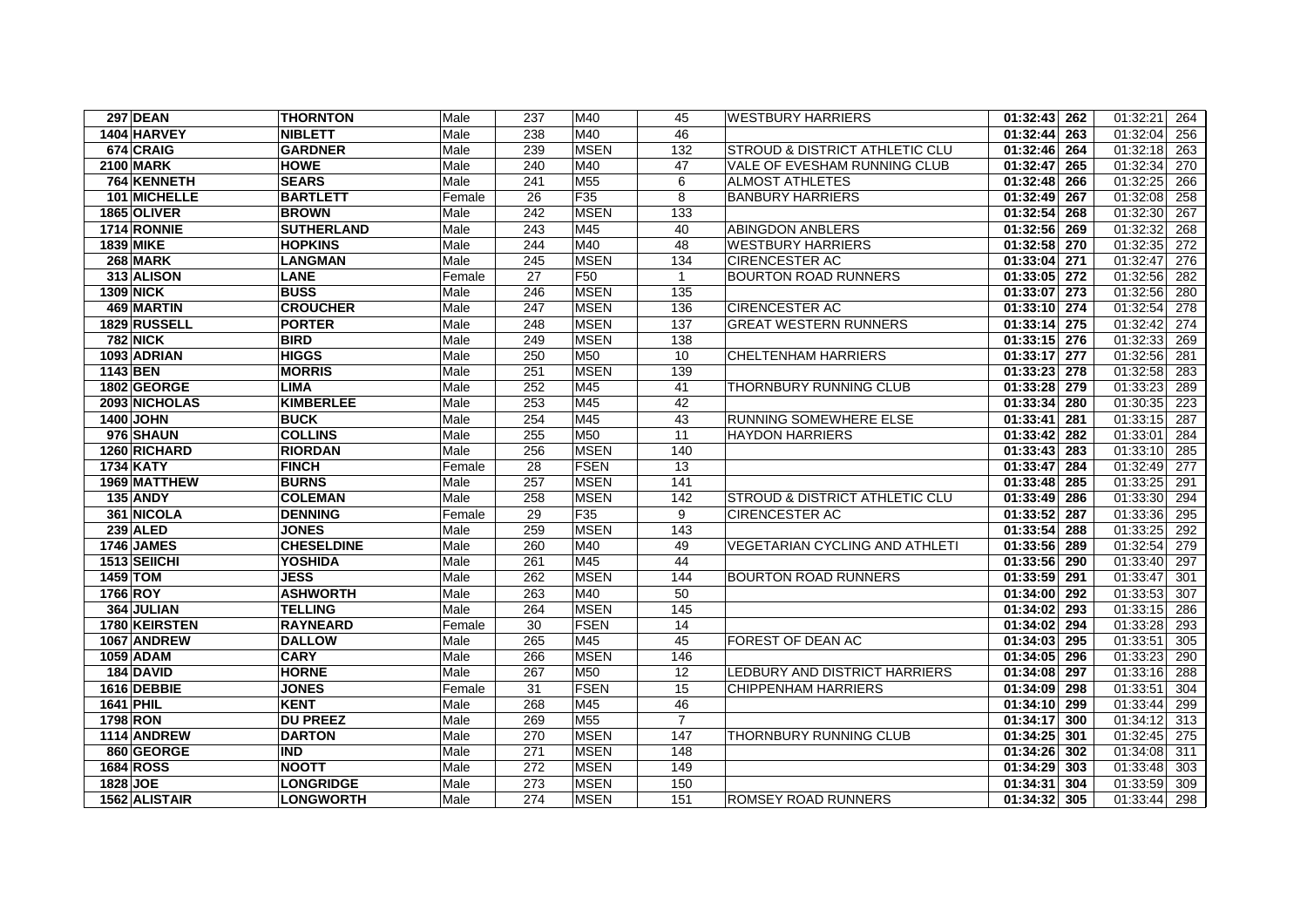| <b>297 DEAN</b>   | <b>THORNTON</b>   | Male   | 237 | M40             | 45             | <b>WESTBURY HARRIERS</b>       | $01:32:43$ 262 | 01:32:21<br>264 |
|-------------------|-------------------|--------|-----|-----------------|----------------|--------------------------------|----------------|-----------------|
| 1404 HARVEY       | <b>NIBLETT</b>    | Male   | 238 | M40             | 46             |                                | 01:32:44 263   | 01:32:04<br>256 |
| 674 CRAIG         | <b>GARDNER</b>    | Male   | 239 | <b>MSEN</b>     | 132            | STROUD & DISTRICT ATHLETIC CLU | 01:32:46 264   | 01:32:18<br>263 |
| <b>2100 MARK</b>  | <b>HOWE</b>       | Male   | 240 | M40             | 47             | VALE OF EVESHAM RUNNING CLUB   | 01:32:47 265   | 270<br>01:32:34 |
| 764 KENNETH       | <b>SEARS</b>      | Male   | 241 | M <sub>55</sub> | 6              | <b>ALMOST ATHLETES</b>         | 01:32:48 266   | 01:32:25<br>266 |
| 101 MICHELLE      | <b>BARTLETT</b>   | Female | 26  | F35             | 8              | <b>BANBURY HARRIERS</b>        | 01:32:49 267   | 01:32:08<br>258 |
| 1865 OLIVER       | <b>BROWN</b>      | Male   | 242 | <b>MSEN</b>     | 133            |                                | 01:32:54 268   | 01:32:30<br>267 |
| 1714 RONNIE       | <b>SUTHERLAND</b> | Male   | 243 | M45             | 40             | <b>ABINGDON ANBLERS</b>        | 01:32:56 269   | 01:32:32<br>268 |
| <b>1839 MIKE</b>  | <b>HOPKINS</b>    | Male   | 244 | M40             | 48             | <b>WESTBURY HARRIERS</b>       | 01:32:58 270   | 01:32:35<br>272 |
| 268 MARK          | <b>LANGMAN</b>    | Male   | 245 | <b>MSEN</b>     | 134            | <b>CIRENCESTER AC</b>          | 01:33:04 271   | 01:32:47<br>276 |
| 313 ALISON        | <b>LANE</b>       | Female | 27  | F50             | $\overline{1}$ | <b>BOURTON ROAD RUNNERS</b>    | 01:33:05 272   | 01:32:56<br>282 |
| <b>1309 NICK</b>  | <b>BUSS</b>       | Male   | 246 | <b>MSEN</b>     | 135            |                                | 01:33:07 273   | 01:32:56<br>280 |
| 469 MARTIN        | <b>CROUCHER</b>   | Male   | 247 | <b>MSEN</b>     | 136            | <b>CIRENCESTER AC</b>          | 01:33:10 274   | 01:32:54<br>278 |
| 1829 RUSSELL      | <b>PORTER</b>     | Male   | 248 | <b>MSEN</b>     | 137            | <b>GREAT WESTERN RUNNERS</b>   | 01:33:14 275   | 01:32:42<br>274 |
| <b>782 NICK</b>   | <b>BIRD</b>       | Male   | 249 | <b>MSEN</b>     | 138            |                                | 01:33:15 276   | 01:32:33<br>269 |
| 1093 ADRIAN       | <b>HIGGS</b>      | Male   | 250 | M50             | 10             | <b>CHELTENHAM HARRIERS</b>     | 01:33:17 277   | 01:32:56<br>281 |
| 1143 BEN          | <b>MORRIS</b>     | Male   | 251 | <b>MSEN</b>     | 139            |                                | 01:33:23 278   | 01:32:58<br>283 |
| 1802 GEORGE       | <b>LIMA</b>       | Male   | 252 | M45             | 41             | THORNBURY RUNNING CLUB         | 01:33:28 279   | 01:33:23<br>289 |
| 2093 NICHOLAS     | <b>KIMBERLEE</b>  | Male   | 253 | M45             | 42             |                                | 01:33:34 280   | 01:30:35<br>223 |
| <b>1400 JOHN</b>  | <b>BUCK</b>       | Male   | 254 | M45             | 43             | RUNNING SOMEWHERE ELSE         | 01:33:41 281   | 01:33:15<br>287 |
| 976 SHAUN         | <b>COLLINS</b>    | Male   | 255 | M50             | 11             | <b>HAYDON HARRIERS</b>         | 01:33:42 282   | 01:33:01<br>284 |
| 1260 RICHARD      | <b>RIORDAN</b>    | Male   | 256 | <b>MSEN</b>     | 140            |                                | $01:33:43$ 283 | 01:33:10<br>285 |
| <b>1734 KATY</b>  | <b>FINCH</b>      | Female | 28  | <b>FSEN</b>     | 13             |                                | 01:33:47 284   | 01:32:49<br>277 |
| 1969 MATTHEW      | <b>BURNS</b>      | Male   | 257 | <b>MSEN</b>     | 141            |                                | 01:33:48 285   | 01:33:25<br>291 |
| <b>135 ANDY</b>   | <b>COLEMAN</b>    | Male   | 258 | <b>MSEN</b>     | 142            | STROUD & DISTRICT ATHLETIC CLU | 01:33:49 286   | 01:33:30<br>294 |
| 361 NICOLA        | <b>DENNING</b>    | Female | 29  | F35             | 9              | <b>CIRENCESTER AC</b>          | 01:33:52 287   | 01:33:36<br>295 |
| <b>239 ALED</b>   | <b>JONES</b>      | Male   | 259 | <b>MSEN</b>     | 143            |                                | 01:33:54 288   | 01:33:25<br>292 |
| <b>1746 JAMES</b> | <b>CHESELDINE</b> | Male   | 260 | M40             | 49             | VEGETARIAN CYCLING AND ATHLETI | 01:33:56 289   | 01:32:54<br>279 |
| 1513 SEIICHI      | <b>YOSHIDA</b>    | Male   | 261 | M45             | 44             |                                | 01:33:56 290   | 01:33:40<br>297 |
| 1459 TOM          | <b>JESS</b>       | Male   | 262 | <b>MSEN</b>     | 144            | <b>BOURTON ROAD RUNNERS</b>    | 01:33:59 291   | 01:33:47<br>301 |
| 1766 ROY          | <b>ASHWORTH</b>   | Male   | 263 | M40             | 50             |                                | 01:34:00 292   | 01:33:53<br>307 |
| 364 JULIAN        | <b>TELLING</b>    | Male   | 264 | <b>MSEN</b>     | 145            |                                | 01:34:02 293   | 01:33:15<br>286 |
| 1780 KEIRSTEN     | <b>RAYNEARD</b>   | Female | 30  | <b>FSEN</b>     | 14             |                                | 01:34:02 294   | 01:33:28<br>293 |
| 1067 ANDREW       | <b>DALLOW</b>     | Male   | 265 | M45             | 45             | FOREST OF DEAN AC              | 01:34:03 295   | 01:33:51<br>305 |
| 1059 ADAM         | <b>CARY</b>       | Male   | 266 | <b>MSEN</b>     | 146            |                                | 01:34:05 296   | 01:33:23<br>290 |
| 184 DAVID         | <b>HORNE</b>      | Male   | 267 | M50             | 12             | LEDBURY AND DISTRICT HARRIERS  | 01:34:08 297   | 01:33:16<br>288 |
| 1616 DEBBIE       | <b>JONES</b>      | Female | 31  | <b>FSEN</b>     | 15             | <b>CHIPPENHAM HARRIERS</b>     | 01:34:09 298   | 01:33:51<br>304 |
| 1641 PHIL         | <b>KENT</b>       | Male   | 268 | M45             | 46             |                                | 01:34:10 299   | 01:33:44<br>299 |
| <b>1798 RON</b>   | <b>DU PREEZ</b>   | Male   | 269 | M <sub>55</sub> | $\overline{7}$ |                                | 01:34:17 300   | 01:34:12<br>313 |
| 1114 ANDREW       | <b>DARTON</b>     | Male   | 270 | <b>MSEN</b>     | 147            | <b>THORNBURY RUNNING CLUB</b>  | 01:34:25 301   | 01:32:45<br>275 |
| 860 GEORGE        | <b>IND</b>        | Male   | 271 | <b>MSEN</b>     | 148            |                                | 01:34:26 302   | 01:34:08<br>311 |
| 1684 ROSS         | <b>NOOTT</b>      | Male   | 272 | <b>MSEN</b>     | 149            |                                | 01:34:29 303   | 01:33:48<br>303 |
| 1828 JOE          | <b>LONGRIDGE</b>  | Male   | 273 | <b>MSEN</b>     | 150            |                                | 01:34:31 304   | 01:33:59<br>309 |
| 1562 ALISTAIR     | <b>LONGWORTH</b>  | Male   | 274 | <b>MSEN</b>     | 151            | <b>ROMSEY ROAD RUNNERS</b>     | 01:34:32 305   | 01:33:44<br>298 |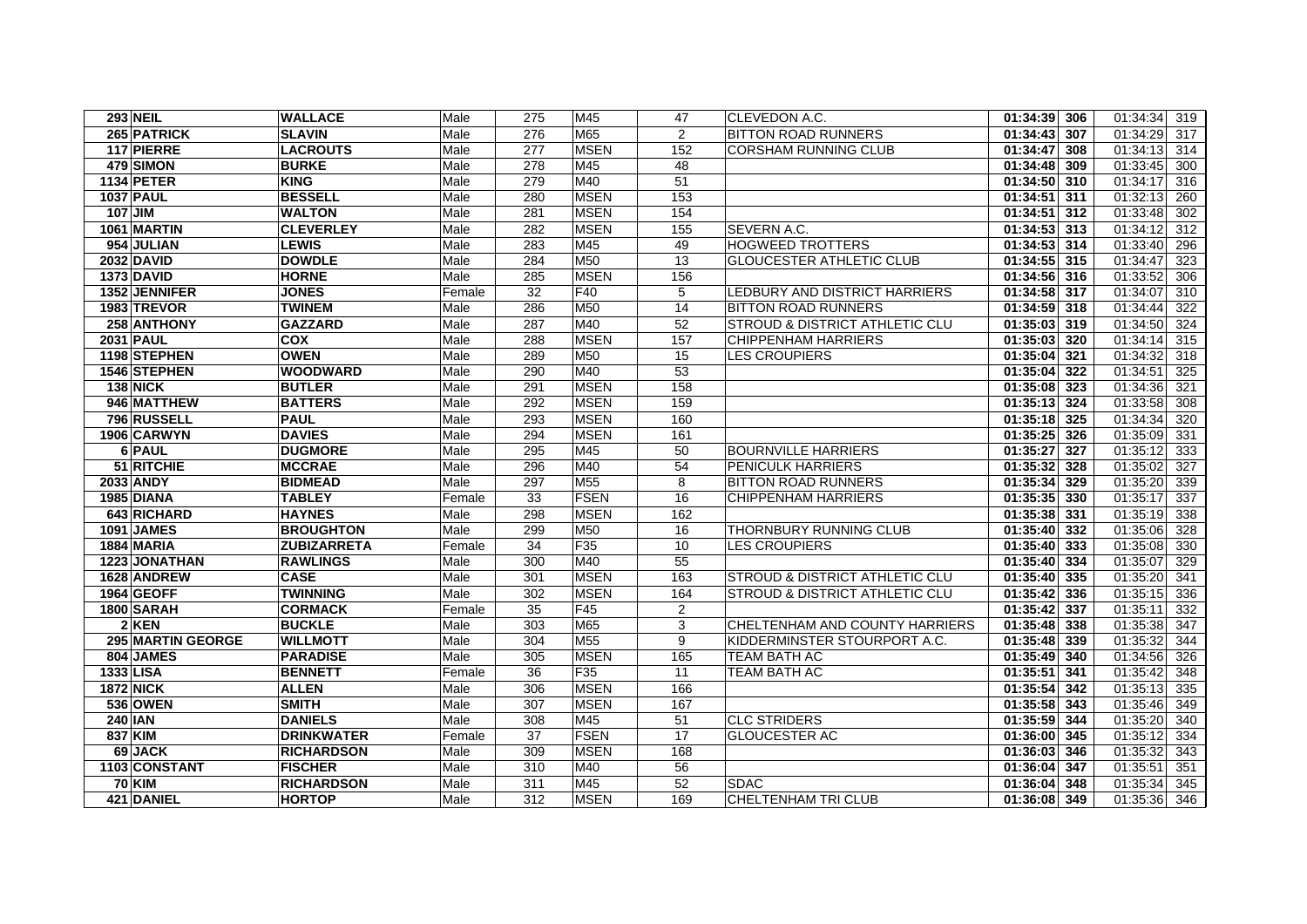| <b>293 NEIL</b>              | <b>WALLACE</b>                 | Male         | 275        | M45                | 47              | CLEVEDON A.C.                                  | 01:34:39 306                 | 01:34:34<br>319                    |
|------------------------------|--------------------------------|--------------|------------|--------------------|-----------------|------------------------------------------------|------------------------------|------------------------------------|
| 265 PATRICK                  | <b>SLAVIN</b>                  | Male         | 276        | M65                | 2               | <b>BITTON ROAD RUNNERS</b>                     | 01:34:43 307                 | 01:34:29<br>317                    |
| 117 PIERRE                   | <b>LACROUTS</b>                | Male         | 277        | <b>MSEN</b>        | 152             | <b>CORSHAM RUNNING CLUB</b>                    | 01:34:47 308                 | 01:34:13<br>314                    |
| 479 SIMON                    | <b>BURKE</b>                   | Male         | 278        | M45                | 48              |                                                | 01:34:48 309                 | 01:33:45<br>300                    |
| 1134 PETER                   | <b>KING</b>                    | Male         | 279        | M40                | 51              |                                                | 01:34:50 310                 | 01:34:17<br>316                    |
| <b>1037 PAUL</b>             | <b>BESSELL</b>                 | Male         | 280        | <b>MSEN</b>        | 153             |                                                | 01:34:51 311                 | 01:32:13<br>260                    |
| $107$ JIM                    | <b>WALTON</b>                  | Male         | 281        | <b>MSEN</b>        | 154             |                                                | $01:34:51$ 312               | 01:33:48<br>302                    |
| 1061 MARTIN                  | <b>CLEVERLEY</b>               | Male         | 282        | <b>MSEN</b>        | 155             | SEVERN A.C.                                    | 01:34:53 313                 | 01:34:12<br>312                    |
| 954 JULIAN                   | <b>LEWIS</b>                   | Male         | 283        | M45                | 49              | <b>HOGWEED TROTTERS</b>                        | 01:34:53 314                 | 01:33:40<br>296                    |
| <b>2032 DAVID</b>            | <b>DOWDLE</b>                  | Male         | 284        | M50                | 13              | <b>GLOUCESTER ATHLETIC CLUB</b>                | 01:34:55 315                 | 01:34:47<br>323                    |
| 1373 DAVID                   | <b>HORNE</b>                   | Male         | 285        | <b>MSEN</b>        | 156             |                                                | 01:34:56 316                 | 01:33:52<br>306                    |
| 1352 JENNIFER                | <b>JONES</b>                   | Female       | 32         | F40                | 5               | LEDBURY AND DISTRICT HARRIERS                  | 01:34:58 317                 | 01:34:07<br>310                    |
| 1983 TREVOR                  | <b>TWINEM</b>                  | Male         | 286        | M50                | 14              | <b>BITTON ROAD RUNNERS</b>                     | 01:34:59 318                 | 01:34:44<br>322                    |
| 258 ANTHONY                  | <b>GAZZARD</b>                 | Male         | 287        | M40                | 52              | STROUD & DISTRICT ATHLETIC CLU                 | 01:35:03 319                 | 01:34:50<br>324                    |
| <b>2031 PAUL</b>             | <b>COX</b>                     | Male         | 288        | <b>MSEN</b>        | 157             | <b>CHIPPENHAM HARRIERS</b>                     | 01:35:03 320                 | 01:34:14<br>315                    |
| 1198 STEPHEN                 | <b>OWEN</b>                    | Male         | 289        | M50                | 15              | <b>LES CROUPIERS</b>                           | 01:35:04 321                 | 01:34:32<br>318                    |
| 1546 STEPHEN                 | <b>WOODWARD</b>                | Male         | 290        | M40                | $\overline{53}$ |                                                | $01:35:04$ 322               | 01:34:51<br>325                    |
| 138 NICK                     | <b>BUTLER</b>                  | Male         | 291        | <b>MSEN</b>        | 158             |                                                | 01:35:08 323                 | 01:34:36<br>321                    |
| 946 MATTHEW                  | <b>BATTERS</b>                 | Male         | 292        | <b>MSEN</b>        | 159             |                                                | 01:35:13 324                 | 01:33:58<br>308                    |
| 796 RUSSELL                  | <b>PAUL</b>                    | Male         | 293        | <b>MSEN</b>        | 160             |                                                | 01:35:18 325                 | 01:34:34<br>320                    |
| 1906 CARWYN                  | <b>DAVIES</b>                  | Male         | 294        | <b>MSEN</b>        | 161             |                                                | 01:35:25 326                 | 01:35:09<br>331                    |
| 6 PAUL                       | <b>DUGMORE</b>                 | Male         | 295        | M45                | 50              | <b>BOURNVILLE HARRIERS</b>                     | 01:35:27 327                 | 01:35:12<br>333                    |
| 51 RITCHIE                   | <b>MCCRAE</b>                  | Male         | 296        | M40                | 54              | PENICULK HARRIERS                              | 01:35:32 328                 | 01:35:02<br>327                    |
| 2033 ANDY                    | <b>BIDMEAD</b>                 | Male         | 297        | M <sub>55</sub>    | 8               | <b>BITTON ROAD RUNNERS</b>                     | 01:35:34 329                 | 01:35:20<br>339                    |
| 1985 DIANA                   | <b>TABLEY</b>                  | Female       | 33         | <b>FSEN</b>        | 16              | <b>CHIPPENHAM HARRIERS</b>                     | 01:35:35 330                 | 01:35:17<br>337                    |
| 643 RICHARD                  | <b>HAYNES</b>                  | Male         | 298        | <b>MSEN</b>        | 162             |                                                | 01:35:38 331                 | 01:35:19<br>338                    |
| <b>1091 JAMES</b>            | <b>BROUGHTON</b>               | Male         | 299        | M50                | 16              | THORNBURY RUNNING CLUB<br><b>LES CROUPIERS</b> | 01:35:40 332                 | 01:35:06<br>328                    |
| 1884 MARIA                   | <b>ZUBIZARRETA</b>             | Female       | 34         | F35                | 10<br>55        |                                                | 01:35:40 333                 | 01:35:08<br>330                    |
| 1223 JONATHAN<br>1628 ANDREW | <b>RAWLINGS</b><br><b>CASE</b> | Male<br>Male | 300<br>301 | M40<br><b>MSEN</b> | 163             | <b>STROUD &amp; DISTRICT ATHLETIC CLU</b>      | 01:35:40 334<br>01:35:40 335 | 01:35:07<br>329<br>01:35:20<br>341 |
| 1964 GEOFF                   | <b>TWINNING</b>                | Male         | 302        | <b>MSEN</b>        | 164             | <b>STROUD &amp; DISTRICT ATHLETIC CLU</b>      | 01:35:42 336                 | 01:35:15<br>336                    |
| 1800 SARAH                   | <b>CORMACK</b>                 | Female       | 35         | F45                | $\overline{2}$  |                                                | 01:35:42 337                 | 01:35:11<br>332                    |
| $2$ KEN                      | <b>BUCKLE</b>                  | Male         | 303        | M65                | 3               | CHELTENHAM AND COUNTY HARRIERS                 | 01:35:48 338                 | 01:35:38<br>347                    |
| 295 MARTIN GEORGE            | <b>WILLMOTT</b>                | Male         | 304        | M55                | 9               | KIDDERMINSTER STOURPORT A.C.                   | 01:35:48 339                 | 01:35:32<br>344                    |
| 804 JAMES                    | <b>PARADISE</b>                | Male         | 305        | <b>MSEN</b>        | 165             | <b>TEAM BATH AC</b>                            | 01:35:49 340                 | 01:34:56<br>326                    |
| 1333 LISA                    | <b>BENNETT</b>                 | Female       | 36         | F35                | 11              | <b>TEAM BATH AC</b>                            | 01:35:51 341                 | 01:35:42<br>348                    |
| <b>1872 NICK</b>             | <b>ALLEN</b>                   | Male         | 306        | <b>MSEN</b>        | 166             |                                                | 01:35:54 342                 | 01:35:13<br>335                    |
| <b>536 OWEN</b>              | <b>SMITH</b>                   | Male         | 307        | <b>MSEN</b>        | 167             |                                                | 01:35:58 343                 | 01:35:46<br>349                    |
| <b>240 IAN</b>               | <b>DANIELS</b>                 | Male         | 308        | M45                | 51              | <b>CLC STRIDERS</b>                            | 01:35:59 344                 | 01:35:20<br>340                    |
| 837 KIM                      | <b>DRINKWATER</b>              | Female       | 37         | <b>FSEN</b>        | 17              | <b>GLOUCESTER AC</b>                           | 01:36:00 345                 | 01:35:12<br>334                    |
| 69 JACK                      | <b>RICHARDSON</b>              | Male         | 309        | <b>MSEN</b>        | 168             |                                                | 01:36:03 346                 | 01:35:32<br>343                    |
| 1103 CONSTANT                | <b>FISCHER</b>                 | Male         | 310        | M40                | 56              |                                                | 01:36:04 347                 | 01:35:51<br>351                    |
| <b>70 KIM</b>                | <b>RICHARDSON</b>              | Male         | 311        | M45                | 52              | <b>SDAC</b>                                    | 01:36:04 348                 | 01:35:34<br>345                    |
| 421 DANIEL                   | <b>HORTOP</b>                  | Male         | 312        | <b>MSEN</b>        | 169             | CHELTENHAM TRI CLUB                            | 01:36:08 349                 | 01:35:36<br>346                    |
|                              |                                |              |            |                    |                 |                                                |                              |                                    |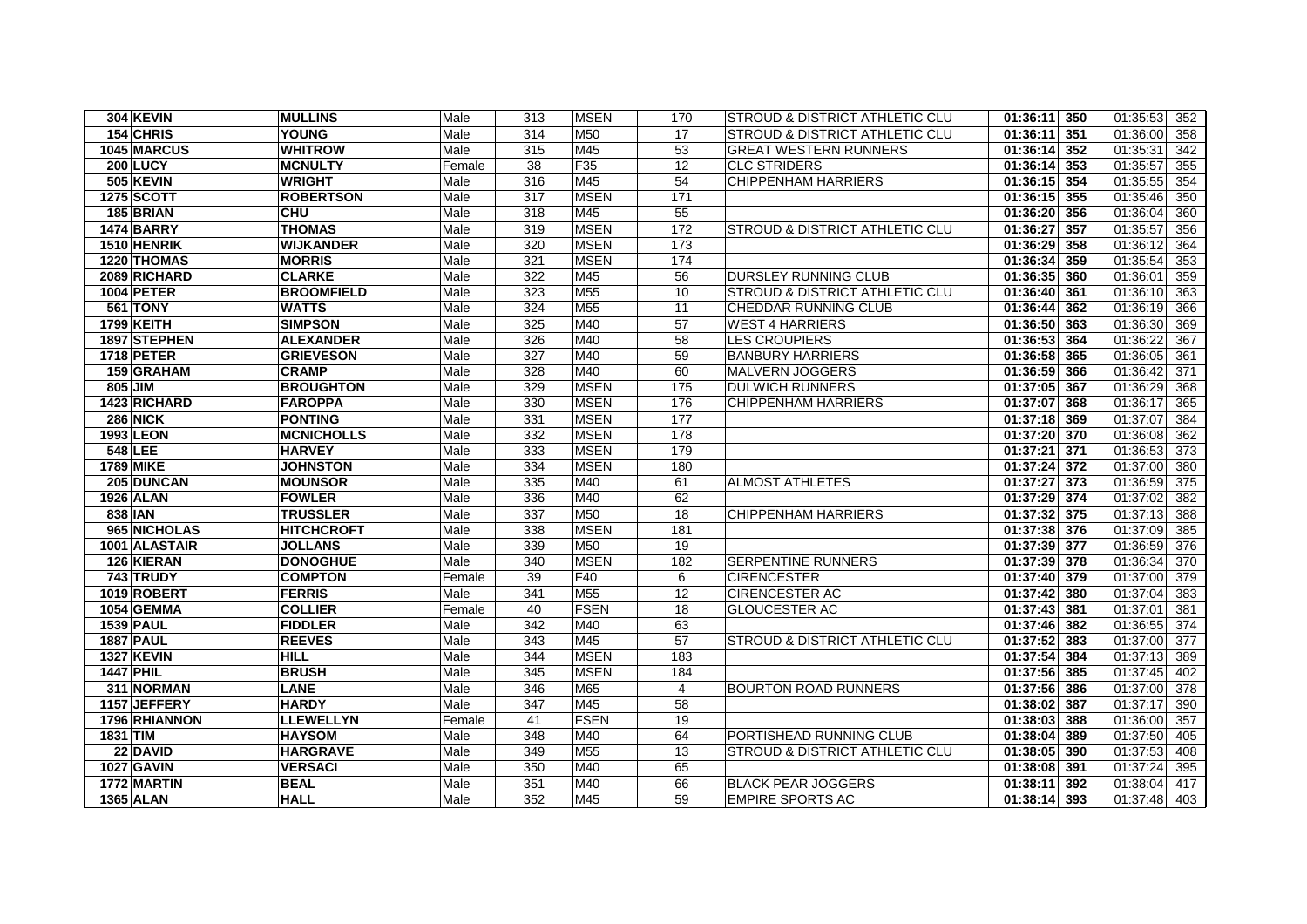| <b>304 KEVIN</b>  | <b>MULLINS</b>    | Male   | 313 | <b>MSEN</b>     | 170            | <b>STROUD &amp; DISTRICT ATHLETIC CLU</b> | $01:36:11$ 350            | 01:35:53<br>352 |
|-------------------|-------------------|--------|-----|-----------------|----------------|-------------------------------------------|---------------------------|-----------------|
| 154 CHRIS         | <b>YOUNG</b>      | Male   | 314 | M50             | 17             | <b>STROUD &amp; DISTRICT ATHLETIC CLU</b> | $01:36:11$ 351            | 01:36:00<br>358 |
| 1045 MARCUS       | <b>WHITROW</b>    | Male   | 315 | M45             | 53             | <b>GREAT WESTERN RUNNERS</b>              | 01:36:14 352              | 342<br>01:35:31 |
| 200 LUCY          | <b>MCNULTY</b>    | Female | 38  | F <sub>35</sub> | 12             | <b>CLC STRIDERS</b>                       | 01:36:14 353              | 355<br>01:35:57 |
| 505 KEVIN         | <b>WRIGHT</b>     | Male   | 316 | M45             | 54             | <b>CHIPPENHAM HARRIERS</b>                | 01:36:15 354              | 01:35:55<br>354 |
| <b>1275 SCOTT</b> | <b>ROBERTSON</b>  | Male   | 317 | <b>MSEN</b>     | 171            |                                           | 01:36:15 355              | 01:35:46<br>350 |
| 185 BRIAN         | <b>CHU</b>        | Male   | 318 | M45             | 55             |                                           | $01:36:20$ 356            | 360<br>01:36:04 |
| <b>1474 BARRY</b> | <b>THOMAS</b>     | Male   | 319 | <b>MSEN</b>     | 172            | <b>STROUD &amp; DISTRICT ATHLETIC CLU</b> | 01:36:27 357              | 01:35:57<br>356 |
| 1510 HENRIK       | <b>WIJKANDER</b>  | Male   | 320 | <b>MSEN</b>     | 173            |                                           | 01:36:29 358              | 01:36:12<br>364 |
| 1220 THOMAS       | <b>MORRIS</b>     | Male   | 321 | <b>MSEN</b>     | 174            |                                           | 01:36:34 359              | 01:35:54<br>353 |
| 2089 RICHARD      | <b>CLARKE</b>     | Male   | 322 | M45             | 56             | <b>DURSLEY RUNNING CLUB</b>               | 01:36:35 360              | 01:36:01<br>359 |
| <b>1004 PETER</b> | <b>BROOMFIELD</b> | Male   | 323 | M <sub>55</sub> | 10             | <b>STROUD &amp; DISTRICT ATHLETIC CLU</b> | 01:36:40 361              | 01:36:10<br>363 |
| <b>561 TONY</b>   | <b>WATTS</b>      | Male   | 324 | M <sub>55</sub> | 11             | CHEDDAR RUNNING CLUB                      | 01:36:44 362              | 01:36:19<br>366 |
| 1799 KEITH        | <b>SIMPSON</b>    | Male   | 325 | M40             | 57             | <b>WEST 4 HARRIERS</b>                    | 01:36:50 363              | 01:36:30<br>369 |
| 1897 STEPHEN      | <b>ALEXANDER</b>  | Male   | 326 | M40             | 58             | <b>LES CROUPIERS</b>                      | 01:36:53 364              | 01:36:22<br>367 |
| <b>1718 PETER</b> | <b>GRIEVESON</b>  | Male   | 327 | M40             | 59             | <b>BANBURY HARRIERS</b>                   | 01:36:58 365              | 01:36:05<br>361 |
| 159 GRAHAM        | <b>CRAMP</b>      | Male   | 328 | M40             | 60             | <b>MALVERN JOGGERS</b>                    | 01:36:59 366              | 01:36:42<br>371 |
| 805 JIM           | <b>BROUGHTON</b>  | Male   | 329 | <b>IMSEN</b>    | 175            | <b>DULWICH RUNNERS</b>                    | $\overline{01:37:05}$ 367 | 01:36:29<br>368 |
| 1423 RICHARD      | <b>FAROPPA</b>    | Male   | 330 | <b>MSEN</b>     | 176            | <b>CHIPPENHAM HARRIERS</b>                | 01:37:07 368              | 01:36:17<br>365 |
| <b>286 NICK</b>   | <b>PONTING</b>    | Male   | 331 | <b>MSEN</b>     | 177            |                                           | 01:37:18 369              | 01:37:07<br>384 |
| 1993 LEON         | <b>MCNICHOLLS</b> | Male   | 332 | <b>MSEN</b>     | 178            |                                           | 01:37:20 370              | 01:36:08<br>362 |
| 548 LEE           | <b>HARVEY</b>     | Male   | 333 | <b>MSEN</b>     | 179            |                                           | 01:37:21 371              | 01:36:53<br>373 |
| 1789 MIKE         | <b>JOHNSTON</b>   | Male   | 334 | <b>MSEN</b>     | 180            |                                           | 01:37:24 372              | 01:37:00<br>380 |
| 205 DUNCAN        | <b>MOUNSOR</b>    | Male   | 335 | M40             | 61             | <b>ALMOST ATHLETES</b>                    | 01:37:27 373              | 01:36:59<br>375 |
| 1926 ALAN         | <b>FOWLER</b>     | Male   | 336 | M40             | 62             |                                           | 01:37:29 374              | 01:37:02<br>382 |
| 838 IAN           | TRUSSLER          | Male   | 337 | M50             | 18             | CHIPPENHAM HARRIERS                       | 01:37:32 375              | 01:37:13<br>388 |
| 965 NICHOLAS      | <b>HITCHCROFT</b> | Male   | 338 | <b>MSEN</b>     | 181            |                                           | 01:37:38 376              | 01:37:09<br>385 |
| 1001 ALASTAIR     | <b>JOLLANS</b>    | Male   | 339 | M50             | 19             |                                           | 01:37:39 377              | 01:36:59<br>376 |
| 126 KIERAN        | <b>DONOGHUE</b>   | Male   | 340 | <b>MSEN</b>     | 182            | <b>SERPENTINE RUNNERS</b>                 | 01:37:39 378              | 01:36:34<br>370 |
| 743 TRUDY         | <b>COMPTON</b>    | Female | 39  | F40             | 6              | <b>CIRENCESTER</b>                        | 01:37:40 379              | 01:37:00<br>379 |
| 1019 ROBERT       | <b>FERRIS</b>     | Male   | 341 | M <sub>55</sub> | 12             | <b>CIRENCESTER AC</b>                     | 01:37:42 380              | 01:37:04<br>383 |
| 1054 GEMMA        | <b>COLLIER</b>    | Female | 40  | <b>FSEN</b>     | 18             | <b>GLOUCESTER AC</b>                      | 01:37:43 381              | 01:37:01<br>381 |
| <b>1539 PAUL</b>  | <b>FIDDLER</b>    | Male   | 342 | M40             | 63             |                                           | 01:37:46 382              | 01:36:55<br>374 |
| <b>1887 PAUL</b>  | <b>REEVES</b>     | Male   | 343 | M45             | 57             | <b>STROUD &amp; DISTRICT ATHLETIC CLU</b> | 01:37:52 383              | 01:37:00<br>377 |
| <b>1327 KEVIN</b> | <b>HILL</b>       | Male   | 344 | <b>MSEN</b>     | 183            |                                           | 01:37:54 384              | 01:37:13<br>389 |
| <b>1447 PHIL</b>  | <b>BRUSH</b>      | Male   | 345 | <b>MSEN</b>     | 184            |                                           | 01:37:56 385              | 01:37:45<br>402 |
| 311 NORMAN        | <b>LANE</b>       | Male   | 346 | M65             | $\overline{4}$ | <b>BOURTON ROAD RUNNERS</b>               | $\overline{01:37:56}$ 386 | 01:37:00<br>378 |
| 1157 JEFFERY      | <b>HARDY</b>      | Male   | 347 | M45             | 58             |                                           | 01:38:02 387              | 01:37:17<br>390 |
| 1796 RHIANNON     | <b>LLEWELLYN</b>  | Female | 41  | <b>FSEN</b>     | 19             |                                           | 01:38:03 388              | 01:36:00<br>357 |
| 1831 TIM          | <b>HAYSOM</b>     | Male   | 348 | M40             | 64             | PORTISHEAD RUNNING CLUB                   | 01:38:04 389              | 01:37:50<br>405 |
| 22 DAVID          | <b>HARGRAVE</b>   | Male   | 349 | M <sub>55</sub> | 13             | STROUD & DISTRICT ATHLETIC CLU            | 01:38:05 390              | 01:37:53<br>408 |
| <b>1027 GAVIN</b> | <b>VERSACI</b>    | Male   | 350 | M40             | 65             |                                           | 01:38:08 391              | 01:37:24<br>395 |
| 1772 MARTIN       | <b>BEAL</b>       | Male   | 351 | M40             | 66             | <b>BLACK PEAR JOGGERS</b>                 | 01:38:11 392              | 01:38:04<br>417 |
| <b>1365 ALAN</b>  | <b>HALL</b>       | Male   | 352 | M45             | 59             | <b>EMPIRE SPORTS AC</b>                   | 01:38:14 393              | 01:37:48<br>403 |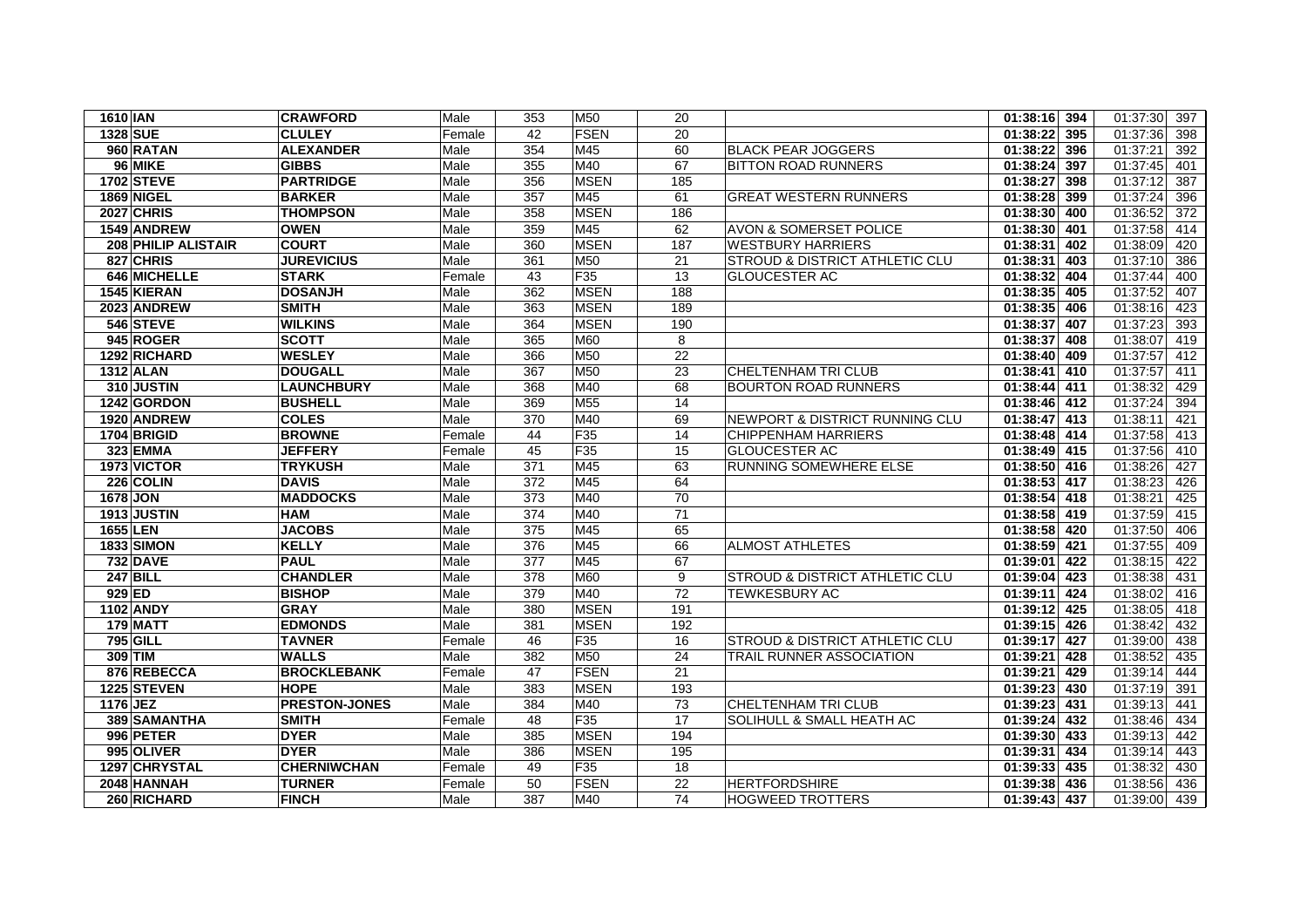| 1610 IAN                   | <b>CRAWFORD</b>      | Male   | 353              | M50             | 20              |                                           | 01:38:16 394    | 01:37:30<br>397              |
|----------------------------|----------------------|--------|------------------|-----------------|-----------------|-------------------------------------------|-----------------|------------------------------|
| <b>1328 SUE</b>            | <b>CLULEY</b>        | Female | 42               | <b>FSEN</b>     | 20              |                                           | 01:38:22 395    | 01:37:36<br>398              |
| 960 RATAN                  | <b>ALEXANDER</b>     | Male   | 354              | M45             | 60              | <b>BLACK PEAR JOGGERS</b>                 | $01:38:22$ 396  | 01:37:21<br>392              |
| 96 MIKE                    | <b>GIBBS</b>         | Male   | 355              | M40             | 67              | <b>BITTON ROAD RUNNERS</b>                | 01:38:24 397    | 01:37:45<br>401              |
| 1702 STEVE                 | <b>PARTRIDGE</b>     | Male   | 356              | <b>MSEN</b>     | 185             |                                           | 01:38:27 398    | 01:37:12<br>387              |
| <b>1869 NIGEL</b>          | <b>BARKER</b>        | Male   | 357              | M45             | 61              | <b>GREAT WESTERN RUNNERS</b>              | 01:38:28 399    | 01:37:24<br>396              |
| 2027 CHRIS                 | <b>THOMPSON</b>      | Male   | 358              | <b>MSEN</b>     | 186             |                                           | 01:38:30 400    | $\overline{372}$<br>01:36:52 |
| 1549 ANDREW                | <b>OWEN</b>          | Male   | 359              | M45             | 62              | <b>AVON &amp; SOMERSET POLICE</b>         | 01:38:30 401    | 01:37:58<br>414              |
| <b>208 PHILIP ALISTAIR</b> | <b>COURT</b>         | Male   | 360              | <b>MSEN</b>     | 187             | <b>WESTBURY HARRIERS</b>                  | 01:38:31<br>402 | 01:38:09<br>420              |
| 827 CHRIS                  | <b>JUREVICIUS</b>    | Male   | 361              | M50             | 21              | <b>STROUD &amp; DISTRICT ATHLETIC CLU</b> | 01:38:31<br>403 | 01:37:10<br>386              |
| 646 MICHELLE               | <b>STARK</b>         | Female | 43               | F35             | $\overline{13}$ | <b>GLOUCESTER AC</b>                      | 01:38:32 404    | 01:37:44<br>400              |
| 1545 KIERAN                | <b>DOSANJH</b>       | Male   | 362              | <b>MSEN</b>     | 188             |                                           | 01:38:35 405    | 01:37:52<br>407              |
| 2023 ANDREW                | <b>SMITH</b>         | Male   | 363              | <b>MSEN</b>     | 189             |                                           | 01:38:35 406    | 01:38:16<br>423              |
| 546 STEVE                  | <b>WILKINS</b>       | Male   | 364              | <b>MSEN</b>     | 190             |                                           | 01:38:37<br>407 | 01:37:23<br>393              |
| 945 ROGER                  | <b>SCOTT</b>         | Male   | 365              | M60             | 8               |                                           | 01:38:37<br>408 | 01:38:07<br>419              |
| 1292 RICHARD               | <b>WESLEY</b>        | Male   | 366              | M50             | 22              |                                           | 01:38:40 409    | 01:37:57<br>412              |
| <b>1312 ALAN</b>           | <b>DOUGALL</b>       | Male   | 367              | M50             | $\overline{23}$ | <b>CHELTENHAM TRI CLUB</b>                | 01:38:41 410    | 01:37:57<br>411              |
| 310 JUSTIN                 | <b>LAUNCHBURY</b>    | Male   | 368              | M40             | 68              | <b>BOURTON ROAD RUNNERS</b>               | 01:38:44 411    | 01:38:32<br>429              |
| 1242 GORDON                | <b>BUSHELL</b>       | Male   | 369              | M <sub>55</sub> | 14              |                                           | 01:38:46 412    | 01:37:24<br>394              |
| 1920 ANDREW                | <b>COLES</b>         | Male   | 370              | M40             | 69              | NEWPORT & DISTRICT RUNNING CLU            | 01:38:47 413    | 01:38:11<br>421              |
| 1704 BRIGID                | <b>BROWNE</b>        | Female | 44               | F35             | 14              | <b>CHIPPENHAM HARRIERS</b>                | 01:38:48 414    | 01:37:58<br>413              |
| 323 EMMA                   | <b>JEFFERY</b>       | Female | 45               | F35             | 15              | <b>GLOUCESTER AC</b>                      | 01:38:49 415    | 01:37:56<br>410              |
| 1973 VICTOR                | <b>TRYKUSH</b>       | Male   | 371              | M45             | 63              | RUNNING SOMEWHERE ELSE                    | $01:38:50$ 416  | 427<br>01:38:26              |
| 226 COLIN                  | <b>DAVIS</b>         | Male   | 372              | M45             | 64              |                                           | 01:38:53 417    | 01:38:23<br>426              |
| 1678 JON                   | <b>MADDOCKS</b>      | Male   | 373              | M40             | 70              |                                           | 01:38:54 418    | 01:38:21<br>425              |
| 1913 JUSTIN                | <b>HAM</b>           | Male   | $\overline{374}$ | M40             | 71              |                                           | 01:38:58 419    | 01:37:59<br>415              |
| <b>1655 LEN</b>            | <b>JACOBS</b>        | Male   | 375              | M45             | 65              |                                           | 01:38:58 420    | 01:37:50<br>406              |
| <b>1833 SIMON</b>          | <b>KELLY</b>         | Male   | 376              | M45             | 66              | <b>ALMOST ATHLETES</b>                    | 01:38:59 421    | 01:37:55<br>409              |
| <b>732 DAVE</b>            | <b>PAUL</b>          | Male   | 377              | M45             | 67              |                                           | 01:39:01 422    | 01:38:15<br>422              |
| <b>247 BILL</b>            | <b>CHANDLER</b>      | Male   | 378              | M60             | 9               | <b>STROUD &amp; DISTRICT ATHLETIC CLU</b> | 01:39:04 423    | 01:38:38<br>431              |
| $929$ ED                   | <b>BISHOP</b>        | Male   | 379              | M40             | $\overline{72}$ | <b>TEWKESBURY AC</b>                      | 01:39:11 424    | 01:38:02<br>416              |
| 1102 ANDY                  | <b>GRAY</b>          | Male   | 380              | <b>MSEN</b>     | 191             |                                           | 01:39:12 425    | 01:38:05<br>418              |
| 179 MATT                   | <b>EDMONDS</b>       | Male   | 381              | <b>MSEN</b>     | 192             |                                           | $01:39:15$ 426  | 01:38:42<br>432              |
| <b>795 GILL</b>            | <b>TAVNER</b>        | Female | 46               | F35             | 16              | <b>STROUD &amp; DISTRICT ATHLETIC CLU</b> | 01:39:17 427    | 01:39:00<br>438              |
| 309 TIM                    | <b>WALLS</b>         | Male   | 382              | M50             | 24              | <b>TRAIL RUNNER ASSOCIATION</b>           | 01:39:21<br>428 | 01:38:52<br>435              |
| 876 REBECCA                | <b>BROCKLEBANK</b>   | Female | 47               | <b>FSEN</b>     | 21              |                                           | 01:39:21<br>429 | 01:39:14<br>444              |
| 1225 STEVEN                | <b>HOPE</b>          | Male   | 383              | <b>MSEN</b>     | 193             |                                           | 01:39:23 430    | 01:37:19<br>391              |
| 1176 JEZ                   | <b>PRESTON-JONES</b> | Male   | 384              | M40             | 73              | <b>CHELTENHAM TRI CLUB</b>                | 01:39:23 431    | 01:39:13<br>441              |
| 389 SAMANTHA               | <b>SMITH</b>         | Female | 48               | F35             | 17              | SOLIHULL & SMALL HEATH AC                 | 01:39:24 432    | 01:38:46<br>434              |
| 996 PETER                  | <b>DYER</b>          | Male   | 385              | <b>MSEN</b>     | 194             |                                           | 01:39:30 433    | 01:39:13<br>442              |
| 995 OLIVER                 | <b>DYER</b>          | Male   | 386              | <b>MSEN</b>     | 195             |                                           | 01:39:31 434    | 01:39:14<br>443              |
| 1297 CHRYSTAL              | <b>CHERNIWCHAN</b>   | Female | 49               | F35             | 18              |                                           | 01:39:33 435    | 01:38:32<br>430              |
| 2048 HANNAH                | <b>TURNER</b>        | Female | 50               | <b>FSEN</b>     | 22              | <b>HERTFORDSHIRE</b>                      | 01:39:38 436    | 01:38:56<br>436              |
| 260 RICHARD                | <b>FINCH</b>         | Male   | 387              | M40             | 74              | <b>HOGWEED TROTTERS</b>                   | 01:39:43 437    | 439<br>01:39:00              |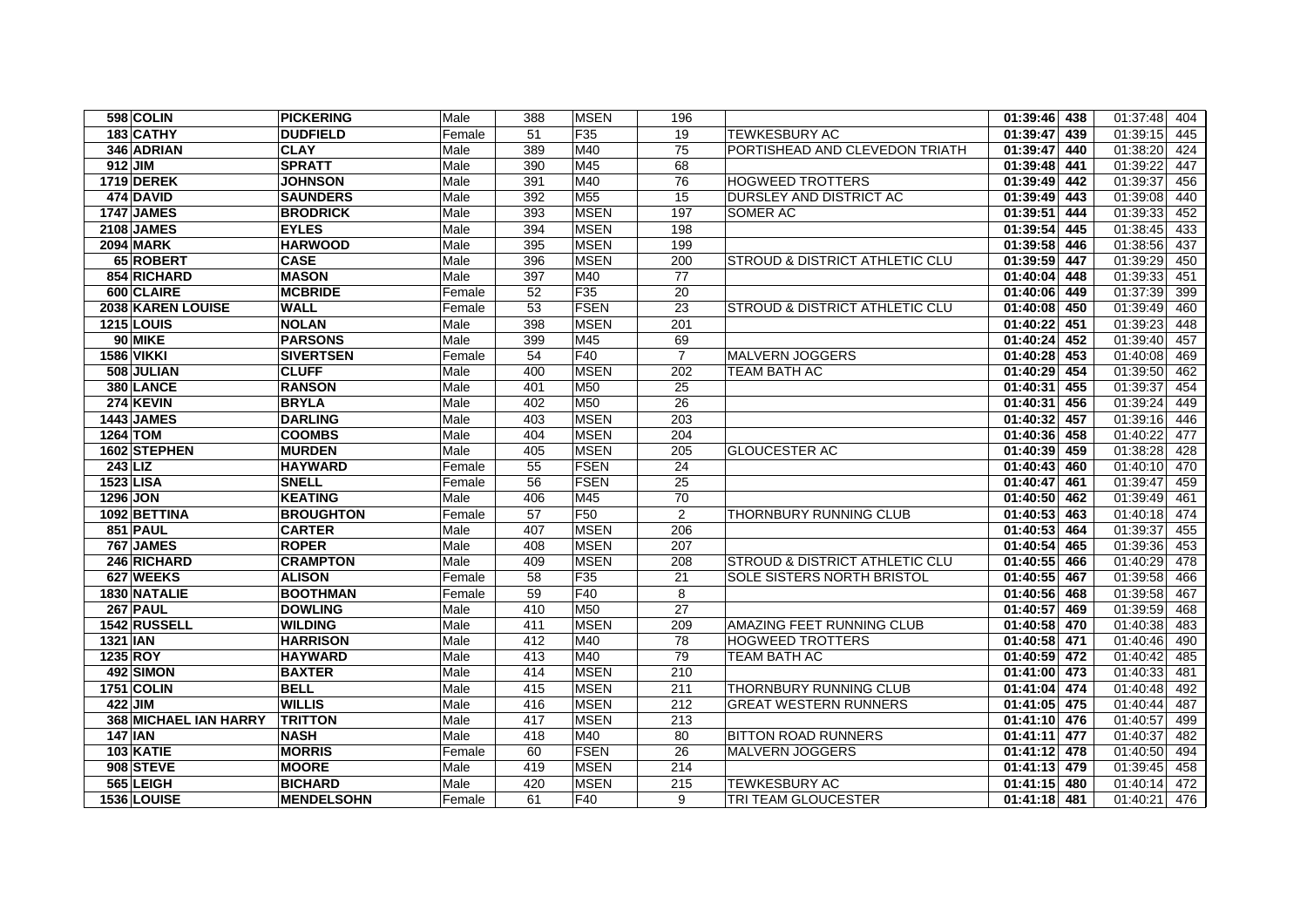| 598 COLIN             | <b>PICKERING</b>  | Male   | 388             | <b>MSEN</b>     | 196              |                                           | 01:39:46 438    | 01:37:48<br>404 |
|-----------------------|-------------------|--------|-----------------|-----------------|------------------|-------------------------------------------|-----------------|-----------------|
| 183 CATHY             | <b>DUDFIELD</b>   | Female | 51              | F35             | 19               | TEWKESBURY AC                             | 01:39:47 439    | 01:39:15<br>445 |
| 346 ADRIAN            | <b>CLAY</b>       | Male   | 389             | M40             | 75               | PORTISHEAD AND CLEVEDON TRIATH            | 01:39:47<br>440 | 424<br>01:38:20 |
| 912 JIM               | <b>SPRATT</b>     | Male   | 390             | M45             | 68               |                                           | 01:39:48 441    | 447<br>01:39:22 |
| <b>1719 DEREK</b>     | <b>JOHNSON</b>    | Male   | 391             | M40             | 76               | <b>HOGWEED TROTTERS</b>                   | 01:39:49 442    | 01:39:37<br>456 |
| 474 DAVID             | <b>SAUNDERS</b>   | Male   | 392             | M55             | 15               | DURSLEY AND DISTRICT AC                   | 01:39:49 443    | 01:39:08<br>440 |
| <b>1747 JAMES</b>     | <b>BRODRICK</b>   | Male   | 393             | <b>MSEN</b>     | 197              | SOMER AC                                  | 01:39:51 444    | 452<br>01:39:33 |
| 2108 JAMES            | <b>EYLES</b>      | Male   | 394             | <b>MSEN</b>     | 198              |                                           | 01:39:54 445    | 01:38:45<br>433 |
| <b>2094 MARK</b>      | <b>HARWOOD</b>    | Male   | 395             | <b>MSEN</b>     | 199              |                                           | 01:39:58 446    | 01:38:56<br>437 |
| 65 ROBERT             | <b>CASE</b>       | Male   | 396             | <b>MSEN</b>     | 200              | <b>STROUD &amp; DISTRICT ATHLETIC CLU</b> | 01:39:59 447    | 01:39:29<br>450 |
| 854 RICHARD           | <b>MASON</b>      | Male   | 397             | M40             | $\overline{77}$  |                                           | 01:40:04 448    | 451<br>01:39:33 |
| 600 CLAIRE            | <b>MCBRIDE</b>    | Female | 52              | F35             | 20               |                                           | 01:40:06 449    | 01:37:39<br>399 |
| 2038 KAREN LOUISE     | <b>WALL</b>       | Female | 53              | <b>FSEN</b>     | 23               | <b>STROUD &amp; DISTRICT ATHLETIC CLU</b> | $01:40:08$ 450  | 01:39:49<br>460 |
| <b>1215 LOUIS</b>     | <b>NOLAN</b>      | Male   | 398             | <b>MSEN</b>     | $\overline{201}$ |                                           | 01:40:22 451    | 01:39:23<br>448 |
| 90 MIKE               | <b>PARSONS</b>    | Male   | 399             | M45             | 69               |                                           | 01:40:24 452    | 01:39:40<br>457 |
| <b>1586 VIKKI</b>     | <b>SIVERTSEN</b>  | Female | 54              | F40             | $\overline{7}$   | MALVERN JOGGERS                           | $01:40:28$ 453  | 01:40:08<br>469 |
| 508 JULIAN            | <b>CLUFF</b>      | Male   | 400             | <b>MSEN</b>     | 202              | TEAM BATH AC                              | 01:40:29 454    | 01:39:50<br>462 |
| 380 LANCE             | <b>RANSON</b>     | Male   | 401             | M50             | $\overline{25}$  |                                           | 01:40:31 455    | 01:39:37<br>454 |
| 274 KEVIN             | <b>BRYLA</b>      | Male   | 402             | M50             | 26               |                                           | 01:40:31<br>456 | 01:39:24<br>449 |
| <b>1443 JAMES</b>     | <b>DARLING</b>    | Male   | 403             | <b>MSEN</b>     | 203              |                                           | 01:40:32 457    | 01:39:16<br>446 |
| 1264 TOM              | <b>COOMBS</b>     | Male   | 404             | <b>MSEN</b>     | 204              |                                           | 01:40:36 458    | 01:40:22<br>477 |
| 1602 STEPHEN          | <b>MURDEN</b>     | Male   | 405             | <b>MSEN</b>     | 205              | <b>GLOUCESTER AC</b>                      | 01:40:39<br>459 | 01:38:28<br>428 |
| <b>243 LIZ</b>        | <b>HAYWARD</b>    | Female | 55              | <b>FSEN</b>     | 24               |                                           | $01:40:43$ 460  | 470<br>01:40:10 |
| 1523 LISA             | <b>SNELL</b>      | Female | 56              | <b>FSEN</b>     | 25               |                                           | 01:40:47 461    | 01:39:47<br>459 |
| <b>1296 JON</b>       | <b>KEATING</b>    | Male   | 406             | M45             | 70               |                                           | 01:40:50 462    | 01:39:49<br>461 |
| 1092 BETTINA          | <b>BROUGHTON</b>  | Female | $\overline{57}$ | F <sub>50</sub> | 2                | THORNBURY RUNNING CLUB                    | 01:40:53 463    | 01:40:18<br>474 |
| 851 PAUL              | <b>CARTER</b>     | Male   | 407             | <b>MSEN</b>     | 206              |                                           | 01:40:53 464    | 01:39:37<br>455 |
| 767 JAMES             | <b>ROPER</b>      | Male   | 408             | <b>MSEN</b>     | 207              |                                           | 01:40:54 465    | 01:39:36<br>453 |
| 246 RICHARD           | <b>CRAMPTON</b>   | Male   | 409             | <b>MSEN</b>     | 208              | <b>STROUD &amp; DISTRICT ATHLETIC CLU</b> | 01:40:55 466    | 01:40:29<br>478 |
| 627 WEEKS             | <b>ALISON</b>     | Female | 58              | F35             | 21               | SOLE SISTERS NORTH BRISTOL                | 01:40:55 467    | 01:39:58<br>466 |
| 1830 NATALIE          | <b>BOOTHMAN</b>   | Female | 59              | F40             | 8                |                                           | 01:40:56 468    | 01:39:58<br>467 |
| 267 PAUL              | <b>DOWLING</b>    | Male   | 410             | M50             | 27               |                                           | 01:40:57 469    | 01:39:59<br>468 |
| 1542 RUSSELL          | <b>WILDING</b>    | Male   | 411             | <b>MSEN</b>     | 209              | AMAZING FEET RUNNING CLUB                 | 01:40:58 470    | 01:40:38<br>483 |
| <b>1321 IAN</b>       | <b>HARRISON</b>   | Male   | 412             | M40             | 78               | <b>HOGWEED TROTTERS</b>                   | 01:40:58 471    | 01:40:46<br>490 |
| 1235 ROY              | <b>HAYWARD</b>    | Male   | 413             | M40             | 79               | <b>TEAM BATH AC</b>                       | 01:40:59 472    | 01:40:42<br>485 |
| 492 SIMON             | <b>BAXTER</b>     | Male   | 414             | <b>MSEN</b>     | 210              |                                           | 01:41:00 473    | 01:40:33<br>481 |
| 1751 COLIN            | <b>BELL</b>       | Male   | 415             | <b>MSEN</b>     | 211              | THORNBURY RUNNING CLUB                    | 01:41:04 474    | 01:40:48<br>492 |
| 422 JIM               | <b>WILLIS</b>     | Male   | 416             | <b>MSEN</b>     | 212              | <b>GREAT WESTERN RUNNERS</b>              | 01:41:05 475    | 01:40:44<br>487 |
| 368 MICHAEL IAN HARRY | <b>TRITTON</b>    | Male   | 417             | <b>MSEN</b>     | 213              |                                           | 01:41:10 476    | 01:40:57<br>499 |
| <b>147 IAN</b>        | <b>NASH</b>       | Male   | 418             | M40             | 80               | <b>BITTON ROAD RUNNERS</b>                | 01:41:11 477    | 01:40:37<br>482 |
| 103 KATIE             | <b>MORRIS</b>     | Female | 60              | <b>FSEN</b>     | 26               | <b>MALVERN JOGGERS</b>                    | 01:41:12 478    | 01:40:50<br>494 |
| 908 STEVE             | <b>MOORE</b>      | Male   | 419             | <b>MSEN</b>     | 214              |                                           | 01:41:13 479    | 01:39:45<br>458 |
| 565 LEIGH             | <b>BICHARD</b>    | Male   | 420             | <b>MSEN</b>     | 215              | TEWKESBURY AC                             | 01:41:15 480    | 01:40:14<br>472 |
| 1536 LOUISE           | <b>MENDELSOHN</b> | Female | 61              | F40             | 9                | TRI TEAM GLOUCESTER                       | $01:41:18$ 481  | 476<br>01:40:21 |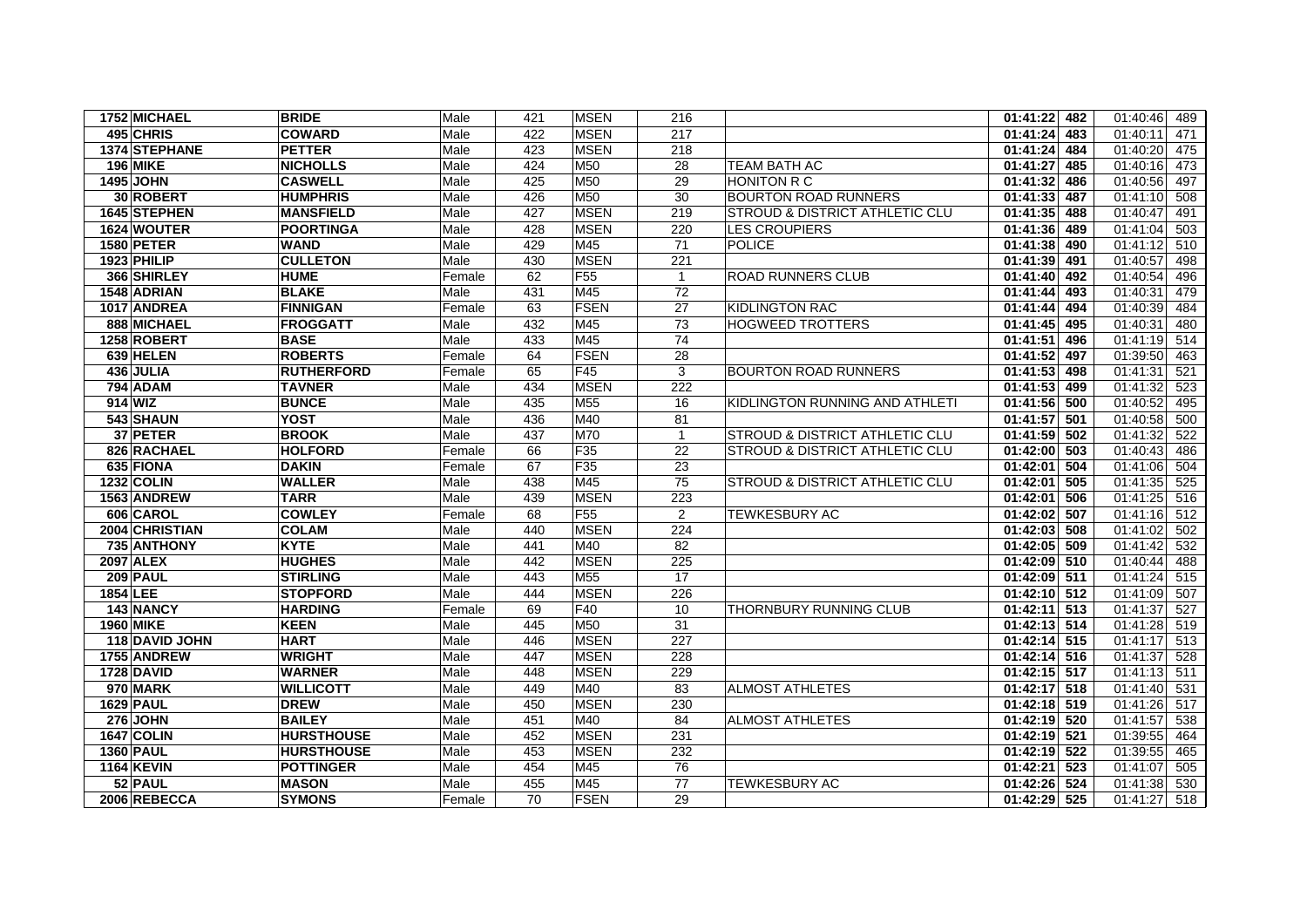| 1752 MICHAEL      | <b>BRIDE</b>      | Male   | 421 | <b>MSEN</b>     | 216             |                                           | $01:41:22$ 482            | 01:40:46<br>489 |
|-------------------|-------------------|--------|-----|-----------------|-----------------|-------------------------------------------|---------------------------|-----------------|
| 495 CHRIS         | <b>COWARD</b>     | Male   | 422 | <b>MSEN</b>     | 217             |                                           | 01:41:24 483              | 01:40:11<br>471 |
| 1374 STEPHANE     | <b>PETTER</b>     | Male   | 423 | <b>MSEN</b>     | 218             |                                           | 01:41:24 484              | 475<br>01:40:20 |
| <b>196 MIKE</b>   | <b>NICHOLLS</b>   | Male   | 424 | M50             | 28              | TEAM BATH AC                              | 01:41:27 485              | 473<br>01:40:16 |
| 1495 JOHN         | <b>CASWELL</b>    | Male   | 425 | M50             | 29              | <b>HONITON R C</b>                        | 01:41:32 486              | 01:40:56<br>497 |
| 30 ROBERT         | <b>HUMPHRIS</b>   | Male   | 426 | M50             | 30              | <b>BOURTON ROAD RUNNERS</b>               | 01:41:33 487              | 01:41:10<br>508 |
| 1645 STEPHEN      | <b>MANSFIELD</b>  | Male   | 427 | <b>MSEN</b>     | 219             | <b>STROUD &amp; DISTRICT ATHLETIC CLU</b> | 01:41:35 488              | 01:40:47<br>491 |
| 1624 WOUTER       | <b>POORTINGA</b>  | Male   | 428 | <b>MSEN</b>     | 220             | <b>LES CROUPIERS</b>                      | 01:41:36 489              | 01:41:04<br>503 |
| <b>1580 PETER</b> | <b>WAND</b>       | Male   | 429 | M45             | 71              | <b>POLICE</b>                             | 01:41:38 490              | 01:41:12<br>510 |
| 1923 PHILIP       | <b>CULLETON</b>   | Male   | 430 | <b>MSEN</b>     | 221             |                                           | 01:41:39 491              | 01:40:57<br>498 |
| 366 SHIRLEY       | <b>HUME</b>       | Female | 62  | F <sub>55</sub> | $\overline{1}$  | <b>ROAD RUNNERS CLUB</b>                  | 01:41:40 492              | 01:40:54<br>496 |
| 1548 ADRIAN       | <b>BLAKE</b>      | Male   | 431 | M45             | 72              |                                           | 01:41:44 493              | 479<br>01:40:31 |
| 1017 ANDREA       | <b>FINNIGAN</b>   | Female | 63  | <b>FSEN</b>     | 27              | <b>KIDLINGTON RAC</b>                     | 01:41:44 494              | 01:40:39<br>484 |
| 888 MICHAEL       | <b>FROGGATT</b>   | Male   | 432 | M45             | $\overline{73}$ | <b>HOGWEED TROTTERS</b>                   | 01:41:45 495              | 01:40:31<br>480 |
| 1258 ROBERT       | <b>BASE</b>       | Male   | 433 | M45             | 74              |                                           | 01:41:51<br>496           | 01:41:19<br>514 |
| 639 HELEN         | <b>ROBERTS</b>    | Female | 64  | <b>FSEN</b>     | 28              |                                           | 01:41:52 497              | 01:39:50<br>463 |
| 436 JULIA         | <b>RUTHERFORD</b> | Female | 65  | F45             | 3               | <b>BOURTON ROAD RUNNERS</b>               | $01:41:53$ 498            | 01:41:31<br>521 |
| <b>794 ADAM</b>   | <b>TAVNER</b>     | Male   | 434 | <b>MSEN</b>     | 222             |                                           | $\overline{01:41:53}$ 499 | 01:41:32<br>523 |
| 914 WIZ           | <b>BUNCE</b>      | Male   | 435 | M55             | 16              | KIDLINGTON RUNNING AND ATHLETI            | 01:41:56 500              | 01:40:52<br>495 |
| 543 SHAUN         | <b>YOST</b>       | Male   | 436 | M40             | 81              |                                           | 01:41:57 501              | 01:40:58<br>500 |
| 37 PETER          | <b>BROOK</b>      | Male   | 437 | M70             | $\overline{1}$  | <b>STROUD &amp; DISTRICT ATHLETIC CLU</b> | $\overline{01:41:59}$ 502 | 01:41:32<br>522 |
| 826 RACHAEL       | <b>HOLFORD</b>    | Female | 66  | F35             | 22              | <b>STROUD &amp; DISTRICT ATHLETIC CLU</b> | 01:42:00 503              | 01:40:43<br>486 |
| 635 FIONA         | <b>DAKIN</b>      | Female | 67  | F35             | 23              |                                           | 01:42:01 504              | 01:41:06<br>504 |
| <b>1232 COLIN</b> | <b>WALLER</b>     | Male   | 438 | M45             | 75              | <b>STROUD &amp; DISTRICT ATHLETIC CLU</b> | 01:42:01 505              | 01:41:35<br>525 |
| 1563 ANDREW       | <b>TARR</b>       | Male   | 439 | <b>MSEN</b>     | 223             |                                           | 01:42:01 506              | 01:41:25<br>516 |
| 606 CAROL         | <b>COWLEY</b>     | Female | 68  | F55             | 2               | <b>TEWKESBURY AC</b>                      | 01:42:02 507              | 01:41:16<br>512 |
| 2004 CHRISTIAN    | <b>COLAM</b>      | Male   | 440 | <b>MSEN</b>     | 224             |                                           | 01:42:03 508              | 01:41:02<br>502 |
| 735 ANTHONY       | <b>KYTE</b>       | Male   | 441 | M40             | 82              |                                           | $01:42:05$ 509            | 532<br>01:41:42 |
| <b>2097 ALEX</b>  | <b>HUGHES</b>     | Male   | 442 | <b>MSEN</b>     | 225             |                                           | 01:42:09 510              | 01:40:44<br>488 |
| <b>209 PAUL</b>   | <b>STIRLING</b>   | Male   | 443 | M <sub>55</sub> | 17              |                                           | 01:42:09 511              | 01:41:24<br>515 |
| 1854 LEE          | <b>STOPFORD</b>   | Male   | 444 | <b>MSEN</b>     | 226             |                                           | 01:42:10 512              | 01:41:09<br>507 |
| 143 NANCY         | <b>HARDING</b>    | Female | 69  | F40             | 10              | <b>THORNBURY RUNNING CLUB</b>             | 01:42:11 513              | 01:41:37<br>527 |
| 1960 MIKE         | <b>KEEN</b>       | Male   | 445 | M50             | 31              |                                           | $01:42:13$ 514            | 01:41:28<br>519 |
| 118 DAVID JOHN    | <b>HART</b>       | Male   | 446 | <b>MSEN</b>     | 227             |                                           | $01:42:14$ 515            | 01:41:17<br>513 |
| 1755 ANDREW       | <b>WRIGHT</b>     | Male   | 447 | <b>MSEN</b>     | 228             |                                           | 01:42:14 516              | 01:41:37<br>528 |
| <b>1728 DAVID</b> | <b>WARNER</b>     | Male   | 448 | <b>MSEN</b>     | 229             |                                           | 01:42:15 517              | 01:41:13<br>511 |
| 970 MARK          | <b>WILLICOTT</b>  | Male   | 449 | M40             | 83              | <b>ALMOST ATHLETES</b>                    | 01:42:17 518              | 01:41:40<br>531 |
| <b>1629 PAUL</b>  | <b>DREW</b>       | Male   | 450 | <b>MSEN</b>     | 230             |                                           | 01:42:18 519              | 01:41:26<br>517 |
| <b>276 JOHN</b>   | <b>BAILEY</b>     | Male   | 451 | M40             | 84              | <b>ALMOST ATHLETES</b>                    | 01:42:19 520              | 01:41:57<br>538 |
| 1647 COLIN        | <b>HURSTHOUSE</b> | Male   | 452 | <b>MSEN</b>     | 231             |                                           | 01:42:19 521              | 01:39:55<br>464 |
| <b>1360 PAUL</b>  | <b>HURSTHOUSE</b> | Male   | 453 | <b>MSEN</b>     | 232             |                                           | 01:42:19 522              | 01:39:55<br>465 |
| <b>1164 KEVIN</b> | <b>POTTINGER</b>  | Male   | 454 | M45             | 76              |                                           | 01:42:21 523              | 01:41:07<br>505 |
| 52 PAUL           | <b>MASON</b>      | Male   | 455 | M45             | 77              | <b>TEWKESBURY AC</b>                      | 01:42:26 524              | 01:41:38<br>530 |
| 2006 REBECCA      | <b>SYMONS</b>     | Female | 70  | <b>FSEN</b>     | 29              |                                           | 01:42:29 525              | 01:41:27<br>518 |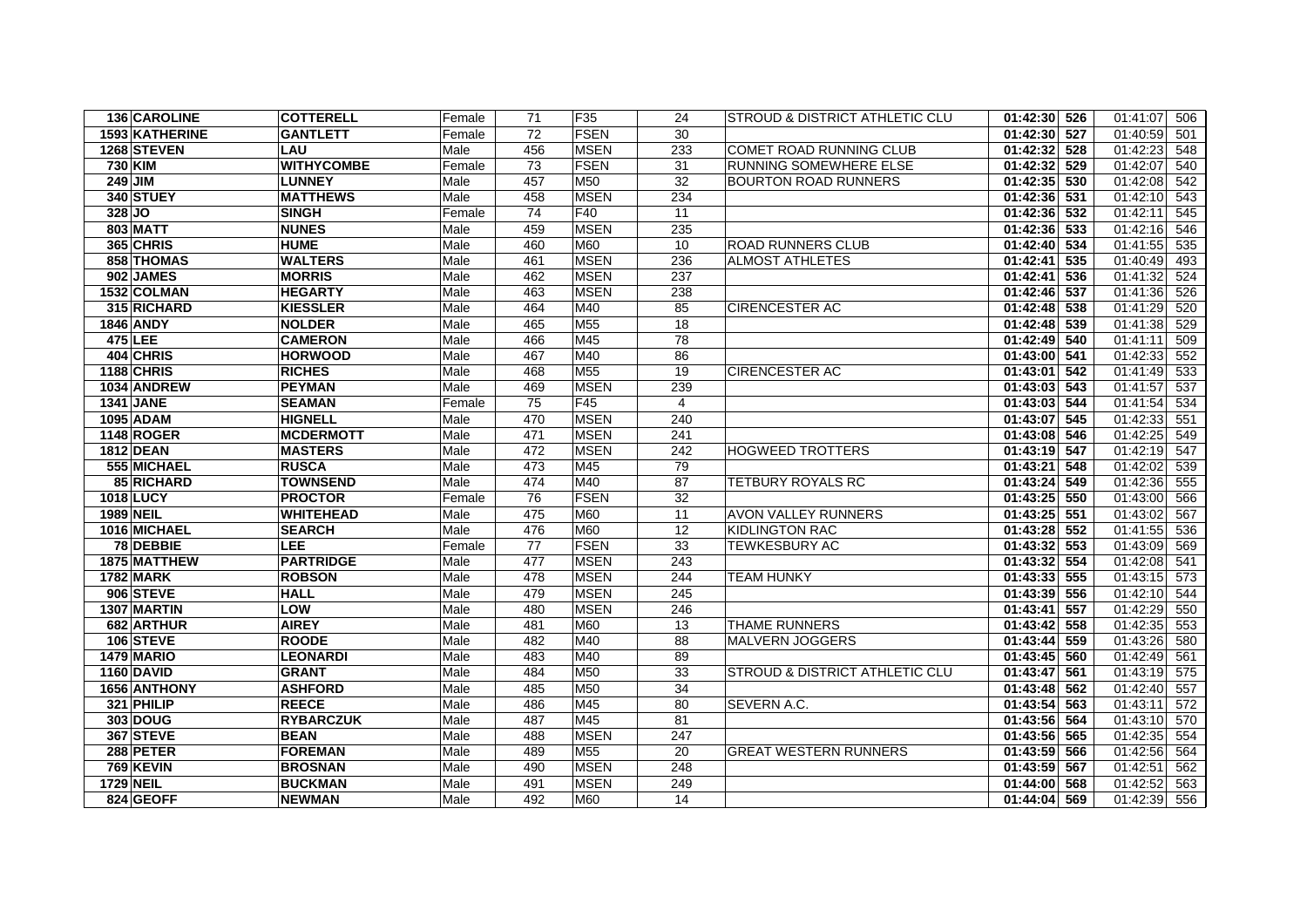| 136 CAROLINE      | <b>COTTERELL</b>  | Female | 71  | F35             | 24              | <b>STROUD &amp; DISTRICT ATHLETIC CLU</b> | 01:42:30 526    | 01:41:07 506    |
|-------------------|-------------------|--------|-----|-----------------|-----------------|-------------------------------------------|-----------------|-----------------|
| 1593 KATHERINE    | <b>GANTLETT</b>   | Female | 72  | <b>FSEN</b>     | 30              |                                           | 01:42:30 527    | 01:40:59<br>501 |
| 1268 STEVEN       | LAU               | Male   | 456 | <b>MSEN</b>     | 233             | COMET ROAD RUNNING CLUB                   | 01:42:32 528    | 01:42:23<br>548 |
| <b>730 KIM</b>    | <b>WITHYCOMBE</b> | Female | 73  | <b>FSEN</b>     | 31              | RUNNING SOMEWHERE ELSE                    | 01:42:32 529    | 01:42:07<br>540 |
| 249 JIM           | <b>LUNNEY</b>     | Male   | 457 | M50             | 32              | <b>BOURTON ROAD RUNNERS</b>               | 01:42:35<br>530 | 01:42:08<br>542 |
| 340 STUEY         | <b>MATTHEWS</b>   | Male   | 458 | <b>MSEN</b>     | 234             |                                           | 01:42:36<br>531 | 01:42:10<br>543 |
| 328 JO            | <b>SINGH</b>      | Female | 74  | F40             | 11              |                                           | 01:42:36 532    | 01:42:11<br>545 |
| 803 MATT          | <b>NUNES</b>      | Male   | 459 | <b>MSEN</b>     | 235             |                                           | 01:42:36 533    | 01:42:16<br>546 |
| 365 CHRIS         | <b>HUME</b>       | Male   | 460 | M60             | 10              | ROAD RUNNERS CLUB                         | 01:42:40<br>534 | 01:41:55<br>535 |
| 858 THOMAS        | <b>WALTERS</b>    | Male   | 461 | <b>MSEN</b>     | 236             | <b>ALMOST ATHLETES</b>                    | 01:42:41<br>535 | 01:40:49<br>493 |
| 902 JAMES         | <b>MORRIS</b>     | Male   | 462 | <b>MSEN</b>     | 237             |                                           | 01:42:41<br>536 | 01:41:32<br>524 |
| 1532 COLMAN       | <b>HEGARTY</b>    | Male   | 463 | <b>MSEN</b>     | 238             |                                           | 01:42:46 537    | 01:41:36<br>526 |
| 315 RICHARD       | <b>KIESSLER</b>   | Male   | 464 | M40             | 85              | <b>CIRENCESTER AC</b>                     | 01:42:48 538    | 01:41:29<br>520 |
| <b>1846 ANDY</b>  | <b>NOLDER</b>     | Male   | 465 | M <sub>55</sub> | 18              |                                           | 01:42:48<br>539 | 01:41:38<br>529 |
| 475 LEE           | <b>CAMERON</b>    | Male   | 466 | M45             | $\overline{78}$ |                                           | 01:42:49 540    | 01:41:11<br>509 |
| 404 CHRIS         | <b>HORWOOD</b>    | Male   | 467 | M40             | 86              |                                           | 01:43:00 541    | 01:42:33<br>552 |
| 1188 CHRIS        | <b>RICHES</b>     | Male   | 468 | M <sub>55</sub> | 19              | <b>CIRENCESTER AC</b>                     | 01:43:01<br>542 | 01:41:49<br>533 |
| 1034 ANDREW       | <b>PEYMAN</b>     | Male   | 469 | <b>MSEN</b>     | 239             |                                           | 01:43:03 543    | 01:41:57<br>537 |
| <b>1341 JANE</b>  | <b>SEAMAN</b>     | Female | 75  | F45             | $\overline{4}$  |                                           | 01:43:03 544    | 01:41:54<br>534 |
| <b>1095 ADAM</b>  | <b>HIGNELL</b>    | Male   | 470 | <b>MSEN</b>     | 240             |                                           | 01:43:07 545    | 01:42:33<br>551 |
| 1148 ROGER        | <b>MCDERMOTT</b>  | Male   | 471 | <b>MSEN</b>     | 241             |                                           | 01:43:08 546    | 01:42:25<br>549 |
| <b>1812 DEAN</b>  | <b>MASTERS</b>    | Male   | 472 | <b>MSEN</b>     | 242             | <b>HOGWEED TROTTERS</b>                   | 01:43:19<br>547 | 01:42:19<br>547 |
| 555 MICHAEL       | <b>RUSCA</b>      | Male   | 473 | M45             | 79              |                                           | 01:43:21<br>548 | 01:42:02<br>539 |
| 85 RICHARD        | <b>TOWNSEND</b>   | Male   | 474 | M40             | 87              | <b>TETBURY ROYALS RC</b>                  | 01:43:24<br>549 | 01:42:36<br>555 |
| 1018 LUCY         | <b>PROCTOR</b>    | Female | 76  | <b>FSEN</b>     | $\overline{32}$ |                                           | 01:43:25<br>550 | 01:43:00<br>566 |
| <b>1989 NEIL</b>  | <b>WHITEHEAD</b>  | Male   | 475 | <b>M60</b>      | 11              | <b>AVON VALLEY RUNNERS</b>                | $01:43:25$ 551  | 01:43:02<br>567 |
| 1016 MICHAEL      | <b>SEARCH</b>     | Male   | 476 | <b>M60</b>      | 12              | <b>KIDLINGTON RAC</b>                     | 01:43:28 552    | 01:41:55<br>536 |
| 78 DEBBIE         | <b>LEE</b>        | Female | 77  | <b>FSEN</b>     | 33              | <b>TEWKESBURY AC</b>                      | 01:43:32 553    | 01:43:09<br>569 |
| 1875 MATTHEW      | <b>PARTRIDGE</b>  | Male   | 477 | <b>MSEN</b>     | 243             |                                           | 01:43:32<br>554 | 01:42:08<br>541 |
| <b>1782 MARK</b>  | <b>ROBSON</b>     | Male   | 478 | <b>MSEN</b>     | 244             | <b>TEAM HUNKY</b>                         | 01:43:33<br>555 | 01:43:15<br>573 |
| 906 STEVE         | <b>HALL</b>       | Male   | 479 | <b>MSEN</b>     | 245             |                                           | 01:43:39 556    | 01:42:10<br>544 |
| 1307 MARTIN       | LOW               | Male   | 480 | <b>MSEN</b>     | 246             |                                           | 01:43:41<br>557 | 01:42:29<br>550 |
| 682 ARTHUR        | <b>AIREY</b>      | Male   | 481 | <b>M60</b>      | 13              | <b>THAME RUNNERS</b>                      | 01:43:42<br>558 | 01:42:35<br>553 |
| 106 STEVE         | <b>ROODE</b>      | Male   | 482 | M40             | 88              | <b>MALVERN JOGGERS</b>                    | 01:43:44<br>559 | 01:43:26<br>580 |
| <b>1479 MARIO</b> | <b>LEONARDI</b>   | Male   | 483 | M40             | 89              |                                           | 01:43:45<br>560 | 01:42:49<br>561 |
| 1160 DAVID        | <b>GRANT</b>      | Male   | 484 | M50             | 33              | <b>STROUD &amp; DISTRICT ATHLETIC CLU</b> | 01:43:47<br>561 | 01:43:19<br>575 |
| 1656 ANTHONY      | <b>ASHFORD</b>    | Male   | 485 | M50             | 34              |                                           | 01:43:48 562    | 01:42:40<br>557 |
| 321 PHILIP        | <b>REECE</b>      | Male   | 486 | M45             | 80              | SEVERN A.C.                               | 01:43:54<br>563 | 01:43:11<br>572 |
| 303 DOUG          | <b>RYBARCZUK</b>  | Male   | 487 | M45             | 81              |                                           | 01:43:56 564    | 01:43:10<br>570 |
| 367 STEVE         | <b>BEAN</b>       | Male   | 488 | <b>MSEN</b>     | 247             |                                           | 01:43:56 565    | 01:42:35<br>554 |
| 288 PETER         | <b>FOREMAN</b>    | Male   | 489 | M <sub>55</sub> | 20              | <b>GREAT WESTERN RUNNERS</b>              | 01:43:59<br>566 | 01:42:56<br>564 |
| <b>769 KEVIN</b>  | <b>BROSNAN</b>    | Male   | 490 | <b>MSEN</b>     | 248             |                                           | $01:43:59$ 567  | 01:42:51<br>562 |
| <b>1729 NEIL</b>  | <b>BUCKMAN</b>    | Male   | 491 | <b>MSEN</b>     | 249             |                                           | 01:44:00 568    | 01:42:52<br>563 |
| 824 GEOFF         | <b>NEWMAN</b>     | Male   | 492 | <b>M60</b>      | 14              |                                           | 01:44:04 569    | 01:42:39 556    |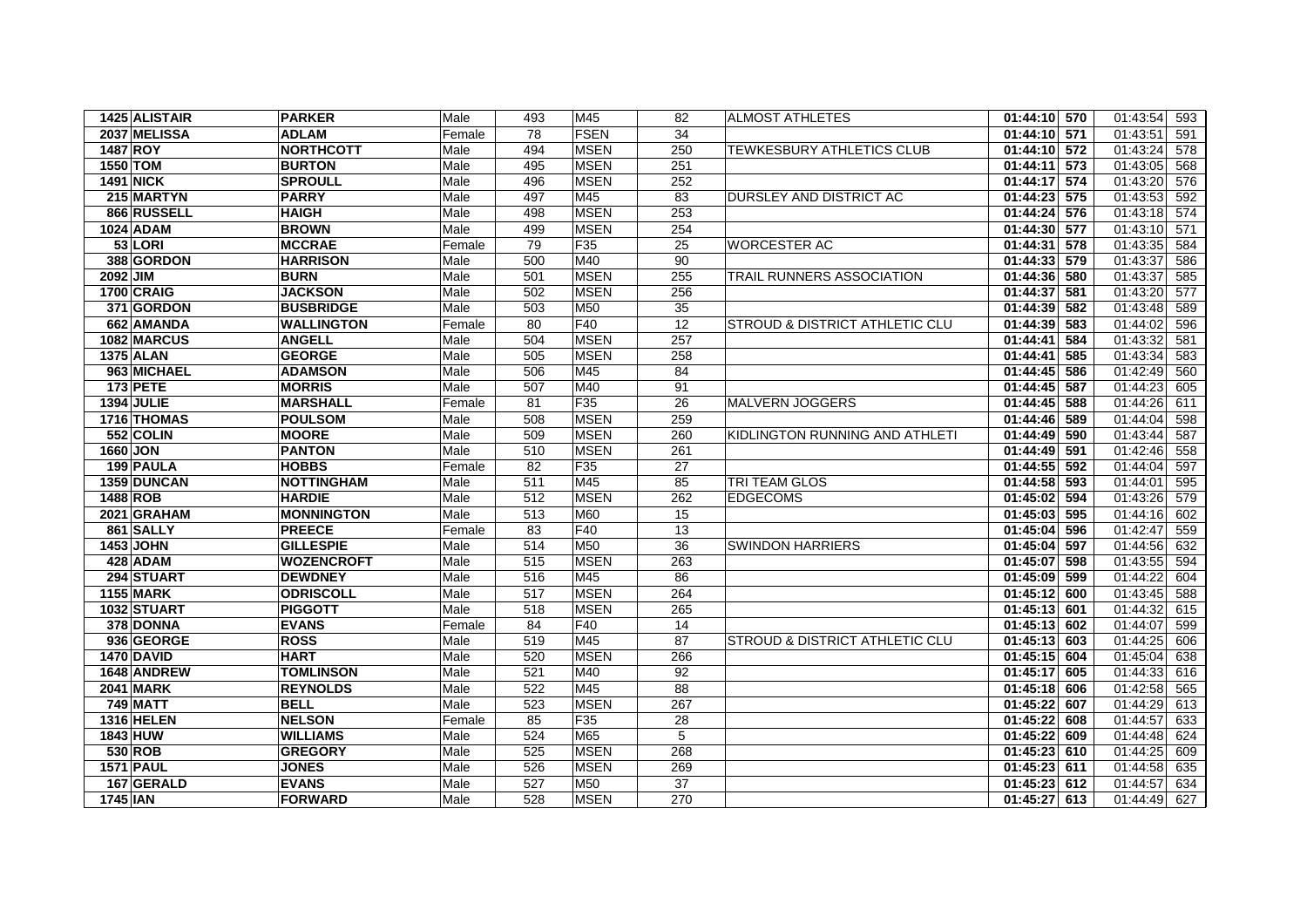| 1425 ALISTAIR     | <b>PARKER</b>     | Male   | 493 | M45             | 82              | ALMOST ATHLETES                           | 01:44:10 570    | 01:43:54<br>593 |
|-------------------|-------------------|--------|-----|-----------------|-----------------|-------------------------------------------|-----------------|-----------------|
| 2037 MELISSA      | <b>ADLAM</b>      | Female | 78  | <b>FSEN</b>     | 34              |                                           | 01:44:10 571    | 01:43:51<br>591 |
| <b>1487 ROY</b>   | <b>NORTHCOTT</b>  | Male   | 494 | <b>MSEN</b>     | 250             | TEWKESBURY ATHLETICS CLUB                 | $01:44:10$ 572  | 01:43:24<br>578 |
| 1550 TOM          | <b>BURTON</b>     | Male   | 495 | <b>MSEN</b>     | 251             |                                           | 01:44:11<br>573 | 01:43:05<br>568 |
| <b>1491 NICK</b>  | <b>SPROULL</b>    | Male   | 496 | <b>MSEN</b>     | 252             |                                           | 01:44:17 574    | 01:43:20<br>576 |
| 215 MARTYN        | <b>PARRY</b>      | Male   | 497 | M45             | 83              | DURSLEY AND DISTRICT AC                   | 01:44:23 575    | 01:43:53<br>592 |
| 866 RUSSELL       | <b>HAIGH</b>      | Male   | 498 | <b>MSEN</b>     | 253             |                                           | 01:44:24 576    | 01:43:18<br>574 |
| 1024 ADAM         | <b>BROWN</b>      | Male   | 499 | <b>MSEN</b>     | 254             |                                           | 01:44:30 577    | 01:43:10<br>571 |
| 53 LORI           | <b>MCCRAE</b>     | Female | 79  | F <sub>35</sub> | 25              | <b>WORCESTER AC</b>                       | 01:44:31<br>578 | 01:43:35<br>584 |
| 388 GORDON        | <b>HARRISON</b>   | Male   | 500 | M40             | 90              |                                           | 01:44:33 579    | 01:43:37<br>586 |
| 2092 JIM          | <b>BURN</b>       | Male   | 501 | <b>MSEN</b>     | 255             | <b>TRAIL RUNNERS ASSOCIATION</b>          | 01:44:36<br>580 | 01:43:37<br>585 |
| <b>1700 CRAIG</b> | <b>JACKSON</b>    | Male   | 502 | <b>MSEN</b>     | 256             |                                           | 581<br>01:44:37 | 01:43:20<br>577 |
| 371 GORDON        | <b>BUSBRIDGE</b>  | Male   | 503 | M50             | 35              |                                           | 01:44:39 582    | 01:43:48<br>589 |
| 662 AMANDA        | <b>WALLINGTON</b> | Female | 80  | F40             | 12              | <b>STROUD &amp; DISTRICT ATHLETIC CLU</b> | 01:44:39<br>583 | 01:44:02<br>596 |
| 1082 MARCUS       | <b>ANGELL</b>     | Male   | 504 | <b>MSEN</b>     | 257             |                                           | 01:44:41<br>584 | 01:43:32<br>581 |
| <b>1375 ALAN</b>  | <b>GEORGE</b>     | Male   | 505 | <b>MSEN</b>     | 258             |                                           | 01:44:41<br>585 | 01:43:34<br>583 |
| 963 MICHAEL       | <b>ADAMSON</b>    | Male   | 506 | M45             | 84              |                                           | 01:44:45<br>586 | 01:42:49<br>560 |
| <b>173 PETE</b>   | <b>MORRIS</b>     | Male   | 507 | M40             | 91              |                                           | 01:44:45 587    | 01:44:23<br>605 |
| <b>1394 JULIE</b> | <b>MARSHALL</b>   | Female | 81  | F <sub>35</sub> | 26              | <b>MALVERN JOGGERS</b>                    | 01:44:45<br>588 | 01:44:26<br>611 |
| 1716 THOMAS       | <b>POULSOM</b>    | Male   | 508 | <b>MSEN</b>     | 259             |                                           | 589<br>01:44:46 | 01:44:04<br>598 |
| 552 COLIN         | <b>MOORE</b>      | Male   | 509 | <b>MSEN</b>     | 260             | KIDLINGTON RUNNING AND ATHLETI            | 01:44:49 590    | 01:43:44<br>587 |
| 1660 JON          | <b>PANTON</b>     | Male   | 510 | <b>MSEN</b>     | 261             |                                           | 01:44:49<br>591 | 01:42:46<br>558 |
| 199 PAULA         | <b>HOBBS</b>      | Female | 82  | F35             | $\overline{27}$ |                                           | 01:44:55 592    | 01:44:04<br>597 |
| 1359 DUNCAN       | <b>NOTTINGHAM</b> | Male   | 511 | M45             | 85              | TRI TEAM GLOS                             | 01:44:58 593    | 01:44:01<br>595 |
| <b>1488 ROB</b>   | <b>HARDIE</b>     | Male   | 512 | <b>MSEN</b>     | 262             | <b>EDGECOMS</b>                           | 01:45:02<br>594 | 01:43:26<br>579 |
| 2021 GRAHAM       | <b>MONNINGTON</b> | Male   | 513 | <b>M60</b>      | 15              |                                           | 01:45:03 595    | 01:44:16<br>602 |
| 861 SALLY         | <b>PREECE</b>     | Female | 83  | F40             | 13              |                                           | 01:45:04<br>596 | 01:42:47<br>559 |
| 1453 JOHN         | <b>GILLESPIE</b>  | Male   | 514 | M50             | 36              | <b>SWINDON HARRIERS</b>                   | 01:45:04<br>597 | 01:44:56<br>632 |
| 428 ADAM          | <b>WOZENCROFT</b> | Male   | 515 | <b>MSEN</b>     | 263             |                                           | 01:45:07<br>598 | 01:43:55<br>594 |
| 294 STUART        | <b>DEWDNEY</b>    | Male   | 516 | M45             | 86              |                                           | 01:45:09<br>599 | 01:44:22<br>604 |
| <b>1155 MARK</b>  | <b>ODRISCOLL</b>  | Male   | 517 | <b>MSEN</b>     | 264             |                                           | 01:45:12 600    | 01:43:45<br>588 |
| 1032 STUART       | <b>PIGGOTT</b>    | Male   | 518 | <b>MSEN</b>     | 265             |                                           | 01:45:13 601    | 01:44:32<br>615 |
| 378 DONNA         | <b>EVANS</b>      | Female | 84  | F40             | 14              |                                           | 01:45:13 602    | 01:44:07<br>599 |
| 936 GEORGE        | <b>ROSS</b>       | Male   | 519 | M45             | 87              | <b>STROUD &amp; DISTRICT ATHLETIC CLU</b> | 01:45:13 603    | 01:44:25<br>606 |
| 1470 DAVID        | <b>HART</b>       | Male   | 520 | <b>MSEN</b>     | 266             |                                           | 01:45:15 604    | 01:45:04<br>638 |
| 1648 ANDREW       | <b>TOMLINSON</b>  | Male   | 521 | M40             | 92              |                                           | 01:45:17 605    | 01:44:33<br>616 |
| <b>2041 MARK</b>  | <b>REYNOLDS</b>   | Male   | 522 | M45             | 88              |                                           | 01:45:18 606    | 01:42:58<br>565 |
| <b>749 MATT</b>   | <b>BELL</b>       | Male   | 523 | <b>MSEN</b>     | 267             |                                           | 01:45:22<br>607 | 01:44:29<br>613 |
| <b>1316 HELEN</b> | <b>NELSON</b>     | Female | 85  | F35             | 28              |                                           | 01:45:22 608    | 01:44:57<br>633 |
| 1843 HUW          | <b>WILLIAMS</b>   | Male   | 524 | M65             | 5               |                                           | 01:45:22<br>609 | 01:44:48<br>624 |
| 530 ROB           | <b>GREGORY</b>    | Male   | 525 | <b>MSEN</b>     | 268             |                                           | 01:45:23 610    | 01:44:25<br>609 |
| <b>1571 PAUL</b>  | <b>JONES</b>      | Male   | 526 | <b>MSEN</b>     | 269             |                                           | 01:45:23 611    | 01:44:58<br>635 |
| 167 GERALD        | <b>EVANS</b>      | Male   | 527 | M50             | 37              |                                           | 01:45:23 612    | 01:44:57<br>634 |
| <b>1745 IAN</b>   | FORWARD           | Male   | 528 | <b>MSEN</b>     | 270             |                                           | 01:45:27 613    | 01:44:49 627    |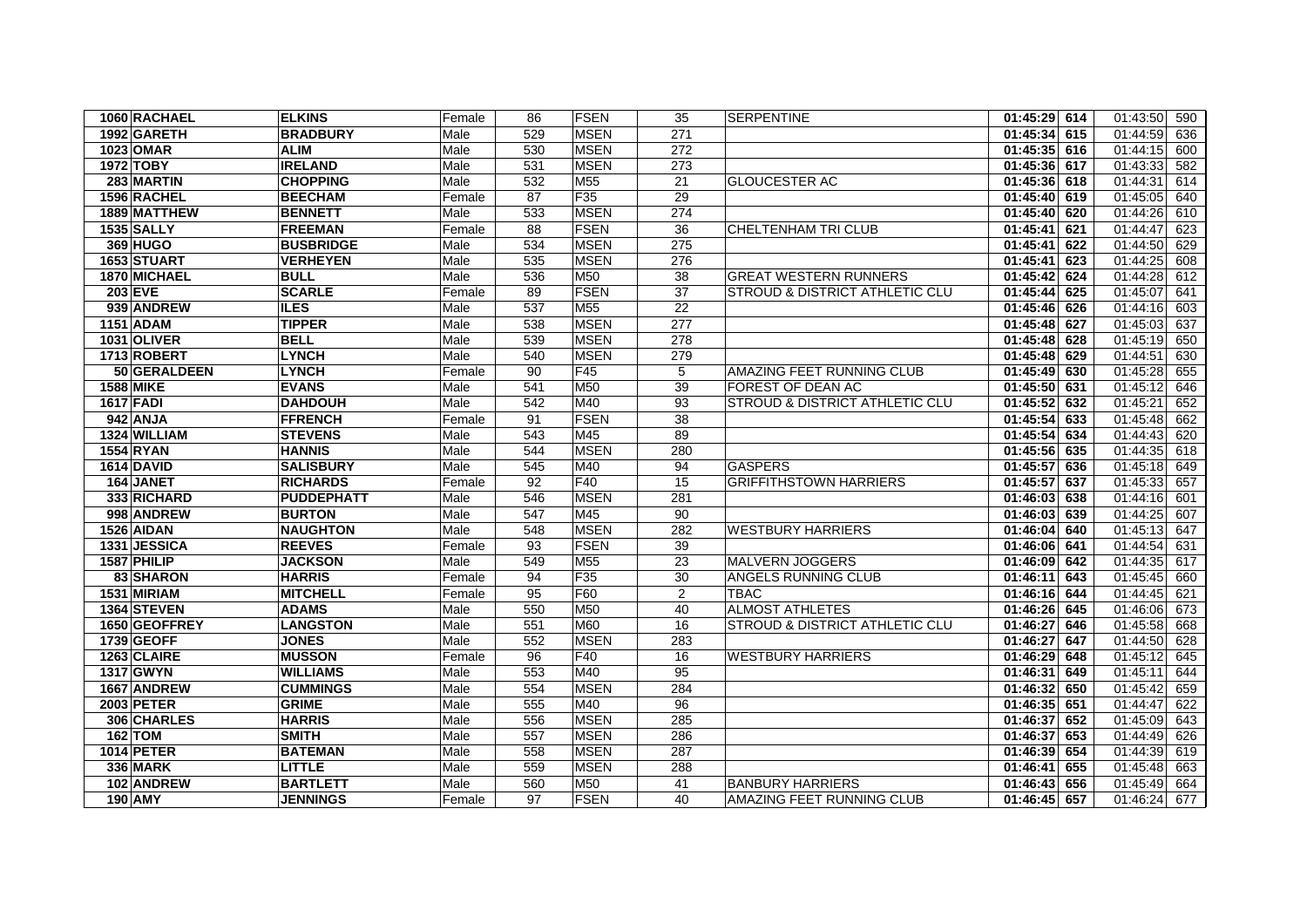| 1060 RACHAEL      | <b>ELKINS</b>     | Female | 86  | <b>FSEN</b>     | 35  | <b>SERPENTINE</b>                         | 01:45:29 614    | 01:43:50<br>590 |
|-------------------|-------------------|--------|-----|-----------------|-----|-------------------------------------------|-----------------|-----------------|
| 1992 GARETH       | <b>BRADBURY</b>   | Male   | 529 | <b>MSEN</b>     | 271 |                                           | 01:45:34 615    | 01:44:59<br>636 |
| 1023 OMAR         | <b>ALIM</b>       | Male   | 530 | <b>MSEN</b>     | 272 |                                           | 01:45:35 616    | 01:44:15<br>600 |
| 1972 TOBY         | <b>IRELAND</b>    | Male   | 531 | <b>MSEN</b>     | 273 |                                           | 01:45:36 617    | 01:43:33<br>582 |
| 283 MARTIN        | <b>CHOPPING</b>   | Male   | 532 | <b>M55</b>      | 21  | <b>GLOUCESTER AC</b>                      | 01:45:36 618    | 01:44:31<br>614 |
| 1596 RACHEL       | <b>BEECHAM</b>    | Female | 87  | F <sub>35</sub> | 29  |                                           | 01:45:40 619    | 01:45:05<br>640 |
| 1889 MATTHEW      | <b>BENNETT</b>    | Male   | 533 | <b>MSEN</b>     | 274 |                                           | 01:45:40 620    | 01:44:26<br>610 |
| 1535 SALLY        | <b>FREEMAN</b>    | Female | 88  | FSEN            | 36  | <b>CHELTENHAM TRI CLUB</b>                | 01:45:41<br>621 | 01:44:47<br>623 |
| <b>369 HUGO</b>   | <b>BUSBRIDGE</b>  | Male   | 534 | <b>MSEN</b>     | 275 |                                           | 01:45:41<br>622 | 01:44:50<br>629 |
| 1653 STUART       | <b>VERHEYEN</b>   | Male   | 535 | <b>MSEN</b>     | 276 |                                           | 01:45:41<br>623 | 01:44:25<br>608 |
| 1870 MICHAEL      | <b>BULL</b>       | Male   | 536 | M50             | 38  | <b>GREAT WESTERN RUNNERS</b>              | 01:45:42 624    | 01:44:28<br>612 |
| <b>203 EVE</b>    | <b>SCARLE</b>     | Female | 89  | FSEN            | 37  | STROUD & DISTRICT ATHLETIC CLU            | 01:45:44<br>625 | 01:45:07<br>641 |
| 939 ANDREW        | <b>ILES</b>       | Male   | 537 | M55             | 22  |                                           | 01:45:46 626    | 01:44:16<br>603 |
| 1151 ADAM         | <b>TIPPER</b>     | Male   | 538 | <b>MSEN</b>     | 277 |                                           | 01:45:48<br>627 | 01:45:03<br>637 |
| 1031 OLIVER       | <b>BELL</b>       | Male   | 539 | <b>MSEN</b>     | 278 |                                           | 01:45:48 628    | 01:45:19<br>650 |
| 1713 ROBERT       | <b>LYNCH</b>      | Male   | 540 | <b>MSEN</b>     | 279 |                                           | 01:45:48 629    | 01:44:51<br>630 |
| 50 GERALDEEN      | <b>LYNCH</b>      | Female | 90  | F45             | 5   | AMAZING FEET RUNNING CLUB                 | $01:45:49$ 630  | 01:45:28<br>655 |
| <b>1588 MIKE</b>  | <b>EVANS</b>      | Male   | 541 | M50             | 39  | <b>FOREST OF DEAN AC</b>                  | 01:45:50 631    | 01:45:12<br>646 |
| <b>1617 FADI</b>  | <b>DAHDOUH</b>    | Male   | 542 | M40             | 93  | <b>STROUD &amp; DISTRICT ATHLETIC CLU</b> | 01:45:52<br>632 | 01:45:21<br>652 |
| 942 ANJA          | <b>FFRENCH</b>    | Female | 91  | FSEN            | 38  |                                           | 01:45:54<br>633 | 01:45:48<br>662 |
| 1324 WILLIAM      | <b>STEVENS</b>    | Male   | 543 | M45             | 89  |                                           | 01:45:54<br>634 | 01:44:43<br>620 |
| <b>1554 RYAN</b>  | <b>HANNIS</b>     | Male   | 544 | <b>MSEN</b>     | 280 |                                           | 635<br>01:45:56 | 01:44:35<br>618 |
| <b>1614 DAVID</b> | <b>SALISBURY</b>  | Male   | 545 | M40             | 94  | <b>GASPERS</b>                            | 01:45:57 636    | 01:45:18<br>649 |
| 164 JANET         | <b>RICHARDS</b>   | Female | 92  | F40             | 15  | <b>GRIFFITHSTOWN HARRIERS</b>             | 01:45:57<br>637 | 01:45:33<br>657 |
| 333 RICHARD       | <b>PUDDEPHATT</b> | Male   | 546 | <b>MSEN</b>     | 281 |                                           | 01:46:03 638    | 01:44:16<br>601 |
| 998 ANDREW        | <b>BURTON</b>     | Male   | 547 | M45             | 90  |                                           | 01:46:03<br>639 | 01:44:25<br>607 |
| 1526 AIDAN        | <b>NAUGHTON</b>   | Male   | 548 | <b>MSEN</b>     | 282 | <b>WESTBURY HARRIERS</b>                  | 01:46:04<br>640 | 01:45:13<br>647 |
| 1331 JESSICA      | <b>REEVES</b>     | Female | 93  | FSEN            | 39  |                                           | 01:46:06 641    | 01:44:54<br>631 |
| 1587 PHILIP       | <b>JACKSON</b>    | Male   | 549 | M <sub>55</sub> | 23  | MALVERN JOGGERS                           | 01:46:09 642    | 01:44:35<br>617 |
| 83 SHARON         | <b>HARRIS</b>     | Female | 94  | F <sub>35</sub> | 30  | <b>ANGELS RUNNING CLUB</b>                | 01:46:11<br>643 | 01:45:45<br>660 |
| 1531 MIRIAM       | <b>MITCHELL</b>   | Female | 95  | F60             | 2   | TBAC                                      | 01:46:16 644    | 01:44:45<br>621 |
| 1364 STEVEN       | <b>ADAMS</b>      | Male   | 550 | M50             | 40  | <b>ALMOST ATHLETES</b>                    | 01:46:26 645    | 01:46:06<br>673 |
| 1650 GEOFFREY     | <b>LANGSTON</b>   | Male   | 551 | <b>M60</b>      | 16  | STROUD & DISTRICT ATHLETIC CLU            | 01:46:27 646    | 01:45:58<br>668 |
| 1739 GEOFF        | <b>JONES</b>      | Male   | 552 | <b>MSEN</b>     | 283 |                                           | 01:46:27<br>647 | 01:44:50<br>628 |
| 1263 CLAIRE       | <b>MUSSON</b>     | Female | 96  | F40             | 16  | <b>WESTBURY HARRIERS</b>                  | 01:46:29<br>648 | 01:45:12<br>645 |
| 1317 GWYN         | <b>WILLIAMS</b>   | Male   | 553 | M40             | 95  |                                           | 649<br>01:46:31 | 01:45:11<br>644 |
| 1667 ANDREW       | <b>CUMMINGS</b>   | Male   | 554 | <b>MSEN</b>     | 284 |                                           | 01:46:32 650    | 01:45:42<br>659 |
| <b>2003 PETER</b> | <b>GRIME</b>      | Male   | 555 | M40             | 96  |                                           | 01:46:35 651    | 01:44:47<br>622 |
| 306 CHARLES       | <b>HARRIS</b>     | Male   | 556 | <b>MSEN</b>     | 285 |                                           | 01:46:37<br>652 | 01:45:09<br>643 |
| 162 TOM           | <b>SMITH</b>      | Male   | 557 | <b>MSEN</b>     | 286 |                                           | 01:46:37<br>653 | 01:44:49<br>626 |
| <b>1014 PETER</b> | <b>BATEMAN</b>    | Male   | 558 | <b>MSEN</b>     | 287 |                                           | 01:46:39 654    | 01:44:39<br>619 |
| <b>336 MARK</b>   | <b>LITTLE</b>     | Male   | 559 | <b>MSEN</b>     | 288 |                                           | 655<br>01:46:41 | 01:45:48<br>663 |
| 102 ANDREW        | <b>BARTLETT</b>   | Male   | 560 | <b>M50</b>      | 41  | <b>BANBURY HARRIERS</b>                   | 656<br>01:46:43 | 01:45:49<br>664 |
| <b>190 AMY</b>    | <b>JENNINGS</b>   | Female | 97  | <b>FSEN</b>     | 40  | AMAZING FEET RUNNING CLUB                 | 01:46:45 657    | 01:46:24 677    |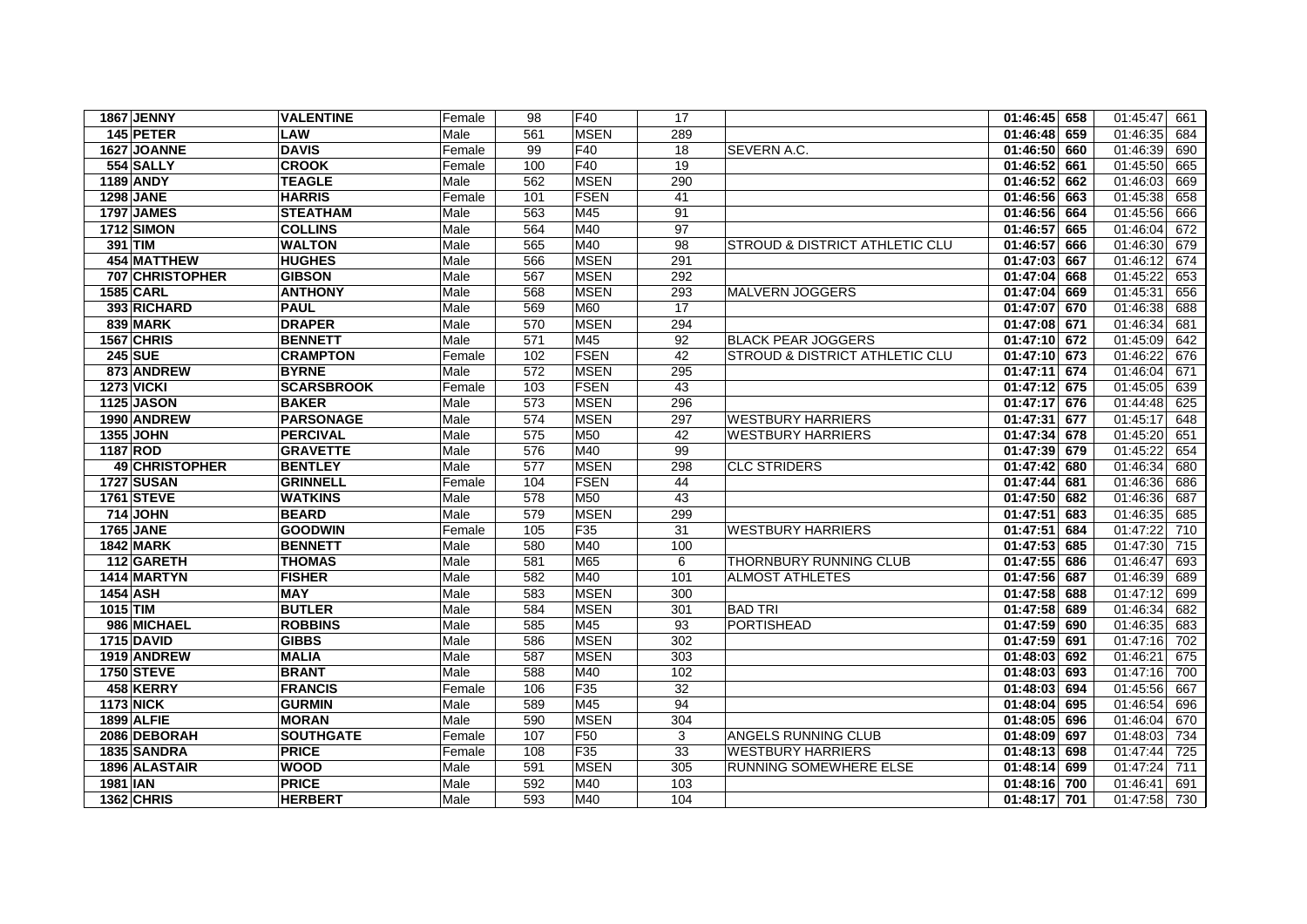| 1867 JENNY         | <b>VALENTINE</b>  | Female | 98  | F40             | 17              |                                | $01:46:45$ 658 | 01:45:47<br>661 |
|--------------------|-------------------|--------|-----|-----------------|-----------------|--------------------------------|----------------|-----------------|
| 145 PETER          | <b>LAW</b>        | Male   | 561 | <b>MSEN</b>     | 289             |                                | 01:46:48 659   | 01:46:35<br>684 |
| 1627 JOANNE        | <b>DAVIS</b>      | Female | 99  | F40             | 18              | SEVERN A.C.                    | 01:46:50 660   | 01:46:39<br>690 |
| 554 SALLY          | <b>CROOK</b>      | Female | 100 | F40             | 19              |                                | 01:46:52 661   | 01:45:50<br>665 |
| <b>1189 ANDY</b>   | <b>TEAGLE</b>     | Male   | 562 | <b>MSEN</b>     | 290             |                                | 01:46:52 662   | 01:46:03<br>669 |
| <b>1298 JANE</b>   | <b>HARRIS</b>     | Female | 101 | <b>FSEN</b>     | 41              |                                | 01:46:56 663   | 01:45:38<br>658 |
| <b>1797 JAMES</b>  | <b>STEATHAM</b>   | Male   | 563 | M45             | 91              |                                | 01:46:56 664   | 01:45:56<br>666 |
| <b>1712 SIMON</b>  | <b>COLLINS</b>    | Male   | 564 | M40             | 97              |                                | 01:46:57 665   | 01:46:04<br>672 |
| 391 TIM            | <b>WALTON</b>     | Male   | 565 | M40             | 98              | STROUD & DISTRICT ATHLETIC CLU | 01:46:57 666   | 01:46:30<br>679 |
| <b>454 MATTHEW</b> | <b>HUGHES</b>     | Male   | 566 | <b>MSEN</b>     | 291             |                                | 01:47:03 667   | 01:46:12<br>674 |
| 707 CHRISTOPHER    | <b>GIBSON</b>     | Male   | 567 | <b>MSEN</b>     | 292             |                                | 01:47:04 668   | 01:45:22<br>653 |
| <b>1585 CARL</b>   | <b>ANTHONY</b>    | Male   | 568 | <b>MSEN</b>     | 293             | <b>MALVERN JOGGERS</b>         | 01:47:04 669   | 01:45:31<br>656 |
| 393 RICHARD        | <b>PAUL</b>       | Male   | 569 | <b>M60</b>      | 17              |                                | 01:47:07 670   | 01:46:38<br>688 |
| 839 MARK           | <b>DRAPER</b>     | Male   | 570 | <b>MSEN</b>     | 294             |                                | 01:47:08 671   | 01:46:34<br>681 |
| 1567 CHRIS         | <b>BENNETT</b>    | Male   | 571 | M45             | 92              | <b>BLACK PEAR JOGGERS</b>      | 01:47:10 672   | 01:45:09<br>642 |
| <b>245 SUE</b>     | <b>CRAMPTON</b>   | Female | 102 | <b>FSEN</b>     | 42              | STROUD & DISTRICT ATHLETIC CLU | 01:47:10 673   | 01:46:22<br>676 |
| 873 ANDREW         | <b>BYRNE</b>      | Male   | 572 | <b>MSEN</b>     | 295             |                                | 01:47:11 674   | 01:46:04<br>671 |
| <b>1273 VICKI</b>  | <b>SCARSBROOK</b> | Female | 103 | <b>FSEN</b>     | 43              |                                | 01:47:12 675   | 01:45:05<br>639 |
| <b>1125 JASON</b>  | <b>BAKER</b>      | Male   | 573 | <b>MSEN</b>     | 296             |                                | 01:47:17 676   | 01:44:48<br>625 |
| 1990 ANDREW        | <b>PARSONAGE</b>  | Male   | 574 | <b>MSEN</b>     | 297             | <b>WESTBURY HARRIERS</b>       | 01:47:31 677   | 01:45:17<br>648 |
| 1355 JOHN          | <b>PERCIVAL</b>   | Male   | 575 | M50             | 42              | <b>WESTBURY HARRIERS</b>       | 01:47:34 678   | 01:45:20<br>651 |
| 1187 ROD           | <b>GRAVETTE</b>   | Male   | 576 | M40             | 99              |                                | 01:47:39 679   | 01:45:22<br>654 |
| 49 CHRISTOPHER     | <b>BENTLEY</b>    | Male   | 577 | <b>MSEN</b>     | 298             | <b>CLC STRIDERS</b>            | 01:47:42 680   | 01:46:34<br>680 |
| <b>1727 SUSAN</b>  | <b>GRINNELL</b>   | Female | 104 | FSEN            | 44              |                                | 01:47:44 681   | 01:46:36<br>686 |
| <b>1761 STEVE</b>  | <b>WATKINS</b>    | Male   | 578 | M50             | 43              |                                | 01:47:50 682   | 01:46:36<br>687 |
| 714 JOHN           | <b>BEARD</b>      | Male   | 579 | <b>MSEN</b>     | 299             |                                | 01:47:51 683   | 01:46:35<br>685 |
| <b>1765 JANE</b>   | <b>GOODWIN</b>    | Female | 105 | F35             | 31              | <b>WESTBURY HARRIERS</b>       | 01:47:51 684   | 01:47:22<br>710 |
| <b>1842 MARK</b>   | <b>BENNETT</b>    | Male   | 580 | M40             | 100             |                                | 01:47:53 685   | 01:47:30<br>715 |
| 112 GARETH         | <b>THOMAS</b>     | Male   | 581 | M65             | 6               | THORNBURY RUNNING CLUB         | 01:47:55 686   | 01:46:47<br>693 |
| 1414 MARTYN        | <b>FISHER</b>     | Male   | 582 | M40             | 101             | <b>ALMOST ATHLETES</b>         | 01:47:56 687   | 01:46:39<br>689 |
| <b>1454 ASH</b>    | <b>MAY</b>        | Male   | 583 | <b>MSEN</b>     | 300             |                                | 01:47:58 688   | 01:47:12<br>699 |
| 1015 TIM           | <b>BUTLER</b>     | Male   | 584 | <b>MSEN</b>     | 301             | <b>BAD TRI</b>                 | 01:47:58 689   | 01:46:34<br>682 |
| 986 MICHAEL        | <b>ROBBINS</b>    | Male   | 585 | M45             | 93              | PORTISHEAD                     | 01:47:59 690   | 01:46:35<br>683 |
| <b>1715 DAVID</b>  | <b>GIBBS</b>      | Male   | 586 | <b>MSEN</b>     | 302             |                                | 01:47:59 691   | 01:47:16<br>702 |
| 1919 ANDREW        | <b>MALIA</b>      | Male   | 587 | <b>MSEN</b>     | 303             |                                | 01:48:03 692   | 01:46:21<br>675 |
| <b>1750 STEVE</b>  | <b>BRANT</b>      | Male   | 588 | M40             | 102             |                                | 01:48:03 693   | 01:47:16<br>700 |
| 458 KERRY          | <b>FRANCIS</b>    | Female | 106 | F35             | $\overline{32}$ |                                | 01:48:03 694   | 01:45:56<br>667 |
| <b>1173 NICK</b>   | <b>GURMIN</b>     | Male   | 589 | M45             | 94              |                                | 01:48:04 695   | 01:46:54<br>696 |
| <b>1899 ALFIE</b>  | <b>MORAN</b>      | Male   | 590 | <b>MSEN</b>     | 304             |                                | 01:48:05 696   | 01:46:04<br>670 |
| 2086 DEBORAH       | <b>SOUTHGATE</b>  | Female | 107 | F <sub>50</sub> | 3               | <b>ANGELS RUNNING CLUB</b>     | 01:48:09 697   | 01:48:03<br>734 |
| 1835 SANDRA        | <b>PRICE</b>      | Female | 108 | F35             | 33              | <b>WESTBURY HARRIERS</b>       | 01:48:13 698   | 01:47:44<br>725 |
| 1896 ALASTAIR      | <b>WOOD</b>       | Male   | 591 | <b>MSEN</b>     | 305             | RUNNING SOMEWHERE ELSE         | 01:48:14 699   | 01:47:24<br>711 |
| 1981 IAN           | <b>PRICE</b>      | Male   | 592 | M40             | 103             |                                | 01:48:16 700   | 01:46:41<br>691 |
| 1362 CHRIS         | <b>HERBERT</b>    | Male   | 593 | M40             | 104             |                                | 01:48:17 701   | 01:47:58 730    |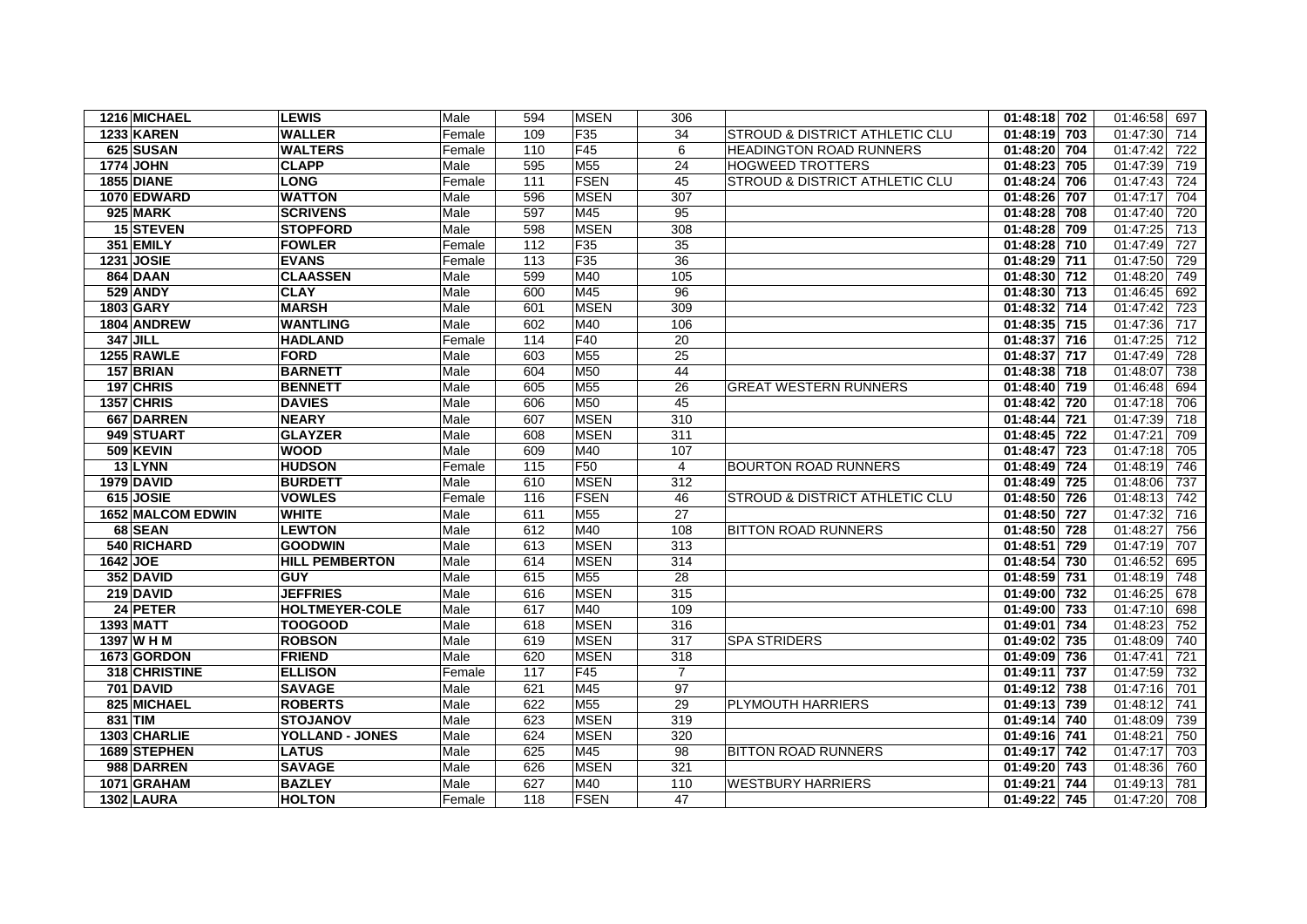| 1216 MICHAEL             | <b>LEWIS</b>           | Male   | 594 | <b>MSEN</b>     | 306             |                                           | 01:48:18 702 | 01:46:58<br>697 |
|--------------------------|------------------------|--------|-----|-----------------|-----------------|-------------------------------------------|--------------|-----------------|
| <b>1233 KAREN</b>        | <b>WALLER</b>          | Female | 109 | F35             | 34              | <b>STROUD &amp; DISTRICT ATHLETIC CLU</b> | 01:48:19 703 | 01:47:30<br>714 |
| 625 SUSAN                | WALTERS                | Female | 110 | F45             | 6               | <b>HEADINGTON ROAD RUNNERS</b>            | 01:48:20 704 | 01:47:42<br>722 |
| <b>1774 JOHN</b>         | <b>CLAPP</b>           | Male   | 595 | M <sub>55</sub> | 24              | <b>HOGWEED TROTTERS</b>                   | 01:48:23 705 | 01:47:39<br>719 |
| <b>1855 DIANE</b>        | <b>LONG</b>            | Female | 111 | <b>FSEN</b>     | 45              | STROUD & DISTRICT ATHLETIC CLU            | 01:48:24 706 | 01:47:43<br>724 |
| 1070 EDWARD              | <b>WATTON</b>          | Male   | 596 | <b>MSEN</b>     | 307             |                                           | 01:48:26 707 | 01:47:17<br>704 |
| <b>925 MARK</b>          | <b>SCRIVENS</b>        | Male   | 597 | M45             | 95              |                                           | 01:48:28 708 | 01:47:40<br>720 |
| <b>15 STEVEN</b>         | <b>STOPFORD</b>        | Male   | 598 | <b>MSEN</b>     | 308             |                                           | 01:48:28 709 | 01:47:25<br>713 |
| 351 EMILY                | <b>FOWLER</b>          | Female | 112 | F <sub>35</sub> | 35              |                                           | 01:48:28 710 | 01:47:49<br>727 |
| 1231 JOSIE               | <b>EVANS</b>           | Female | 113 | F <sub>35</sub> | 36              |                                           | 01:48:29 711 | 01:47:50<br>729 |
| 864 DAAN                 | <b>CLAASSEN</b>        | Male   | 599 | M40             | 105             |                                           | 01:48:30 712 | 01:48:20<br>749 |
| <b>529 ANDY</b>          | <b>CLAY</b>            | Male   | 600 | M45             | 96              |                                           | 01:48:30 713 | 01:46:45<br>692 |
| 1803 GARY                | <b>MARSH</b>           | Male   | 601 | <b>MSEN</b>     | 309             |                                           | 01:48:32 714 | 01:47:42<br>723 |
| 1804 ANDREW              | <b>WANTLING</b>        | Male   | 602 | M40             | 106             |                                           | 01:48:35 715 | 01:47:36<br>717 |
| 347 JILL                 | <b>HADLAND</b>         | Female | 114 | F40             | 20              |                                           | 01:48:37 716 | 01:47:25<br>712 |
| <b>1255 RAWLE</b>        | <b>FORD</b>            | Male   | 603 | M55             | 25              |                                           | 01:48:37 717 | 01:47:49<br>728 |
| 157 BRIAN                | <b>BARNETT</b>         | Male   | 604 | M50             | 44              |                                           | 01:48:38 718 | 01:48:07<br>738 |
| 197 CHRIS                | <b>BENNETT</b>         | Male   | 605 | M55             | 26              | <b>GREAT WESTERN RUNNERS</b>              | 01:48:40 719 | 01:46:48<br>694 |
| 1357 CHRIS               | <b>DAVIES</b>          | Male   | 606 | M50             | 45              |                                           | 01:48:42 720 | 01:47:18<br>706 |
| 667 DARREN               | <b>NEARY</b>           | Male   | 607 | <b>MSEN</b>     | 310             |                                           | 01:48:44 721 | 01:47:39<br>718 |
| 949 STUART               | <b>GLAYZER</b>         | Male   | 608 | <b>MSEN</b>     | 311             |                                           | 01:48:45 722 | 01:47:21<br>709 |
| 509 KEVIN                | WOOD                   | Male   | 609 | M40             | 107             |                                           | 01:48:47 723 | 01:47:18<br>705 |
| 13 LYNN                  | <b>HUDSON</b>          | Female | 115 | F <sub>50</sub> | $\overline{4}$  | <b>BOURTON ROAD RUNNERS</b>               | 01:48:49 724 | 01:48:19<br>746 |
| 1979 DAVID               | <b>BURDETT</b>         | Male   | 610 | <b>MSEN</b>     | 312             |                                           | 01:48:49 725 | 01:48:06<br>737 |
| 615 JOSIE                | <b>VOWLES</b>          | Female | 116 | <b>FSEN</b>     | 46              | STROUD & DISTRICT ATHLETIC CLU            | 01:48:50 726 | 01:48:13<br>742 |
| <b>1652 MALCOM EDWIN</b> | <b>WHITE</b>           | Male   | 611 | M <sub>55</sub> | $\overline{27}$ |                                           | 01:48:50 727 | 01:47:32<br>716 |
| 68 SEAN                  | <b>LEWTON</b>          | Male   | 612 | M40             | 108             | <b>BITTON ROAD RUNNERS</b>                | 01:48:50 728 | 01:48:27<br>756 |
| 540 RICHARD              | <b>GOODWIN</b>         | Male   | 613 | <b>MSEN</b>     | 313             |                                           | 01:48:51 729 | 01:47:19<br>707 |
| 1642 JOE                 | <b>HILL PEMBERTON</b>  | Male   | 614 | <b>MSEN</b>     | 314             |                                           | 01:48:54 730 | 01:46:52<br>695 |
| 352 DAVID                | <b>GUY</b>             | Male   | 615 | M <sub>55</sub> | 28              |                                           | 01:48:59 731 | 01:48:19<br>748 |
| 219 DAVID                | <b>JEFFRIES</b>        | Male   | 616 | <b>MSEN</b>     | 315             |                                           | 01:49:00 732 | 01:46:25<br>678 |
| 24 PETER                 | <b>HOLTMEYER-COLE</b>  | Male   | 617 | M40             | 109             |                                           | 01:49:00 733 | 01:47:10<br>698 |
| <b>1393 MATT</b>         | <b>TOOGOOD</b>         | Male   | 618 | <b>MSEN</b>     | 316             |                                           | 01:49:01 734 | 01:48:23<br>752 |
| 1397 W H M               | <b>ROBSON</b>          | Male   | 619 | <b>MSEN</b>     | 317             | <b>SPA STRIDERS</b>                       | 01:49:02 735 | 01:48:09<br>740 |
| 1673 GORDON              | <b>FRIEND</b>          | Male   | 620 | <b>MSEN</b>     | 318             |                                           | 01:49:09 736 | 01:47:41<br>721 |
| 318 CHRISTINE            | <b>ELLISON</b>         | Female | 117 | F45             | $\overline{7}$  |                                           | 01:49:11 737 | 732<br>01:47:59 |
| <b>701 DAVID</b>         | <b>SAVAGE</b>          | Male   | 621 | M45             | 97              |                                           | 01:49:12 738 | 01:47:16<br>701 |
| 825 MICHAEL              | <b>ROBERTS</b>         | Male   | 622 | M <sub>55</sub> | 29              | PLYMOUTH HARRIERS                         | 01:49:13 739 | 01:48:12<br>741 |
| 831 TIM                  | <b>STOJANOV</b>        | Male   | 623 | <b>MSEN</b>     | 319             |                                           | 01:49:14 740 | 01:48:09<br>739 |
| 1303 CHARLIE             | <b>YOLLAND - JONES</b> | Male   | 624 | <b>MSEN</b>     | 320             |                                           | 01:49:16 741 | 01:48:21<br>750 |
| 1689 STEPHEN             | <b>LATUS</b>           | Male   | 625 | M45             | 98              | <b>BITTON ROAD RUNNERS</b>                | 01:49:17 742 | 01:47:17<br>703 |
| 988 DARREN               | <b>SAVAGE</b>          | Male   | 626 | <b>MSEN</b>     | 321             |                                           | 01:49:20 743 | 01:48:36<br>760 |
| 1071 GRAHAM              | <b>BAZLEY</b>          | Male   | 627 | M40             | 110             | <b>WESTBURY HARRIERS</b>                  | 01:49:21 744 | 01:49:13<br>781 |
| <b>1302 LAURA</b>        | <b>HOLTON</b>          | Female | 118 | <b>FSEN</b>     | 47              |                                           | 01:49:22 745 | 01:47:20<br>708 |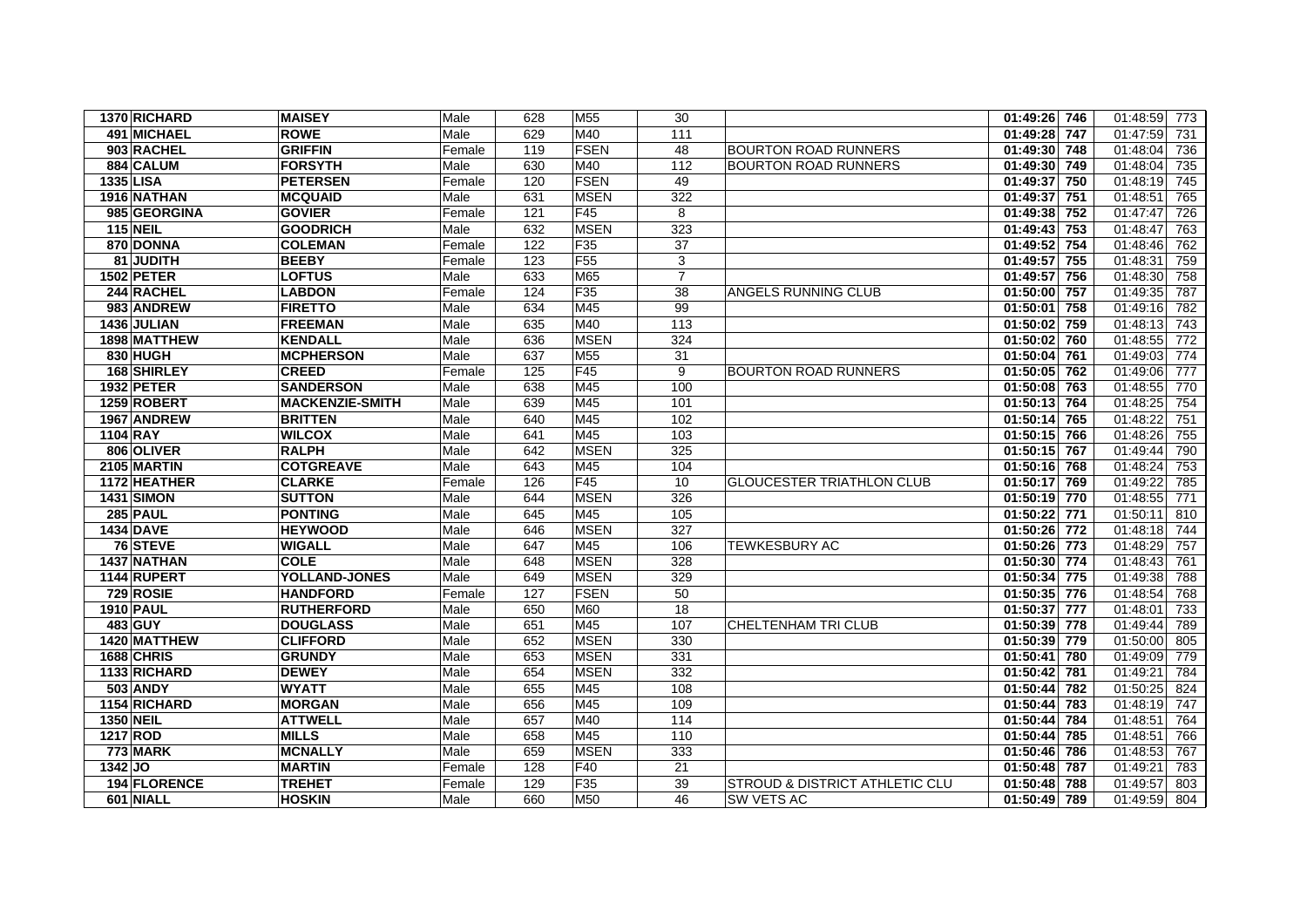| 1370 RICHARD      | <b>MAISEY</b>          | Male   | 628 | M <sub>55</sub> | 30             |                                           | 01:49:26 746    | 01:48:59<br>773 |
|-------------------|------------------------|--------|-----|-----------------|----------------|-------------------------------------------|-----------------|-----------------|
| 491 MICHAEL       | <b>ROWE</b>            | Male   | 629 | M40             | 111            |                                           | 01:49:28 747    | 01:47:59<br>731 |
| 903 RACHEL        | <b>GRIFFIN</b>         | Female | 119 | <b>FSEN</b>     | 48             | <b>BOURTON ROAD RUNNERS</b>               | 01:49:30 748    | 01:48:04<br>736 |
| 884 CALUM         | <b>FORSYTH</b>         | Male   | 630 | M40             | 112            | <b>BOURTON ROAD RUNNERS</b>               | 01:49:30 749    | 01:48:04<br>735 |
| 1335 LISA         | <b>PETERSEN</b>        | Female | 120 | <b>FSEN</b>     | 49             |                                           | 01:49:37<br>750 | 01:48:19<br>745 |
| 1916 NATHAN       | <b>MCQUAID</b>         | Male   | 631 | <b>MSEN</b>     | 322            |                                           | 01:49:37<br>751 | 01:48:51<br>765 |
| 985 GEORGINA      | <b>GOVIER</b>          | Female | 121 | F45             | 8              |                                           | $01:49:38$ 752  | 01:47:47<br>726 |
| <b>115 NEIL</b>   | <b>GOODRICH</b>        | Male   | 632 | <b>MSEN</b>     | 323            |                                           | 01:49:43<br>753 | 01:48:47<br>763 |
| 870 DONNA         | <b>COLEMAN</b>         | Female | 122 | F35             | 37             |                                           | 01:49:52<br>754 | 01:48:46<br>762 |
| 81 JUDITH         | <b>BEEBY</b>           | Female | 123 | F <sub>55</sub> | $\sqrt{3}$     |                                           | 755<br>01:49:57 | 01:48:31<br>759 |
| 1502 PETER        | <b>LOFTUS</b>          | Male   | 633 | M65             | $\overline{7}$ |                                           | 01:49:57<br>756 | 01:48:30<br>758 |
| 244 RACHEL        | <b>LABDON</b>          | Female | 124 | F35             | 38             | ANGELS RUNNING CLUB                       | 01:50:00<br>757 | 01:49:35<br>787 |
| 983 ANDREW        | <b>FIRETTO</b>         | Male   | 634 | M45             | 99             |                                           | 758<br>01:50:01 | 01:49:16<br>782 |
| 1436 JULIAN       | <b>FREEMAN</b>         | Male   | 635 | M40             | 113            |                                           | 01:50:02 759    | 01:48:13<br>743 |
| 1898 MATTHEW      | <b>KENDALL</b>         | Male   | 636 | <b>MSEN</b>     | 324            |                                           | 01:50:02<br>760 | 01:48:55<br>772 |
| 830 HUGH          | <b>MCPHERSON</b>       | Male   | 637 | M <sub>55</sub> | 31             |                                           | 01:50:04<br>761 | 01:49:03<br>774 |
| 168 SHIRLEY       | <b>CREED</b>           | Female | 125 | F45             | 9              | <b>BOURTON ROAD RUNNERS</b>               | 01:50:05 762    | 01:49:06<br>777 |
| <b>1932 PETER</b> | <b>SANDERSON</b>       | Male   | 638 | M45             | 100            |                                           | 01:50:08 763    | 01:48:55<br>770 |
| 1259 ROBERT       | <b>MACKENZIE-SMITH</b> | Male   | 639 | M45             | 101            |                                           | 01:50:13<br>764 | 01:48:25<br>754 |
| 1967 ANDREW       | <b>BRITTEN</b>         | Male   | 640 | M45             | 102            |                                           | 01:50:14<br>765 | 01:48:22<br>751 |
| 1104 RAY          | <b>WILCOX</b>          | Male   | 641 | M45             | 103            |                                           | 01:50:15 766    | 01:48:26<br>755 |
| 806 OLIVER        | <b>RALPH</b>           | Male   | 642 | <b>MSEN</b>     | 325            |                                           | 01:50:15<br>767 | 01:49:44<br>790 |
| 2105 MARTIN       | <b>COTGREAVE</b>       | Male   | 643 | M45             | 104            |                                           | $01:50:16$ 768  | 01:48:24<br>753 |
| 1172 HEATHER      | <b>CLARKE</b>          | Female | 126 | F45             | 10             | <b>GLOUCESTER TRIATHLON CLUB</b>          | 01:50:17 769    | 01:49:22<br>785 |
| <b>1431 SIMON</b> | <b>SUTTON</b>          | Male   | 644 | <b>MSEN</b>     | 326            |                                           | 01:50:19 770    | 01:48:55<br>771 |
| <b>285 PAUL</b>   | <b>PONTING</b>         | Male   | 645 | M45             | 105            |                                           | 771<br>01:50:22 | 01:50:11<br>810 |
| <b>1434 DAVE</b>  | <b>HEYWOOD</b>         | Male   | 646 | <b>MSEN</b>     | 327            |                                           | 01:50:26 772    | 01:48:18<br>744 |
| 76 STEVE          | <b>WIGALL</b>          | Male   | 647 | M45             | 106            | <b>TEWKESBURY AC</b>                      | 01:50:26 773    | 01:48:29<br>757 |
| 1437 NATHAN       | <b>COLE</b>            | Male   | 648 | <b>MSEN</b>     | 328            |                                           | 01:50:30 774    | 01:48:43<br>761 |
| 1144 RUPERT       | YOLLAND-JONES          | Male   | 649 | <b>MSEN</b>     | 329            |                                           | 01:50:34<br>775 | 01:49:38<br>788 |
| 729 ROSIE         | <b>HANDFORD</b>        | Female | 127 | <b>FSEN</b>     | 50             |                                           | 01:50:35 776    | 01:48:54<br>768 |
| 1910 PAUL         | <b>RUTHERFORD</b>      | Male   | 650 | M60             | 18             |                                           | 01:50:37<br>777 | 01:48:01<br>733 |
| 483 GUY           | <b>DOUGLASS</b>        | Male   | 651 | M45             | 107            | CHELTENHAM TRI CLUB                       | 01:50:39 778    | 01:49:44<br>789 |
| 1420 MATTHEW      | <b>CLIFFORD</b>        | Male   | 652 | <b>MSEN</b>     | 330            |                                           | 01:50:39 779    | 01:50:00<br>805 |
| 1688 CHRIS        | <b>GRUNDY</b>          | Male   | 653 | <b>MSEN</b>     | 331            |                                           | 01:50:41<br>780 | 01:49:09<br>779 |
| 1133 RICHARD      | <b>DEWEY</b>           | Male   | 654 | <b>MSEN</b>     | 332            |                                           | 781<br>01:50:42 | 01:49:21<br>784 |
| <b>503 ANDY</b>   | <b>WYATT</b>           | Male   | 655 | M45             | 108            |                                           | 01:50:44<br>782 | 01:50:25<br>824 |
| 1154 RICHARD      | <b>MORGAN</b>          | Male   | 656 | M45             | 109            |                                           | 783<br>01:50:44 | 01:48:19<br>747 |
| <b>1350 NEIL</b>  | <b>ATTWELL</b>         | Male   | 657 | M40             | 114            |                                           | 01:50:44<br>784 | 01:48:51<br>764 |
| 1217 ROD          | <b>MILLS</b>           | Male   | 658 | M45             | 110            |                                           | 01:50:44<br>785 | 01:48:51<br>766 |
| <b>773 MARK</b>   | <b>MCNALLY</b>         | Male   | 659 | <b>MSEN</b>     | 333            |                                           | 01:50:46<br>786 | 01:48:53<br>767 |
| $1342$ JO         | <b>MARTIN</b>          | Female | 128 | F40             | 21             |                                           | 01:50:48 787    | 01:49:21<br>783 |
| 194 FLORENCE      | <b>TREHET</b>          | Female | 129 | F <sub>35</sub> | 39             | <b>STROUD &amp; DISTRICT ATHLETIC CLU</b> | 01:50:48 788    | 01:49:57<br>803 |
| 601 NIALL         | <b>HOSKIN</b>          | Male   | 660 | M50             | 46             | SW VETS AC                                | 01:50:49 789    | 01:49:59<br>804 |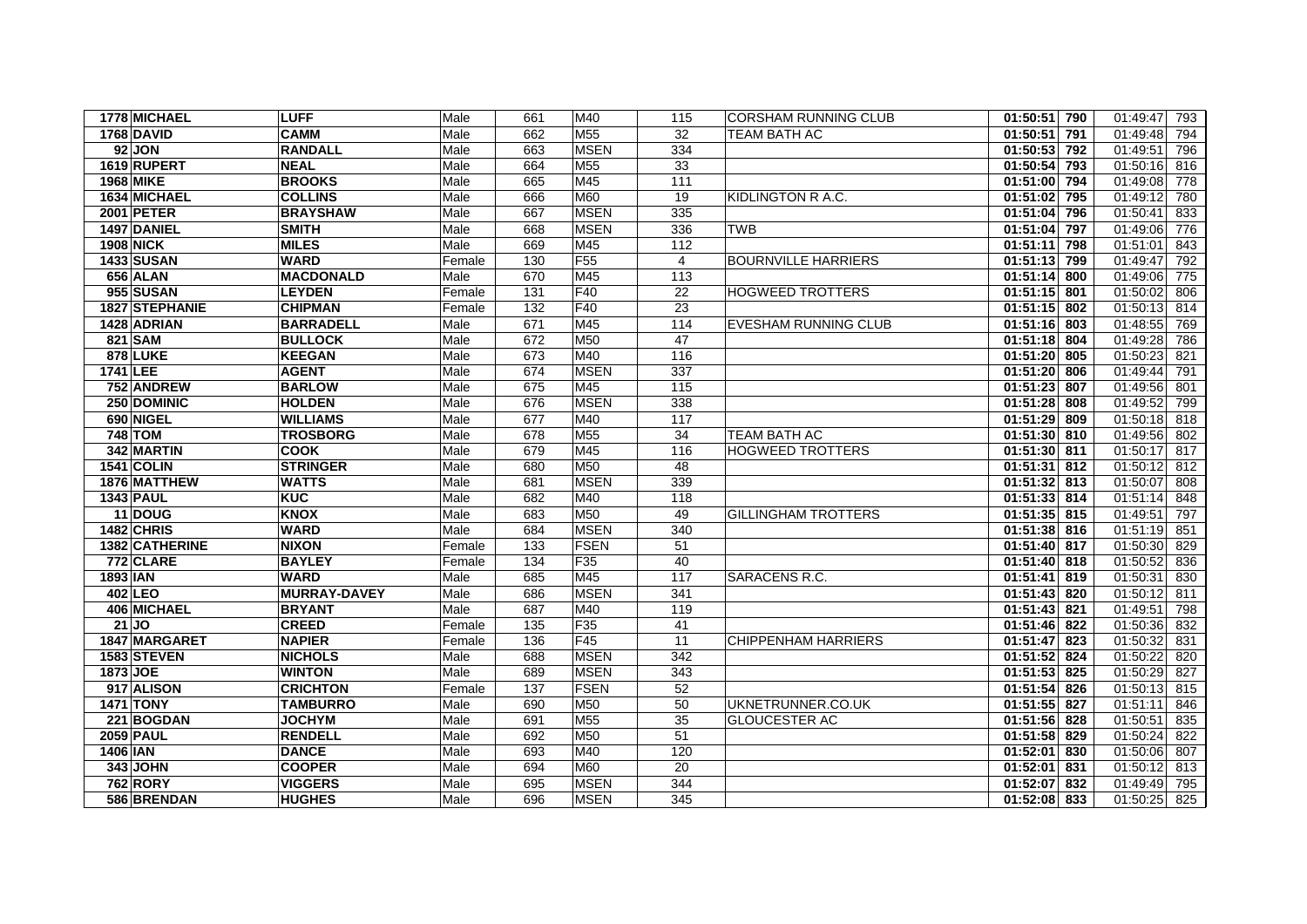| 1778 MICHAEL            | <b>LUFF</b>         | Male   | 661 | M40             | 115             | <b>CORSHAM RUNNING CLUB</b> | 01:50:51 790              | 01:49:47<br>793 |
|-------------------------|---------------------|--------|-----|-----------------|-----------------|-----------------------------|---------------------------|-----------------|
| <b>1768 DAVID</b>       | <b>CAMM</b>         | Male   | 662 | M <sub>55</sub> | 32              | <b>TEAM BATH AC</b>         | 01:50:51<br>791           | 01:49:48<br>794 |
| <b>92 JON</b>           | <b>RANDALL</b>      | Male   | 663 | <b>MSEN</b>     | 334             |                             | 01:50:53 792              | 01:49:51<br>796 |
| 1619 RUPERT             | <b>NEAL</b>         | Male   | 664 | M <sub>55</sub> | 33              |                             | 01:50:54<br>793           | 01:50:16<br>816 |
| <b>1968 MIKE</b>        | <b>BROOKS</b>       | Male   | 665 | M45             | 111             |                             | 01:51:00 794              | 01:49:08<br>778 |
| 1634 MICHAEL            | <b>COLLINS</b>      | Male   | 666 | M60             | 19              | KIDLINGTON R A.C.           | 01:51:02<br>795           | 01:49:12<br>780 |
| <b>2001 PETER</b>       | <b>BRAYSHAW</b>     | Male   | 667 | <b>MSEN</b>     | 335             |                             | 796<br>01:51:04           | 01:50:41<br>833 |
| 1497 DANIEL             | <b>SMITH</b>        | Male   | 668 | <b>MSEN</b>     | 336             | <b>TWB</b>                  | 01:51:04<br>797           | 01:49:06<br>776 |
| <b>1908 NICK</b>        | <b>MILES</b>        | Male   | 669 | M45             | 112             |                             | 01:51:11<br>798           | 01:51:01<br>843 |
| <b>1433 SUSAN</b>       | <b>WARD</b>         | Female | 130 | F <sub>55</sub> | $\overline{4}$  | <b>BOURNVILLE HARRIERS</b>  | 01:51:13 799              | 01:49:47<br>792 |
| 656 ALAN                | <b>MACDONALD</b>    | Male   | 670 | M45             | 113             |                             | 01:51:14<br>800           | 01:49:06<br>775 |
| 955 SUSAN               | <b>LEYDEN</b>       | Female | 131 | F40             | 22              | <b>HOGWEED TROTTERS</b>     | $01:51:15$ 801            | 01:50:02<br>806 |
| 1827 STEPHANIE          | <b>CHIPMAN</b>      | Female | 132 | <b>F40</b>      | 23              |                             | 01:51:15 802              | 01:50:13<br>814 |
| 1428 ADRIAN             | <b>BARRADELL</b>    | Male   | 671 | M45             | 114             | <b>EVESHAM RUNNING CLUB</b> | $\overline{01:}51:16$ 803 | 01:48:55<br>769 |
| 821 SAM                 | <b>BULLOCK</b>      | Male   | 672 | M50             | 47              |                             | 01:51:18 804              | 01:49:28<br>786 |
| 878 LUKE                | <b>KEEGAN</b>       | Male   | 673 | M40             | 116             |                             | 01:51:20 805              | 01:50:23<br>821 |
| 1741 LEE                | <b>AGENT</b>        | Male   | 674 | <b>MSEN</b>     | 337             |                             | 01:51:20<br>806           | 01:49:44<br>791 |
| 752 ANDREW              | <b>BARLOW</b>       | Male   | 675 | M45             | 115             |                             | 01:51:23 807              | 01:49:56<br>801 |
| 250 DOMINIC             | <b>HOLDEN</b>       | Male   | 676 | <b>MSEN</b>     | 338             |                             | 01:51:28 808              | 01:49:52<br>799 |
| 690 NIGEL               | <b>WILLIAMS</b>     | Male   | 677 | M40             | 117             |                             | 01:51:29 809              | 01:50:18<br>818 |
| <b>748 TOM</b>          | <b>TROSBORG</b>     | Male   | 678 | M <sub>55</sub> | 34              | <b>TEAM BATH AC</b>         | 01:51:30 810              | 01:49:56<br>802 |
| 342 MARTIN              | <b>COOK</b>         | Male   | 679 | M45             | 116             | <b>HOGWEED TROTTERS</b>     | 01:51:30 811              | 01:50:17<br>817 |
| <b>1541 COLIN</b>       | <b>STRINGER</b>     | Male   | 680 | M50             | 48              |                             | $01:51:31$ 812            | 01:50:12<br>812 |
| 1876 MATTHEW            | <b>WATTS</b>        | Male   | 681 | <b>MSEN</b>     | 339             |                             | 01:51:32 813              | 01:50:07<br>808 |
| <b>1343 PAUL</b>        | <b>KUC</b>          | Male   | 682 | M40             | 118             |                             | 01:51:33 814              | 01:51:14<br>848 |
| 11 DOUG                 | KNOX                | Male   | 683 | M50             | 49              | <b>GILLINGHAM TROTTERS</b>  | $01:51:35$ 815            | 01:49:51<br>797 |
| 1482 CHRIS              | <b>WARD</b>         | Male   | 684 | <b>MSEN</b>     | 340             |                             | $\overline{01:51:38}$ 816 | 01:51:19<br>851 |
| 1382 CATHERINE          | <b>NIXON</b>        | Female | 133 | <b>FSEN</b>     | 51              |                             | $\overline{01:51:40}$ 817 | 01:50:30<br>829 |
| 772 CLARE               | <b>BAYLEY</b>       | Female | 134 | F <sub>35</sub> | 40              |                             | 01:51:40 818              | 01:50:52<br>836 |
| $1893$ $\overline{IAN}$ | <b>WARD</b>         | Male   | 685 | M45             | 117             | SARACENS R.C.               | 01:51:41 819              | 01:50:31<br>830 |
| 402 LEO                 | <b>MURRAY-DAVEY</b> | Male   | 686 | <b>MSEN</b>     | 341             |                             | 01:51:43 820              | 01:50:12<br>811 |
| 406 MICHAEL             | <b>BRYANT</b>       | Male   | 687 | M40             | 119             |                             | 01:51:43<br>821           | 01:49:51<br>798 |
| $21$ JO                 | <b>CREED</b>        | Female | 135 | F35             | 41              |                             | 01:51:46 822              | 01:50:36<br>832 |
| 1847 MARGARET           | <b>NAPIER</b>       | Female | 136 | F45             | 11              | <b>CHIPPENHAM HARRIERS</b>  | 01:51:47<br>823           | 01:50:32<br>831 |
| 1583 STEVEN             | <b>NICHOLS</b>      | Male   | 688 | <b>MSEN</b>     | 342             |                             | 01:51:52 824              | 01:50:22<br>820 |
| 1873 JOE                | <b>WINTON</b>       | Male   | 689 | <b>MSEN</b>     | 343             |                             | 825<br>01:51:53           | 01:50:29<br>827 |
| 917 ALISON              | <b>CRICHTON</b>     | Female | 137 | <b>FSEN</b>     | 52              |                             | 01:51:54<br>826           | 01:50:13<br>815 |
| <b>1471 TONY</b>        | <b>TAMBURRO</b>     | Male   | 690 | M50             | 50              | UKNETRUNNER.CO.UK           | 01:51:55 827              | 01:51:11<br>846 |
| 221 BOGDAN              | <b>JOCHYM</b>       | Male   | 691 | M55             | 35              | <b>GLOUCESTER AC</b>        | 01:51:56 828              | 01:50:51<br>835 |
| 2059 PAUL               | <b>RENDELL</b>      | Male   | 692 | M50             | 51              |                             | 01:51:58 829              | 01:50:24<br>822 |
| 1406 IAN                | <b>DANCE</b>        | Male   | 693 | M40             | 120             |                             | 01:52:01<br>830           | 01:50:06<br>807 |
| 343 JOHN                | <b>COOPER</b>       | Male   | 694 | <b>M60</b>      | $\overline{20}$ |                             | 01:52:01<br>831           | 01:50:12<br>813 |
| <b>762 RORY</b>         | <b>VIGGERS</b>      | Male   | 695 | <b>MSEN</b>     | 344             |                             | 01:52:07 832              | 01:49:49<br>795 |
| 586 BRENDAN             | <b>HUGHES</b>       | Male   | 696 | <b>MSEN</b>     | 345             |                             | 01:52:08 833              | 01:50:25<br>825 |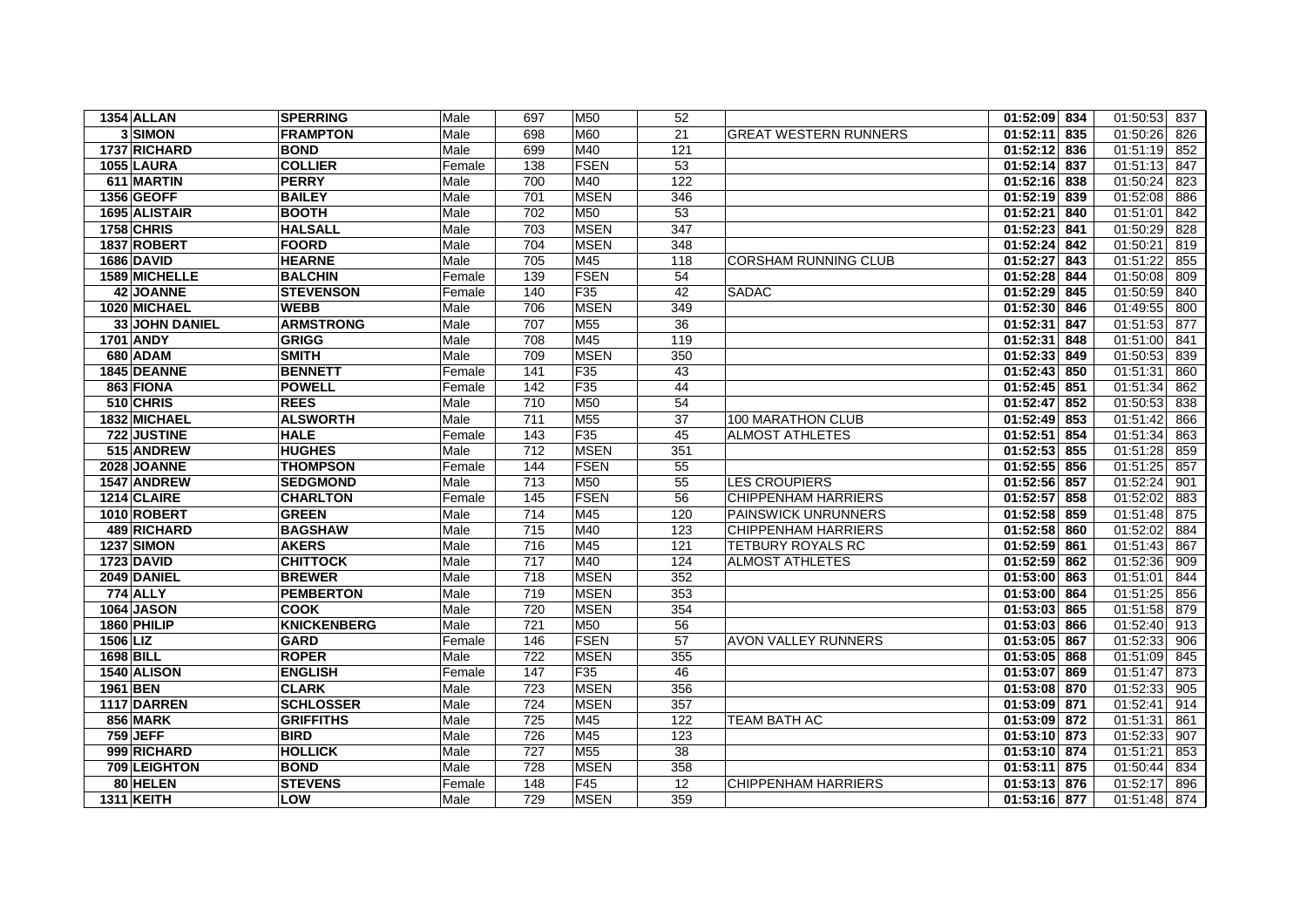| 1354 ALLAN        | <b>SPERRING</b>    | Male   | 697              | M50             | 52  |                              | 01:52:09 834    | 01:50:53<br>837 |
|-------------------|--------------------|--------|------------------|-----------------|-----|------------------------------|-----------------|-----------------|
| 3 SIMON           | <b>FRAMPTON</b>    | Male   | 698              | M60             | 21  | <b>GREAT WESTERN RUNNERS</b> | 01:52:11<br>835 | 01:50:26<br>826 |
| 1737 RICHARD      | <b>BOND</b>        | Male   | 699              | M40             | 121 |                              | 01:52:12 836    | 01:51:19<br>852 |
| 1055 LAURA        | <b>COLLIER</b>     | Female | 138              | <b>FSEN</b>     | 53  |                              | 01:52:14<br>837 | 01:51:13<br>847 |
| 611 MARTIN        | <b>PERRY</b>       | Male   | 700              | M40             | 122 |                              | 01:52:16<br>838 | 01:50:24<br>823 |
| 1356 GEOFF        | <b>BAILEY</b>      | Male   | 701              | <b>MSEN</b>     | 346 |                              | 01:52:19<br>839 | 01:52:08<br>886 |
| 1695 ALISTAIR     | <b>BOOTH</b>       | Male   | 702              | M <sub>50</sub> | 53  |                              | 01:52:21<br>840 | 01:51:01<br>842 |
| 1758 CHRIS        | <b>HALSALL</b>     | Male   | 703              | <b>MSEN</b>     | 347 |                              | 01:52:23<br>841 | 01:50:29<br>828 |
| 1837 ROBERT       | <b>FOORD</b>       | Male   | 704              | <b>MSEN</b>     | 348 |                              | 01:52:24<br>842 | 01:50:21<br>819 |
| 1686 DAVID        | <b>HEARNE</b>      | Male   | 705              | M45             | 118 | <b>CORSHAM RUNNING CLUB</b>  | 01:52:27<br>843 | 01:51:22<br>855 |
| 1589 MICHELLE     | <b>BALCHIN</b>     | Female | 139              | <b>FSEN</b>     | 54  |                              | 01:52:28<br>844 | 01:50:08<br>809 |
| <b>42 JOANNE</b>  | <b>STEVENSON</b>   | Female | 140              | F35             | 42  | <b>SADAC</b>                 | 01:52:29<br>845 | 01:50:59<br>840 |
| 1020 MICHAEL      | <b>WEBB</b>        | Male   | 706              | <b>MSEN</b>     | 349 |                              | 01:52:30 846    | 01:49:55<br>800 |
| 33 JOHN DANIEL    | <b>ARMSTRONG</b>   | Male   | 707              | M <sub>55</sub> | 36  |                              | 01:52:31<br>847 | 01:51:53<br>877 |
| <b>1701 ANDY</b>  | <b>GRIGG</b>       | Male   | 708              | M45             | 119 |                              | 01:52:31<br>848 | 01:51:00<br>841 |
| 680 ADAM          | <b>SMITH</b>       | Male   | 709              | <b>MSEN</b>     | 350 |                              | 01:52:33 849    | 01:50:53<br>839 |
| 1845 DEANNE       | <b>BENNETT</b>     | Female | 141              | F <sub>35</sub> | 43  |                              | 01:52:43<br>850 | 01:51:31<br>860 |
| 863 FIONA         | <b>POWELL</b>      | Female | 142              | F35             | 44  |                              | 01:52:45<br>851 | 01:51:34<br>862 |
| 510 CHRIS         | <b>REES</b>        | Male   | 710              | M50             | 54  |                              | 01:52:47<br>852 | 01:50:53<br>838 |
| 1832 MICHAEL      | <b>ALSWORTH</b>    | Male   | 711              | M <sub>55</sub> | 37  | 100 MARATHON CLUB            | 01:52:49<br>853 | 01:51:42<br>866 |
| 722 JUSTINE       | <b>HALE</b>        | Female | 143              | F <sub>35</sub> | 45  | <b>ALMOST ATHLETES</b>       | 01:52:51<br>854 | 01:51:34<br>863 |
| 515 ANDREW        | <b>HUGHES</b>      | Male   | 712              | <b>MSEN</b>     | 351 |                              | 01:52:53<br>855 | 01:51:28<br>859 |
| 2028 JOANNE       | <b>THOMPSON</b>    | Female | 144              | <b>FSEN</b>     | 55  |                              | 01:52:55<br>856 | 01:51:25<br>857 |
| 1547 ANDREW       | <b>SEDGMOND</b>    | Male   | 713              | M50             | 55  | <b>LES CROUPIERS</b>         | 01:52:56 857    | 01:52:24<br>901 |
| 1214 CLAIRE       | <b>CHARLTON</b>    | Female | 145              | <b>FSEN</b>     | 56  | <b>CHIPPENHAM HARRIERS</b>   | 01:52:57<br>858 | 01:52:02<br>883 |
| 1010 ROBERT       | <b>GREEN</b>       | Male   | 714              | M45             | 120 | <b>PAINSWICK UNRUNNERS</b>   | 01:52:58<br>859 | 01:51:48<br>875 |
| 489 RICHARD       | <b>BAGSHAW</b>     | Male   | 715              | M40             | 123 | <b>CHIPPENHAM HARRIERS</b>   | 01:52:58 860    | 01:52:02<br>884 |
| <b>1237 SIMON</b> | <b>AKERS</b>       | Male   | 716              | M45             | 121 | <b>TETBURY ROYALS RC</b>     | 01:52:59<br>861 | 01:51:43<br>867 |
| 1723 DAVID        | <b>CHITTOCK</b>    | Male   | $\frac{1}{717}$  | M40             | 124 | <b>ALMOST ATHLETES</b>       | 01:52:59 862    | 01:52:36<br>909 |
| 2049 DANIEL       | <b>BREWER</b>      | Male   | 718              | <b>MSEN</b>     | 352 |                              | 01:53:00 863    | 01:51:01<br>844 |
| <b>774 ALLY</b>   | <b>PEMBERTON</b>   | Male   | 719              | <b>MSEN</b>     | 353 |                              | 01:53:00<br>864 | 01:51:25<br>856 |
| <b>1064 JASON</b> | <b>COOK</b>        | Male   | 720              | <b>MSEN</b>     | 354 |                              | $01:53:03$ 865  | 01:51:58<br>879 |
| 1860 PHILIP       | <b>KNICKENBERG</b> | Male   | 721              | M50             | 56  |                              | 01:53:03<br>866 | 01:52:40<br>913 |
| 1506 LIZ          | <b>GARD</b>        | Female | 146              | <b>FSEN</b>     | 57  | <b>AVON VALLEY RUNNERS</b>   | 01:53:05<br>867 | 01:52:33<br>906 |
| <b>1698 BILL</b>  | <b>ROPER</b>       | Male   | 722              | <b>MSEN</b>     | 355 |                              | 01:53:05 868    | 01:51:09<br>845 |
| 1540 ALISON       | <b>ENGLISH</b>     | Female | 147              | F <sub>35</sub> | 46  |                              | 01:53:07<br>869 | 01:51:47<br>873 |
| 1961 BEN          | <b>CLARK</b>       | Male   | 723              | <b>MSEN</b>     | 356 |                              | 01:53:08 870    | 01:52:33<br>905 |
| 1117 DARREN       | <b>SCHLOSSER</b>   | Male   | 724              | <b>MSEN</b>     | 357 |                              | 01:53:09 871    | 01:52:41<br>914 |
| 856 MARK          | <b>GRIFFITHS</b>   | Male   | $\overline{725}$ | M45             | 122 | <b>TEAM BATH AC</b>          | 01:53:09 872    | 01:51:31<br>861 |
| <b>759 JEFF</b>   | <b>BIRD</b>        | Male   | 726              | M45             | 123 |                              | 01:53:10 873    | 01:52:33<br>907 |
| 999 RICHARD       | <b>HOLLICK</b>     | Male   | 727              | M <sub>55</sub> | 38  |                              | 01:53:10 874    | 01:51:21<br>853 |
| 709 LEIGHTON      | <b>BOND</b>        | Male   | 728              | <b>MSEN</b>     | 358 |                              | 01:53:11 875    | 01:50:44<br>834 |
| 80 HELEN          | <b>STEVENS</b>     | Female | 148              | F45             | 12  | <b>CHIPPENHAM HARRIERS</b>   | 01:53:13 876    | 01:52:17<br>896 |
| <b>1311 KEITH</b> | LOW                | Male   | 729              | <b>MSEN</b>     | 359 |                              | 01:53:16 877    | 01:51:48<br>874 |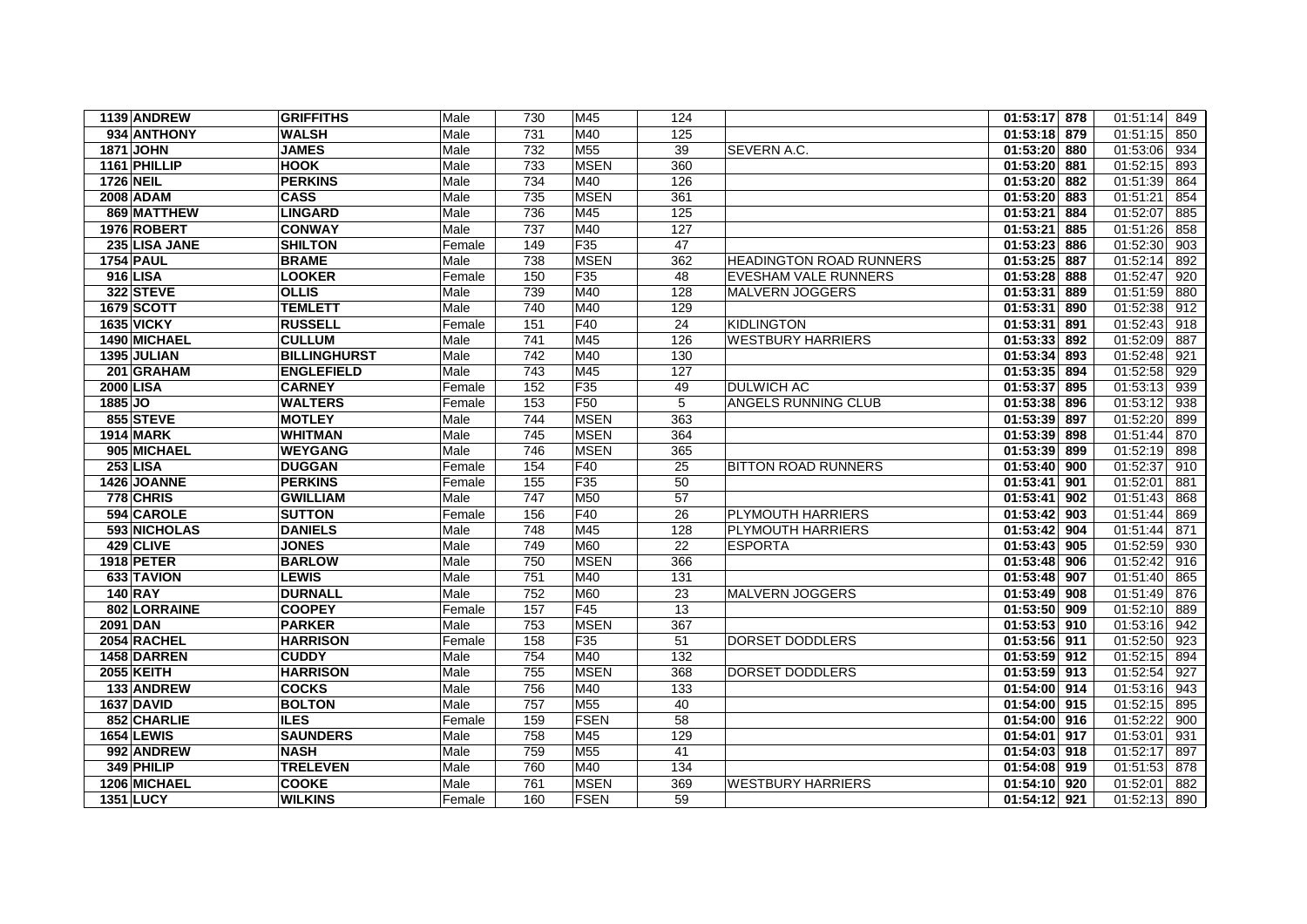| 1139 ANDREW       | <b>GRIFFITHS</b>    | Male   | 730 | M45             | 124 |                                | 01:53:17 878    | 01:51:14 849    |
|-------------------|---------------------|--------|-----|-----------------|-----|--------------------------------|-----------------|-----------------|
| 934 ANTHONY       | <b>WALSH</b>        | Male   | 731 | M40             | 125 |                                | 01:53:18 879    | 01:51:15<br>850 |
| <b>1871 JOHN</b>  | <b>JAMES</b>        | Male   | 732 | M <sub>55</sub> | 39  | SEVERN A.C.                    | 01:53:20 880    | 01:53:06<br>934 |
| 1161 PHILLIP      | <b>HOOK</b>         | Male   | 733 | <b>MSEN</b>     | 360 |                                | 01:53:20 881    | 01:52:15<br>893 |
| <b>1726 NEIL</b>  | <b>PERKINS</b>      | Male   | 734 | M40             | 126 |                                | 01:53:20<br>882 | 01:51:39<br>864 |
| 2008 ADAM         | <b>CASS</b>         | Male   | 735 | <b>MSEN</b>     | 361 |                                | 01:53:20<br>883 | 01:51:21<br>854 |
| 869 MATTHEW       | <b>LINGARD</b>      | Male   | 736 | M45             | 125 |                                | 01:53:21<br>884 | 01:52:07<br>885 |
| 1976 ROBERT       | <b>CONWAY</b>       | Male   | 737 | M40             | 127 |                                | 01:53:21<br>885 | 01:51:26<br>858 |
| 235 LISA JANE     | <b>SHILTON</b>      | Female | 149 | F <sub>35</sub> | 47  |                                | 01:53:23<br>886 | 01:52:30<br>903 |
| <b>1754 PAUL</b>  | <b>BRAME</b>        | Male   | 738 | <b>MSEN</b>     | 362 | <b>HEADINGTON ROAD RUNNERS</b> | 01:53:25<br>887 | 01:52:14<br>892 |
| 916 LISA          | <b>LOOKER</b>       | Female | 150 | F <sub>35</sub> | 48  | <b>EVESHAM VALE RUNNERS</b>    | 01:53:28<br>888 | 01:52:47<br>920 |
| 322 STEVE         | <b>OLLIS</b>        | Male   | 739 | M40             | 128 | MALVERN JOGGERS                | 01:53:31<br>889 | 01:51:59<br>880 |
| 1679 SCOTT        | <b>TEMLETT</b>      | Male   | 740 | M40             | 129 |                                | 01:53:31<br>890 | 01:52:38<br>912 |
| <b>1635 VICKY</b> | <b>RUSSELL</b>      | Female | 151 | F40             | 24  | <b>KIDLINGTON</b>              | 01:53:31<br>891 | 01:52:43<br>918 |
| 1490 MICHAEL      | <b>CULLUM</b>       | Male   | 741 | M45             | 126 | <b>WESTBURY HARRIERS</b>       | 01:53:33<br>892 | 01:52:09<br>887 |
| 1395 JULIAN       | <b>BILLINGHURST</b> | Male   | 742 | M40             | 130 |                                | 01:53:34<br>893 | 01:52:48<br>921 |
| 201 GRAHAM        | <b>ENGLEFIELD</b>   | Male   | 743 | M45             | 127 |                                | 01:53:35 894    | 01:52:58<br>929 |
| <b>2000 LISA</b>  | <b>CARNEY</b>       | Female | 152 | F <sub>35</sub> | 49  | <b>DULWICH AC</b>              | 01:53:37<br>895 | 01:53:13<br>939 |
| 1885 JO           | <b>WALTERS</b>      | Female | 153 | F50             | 5   | <b>ANGELS RUNNING CLUB</b>     | 01:53:38<br>896 | 01:53:12<br>938 |
| 855 STEVE         | <b>MOTLEY</b>       | Male   | 744 | <b>MSEN</b>     | 363 |                                | 01:53:39 897    | 01:52:20<br>899 |
| <b>1914 MARK</b>  | <b>WHITMAN</b>      | Male   | 745 | <b>MSEN</b>     | 364 |                                | 01:53:39<br>898 | 01:51:44<br>870 |
| 905 MICHAEL       | <b>WEYGANG</b>      | Male   | 746 | <b>MSEN</b>     | 365 |                                | 01:53:39<br>899 | 01:52:19<br>898 |
| <b>253 LISA</b>   | <b>DUGGAN</b>       | Female | 154 | F40             | 25  | <b>BITTON ROAD RUNNERS</b>     | 01:53:40 900    | 01:52:37<br>910 |
| 1426 JOANNE       | <b>PERKINS</b>      | Female | 155 | F <sub>35</sub> | 50  |                                | 01:53:41<br>901 | 01:52:01<br>881 |
| 778 CHRIS         | <b>GWILLIAM</b>     | Male   | 747 | M50             | 57  |                                | 01:53:41<br>902 | 01:51:43<br>868 |
| 594 CAROLE        | <b>SUTTON</b>       | Female | 156 | F40             | 26  | <b>PLYMOUTH HARRIERS</b>       | 01:53:42<br>903 | 01:51:44<br>869 |
| 593 NICHOLAS      | <b>DANIELS</b>      | Male   | 748 | M45             | 128 | <b>PLYMOUTH HARRIERS</b>       | 01:53:42<br>904 | 01:51:44<br>871 |
| 429 CLIVE         | <b>JONES</b>        | Male   | 749 | M60             | 22  | <b>ESPORTA</b>                 | 01:53:43 905    | 01:52:59<br>930 |
| <b>1918 PETER</b> | <b>BARLOW</b>       | Male   | 750 | <b>MSEN</b>     | 366 |                                | 01:53:48<br>906 | 01:52:42<br>916 |
| 633 TAVION        | <b>LEWIS</b>        | Male   | 751 | M40             | 131 |                                | 01:53:48 907    | 01:51:40<br>865 |
| <b>140 RAY</b>    | <b>DURNALL</b>      | Male   | 752 | M60             | 23  | <b>MALVERN JOGGERS</b>         | 01:53:49 908    | 01:51:49<br>876 |
| 802 LORRAINE      | <b>COOPEY</b>       | Female | 157 | F45             | 13  |                                | $01:53:50$ 909  | 01:52:10<br>889 |
| 2091 DAN          | <b>PARKER</b>       | Male   | 753 | <b>MSEN</b>     | 367 |                                | 01:53:53 910    | 01:53:16<br>942 |
| 2054 RACHEL       | <b>HARRISON</b>     | Female | 158 | F <sub>35</sub> | 51  | <b>DORSET DODDLERS</b>         | 01:53:56 911    | 01:52:50<br>923 |
| 1458 DARREN       | <b>CUDDY</b>        | Male   | 754 | M40             | 132 |                                | 01:53:59<br>912 | 01:52:15<br>894 |
| <b>2055 KEITH</b> | <b>HARRISON</b>     | Male   | 755 | <b>MSEN</b>     | 368 | DORSET DODDLERS                | 01:53:59 913    | 01:52:54<br>927 |
| 133 ANDREW        | <b>COCKS</b>        | Male   | 756 | M40             | 133 |                                | 01:54:00 914    | 01:53:16<br>943 |
| 1637 DAVID        | <b>BOLTON</b>       | Male   | 757 | M <sub>55</sub> | 40  |                                | 01:54:00 915    | 01:52:15<br>895 |
| 852 CHARLIE       | <b>ILES</b>         | Female | 159 | <b>FSEN</b>     | 58  |                                | 01:54:00 916    | 01:52:22<br>900 |
| <b>1654 LEWIS</b> | <b>SAUNDERS</b>     | Male   | 758 | M45             | 129 |                                | 01:54:01<br>917 | 01:53:01<br>931 |
| 992 ANDREW        | <b>NASH</b>         | Male   | 759 | M <sub>55</sub> | 41  |                                | 01:54:03 918    | 01:52:17<br>897 |
| 349 PHILIP        | <b>TRELEVEN</b>     | Male   | 760 | M40             | 134 |                                | 01:54:08 919    | 01:51:53<br>878 |
| 1206 MICHAEL      | <b>COOKE</b>        | Male   | 761 | <b>MSEN</b>     | 369 | <b>WESTBURY HARRIERS</b>       | 01:54:10 920    | 01:52:01<br>882 |
| <b>1351 LUCY</b>  | <b>WILKINS</b>      | Female | 160 | <b>FSEN</b>     | 59  |                                | 01:54:12 921    | 01:52:13 890    |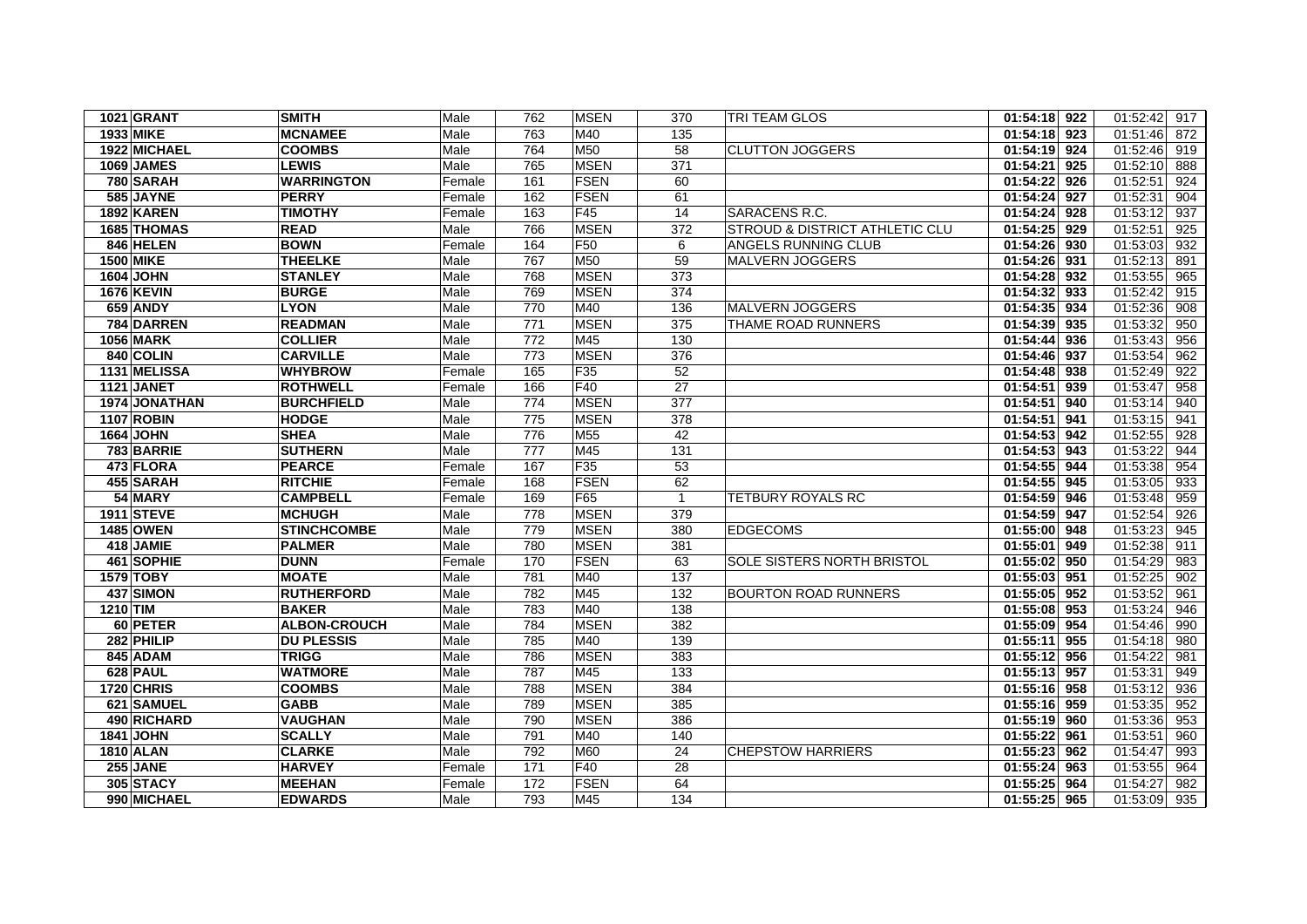| <b>1021 GRANT</b> | <b>SMITH</b>        | Male   | 762 | <b>MSEN</b>     | 370            | <b>TRI TEAM GLOS</b>                      | 01:54:18 922              | 01:52:42 917    |
|-------------------|---------------------|--------|-----|-----------------|----------------|-------------------------------------------|---------------------------|-----------------|
| 1933 MIKE         | <b>MCNAMEE</b>      | Male   | 763 | M40             | 135            |                                           | 01:54:18 923              | $01:51:46$ 872  |
| 1922 MICHAEL      | <b>COOMBS</b>       | Male   | 764 | M50             | 58             | <b>CLUTTON JOGGERS</b>                    | 01:54:19 924              | 01:52:46<br>919 |
| 1069 JAMES        | <b>LEWIS</b>        | Male   | 765 | <b>MSEN</b>     | 371            |                                           | 01:54:21 925              | 01:52:10<br>888 |
| 780 SARAH         | <b>WARRINGTON</b>   | Female | 161 | <b>FSEN</b>     | 60             |                                           | 01:54:22 926              | 01:52:51<br>924 |
| 585 JAYNE         | <b>PERRY</b>        | Female | 162 | <b>FSEN</b>     | 61             |                                           | 01:54:24 927              | 01:52:31<br>904 |
| 1892 KAREN        | <b>TIMOTHY</b>      | Female | 163 | F45             | 14             | SARACENS R.C.                             | $01:54:24$ 928            | 01:53:12<br>937 |
| 1685 THOMAS       | <b>READ</b>         | Male   | 766 | <b>MSEN</b>     | 372            | <b>STROUD &amp; DISTRICT ATHLETIC CLU</b> | 01:54:25 929              | 01:52:51<br>925 |
| 846 HELEN         | <b>BOWN</b>         | Female | 164 | F <sub>50</sub> | 6              | ANGELS RUNNING CLUB                       | 01:54:26 930              | 01:53:03<br>932 |
| <b>1500 MIKE</b>  | <b>THEELKE</b>      | Male   | 767 | <b>M50</b>      | 59             | <b>MALVERN JOGGERS</b>                    | 01:54:26 931              | 01:52:13<br>891 |
| <b>1604 JOHN</b>  | <b>STANLEY</b>      | Male   | 768 | <b>MSEN</b>     | 373            |                                           | 01:54:28 932              | 01:53:55<br>965 |
| <b>1676 KEVIN</b> | <b>BURGE</b>        | Male   | 769 | <b>MSEN</b>     | 374            |                                           | 01:54:32 933              | 01:52:42<br>915 |
| 659 ANDY          | <b>LYON</b>         | Male   | 770 | M40             | 136            | MALVERN JOGGERS                           | 01:54:35 934              | 01:52:36<br>908 |
| 784 DARREN        | <b>READMAN</b>      | Male   | 771 | <b>MSEN</b>     | 375            | THAME ROAD RUNNERS                        | 01:54:39 935              | 01:53:32<br>950 |
| <b>1056 MARK</b>  | <b>COLLIER</b>      | Male   | 772 | M45             | 130            |                                           | 01:54:44 936              | 01:53:43<br>956 |
| 840 COLIN         | <b>CARVILLE</b>     | Male   | 773 | <b>MSEN</b>     | 376            |                                           | 01:54:46 937              | 01:53:54<br>962 |
| 1131 MELISSA      | <b>WHYBROW</b>      | Female | 165 | F <sub>35</sub> | 52             |                                           | 01:54:48 938              | 01:52:49<br>922 |
| 1121 JANET        | <b>ROTHWELL</b>     | Female | 166 | F40             | 27             |                                           | 01:54:51 939              | 01:53:47<br>958 |
| 1974 JONATHAN     | <b>BURCHFIELD</b>   | Male   | 774 | <b>MSEN</b>     | 377            |                                           | 01:54:51 940              | 01:53:14<br>940 |
| <b>1107 ROBIN</b> | <b>HODGE</b>        | Male   | 775 | <b>MSEN</b>     | 378            |                                           | 01:54:51 941              | 01:53:15<br>941 |
| 1664 JOHN         | <b>SHEA</b>         | Male   | 776 | M <sub>55</sub> | 42             |                                           | 01:54:53 942              | 01:52:55<br>928 |
| 783 BARRIE        | <b>SUTHERN</b>      | Male   | 777 | M45             | 131            |                                           | 01:54:53 943              | 01:53:22<br>944 |
| 473 FLORA         | <b>PEARCE</b>       | Female | 167 | F35             | 53             |                                           | 01:54:55 944              | 01:53:38<br>954 |
| 455 SARAH         | <b>RITCHIE</b>      | Female | 168 | <b>FSEN</b>     | 62             |                                           | 01:54:55 945              | 01:53:05<br>933 |
| 54 MARY           | <b>CAMPBELL</b>     | Female | 169 | F65             | $\overline{1}$ | <b>TETBURY ROYALS RC</b>                  | 01:54:59 946              | 01:53:48<br>959 |
| <b>1911 STEVE</b> | <b>MCHUGH</b>       | Male   | 778 | <b>MSEN</b>     | 379            |                                           | 01:54:59 947              | 01:52:54<br>926 |
| 1485 OWEN         | <b>STINCHCOMBE</b>  | Male   | 779 | <b>MSEN</b>     | 380            | <b>EDGECOMS</b>                           | 01:55:00 948              | 01:53:23<br>945 |
| 418 JAMIE         | <b>PALMER</b>       | Male   | 780 | <b>MSEN</b>     | 381            |                                           | 01:55:01 949              | 01:52:38<br>911 |
| 461 SOPHIE        | <b>DUNN</b>         | Female | 170 | <b>FSEN</b>     | 63             | <b>SOLE SISTERS NORTH BRISTOL</b>         | 01:55:02 950              | 01:54:29<br>983 |
| 1579 TOBY         | <b>MOATE</b>        | Male   | 781 | M40             | 137            |                                           | 01:55:03 951              | 01:52:25<br>902 |
| 437 SIMON         | <b>RUTHERFORD</b>   | Male   | 782 | M45             | 132            | <b>BOURTON ROAD RUNNERS</b>               | $\overline{01:55:05}$ 952 | 01:53:52<br>961 |
| 1210 TIM          | <b>BAKER</b>        | Male   | 783 | M40             | 138            |                                           | 01:55:08 953              | 01:53:24<br>946 |
| 60 PETER          | <b>ALBON-CROUCH</b> | Male   | 784 | <b>MSEN</b>     | 382            |                                           | $\overline{01:}55:09$ 954 | 01:54:46<br>990 |
| 282 PHILIP        | <b>DU PLESSIS</b>   | Male   | 785 | M40             | 139            |                                           | 01:55:11 955              | 01:54:18<br>980 |
| 845 ADAM          | <b>TRIGG</b>        | Male   | 786 | <b>MSEN</b>     | 383            |                                           | 01:55:12 956              | 01:54:22<br>981 |
| 628 PAUL          | <b>WATMORE</b>      | Male   | 787 | M45             | 133            |                                           | 01:55:13 957              | 01:53:31<br>949 |
| 1720 CHRIS        | <b>COOMBS</b>       | Male   | 788 | <b>MSEN</b>     | 384            |                                           | 01:55:16 958              | 01:53:12<br>936 |
| 621 SAMUEL        | <b>GABB</b>         | Male   | 789 | <b>MSEN</b>     | 385            |                                           | 01:55:16 959              | 01:53:35<br>952 |
| 490 RICHARD       | <b>VAUGHAN</b>      | Male   | 790 | <b>MSEN</b>     | 386            |                                           | 01:55:19 960              | 01:53:36<br>953 |
| <b>1841 JOHN</b>  | <b>SCALLY</b>       | Male   | 791 | M40             | 140            |                                           | 01:55:22 961              | 01:53:51<br>960 |
| <b>1810 ALAN</b>  | <b>CLARKE</b>       | Male   | 792 | M60             | 24             | <b>CHEPSTOW HARRIERS</b>                  | 01:55:23 962              | 01:54:47<br>993 |
| 255 JANE          | <b>HARVEY</b>       | Female | 171 | F40             | 28             |                                           | 01:55:24 963              | 01:53:55<br>964 |
| 305 STACY         | <b>MEEHAN</b>       | Female | 172 | <b>FSEN</b>     | 64             |                                           | 01:55:25 964              | 01:54:27<br>982 |
| 990 MICHAEL       | <b>EDWARDS</b>      | Male   | 793 | M45             | 134            |                                           | 01:55:25 965              | 01:53:09 935    |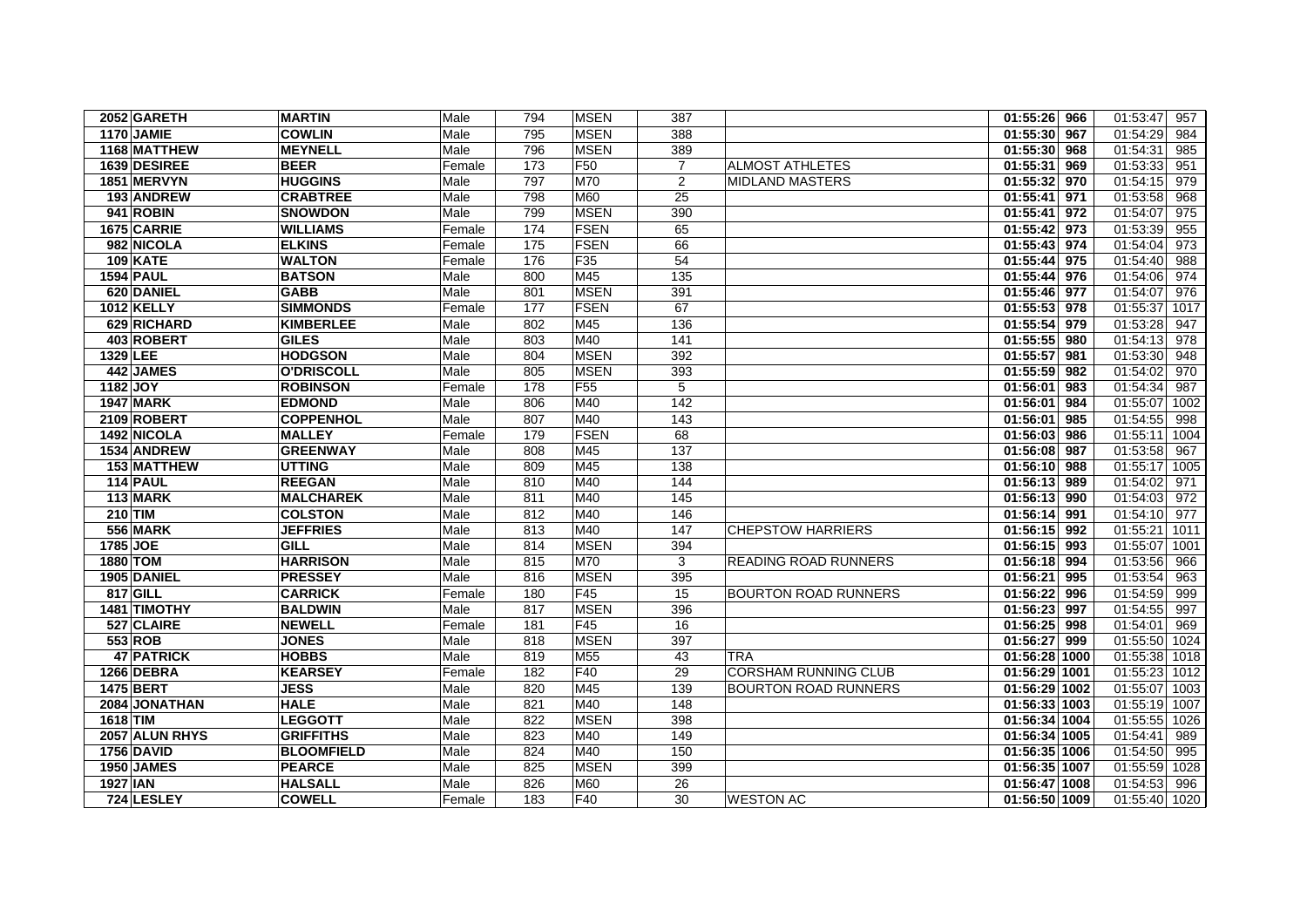| 2052 GARETH       | <b>MARTIN</b>     | Male   | 794 | <b>MSEN</b>     | 387            |                             | 01:55:26 966              | 01:53:47<br>957  |
|-------------------|-------------------|--------|-----|-----------------|----------------|-----------------------------|---------------------------|------------------|
| <b>1170 JAMIE</b> | <b>COWLIN</b>     | Male   | 795 | <b>MSEN</b>     | 388            |                             | 01:55:30 967              | 01:54:29<br>984  |
| 1168 MATTHEW      | <b>MEYNELL</b>    | Male   | 796 | <b>MSEN</b>     | 389            |                             | $01:55:30$ 968            | 01:54:31<br>985  |
| 1639 DESIREE      | <b>BEER</b>       | Female | 173 | F <sub>50</sub> | $\overline{7}$ | <b>ALMOST ATHLETES</b>      | 01:55:31 969              | 01:53:33<br>951  |
| 1851 MERVYN       | <b>HUGGINS</b>    | Male   | 797 | <b>M70</b>      | 2              | <b>MIDLAND MASTERS</b>      | 01:55:32 970              | 01:54:15<br>979  |
| 193 ANDREW        | <b>CRABTREE</b>   | Male   | 798 | M60             | 25             |                             | 01:55:41 971              | 01:53:58<br>968  |
| 941 ROBIN         | <b>SNOWDON</b>    | Male   | 799 | <b>MSEN</b>     | 390            |                             | 01:55:41 972              | 01:54:07<br>975  |
| 1675 CARRIE       | <b>WILLIAMS</b>   | Female | 174 | <b>FSEN</b>     | 65             |                             | 01:55:42 973              | 01:53:39<br>955  |
| 982 NICOLA        | <b>ELKINS</b>     | Female | 175 | <b>FSEN</b>     | 66             |                             | 01:55:43 974              | 01:54:04<br>973  |
| <b>109 KATE</b>   | <b>WALTON</b>     | Female | 176 | F35             | 54             |                             | 01:55:44 975              | 01:54:40<br>988  |
| <b>1594 PAUL</b>  | <b>BATSON</b>     | Male   | 800 | M45             | 135            |                             | $\overline{01:55:44}$ 976 | 01:54:06<br>974  |
| 620 DANIEL        | <b>GABB</b>       | Male   | 801 | <b>MSEN</b>     | 391            |                             | 01:55:46 977              | 01:54:07<br>976  |
| 1012 KELLY        | <b>SIMMONDS</b>   | Female | 177 | <b>FSEN</b>     | 67             |                             | 01:55:53 978              | 01:55:37<br>1017 |
| 629 RICHARD       | <b>KIMBERLEE</b>  | Male   | 802 | M45             | 136            |                             | 01:55:54 979              | 01:53:28<br>947  |
| 403 ROBERT        | <b>GILES</b>      | Male   | 803 | M40             | 141            |                             | 01:55:55 980              | 01:54:13<br>978  |
| 1329 LEE          | <b>HODGSON</b>    | Male   | 804 | <b>MSEN</b>     | 392            |                             | 01:55:57 981              | 01:53:30<br>948  |
| 442 JAMES         | <b>O'DRISCOLL</b> | Male   | 805 | <b>MSEN</b>     | 393            |                             | 01:55:59 982              | 01:54:02<br>970  |
| 1182 JOY          | <b>ROBINSON</b>   | Female | 178 | F <sub>55</sub> | 5              |                             | 01:56:01 983              | 01:54:34<br>987  |
| <b>1947 MARK</b>  | <b>EDMOND</b>     | Male   | 806 | M40             | 142            |                             | 01:56:01 984              | 01:55:07<br>1002 |
| 2109 ROBERT       | <b>COPPENHOL</b>  | Male   | 807 | M40             | 143            |                             | 01:56:01 985              | 01:54:55<br>998  |
| 1492 NICOLA       | <b>MALLEY</b>     | Female | 179 | <b>FSEN</b>     | 68             |                             | 01:56:03 986              | 01:55:11<br>1004 |
| 1534 ANDREW       | <b>GREENWAY</b>   | Male   | 808 | M45             | 137            |                             | 01:56:08 987              | 01:53:58<br>967  |
| 153 MATTHEW       | <b>UTTING</b>     | Male   | 809 | M45             | 138            |                             | 01:56:10 988              | 01:55:17 1005    |
| 114 PAUL          | <b>REEGAN</b>     | Male   | 810 | M40             | 144            |                             | 01:56:13 989              | 01:54:02<br>971  |
| 113 MARK          | <b>MALCHAREK</b>  | Male   | 811 | M40             | 145            |                             | 01:56:13 990              | 01:54:03<br>972  |
| 210 TIM           | <b>COLSTON</b>    | Male   | 812 | M40             | 146            |                             | 01:56:14 991              | 01:54:10<br>977  |
| <b>556 MARK</b>   | <b>JEFFRIES</b>   | Male   | 813 | M40             | 147            | <b>CHEPSTOW HARRIERS</b>    | 01:56:15 992              | 01:55:21<br>1011 |
| 1785 JOE          | <b>GILL</b>       | Male   | 814 | <b>MSEN</b>     | 394            |                             | 01:56:15 993              | 01:55:07<br>1001 |
| 1880 TOM          | <b>HARRISON</b>   | Male   | 815 | <b>M70</b>      | 3              | <b>READING ROAD RUNNERS</b> | 01:56:18 994              | 01:53:56<br>966  |
| 1905 DANIEL       | <b>PRESSEY</b>    | Male   | 816 | <b>MSEN</b>     | 395            |                             | 01:56:21 995              | 01:53:54<br>963  |
| 817 GILL          | <b>CARRICK</b>    | Female | 180 | F45             | 15             | <b>BOURTON ROAD RUNNERS</b> | 01:56:22 996              | 01:54:59<br>999  |
| 1481 TIMOTHY      | <b>BALDWIN</b>    | Male   | 817 | <b>MSEN</b>     | 396            |                             | 01:56:23 997              | 01:54:55<br>997  |
| 527 CLAIRE        | <b>NEWELL</b>     | Female | 181 | F45             | 16             |                             | 01:56:25 998              | 01:54:01<br>969  |
| 553 ROB           | <b>JONES</b>      | Male   | 818 | <b>MSEN</b>     | 397            |                             | 01:56:27 999              | 01:55:50<br>1024 |
| <b>47 PATRICK</b> | <b>HOBBS</b>      | Male   | 819 | M55             | 43             | TRA                         | 01:56:28 1000             | 01:55:38<br>1018 |
| 1266 DEBRA        | <b>KEARSEY</b>    | Female | 182 | F40             | 29             | CORSHAM RUNNING CLUB        | 01:56:29 1001             | 01:55:23 1012    |
| <b>1475 BERT</b>  | <b>JESS</b>       | Male   | 820 | M45             | 139            | <b>BOURTON ROAD RUNNERS</b> | 01:56:29 1002             | 01:55:07 1003    |
| 2084 JONATHAN     | <b>HALE</b>       | Male   | 821 | M40             | 148            |                             | 01:56:33 1003             | 01:55:19<br>1007 |
| 1618 TIM          | <b>LEGGOTT</b>    | Male   | 822 | <b>MSEN</b>     | 398            |                             | 01:56:34 1004             | 01:55:55<br>1026 |
| 2057 ALUN RHYS    | <b>GRIFFITHS</b>  | Male   | 823 | M40             | 149            |                             | 01:56:34 1005             | 01:54:41<br>989  |
| <b>1756 DAVID</b> | <b>BLOOMFIELD</b> | Male   | 824 | M40             | 150            |                             | 01:56:35 1006             | 01:54:50<br>995  |
| 1950 JAMES        | <b>PEARCE</b>     | Male   | 825 | <b>MSEN</b>     | 399            |                             | 01:56:35 1007             | 01:55:59<br>1028 |
| <b>1927 IAN</b>   | <b>HALSALL</b>    | Male   | 826 | <b>M60</b>      | 26             |                             | 01:56:47 1008             | 01:54:53<br>996  |
| 724 LESLEY        | <b>COWELL</b>     | Female | 183 | F40             | 30             | <b>WESTON AC</b>            | 01:56:50 1009             | 01:55:40 1020    |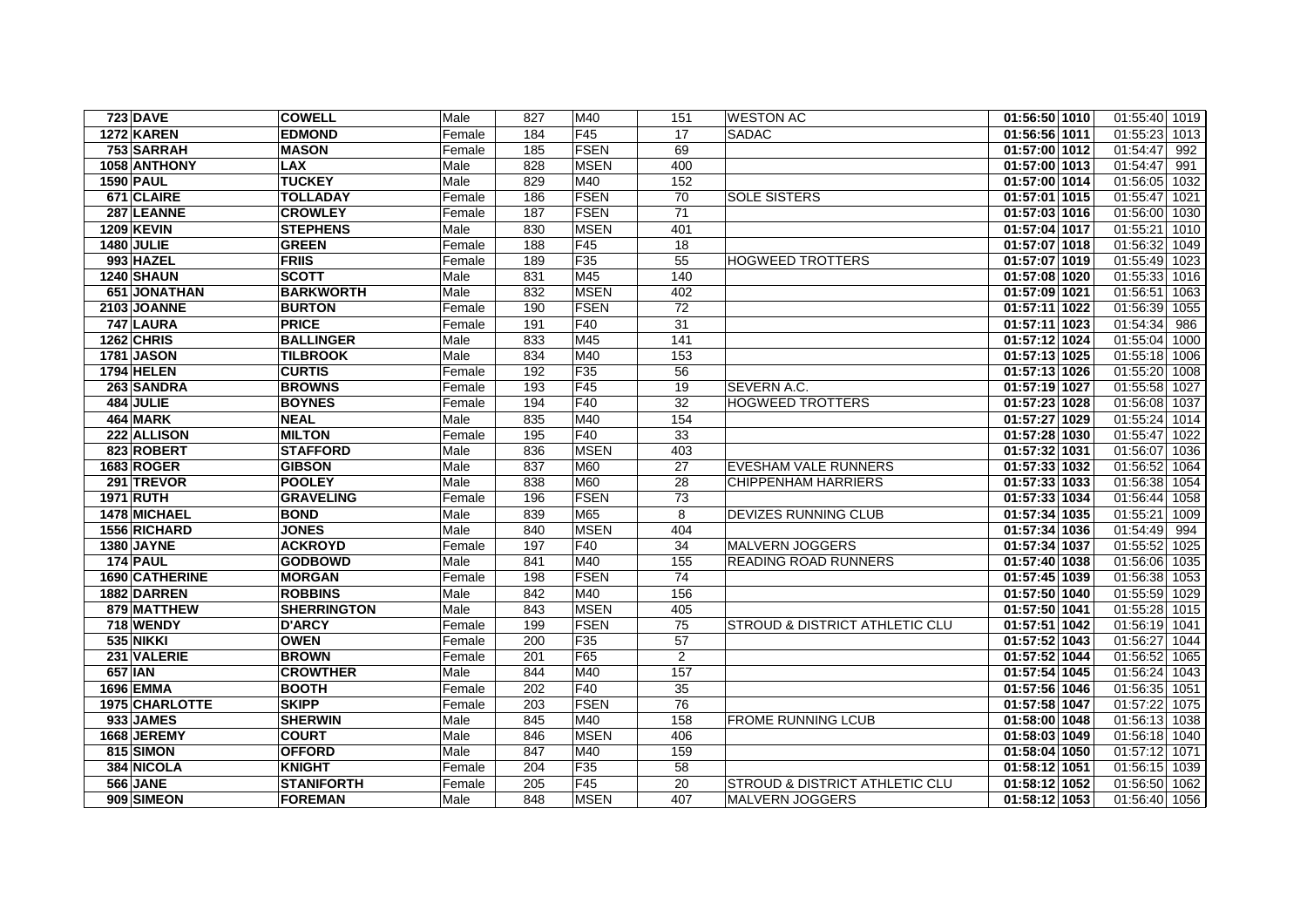|                   | <b>723 DAVE</b>   | <b>COWELL</b>      | Male   | 827 | M40             | 151            | <b>WESTON AC</b>                          | 01:56:50 1010 | 01:55:40 1019    |
|-------------------|-------------------|--------------------|--------|-----|-----------------|----------------|-------------------------------------------|---------------|------------------|
|                   | 1272 KAREN        | <b>EDMOND</b>      | Female | 184 | F45             | 17             | <b>SADAC</b>                              | 01:56:56 1011 | 01:55:23 1013    |
|                   | 753 SARRAH        | <b>MASON</b>       | Female | 185 | <b>FSEN</b>     | 69             |                                           | 01:57:00 1012 | 01:54:47<br>992  |
|                   | 1058 ANTHONY      | <b>LAX</b>         | Male   | 828 | <b>MSEN</b>     | 400            |                                           | 01:57:00 1013 | 01:54:47<br>991  |
| <b>1590 PAUL</b>  |                   | <b>TUCKEY</b>      | Male   | 829 | M40             | 152            |                                           | 01:57:00 1014 | 01:56:05<br>1032 |
|                   | 671 CLAIRE        | TOLLADAY           | Female | 186 | <b>FSEN</b>     | 70             | <b>SOLE SISTERS</b>                       | 01:57:01 1015 | 01:55:47 1021    |
|                   | 287 LEANNE        | <b>CROWLEY</b>     | Female | 187 | <b>FSEN</b>     | 71             |                                           | 01:57:03 1016 | 01:56:00 1030    |
|                   | <b>1209 KEVIN</b> | <b>STEPHENS</b>    | Male   | 830 | <b>MSEN</b>     | 401            |                                           | 01:57:04 1017 | 01:55:21 1010    |
| <b>1480 JULIE</b> |                   | <b>GREEN</b>       | Female | 188 | F45             | 18             |                                           | 01:57:07 1018 | 01:56:32 1049    |
|                   | 993 HAZEL         | <b>FRIIS</b>       | Female | 189 | F35             | 55             | HOGWEED TROTTERS                          | 01:57:07 1019 | 01:55:49 1023    |
|                   | 1240 SHAUN        | <b>SCOTT</b>       | Male   | 831 | M45             | 140            |                                           | 01:57:08 1020 | 01:55:33 1016    |
|                   | 651 JONATHAN      | <b>BARKWORTH</b>   | Male   | 832 | <b>MSEN</b>     | 402            |                                           | 01:57:09 1021 | 01:56:51 1063    |
|                   | 2103 JOANNE       | <b>BURTON</b>      | Female | 190 | <b>FSEN</b>     | 72             |                                           | 01:57:11 1022 | 01:56:39<br>1055 |
|                   | 747 LAURA         | <b>PRICE</b>       | Female | 191 | F40             | 31             |                                           | 01:57:11 1023 | 01:54:34<br>986  |
|                   | 1262 CHRIS        | <b>BALLINGER</b>   | Male   | 833 | M45             | 141            |                                           | 01:57:12 1024 | 01:55:04 1000    |
|                   | <b>1781 JASON</b> | <b>TILBROOK</b>    | Male   | 834 | M40             | 153            |                                           | 01:57:13 1025 | 01:55:18 1006    |
|                   | <b>1794 HELEN</b> | <b>CURTIS</b>      | Female | 192 | F <sub>35</sub> | 56             |                                           | 01:57:13 1026 | 01:55:20 1008    |
|                   | 263 SANDRA        | <b>BROWNS</b>      | Female | 193 | F45             | 19             | SEVERN A.C.                               | 01:57:19 1027 | 01:55:58 1027    |
|                   | 484 JULIE         | <b>BOYNES</b>      | Female | 194 | F40             | 32             | <b>HOGWEED TROTTERS</b>                   | 01:57:23 1028 | 01:56:08 1037    |
|                   | 464 MARK          | <b>NEAL</b>        | Male   | 835 | M40             | 154            |                                           | 01:57:27 1029 | 01:55:24 1014    |
|                   | 222 ALLISON       | <b>MILTON</b>      | Female | 195 | <b>F40</b>      | 33             |                                           | 01:57:28 1030 | 01:55:47 1022    |
|                   | 823 ROBERT        | <b>STAFFORD</b>    | Male   | 836 | <b>MSEN</b>     | 403            |                                           | 01:57:32 1031 | 01:56:07 1036    |
|                   | 1683 ROGER        | <b>GIBSON</b>      | Male   | 837 | M60             | 27             | <b>EVESHAM VALE RUNNERS</b>               | 01:57:33 1032 | 01:56:52 1064    |
|                   | 291 TREVOR        | <b>POOLEY</b>      | Male   | 838 | M60             | 28             | <b>CHIPPENHAM HARRIERS</b>                | 01:57:33 1033 | 01:56:38<br>1054 |
| <b>1971 RUTH</b>  |                   | <b>GRAVELING</b>   | Female | 196 | <b>FSEN</b>     | 73             |                                           | 01:57:33 1034 | 01:56:44<br>1058 |
|                   | 1478 MICHAEL      | <b>BOND</b>        | Male   | 839 | M65             | 8              | DEVIZES RUNNING CLUB                      | 01:57:34 1035 | 01:55:21<br>1009 |
|                   | 1556 RICHARD      | <b>JONES</b>       | Male   | 840 | <b>MSEN</b>     | 404            |                                           | 01:57:34 1036 | 01:54:49<br>994  |
|                   | 1380 JAYNE        | <b>ACKROYD</b>     | Female | 197 | F40             | 34             | <b>MALVERN JOGGERS</b>                    | 01:57:34 1037 | 01:55:52<br>1025 |
|                   | 174 PAUL          | <b>GODBOWD</b>     | Male   | 841 | M40             | 155            | <b>READING ROAD RUNNERS</b>               | 01:57:40 1038 | 01:56:06 1035    |
|                   | 1690 CATHERINE    | <b>MORGAN</b>      | Female | 198 | <b>FSEN</b>     | 74             |                                           | 01:57:45 1039 | 01:56:38 1053    |
|                   | 1882 DARREN       | <b>ROBBINS</b>     | Male   | 842 | M40             | 156            |                                           | 01:57:50 1040 | 01:55:59 1029    |
|                   | 879 MATTHEW       | <b>SHERRINGTON</b> | Male   | 843 | <b>MSEN</b>     | 405            |                                           | 01:57:50 1041 | 01:55:28 1015    |
|                   | 718 WENDY         | <b>D'ARCY</b>      | Female | 199 | <b>FSEN</b>     | 75             | STROUD & DISTRICT ATHLETIC CLU            | 01:57:51 1042 | 01:56:19 1041    |
|                   | <b>535 NIKKI</b>  | <b>OWEN</b>        | Female | 200 | F <sub>35</sub> | 57             |                                           | 01:57:52 1043 | 01:56:27 1044    |
|                   | 231 VALERIE       | <b>BROWN</b>       | Female | 201 | F65             | $\overline{2}$ |                                           | 01:57:52 1044 | 01:56:52 1065    |
| <b>657 IAN</b>    |                   | <b>CROWTHER</b>    | Male   | 844 | M40             | 157            |                                           | 01:57:54 1045 | 01:56:24 1043    |
|                   | 1696 EMMA         | <b>BOOTH</b>       | Female | 202 | F40             | 35             |                                           | 01:57:56 1046 | 01:56:35 1051    |
|                   | 1975 CHARLOTTE    | <b>SKIPP</b>       | Female | 203 | <b>FSEN</b>     | 76             |                                           | 01:57:58 1047 | 01:57:22 1075    |
|                   | 933 JAMES         | <b>SHERWIN</b>     | Male   | 845 | M40             | 158            | <b>FROME RUNNING LCUB</b>                 | 01:58:00 1048 | 01:56:13 1038    |
|                   | 1668 JEREMY       | <b>COURT</b>       | Male   | 846 | <b>MSEN</b>     | 406            |                                           | 01:58:03 1049 | 01:56:18 1040    |
|                   | 815 SIMON         | <b>OFFORD</b>      | Male   | 847 | M40             | 159            |                                           | 01:58:04 1050 | 01:57:12 1071    |
|                   | 384 NICOLA        | <b>KNIGHT</b>      | Female | 204 | F <sub>35</sub> | 58             |                                           | 01:58:12 1051 | 01:56:15 1039    |
|                   | <b>566 JANE</b>   | <b>STANIFORTH</b>  | Female | 205 | F45             | 20             | <b>STROUD &amp; DISTRICT ATHLETIC CLU</b> | 01:58:12 1052 | 01:56:50 1062    |
|                   | 909 SIMEON        | <b>FOREMAN</b>     | Male   | 848 | <b>MSEN</b>     | 407            | MALVERN JOGGERS                           | 01:58:12 1053 | 01:56:40 1056    |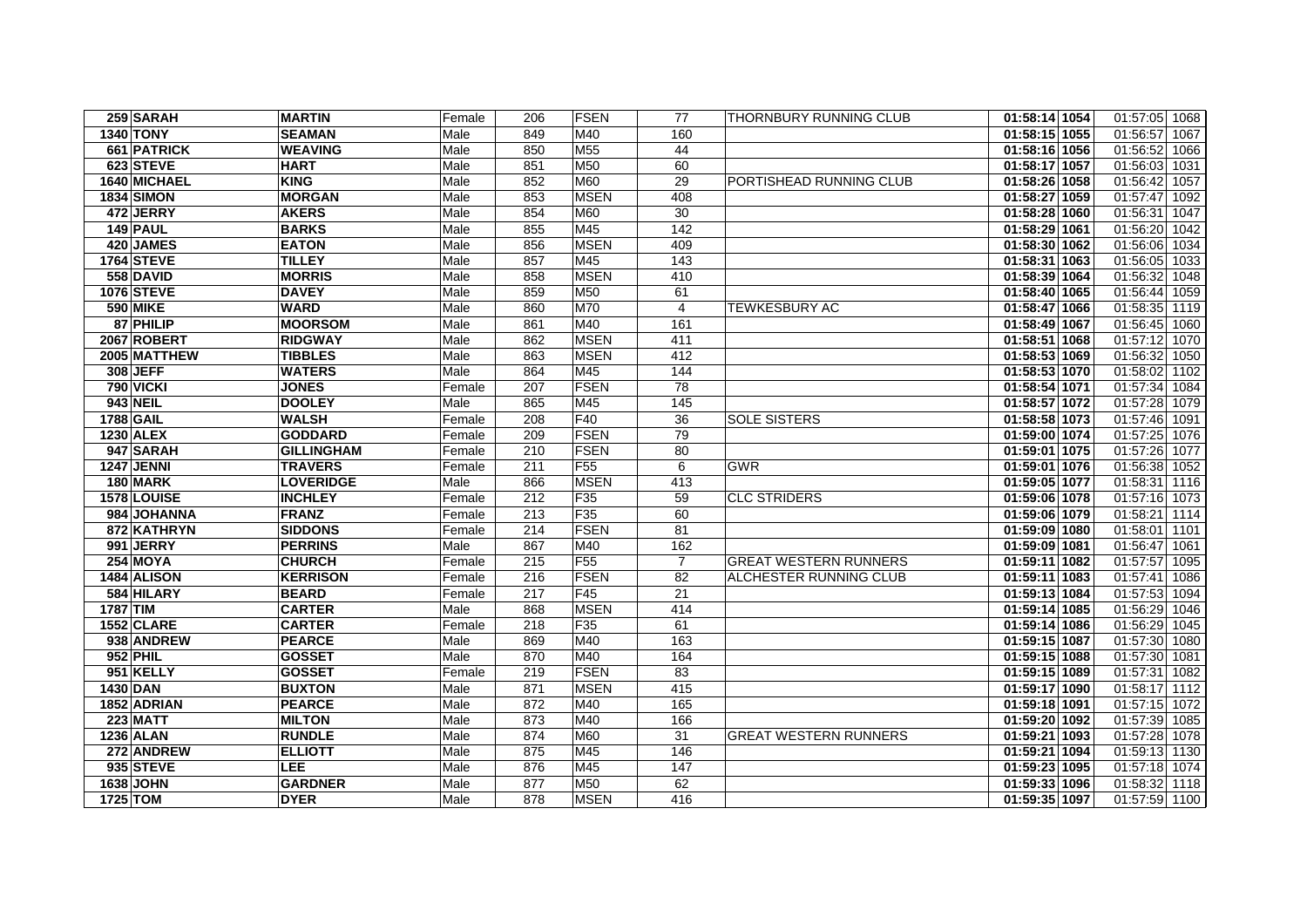| 259 SARAH         | <b>MARTIN</b>     | Female | 206 | <b>FSEN</b>     | 77              | <b>THORNBURY RUNNING CLUB</b> | 01:58:14 1054 | 01:57:05 1068    |
|-------------------|-------------------|--------|-----|-----------------|-----------------|-------------------------------|---------------|------------------|
| <b>1340 TONY</b>  | <b>SEAMAN</b>     | Male   | 849 | M40             | 160             |                               | 01:58:15 1055 | 01:56:57 1067    |
| 661 PATRICK       | <b>WEAVING</b>    | Male   | 850 | M55             | 44              |                               | 01:58:16 1056 | 01:56:52 1066    |
| 623 STEVE         | <b>HART</b>       | Male   | 851 | M50             | 60              |                               | 01:58:17 1057 | 01:56:03 1031    |
| 1640 MICHAEL      | <b>KING</b>       | Male   | 852 | M60             | 29              | PORTISHEAD RUNNING CLUB       | 01:58:26 1058 | 01:56:42<br>1057 |
| <b>1834 SIMON</b> | <b>MORGAN</b>     | Male   | 853 | <b>MSEN</b>     | 408             |                               | 01:58:27 1059 | 01:57:47 1092    |
| 472 JERRY         | <b>AKERS</b>      | Male   | 854 | <b>M60</b>      | 30              |                               | 01:58:28 1060 | 01:56:31 1047    |
| 149 PAUL          | <b>BARKS</b>      | Male   | 855 | M45             | 142             |                               | 01:58:29 1061 | 01:56:20 1042    |
| 420 JAMES         | <b>EATON</b>      | Male   | 856 | <b>MSEN</b>     | 409             |                               | 01:58:30 1062 | 01:56:06 1034    |
| 1764 STEVE        | <b>TILLEY</b>     | Male   | 857 | M45             | 143             |                               | 01:58:31 1063 | 01:56:05 1033    |
| 558 DAVID         | <b>MORRIS</b>     | Male   | 858 | <b>MSEN</b>     | 410             |                               | 01:58:39 1064 | 01:56:32 1048    |
| <b>1076 STEVE</b> | <b>DAVEY</b>      | Male   | 859 | M50             | 61              |                               | 01:58:40 1065 | 01:56:44 1059    |
| <b>590 MIKE</b>   | <b>WARD</b>       | Male   | 860 | M70             | $\overline{4}$  | <b>TEWKESBURY AC</b>          | 01:58:47 1066 | 01:58:35 1119    |
| 87 PHILIP         | <b>MOORSOM</b>    | Male   | 861 | M40             | 161             |                               | 01:58:49 1067 | 01:56:45 1060    |
| 2067 ROBERT       | <b>RIDGWAY</b>    | Male   | 862 | <b>MSEN</b>     | 411             |                               | 01:58:51 1068 | 01:57:12 1070    |
| 2005 MATTHEW      | <b>TIBBLES</b>    | Male   | 863 | <b>MSEN</b>     | 412             |                               | 01:58:53 1069 | 01:56:32 1050    |
| 308 JEFF          | <b>WATERS</b>     | Male   | 864 | M45             | 144             |                               | 01:58:53 1070 | 01:58:02 1102    |
| <b>790 VICKI</b>  | <b>JONES</b>      | Female | 207 | <b>FSEN</b>     | 78              |                               | 01:58:54 1071 | 01:57:34 1084    |
| <b>943 NEIL</b>   | <b>DOOLEY</b>     | Male   | 865 | M45             | 145             |                               | 01:58:57 1072 | 01:57:28<br>1079 |
| <b>1788 GAIL</b>  | <b>WALSH</b>      | Female | 208 | F40             | 36              | <b>SOLE SISTERS</b>           | 01:58:58 1073 | 01:57:46 1091    |
| <b>1230 ALEX</b>  | <b>GODDARD</b>    | Female | 209 | <b>FSEN</b>     | 79              |                               | 01:59:00 1074 | 01:57:25 1076    |
| 947 SARAH         | <b>GILLINGHAM</b> | Female | 210 | <b>FSEN</b>     | 80              |                               | 01:59:01 1075 | 01:57:26 1077    |
| <b>1247 JENNI</b> | <b>TRAVERS</b>    | Female | 211 | F55             | 6               | <b>GWR</b>                    | 01:59:01 1076 | 01:56:38 1052    |
| 180 MARK          | <b>LOVERIDGE</b>  | Male   | 866 | <b>MSEN</b>     | 413             |                               | 01:59:05 1077 | 01:58:31 1116    |
| 1578 LOUISE       | <b>INCHLEY</b>    | Female | 212 | F35             | 59              | <b>CLC STRIDERS</b>           | 01:59:06 1078 | 01:57:16 1073    |
| 984 JOHANNA       | <b>FRANZ</b>      | Female | 213 | F <sub>35</sub> | 60              |                               | 01:59:06 1079 | 01:58:21 1114    |
| 872 KATHRYN       | <b>SIDDONS</b>    | Female | 214 | <b>FSEN</b>     | 81              |                               | 01:59:09 1080 | 01:58:01 1101    |
| 991 JERRY         | <b>PERRINS</b>    | Male   | 867 | M40             | 162             |                               | 01:59:09 1081 | 01:56:47 1061    |
| <b>254 MOYA</b>   | <b>CHURCH</b>     | Female | 215 | F <sub>55</sub> | $\overline{7}$  | <b>GREAT WESTERN RUNNERS</b>  | 01:59:11 1082 | 01:57:57 1095    |
| 1484 ALISON       | <b>KERRISON</b>   | Female | 216 | <b>FSEN</b>     | 82              | ALCHESTER RUNNING CLUB        | 01:59:11 1083 | 01:57:41<br>1086 |
| 584 HILARY        | <b>BEARD</b>      | Female | 217 | F45             | 21              |                               | 01:59:13 1084 | 01:57:53 1094    |
| 1787 TIM          | <b>CARTER</b>     | Male   | 868 | <b>MSEN</b>     | 414             |                               | 01:59:14 1085 | 01:56:29 1046    |
| 1552 CLARE        | <b>CARTER</b>     | Female | 218 | F35             | 61              |                               | 01:59:14 1086 | 01:56:29 1045    |
| 938 ANDREW        | <b>PEARCE</b>     | Male   | 869 | M40             | 163             |                               | 01:59:15 1087 | 01:57:30 1080    |
| <b>952 PHIL</b>   | <b>GOSSET</b>     | Male   | 870 | M40             | 164             |                               | 01:59:15 1088 | 01:57:30 1081    |
| 951 KELLY         | <b>GOSSET</b>     | Female | 219 | <b>FSEN</b>     | $\overline{83}$ |                               | 01:59:15 1089 | 01:57:31 1082    |
| 1430 DAN          | <b>BUXTON</b>     | Male   | 871 | <b>MSEN</b>     | 415             |                               | 01:59:17 1090 | 01:58:17 1112    |
| 1852 ADRIAN       | <b>PEARCE</b>     | Male   | 872 | M40             | 165             |                               | 01:59:18 1091 | 01:57:15 1072    |
| <b>223 MATT</b>   | <b>MILTON</b>     | Male   | 873 | M40             | 166             |                               | 01:59:20 1092 | 01:57:39 1085    |
| <b>1236 ALAN</b>  | <b>RUNDLE</b>     | Male   | 874 | M60             | 31              | <b>GREAT WESTERN RUNNERS</b>  | 01:59:21 1093 | 01:57:28 1078    |
| 272 ANDREW        | <b>ELLIOTT</b>    | Male   | 875 | M45             | 146             |                               | 01:59:21 1094 | 01:59:13 1130    |
| 935 STEVE         | <b>LEE</b>        | Male   | 876 | M45             | 147             |                               | 01:59:23 1095 | 01:57:18 1074    |
| 1638 JOHN         | <b>GARDNER</b>    | Male   | 877 | M50             | 62              |                               | 01:59:33 1096 | 01:58:32 1118    |
| 1725 TOM          | <b>DYER</b>       | Male   | 878 | <b>MSEN</b>     | 416             |                               | 01:59:35 1097 | 01:57:59 1100    |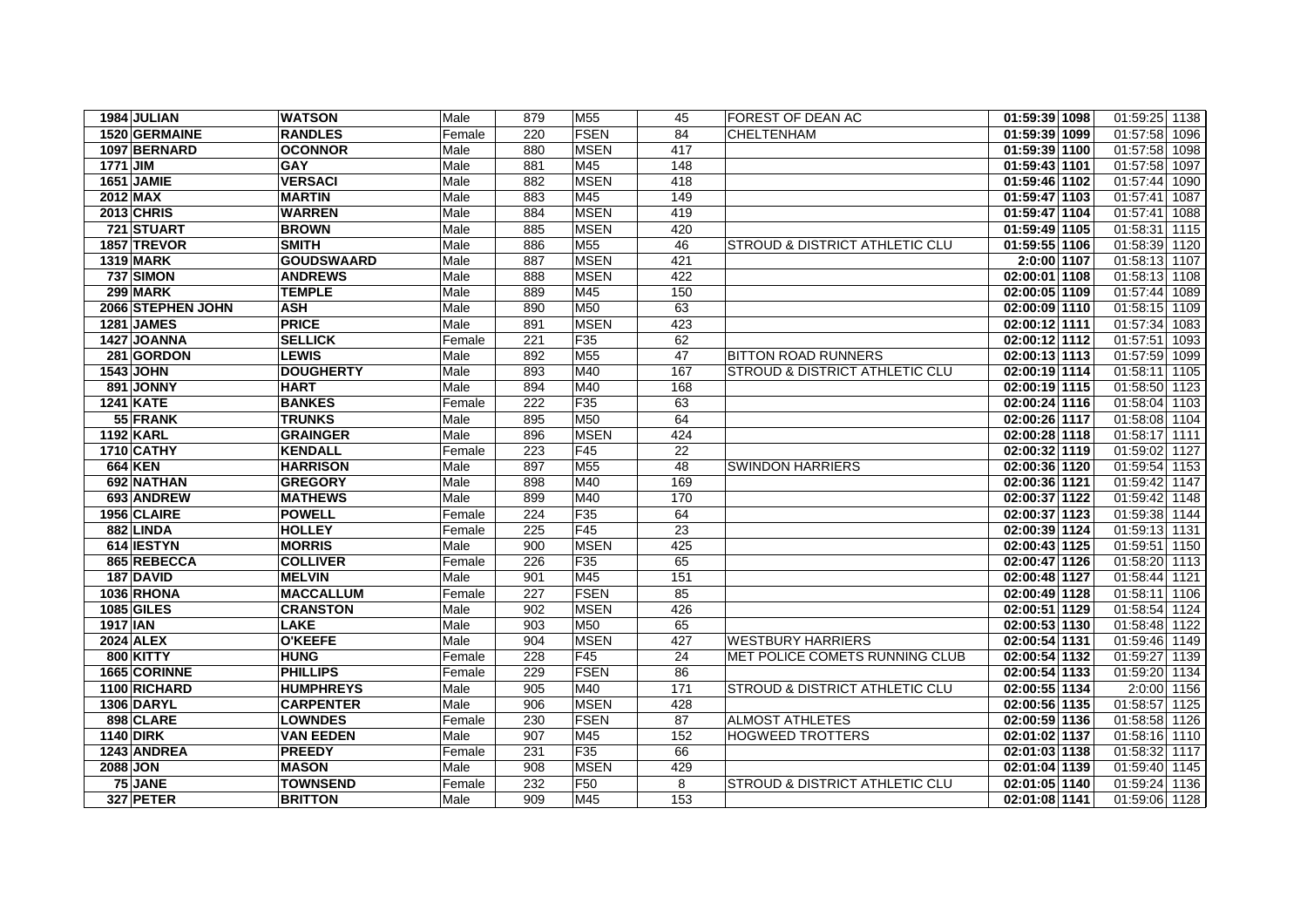| 1984 JULIAN       | <b>WATSON</b>     | Male   | 879 | M55             | 45              | <b>FOREST OF DEAN AC</b>                  | 01:59:39 1098 | 01:59:25 1138    |
|-------------------|-------------------|--------|-----|-----------------|-----------------|-------------------------------------------|---------------|------------------|
| 1520 GERMAINE     | <b>RANDLES</b>    | Female | 220 | <b>FSEN</b>     | 84              | CHELTENHAM                                | 01:59:39 1099 | 01:57:58<br>1096 |
| 1097 BERNARD      | <b>OCONNOR</b>    | Male   | 880 | <b>MSEN</b>     | 417             |                                           | 01:59:39 1100 | 01:57:58 1098    |
| <b>1771 JIM</b>   | <b>GAY</b>        | Male   | 881 | M45             | 148             |                                           | 01:59:43 1101 | 01:57:58<br>1097 |
| 1651 JAMIE        | <b>VERSACI</b>    | Male   | 882 | <b>MSEN</b>     | 418             |                                           | 01:59:46 1102 | 01:57:44 1090    |
| 2012 MAX          | <b>MARTIN</b>     | Male   | 883 | M45             | 149             |                                           | 01:59:47 1103 | 01:57:41<br>1087 |
| <b>2013 CHRIS</b> | <b>WARREN</b>     | Male   | 884 | <b>MSEN</b>     | 419             |                                           | 01:59:47 1104 | 01:57:41 1088    |
| 721 STUART        | <b>BROWN</b>      | Male   | 885 | <b>MSEN</b>     | 420             |                                           | 01:59:49 1105 | 01:58:31 1115    |
| 1857 TREVOR       | <b>SMITH</b>      | Male   | 886 | M55             | 46              | STROUD & DISTRICT ATHLETIC CLU            | 01:59:55 1106 | 01:58:39 1120    |
| <b>1319 MARK</b>  | <b>GOUDSWAARD</b> | Male   | 887 | <b>MSEN</b>     | 421             |                                           | 2:0:00 1107   | 01:58:13 1107    |
| 737 SIMON         | <b>ANDREWS</b>    | Male   | 888 | <b>MSEN</b>     | 422             |                                           | 02:00:01 1108 | 01:58:13 1108    |
| <b>299 MARK</b>   | <b>TEMPLE</b>     | Male   | 889 | M45             | 150             |                                           | 02:00:05 1109 | 01:57:44 1089    |
| 2066 STEPHEN JOHN | <b>ASH</b>        | Male   | 890 | M50             | 63              |                                           | 02:00:09 1110 | 01:58:15 1109    |
| 1281 JAMES        | <b>PRICE</b>      | Male   | 891 | <b>MSEN</b>     | 423             |                                           | 02:00:12 1111 | 01:57:34 1083    |
| 1427 JOANNA       | <b>SELLICK</b>    | Female | 221 | F35             | 62              |                                           | 02:00:12 1112 | 01:57:51 1093    |
| 281 GORDON        | <b>LEWIS</b>      | Male   | 892 | M55             | 47              | <b>BITTON ROAD RUNNERS</b>                | 02:00:13 1113 | 01:57:59 1099    |
| <b>1543 JOHN</b>  | <b>DOUGHERTY</b>  | Male   | 893 | M40             | 167             | <b>STROUD &amp; DISTRICT ATHLETIC CLU</b> | 02:00:19 1114 | 01:58:11 1105    |
| 891 JONNY         | <b>HART</b>       | Male   | 894 | M40             | 168             |                                           | 02:00:19 1115 | 01:58:50 1123    |
| <b>1241 KATE</b>  | <b>BANKES</b>     | Female | 222 | F35             | 63              |                                           | 02:00:24 1116 | 01:58:04 1103    |
| 55 FRANK          | <b>TRUNKS</b>     | Male   | 895 | M50             | 64              |                                           | 02:00:26 1117 | 01:58:08 1104    |
| <b>1192 KARL</b>  | <b>GRAINGER</b>   | Male   | 896 | <b>MSEN</b>     | 424             |                                           | 02:00:28 1118 | 01:58:17 1111    |
| 1710 CATHY        | <b>KENDALL</b>    | Female | 223 | F45             | 22              |                                           | 02:00:32 1119 | 01:59:02 1127    |
| <b>664 KEN</b>    | <b>HARRISON</b>   | Male   | 897 | M55             | $\overline{48}$ | <b>SWINDON HARRIERS</b>                   | 02:00:36 1120 | 01:59:54 1153    |
| 692 NATHAN        | <b>GREGORY</b>    | Male   | 898 | M40             | 169             |                                           | 02:00:36 1121 | 01:59:42 1147    |
| 693 ANDREW        | <b>MATHEWS</b>    | Male   | 899 | M40             | 170             |                                           | 02:00:37 1122 | 01:59:42 1148    |
| 1956 CLAIRE       | <b>POWELL</b>     | Female | 224 | F35             | 64              |                                           | 02:00:37 1123 | 01:59:38 1144    |
| 882 LINDA         | <b>HOLLEY</b>     | Female | 225 | F45             | 23              |                                           | 02:00:39 1124 | 01:59:13 1131    |
| 614 IESTYN        | <b>MORRIS</b>     | Male   | 900 | <b>MSEN</b>     | 425             |                                           | 02:00:43 1125 | 01:59:51 1150    |
| 865 REBECCA       | <b>COLLIVER</b>   | Female | 226 | F35             | 65              |                                           | 02:00:47 1126 | 01:58:20 1113    |
| 187 DAVID         | <b>MELVIN</b>     | Male   | 901 | M45             | 151             |                                           | 02:00:48 1127 | 01:58:44 1121    |
| <b>1036 RHONA</b> | <b>MACCALLUM</b>  | Female | 227 | <b>FSEN</b>     | 85              |                                           | 02:00:49 1128 | 01:58:11 1106    |
| <b>1085 GILES</b> | <b>CRANSTON</b>   | Male   | 902 | <b>MSEN</b>     | 426             |                                           | 02:00:51 1129 | 01:58:54 1124    |
| 1917 IAN          | <b>LAKE</b>       | Male   | 903 | M50             | 65              |                                           | 02:00:53 1130 | 01:58:48 1122    |
| <b>2024 ALEX</b>  | <b>O'KEEFE</b>    | Male   | 904 | <b>MSEN</b>     | 427             | <b>WESTBURY HARRIERS</b>                  | 02:00:54 1131 | 01:59:46 1149    |
| <b>800 KITTY</b>  | <b>HUNG</b>       | Female | 228 | F45             | 24              | MET POLICE COMETS RUNNING CLUB            | 02:00:54 1132 | 01:59:27 1139    |
| 1665 CORINNE      | <b>PHILLIPS</b>   | Female | 229 | <b>FSEN</b>     | 86              |                                           | 02:00:54 1133 | 01:59:20 1134    |
| 1100 RICHARD      | <b>HUMPHREYS</b>  | Male   | 905 | M40             | 171             | <b>STROUD &amp; DISTRICT ATHLETIC CLU</b> | 02:00:55 1134 | 2:0:00 1156      |
| <b>1306 DARYL</b> | <b>CARPENTER</b>  | Male   | 906 | <b>MSEN</b>     | 428             |                                           | 02:00:56 1135 | 01:58:57 1125    |
| 898 CLARE         | <b>LOWNDES</b>    | Female | 230 | <b>FSEN</b>     | $\overline{87}$ | <b>ALMOST ATHLETES</b>                    | 02:00:59 1136 | 01:58:58 1126    |
| <b>1140 DIRK</b>  | <b>VAN EEDEN</b>  | Male   | 907 | M45             | 152             | <b>HOGWEED TROTTERS</b>                   | 02:01:02 1137 | 01:58:16 1110    |
| 1243 ANDREA       | <b>PREEDY</b>     | Female | 231 | F35             | 66              |                                           | 02:01:03 1138 | 01:58:32 1117    |
| 2088 JON          | <b>MASON</b>      | Male   | 908 | <b>MSEN</b>     | 429             |                                           | 02:01:04 1139 | 01:59:40 1145    |
| 75 JANE           | <b>TOWNSEND</b>   | Female | 232 | F <sub>50</sub> | 8               | <b>STROUD &amp; DISTRICT ATHLETIC CLU</b> | 02:01:05 1140 | 01:59:24 1136    |
| 327 PETER         | <b>BRITTON</b>    | Male   | 909 | M45             | 153             |                                           | 02:01:08 1141 | 01:59:06 1128    |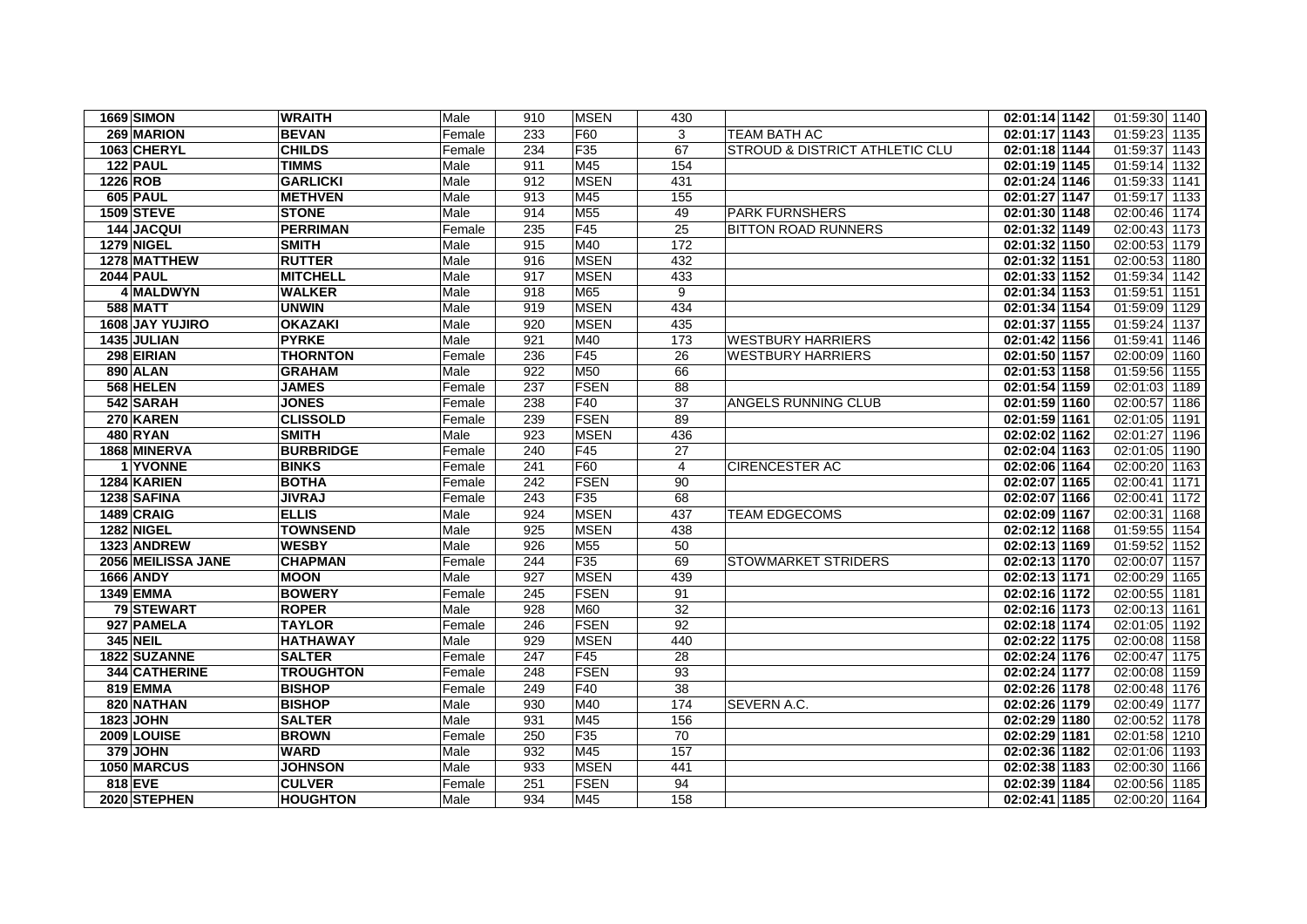| <b>1669 SIMON</b>  | <b>WRAITH</b>    | Male   | 910 | <b>MSEN</b>     | 430             |                                | 02:01:14 1142 | 01:59:30 1140 |
|--------------------|------------------|--------|-----|-----------------|-----------------|--------------------------------|---------------|---------------|
| 269 MARION         | <b>BEVAN</b>     | Female | 233 | F60             | 3               | TEAM BATH AC                   | 02:01:17 1143 | 01:59:23 1135 |
| 1063 CHERYL        | <b>CHILDS</b>    | Female | 234 | F35             | 67              | STROUD & DISTRICT ATHLETIC CLU | 02:01:18 1144 | 01:59:37 1143 |
| $122$ PAUL         | <b>TIMMS</b>     | Male   | 911 | M45             | 154             |                                | 02:01:19 1145 | 01:59:14 1132 |
| 1226 ROB           | <b>GARLICKI</b>  | Male   | 912 | <b>MSEN</b>     | 431             |                                | 02:01:24 1146 | 01:59:33 1141 |
| <b>605 PAUL</b>    | <b>METHVEN</b>   | Male   | 913 | M45             | 155             |                                | 02:01:27 1147 | 01:59:17 1133 |
| <b>1509 STEVE</b>  | <b>STONE</b>     | Male   | 914 | M55             | 49              | <b>PARK FURNSHERS</b>          | 02:01:30 1148 | 02:00:46 1174 |
| 144 JACQUI         | <b>PERRIMAN</b>  | Female | 235 | F45             | $\overline{25}$ | <b>BITTON ROAD RUNNERS</b>     | 02:01:32 1149 | 02:00:43 1173 |
| <b>1279 NIGEL</b>  | <b>SMITH</b>     | Male   | 915 | M40             | 172             |                                | 02:01:32 1150 | 02:00:53 1179 |
| 1278 MATTHEW       | <b>RUTTER</b>    | Male   | 916 | <b>MSEN</b>     | 432             |                                | 02:01:32 1151 | 02:00:53 1180 |
| <b>2044 PAUL</b>   | <b>MITCHELL</b>  | Male   | 917 | <b>MSEN</b>     | 433             |                                | 02:01:33 1152 | 01:59:34 1142 |
| 4 MALDWYN          | <b>WALKER</b>    | Male   | 918 | M65             | 9               |                                | 02:01:34 1153 | 01:59:51 1151 |
| <b>588 MATT</b>    | <b>UNWIN</b>     | Male   | 919 | <b>MSEN</b>     | 434             |                                | 02:01:34 1154 | 01:59:09 1129 |
| 1608 JAY YUJIRO    | <b>OKAZAKI</b>   | Male   | 920 | <b>MSEN</b>     | 435             |                                | 02:01:37 1155 | 01:59:24 1137 |
| 1435 JULIAN        | <b>PYRKE</b>     | Male   | 921 | M40             | 173             | <b>WESTBURY HARRIERS</b>       | 02:01:42 1156 | 01:59:41 1146 |
| 298 EIRIAN         | <b>THORNTON</b>  | Female | 236 | F45             | 26              | <b>WESTBURY HARRIERS</b>       | 02:01:50 1157 | 02:00:09 1160 |
| <b>890 ALAN</b>    | <b>GRAHAM</b>    | Male   | 922 | M50             | 66              |                                | 02:01:53 1158 | 01:59:56 1155 |
| 568 HELEN          | <b>JAMES</b>     | Female | 237 | <b>FSEN</b>     | 88              |                                | 02:01:54 1159 | 02:01:03 1189 |
| 542 SARAH          | <b>JONES</b>     | Female | 238 | F40             | 37              | ANGELS RUNNING CLUB            | 02:01:59 1160 | 02:00:57 1186 |
| 270 KAREN          | <b>CLISSOLD</b>  | Female | 239 | <b>FSEN</b>     | 89              |                                | 02:01:59 1161 | 02:01:05 1191 |
| 480 RYAN           | <b>SMITH</b>     | Male   | 923 | <b>MSEN</b>     | 436             |                                | 02:02:02 1162 | 02:01:27 1196 |
| 1868 MINERVA       | <b>BURBRIDGE</b> | Female | 240 | F45             | 27              |                                | 02:02:04 1163 | 02:01:05 1190 |
| 1 YVONNE           | <b>BINKS</b>     | Female | 241 | F60             | $\overline{4}$  | <b>CIRENCESTER AC</b>          | 02:02:06 1164 | 02:00:20 1163 |
| 1284 KARIEN        | <b>BOTHA</b>     | Female | 242 | <b>FSEN</b>     | 90              |                                | 02:02:07 1165 | 02:00:41 1171 |
| 1238 SAFINA        | <b>JIVRAJ</b>    | Female | 243 | F35             | 68              |                                | 02:02:07 1166 | 02:00:41 1172 |
| 1489 CRAIG         | <b>ELLIS</b>     | Male   | 924 | <b>MSEN</b>     | 437             | <b>TEAM EDGECOMS</b>           | 02:02:09 1167 | 02:00:31 1168 |
| <b>1282 NIGEL</b>  | <b>TOWNSEND</b>  | Male   | 925 | <b>MSEN</b>     | 438             |                                | 02:02:12 1168 | 01:59:55 1154 |
| 1323 ANDREW        | <b>WESBY</b>     | Male   | 926 | M <sub>55</sub> | 50              |                                | 02:02:13 1169 | 01:59:52 1152 |
| 2056 MEILISSA JANE | <b>CHAPMAN</b>   | Female | 244 | F <sub>35</sub> | 69              | <b>STOWMARKET STRIDERS</b>     | 02:02:13 1170 | 02:00:07 1157 |
| <b>1666 ANDY</b>   | <b>MOON</b>      | Male   | 927 | <b>MSEN</b>     | 439             |                                | 02:02:13 1171 | 02:00:29 1165 |
| <b>1349 EMMA</b>   | <b>BOWERY</b>    | Female | 245 | <b>FSEN</b>     | 91              |                                | 02:02:16 1172 | 02:00:55 1181 |
| 79 STEWART         | <b>ROPER</b>     | Male   | 928 | M60             | 32              |                                | 02:02:16 1173 | 02:00:13 1161 |
| 927 PAMELA         | <b>TAYLOR</b>    | Female | 246 | <b>FSEN</b>     | 92              |                                | 02:02:18 1174 | 02:01:05 1192 |
| <b>345 NEIL</b>    | <b>HATHAWAY</b>  | Male   | 929 | <b>MSEN</b>     | 440             |                                | 02:02:22 1175 | 02:00:08 1158 |
| 1822 SUZANNE       | <b>SALTER</b>    | Female | 247 | F45             | 28              |                                | 02:02:24 1176 | 02:00:47 1175 |
| 344 CATHERINE      | <b>TROUGHTON</b> | Female | 248 | <b>FSEN</b>     | 93              |                                | 02:02:24 1177 | 02:00:08 1159 |
| 819 EMMA           | <b>BISHOP</b>    | Female | 249 | F40             | 38              |                                | 02:02:26 1178 | 02:00:48 1176 |
| 820 NATHAN         | <b>BISHOP</b>    | Male   | 930 | M40             | 174             | SEVERN A.C.                    | 02:02:26 1179 | 02:00:49 1177 |
| 1823 JOHN          | <b>SALTER</b>    | Male   | 931 | M45             | 156             |                                | 02:02:29 1180 | 02:00:52 1178 |
| 2009 LOUISE        | <b>BROWN</b>     | Female | 250 | F35             | 70              |                                | 02:02:29 1181 | 02:01:58 1210 |
| 379 JOHN           | WARD             | Male   | 932 | M45             | 157             |                                | 02:02:36 1182 | 02:01:06 1193 |
| 1050 MARCUS        | <b>JOHNSON</b>   | Male   | 933 | <b>MSEN</b>     | 441             |                                | 02:02:38 1183 | 02:00:30 1166 |
| 818 EVE            | <b>CULVER</b>    | Female | 251 | <b>FSEN</b>     | 94              |                                | 02:02:39 1184 | 02:00:56 1185 |
| 2020 STEPHEN       | <b>HOUGHTON</b>  | Male   | 934 | M45             | 158             |                                | 02:02:41 1185 | 02:00:20 1164 |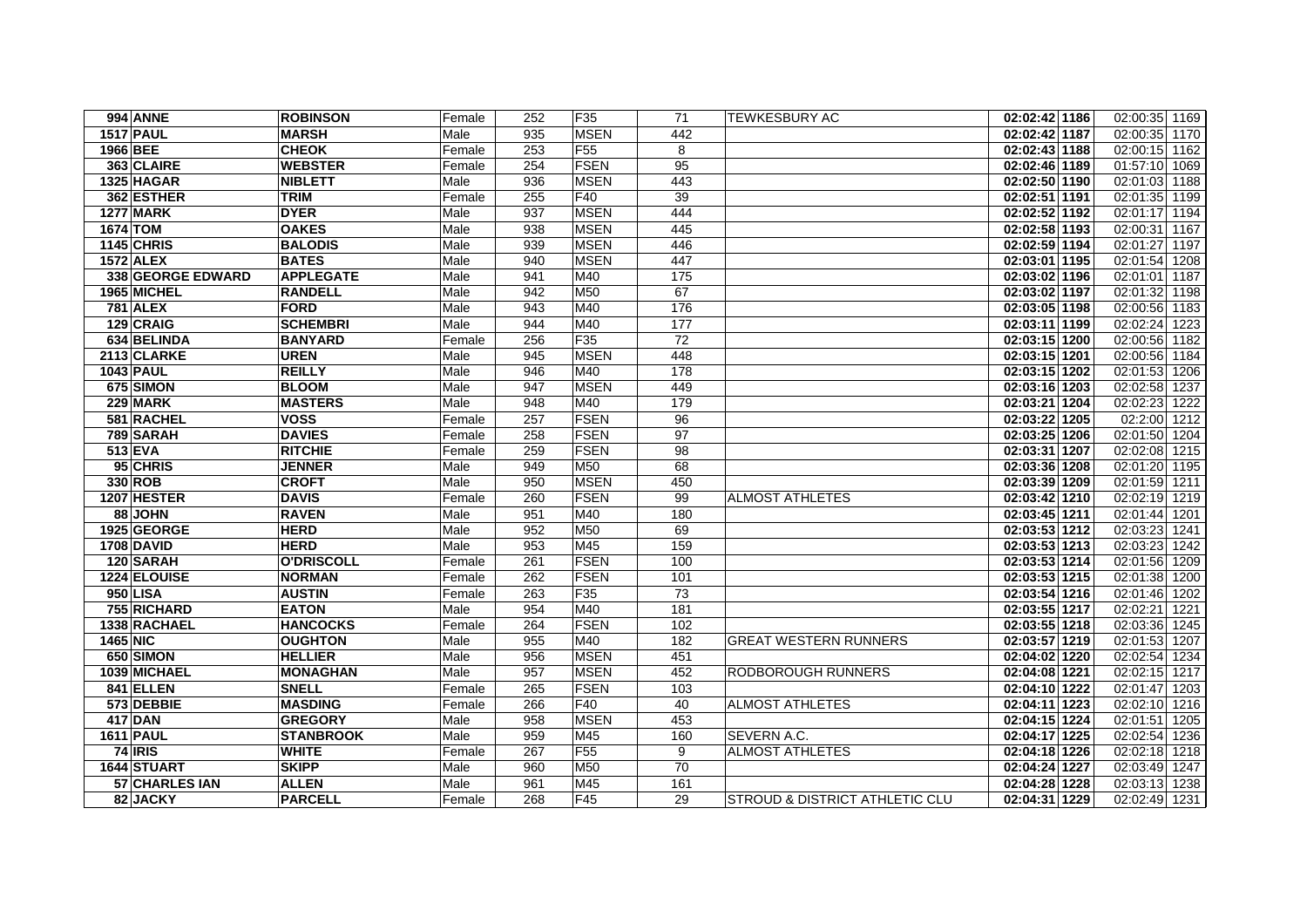| <b>994 ANNE</b>   | <b>ROBINSON</b>   | Female | 252 | F35             | 71  | <b>TEWKESBURY AC</b>                      | 02:02:42 1186 | 02:00:35 1169              |
|-------------------|-------------------|--------|-----|-----------------|-----|-------------------------------------------|---------------|----------------------------|
| <b>1517 PAUL</b>  | <b>MARSH</b>      | Male   | 935 | <b>MSEN</b>     | 442 |                                           | 02:02:42 1187 | 02:00:35 1170              |
| 1966 BEE          | <b>CHEOK</b>      | Female | 253 | F <sub>55</sub> | 8   |                                           | 02:02:43 1188 | 02:00:15 1162              |
| 363 CLAIRE        | <b>WEBSTER</b>    | Female | 254 | <b>FSEN</b>     | 95  |                                           | 02:02:46 1189 | 01:57:10 1069              |
| 1325 HAGAR        | <b>NIBLETT</b>    | Male   | 936 | <b>MSEN</b>     | 443 |                                           | 02:02:50 1190 | $\overline{02:01:03}$ 1188 |
| 362 ESTHER        | <b>TRIM</b>       | Female | 255 | F40             | 39  |                                           | 02:02:51 1191 | 02:01:35 1199              |
| <b>1277 MARK</b>  | <b>DYER</b>       | Male   | 937 | <b>MSEN</b>     | 444 |                                           | 02:02:52 1192 | 02:01:17 1194              |
| 1674 TOM          | <b>OAKES</b>      | Male   | 938 | <b>MSEN</b>     | 445 |                                           | 02:02:58 1193 | 02:00:31 1167              |
| 1145 CHRIS        | <b>BALODIS</b>    | Male   | 939 | <b>MSEN</b>     | 446 |                                           | 02:02:59 1194 | 02:01:27 1197              |
| <b>1572 ALEX</b>  | <b>BATES</b>      | Male   | 940 | <b>MSEN</b>     | 447 |                                           | 02:03:01 1195 | 02:01:54 1208              |
| 338 GEORGE EDWARD | <b>APPLEGATE</b>  | Male   | 941 | M40             | 175 |                                           | 02:03:02 1196 | 02:01:01 1187              |
| 1965 MICHEL       | <b>RANDELL</b>    | Male   | 942 | M50             | 67  |                                           | 02:03:02 1197 | 02:01:32 1198              |
| <b>781 ALEX</b>   | FORD              | Male   | 943 | M40             | 176 |                                           | 02:03:05 1198 | 02:00:56 1183              |
| 129 CRAIG         | <b>SCHEMBRI</b>   | Male   | 944 | M40             | 177 |                                           | 02:03:11 1199 | 02:02:24 1223              |
| 634 BELINDA       | <b>BANYARD</b>    | Female | 256 | F35             | 72  |                                           | 02:03:15 1200 | 02:00:56 1182              |
| 2113 CLARKE       | <b>UREN</b>       | Male   | 945 | <b>MSEN</b>     | 448 |                                           | 02:03:15 1201 | 02:00:56 1184              |
| <b>1043 PAUL</b>  | <b>REILLY</b>     | Male   | 946 | M40             | 178 |                                           | 02:03:15 1202 | 02:01:53 1206              |
| 675 SIMON         | <b>BLOOM</b>      | Male   | 947 | <b>MSEN</b>     | 449 |                                           | 02:03:16 1203 | 02:02:58 1237              |
| 229 MARK          | <b>MASTERS</b>    | Male   | 948 | M40             | 179 |                                           | 02:03:21 1204 | 02:02:23 1222              |
| 581 RACHEL        | <b>VOSS</b>       | Female | 257 | FSEN            | 96  |                                           | 02:03:22 1205 | 02:2:00 1212               |
| 789 SARAH         | <b>DAVIES</b>     | Female | 258 | FSEN            | 97  |                                           | 02:03:25 1206 | 02:01:50 1204              |
| 513 EVA           | <b>RITCHIE</b>    | Female | 259 | <b>FSEN</b>     | 98  |                                           | 02:03:31 1207 | 02:02:08 1215              |
| 95 CHRIS          | <b>JENNER</b>     | Male   | 949 | M50             | 68  |                                           | 02:03:36 1208 | 02:01:20 1195              |
| 330 ROB           | <b>CROFT</b>      | Male   | 950 | <b>MSEN</b>     | 450 |                                           | 02:03:39 1209 | 02:01:59 1211              |
| 1207 HESTER       | <b>DAVIS</b>      | Female | 260 | <b>FSEN</b>     | 99  | <b>ALMOST ATHLETES</b>                    | 02:03:42 1210 | 02:02:19 1219              |
| 88 JOHN           | <b>RAVEN</b>      | Male   | 951 | M40             | 180 |                                           | 02:03:45 1211 | 02:01:44 1201              |
| 1925 GEORGE       | <b>HERD</b>       | Male   | 952 | M50             | 69  |                                           | 02:03:53 1212 | 02:03:23 1241              |
| 1708 DAVID        | <b>HERD</b>       | Male   | 953 | M45             | 159 |                                           | 02:03:53 1213 | 02:03:23 1242              |
| 120 SARAH         | <b>O'DRISCOLL</b> | Female | 261 | FSEN            | 100 |                                           | 02:03:53 1214 | 02:01:56 1209              |
| 1224 ELOUISE      | <b>NORMAN</b>     | Female | 262 | <b>FSEN</b>     | 101 |                                           | 02:03:53 1215 | $\overline{02:01:38}$ 1200 |
| 950 LISA          | <b>AUSTIN</b>     | Female | 263 | F35             | 73  |                                           | 02:03:54 1216 | 02:01:46 1202              |
| 755 RICHARD       | <b>EATON</b>      | Male   | 954 | M40             | 181 |                                           | 02:03:55 1217 | 02:02:21 1221              |
| 1338 RACHAEL      | <b>HANCOCKS</b>   | Female | 264 | <b>FSEN</b>     | 102 |                                           | 02:03:55 1218 | 02:03:36 1245              |
| <b>1465 NIC</b>   | <b>OUGHTON</b>    | Male   | 955 | M40             | 182 | <b>GREAT WESTERN RUNNERS</b>              | 02:03:57 1219 | 02:01:53 1207              |
| 650 SIMON         | <b>HELLIER</b>    | Male   | 956 | <b>MSEN</b>     | 451 |                                           | 02:04:02 1220 | 02:02:54 1234              |
| 1039 MICHAEL      | <b>MONAGHAN</b>   | Male   | 957 | <b>MSEN</b>     | 452 | <b>RODBOROUGH RUNNERS</b>                 | 02:04:08 1221 | 02:02:15 1217              |
| 841 ELLEN         | <b>SNELL</b>      | Female | 265 | FSEN            | 103 |                                           | 02:04:10 1222 | 02:01:47 1203              |
| 573 DEBBIE        | <b>MASDING</b>    | Female | 266 | F40             | 40  | <b>ALMOST ATHLETES</b>                    | 02:04:11 1223 | 02:02:10 1216              |
| <b>417 DAN</b>    | <b>GREGORY</b>    | Male   | 958 | <b>MSEN</b>     | 453 |                                           | 02:04:15 1224 | 02:01:51 1205              |
| <b>1611 PAUL</b>  | <b>STANBROOK</b>  | Male   | 959 | M45             | 160 | <b>SEVERN A.C.</b>                        | 02:04:17 1225 | 02:02:54 1236              |
| 74 IRIS           | <b>WHITE</b>      | Female | 267 | F <sub>55</sub> | 9   | <b>ALMOST ATHLETES</b>                    | 02:04:18 1226 | 02:02:18 1218              |
| 1644 STUART       | <b>SKIPP</b>      | Male   | 960 | M50             | 70  |                                           | 02:04:24 1227 | 02:03:49 1247              |
| 57 CHARLES IAN    | <b>ALLEN</b>      | Male   | 961 | M45             | 161 |                                           | 02:04:28 1228 | 02:03:13 1238              |
| 82 JACKY          | <b>PARCELL</b>    | Female | 268 | F45             | 29  | <b>STROUD &amp; DISTRICT ATHLETIC CLU</b> | 02:04:31 1229 | 02:02:49 1231              |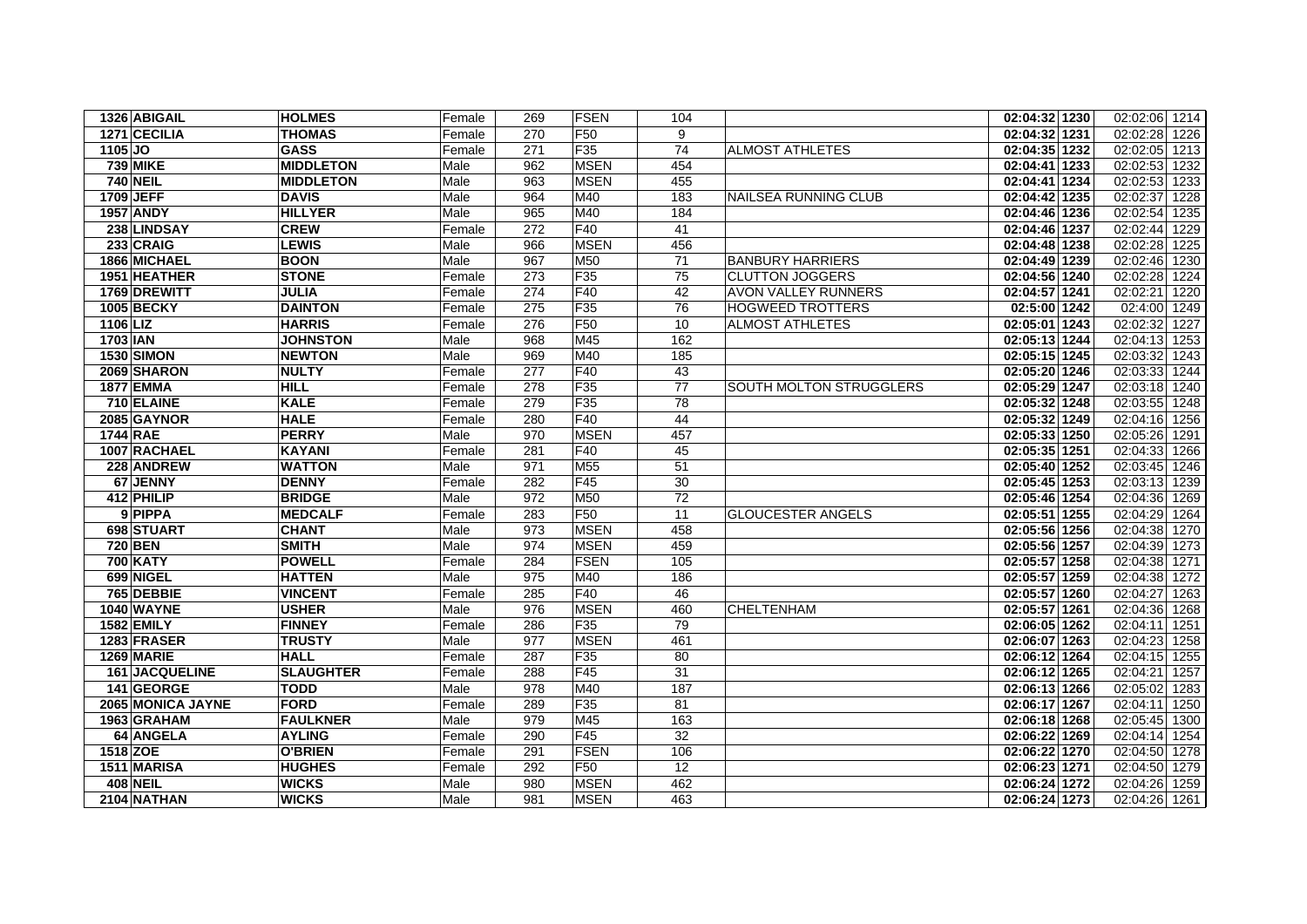| 1326 ABIGAIL          | <b>HOLMES</b>    | Female | 269 | <b>FSEN</b>     | 104             |                                | 02:04:32 1230  | 02:02:06 1214    |
|-----------------------|------------------|--------|-----|-----------------|-----------------|--------------------------------|----------------|------------------|
| 1271 CECILIA          | <b>THOMAS</b>    | Female | 270 | F <sub>50</sub> | 9               |                                | 02:04:32 1231  | 02:02:28 1226    |
| 1105 JO               | <b>GASS</b>      | Female | 271 | F35             | 74              | <b>ALMOST ATHLETES</b>         | 02:04:35 1232  | 02:02:05 1213    |
| <b>739 MIKE</b>       | <b>MIDDLETON</b> | Male   | 962 | <b>MSEN</b>     | 454             |                                | 02:04:41 1233  | 02:02:53 1232    |
| <b>740 NEIL</b>       | <b>MIDDLETON</b> | Male   | 963 | <b>MSEN</b>     | 455             |                                | 02:04:41 1234  | 02:02:53<br>1233 |
| 1709 JEFF             | <b>DAVIS</b>     | Male   | 964 | M40             | 183             | NAILSEA RUNNING CLUB           | 02:04:42 1235  | 02:02:37<br>1228 |
| <b>1957 ANDY</b>      | <b>HILLYER</b>   | Male   | 965 | M40             | 184             |                                | 02:04:46 1236  | 02:02:54<br>1235 |
| 238 LINDSAY           | <b>CREW</b>      | Female | 272 | F40             | 41              |                                | 02:04:46 1237  | 02:02:44 1229    |
| 233 CRAIG             | <b>LEWIS</b>     | Male   | 966 | <b>MSEN</b>     | 456             |                                | 02:04:48 1238  | 02:02:28<br>1225 |
| 1866 MICHAEL          | <b>BOON</b>      | Male   | 967 | M50             | 71              | <b>BANBURY HARRIERS</b>        | 02:04:49 1239  | 02:02:46 1230    |
| 1951 HEATHER          | <b>STONE</b>     | Female | 273 | F <sub>35</sub> | 75              | <b>CLUTTON JOGGERS</b>         | 02:04:56 1240  | 02:02:28<br>1224 |
| 1769 DREWITT          | <b>JULIA</b>     | Female | 274 | F40             | 42              | <b>AVON VALLEY RUNNERS</b>     | 02:04:57 1241  | 02:02:21<br>1220 |
| <b>1005 BECKY</b>     | <b>DAINTON</b>   | Female | 275 | F <sub>35</sub> | 76              | <b>HOGWEED TROTTERS</b>        | $02:5:00$ 1242 | 02:4:00 1249     |
| 1106 LIZ              | <b>HARRIS</b>    | Female | 276 | F50             | 10              | <b>ALMOST ATHLETES</b>         | 02:05:01 1243  | 02:02:32 1227    |
| 1703 IAN              | <b>JOHNSTON</b>  | Male   | 968 | M45             | 162             |                                | 02:05:13 1244  | 02:04:13 1253    |
| <b>1530 SIMON</b>     | <b>NEWTON</b>    | Male   | 969 | M40             | 185             |                                | 02:05:15 1245  | 02:03:32 1243    |
| 2069 SHARON           | <b>NULTY</b>     | Female | 277 | F40             | 43              |                                | 02:05:20 1246  | 02:03:33 1244    |
| <b>1877 EMMA</b>      | <b>HILL</b>      | Female | 278 | F35             | 77              | <b>SOUTH MOLTON STRUGGLERS</b> | 02:05:29 1247  | 02:03:18 1240    |
| 710 ELAINE            | <b>KALE</b>      | Female | 279 | F35             | 78              |                                | 02:05:32 1248  | 02:03:55 1248    |
| 2085 GAYNOR           | <b>HALE</b>      | Female | 280 | F40             | 44              |                                | 02:05:32 1249  | 02:04:16 1256    |
| 1744 RAE              | <b>PERRY</b>     | Male   | 970 | <b>MSEN</b>     | 457             |                                | 02:05:33 1250  | 02:05:26<br>1291 |
| 1007 RACHAEL          | <b>KAYANI</b>    | Female | 281 | F40             | 45              |                                | 02:05:35 1251  | 02:04:33<br>1266 |
| 228 ANDREW            | <b>WATTON</b>    | Male   | 971 | M <sub>55</sub> | 51              |                                | 02:05:40 1252  | 02:03:45 1246    |
| 67 JENNY              | <b>DENNY</b>     | Female | 282 | F45             | 30              |                                | 02:05:45 1253  | 02:03:13 1239    |
| 412 PHILIP            | <b>BRIDGE</b>    | Male   | 972 | M50             | 72              |                                | 02:05:46 1254  | 02:04:36<br>1269 |
| 9 PIPPA               | <b>MEDCALF</b>   | Female | 283 | F <sub>50</sub> | 11              | <b>GLOUCESTER ANGELS</b>       | 02:05:51 1255  | 02:04:29 1264    |
| 698 STUART            | <b>CHANT</b>     | Male   | 973 | <b>MSEN</b>     | 458             |                                | 02:05:56 1256  | 02:04:38 1270    |
| 720 BEN               | <b>SMITH</b>     | Male   | 974 | <b>MSEN</b>     | 459             |                                | 02:05:56 1257  | 02:04:39 1273    |
| <b>700 KATY</b>       | <b>POWELL</b>    | Female | 284 | <b>FSEN</b>     | 105             |                                | 02:05:57 1258  | 02:04:38<br>1271 |
| 699 NIGEL             | <b>HATTEN</b>    | Male   | 975 | M40             | 186             |                                | 02:05:57 1259  | 02:04:38 1272    |
| 765 DEBBIE            | <b>VINCENT</b>   | Female | 285 | F40             | 46              |                                | 02:05:57 1260  | 02:04:27 1263    |
| 1040 WAYNE            | <b>USHER</b>     | Male   | 976 | <b>MSEN</b>     | 460             | CHELTENHAM                     | 02:05:57 1261  | 02:04:36 1268    |
| <b>1582 EMILY</b>     | <b>FINNEY</b>    | Female | 286 | F35             | 79              |                                | 02:06:05 1262  | 02:04:11<br>1251 |
| 1283 FRASER           | <b>TRUSTY</b>    | Male   | 977 | <b>MSEN</b>     | 461             |                                | 02:06:07 1263  | 02:04:23<br>1258 |
| <b>1269 MARIE</b>     | <b>HALL</b>      | Female | 287 | F35             | 80              |                                | 02:06:12 1264  | 02:04:15<br>1255 |
| <b>161 JACQUELINE</b> | <b>SLAUGHTER</b> | Female | 288 | F45             | 31              |                                | 02:06:12 1265  | 02:04:21 1257    |
| 141 GEORGE            | <b>TODD</b>      | Male   | 978 | M40             | 187             |                                | 02:06:13 1266  | 02:05:02<br>1283 |
| 2065 MONICA JAYNE     | <b>FORD</b>      | Female | 289 | F35             | 81              |                                | 02:06:17 1267  | 02:04:11<br>1250 |
| 1963 GRAHAM           | <b>FAULKNER</b>  | Male   | 979 | M45             | 163             |                                | 02:06:18 1268  | 02:05:45 1300    |
| 64 ANGELA             | <b>AYLING</b>    | Female | 290 | F45             | 32              |                                | 02:06:22 1269  | 02:04:14 1254    |
| 1518 ZOE              | <b>O'BRIEN</b>   | Female | 291 | <b>FSEN</b>     | 106             |                                | 02:06:22 1270  | 02:04:50 1278    |
| 1511 MARISA           | <b>HUGHES</b>    | Female | 292 | F <sub>50</sub> | $\overline{12}$ |                                | 02:06:23 1271  | 02:04:50 1279    |
| <b>408 NEIL</b>       | <b>WICKS</b>     | Male   | 980 | <b>MSEN</b>     | 462             |                                | 02:06:24 1272  | 02:04:26 1259    |
| 2104 NATHAN           | <b>WICKS</b>     | Male   | 981 | <b>MSEN</b>     | 463             |                                | 02:06:24 1273  | 02:04:26 1261    |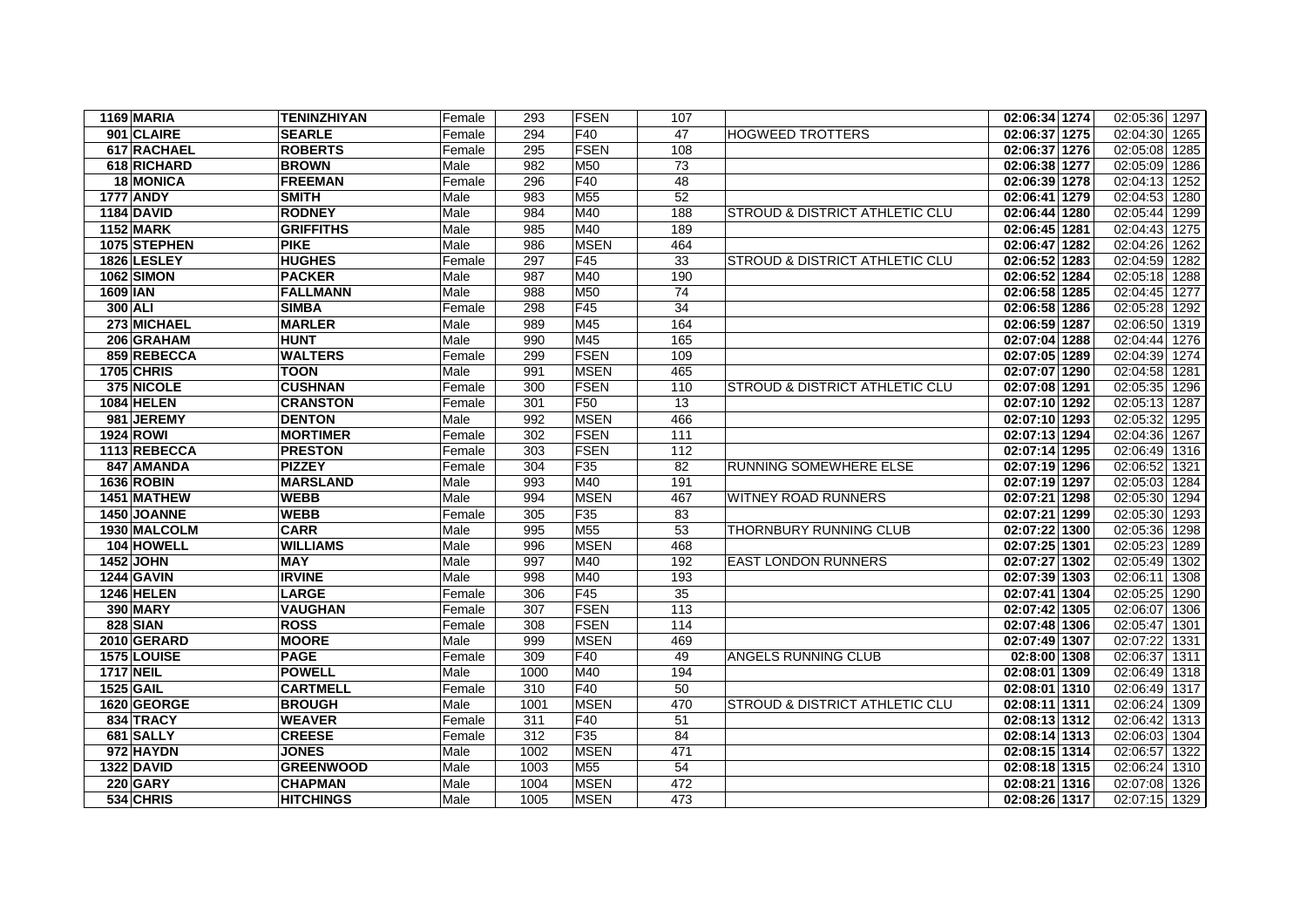| 1169 MARIA        | <b>TENINZHIYAN</b> | Female | 293  | <b>FSEN</b>     | 107             |                                           | 02:06:34 1274 | 02:05:36 1297    |
|-------------------|--------------------|--------|------|-----------------|-----------------|-------------------------------------------|---------------|------------------|
| 901 CLAIRE        | <b>SEARLE</b>      | Female | 294  | F40             | 47              | HOGWEED TROTTERS                          | 02:06:37 1275 | 02:04:30 1265    |
| 617 RACHAEL       | <b>ROBERTS</b>     | Female | 295  | <b>FSEN</b>     | 108             |                                           | 02:06:37 1276 | 02:05:08 1285    |
| 618 RICHARD       | <b>BROWN</b>       | Male   | 982  | M50             | $\overline{73}$ |                                           | 02:06:38 1277 | 02:05:09<br>1286 |
| 18 MONICA         | <b>FREEMAN</b>     | Female | 296  | F40             | 48              |                                           | 02:06:39 1278 | 02:04:13<br>1252 |
| <b>1777 ANDY</b>  | <b>SMITH</b>       | Male   | 983  | M <sub>55</sub> | 52              |                                           | 02:06:41 1279 | 02:04:53<br>1280 |
| <b>1184 DAVID</b> | <b>RODNEY</b>      | Male   | 984  | M40             | 188             | <b>STROUD &amp; DISTRICT ATHLETIC CLU</b> | 02:06:44 1280 | 02:05:44 1299    |
| <b>1152 MARK</b>  | <b>GRIFFITHS</b>   | Male   | 985  | M40             | 189             |                                           | 02:06:45 1281 | 02:04:43 1275    |
| 1075 STEPHEN      | <b>PIKE</b>        | Male   | 986  | <b>MSEN</b>     | 464             |                                           | 02:06:47 1282 | 02:04:26<br>1262 |
| 1826 LESLEY       | <b>HUGHES</b>      | Female | 297  | F45             | 33              | <b>STROUD &amp; DISTRICT ATHLETIC CLU</b> | 02:06:52 1283 | 02:04:59<br>1282 |
| 1062 SIMON        | <b>PACKER</b>      | Male   | 987  | M40             | 190             |                                           | 02:06:52 1284 | 02:05:18 1288    |
| <b>1609 IAN</b>   | <b>FALLMANN</b>    | Male   | 988  | M50             | 74              |                                           | 02:06:58 1285 | 02:04:45<br>1277 |
| 300 ALI           | <b>SIMBA</b>       | Female | 298  | F45             | 34              |                                           | 02:06:58 1286 | 02:05:28<br>1292 |
| 273 MICHAEL       | <b>MARLER</b>      | Male   | 989  | M45             | 164             |                                           | 02:06:59 1287 | 02:06:50 1319    |
| 206 GRAHAM        | <b>HUNT</b>        | Male   | 990  | M45             | 165             |                                           | 02:07:04 1288 | 02:04:44 1276    |
| 859 REBECCA       | <b>WALTERS</b>     | Female | 299  | <b>FSEN</b>     | 109             |                                           | 02:07:05 1289 | 02:04:39<br>1274 |
| <b>1705 CHRIS</b> | <b>TOON</b>        | Male   | 991  | <b>MSEN</b>     | 465             |                                           | 02:07:07 1290 | 02:04:58<br>1281 |
| 375 NICOLE        | <b>CUSHNAN</b>     | Female | 300  | <b>FSEN</b>     | 110             | <b>STROUD &amp; DISTRICT ATHLETIC CLU</b> | 02:07:08 1291 | 02:05:35<br>1296 |
| <b>1084 HELEN</b> | <b>CRANSTON</b>    | Female | 301  | F <sub>50</sub> | 13              |                                           | 02:07:10 1292 | 02:05:13<br>1287 |
| 981 JEREMY        | <b>DENTON</b>      | Male   | 992  | <b>MSEN</b>     | 466             |                                           | 02:07:10 1293 | 02:05:32<br>1295 |
| 1924 ROWI         | <b>MORTIMER</b>    | Female | 302  | <b>FSEN</b>     | 111             |                                           | 02:07:13 1294 | 02:04:36<br>1267 |
| 1113 REBECCA      | <b>PRESTON</b>     | Female | 303  | <b>FSEN</b>     | 112             |                                           | 02:07:14 1295 | 02:06:49<br>1316 |
| 847 AMANDA        | <b>PIZZEY</b>      | Female | 304  | F35             | 82              | <b>RUNNING SOMEWHERE ELSE</b>             | 02:07:19 1296 | 02:06:52<br>1321 |
| <b>1636 ROBIN</b> | <b>MARSLAND</b>    | Male   | 993  | M40             | 191             |                                           | 02:07:19 1297 | 02:05:03<br>1284 |
| 1451 MATHEW       | <b>WEBB</b>        | Male   | 994  | <b>MSEN</b>     | 467             | <b>WITNEY ROAD RUNNERS</b>                | 02:07:21 1298 | 02:05:30<br>1294 |
| 1450 JOANNE       | <b>WEBB</b>        | Female | 305  | F35             | 83              |                                           | 02:07:21 1299 | 02:05:30<br>1293 |
| 1930 MALCOLM      | <b>CARR</b>        | Male   | 995  | M <sub>55</sub> | $\overline{53}$ | THORNBURY RUNNING CLUB                    | 02:07:22 1300 | 02:05:36 1298    |
| 104 HOWELL        | <b>WILLIAMS</b>    | Male   | 996  | <b>MSEN</b>     | 468             |                                           | 02:07:25 1301 | 02:05:23<br>1289 |
| 1452 JOHN         | <b>MAY</b>         | Male   | 997  | M40             | 192             | <b>EAST LONDON RUNNERS</b>                | 02:07:27 1302 | 02:05:49<br>1302 |
| <b>1244 GAVIN</b> | <b>IRVINE</b>      | Male   | 998  | M40             | 193             |                                           | 02:07:39 1303 | 02:06:11<br>1308 |
| 1246 HELEN        | <b>LARGE</b>       | Female | 306  | F45             | 35              |                                           | 02:07:41 1304 | 02:05:25<br>1290 |
| <b>390 MARY</b>   | <b>VAUGHAN</b>     | Female | 307  | <b>FSEN</b>     | 113             |                                           | 02:07:42 1305 | 02:06:07 1306    |
| 828 SIAN          | <b>ROSS</b>        | Female | 308  | <b>FSEN</b>     | 114             |                                           | 02:07:48 1306 | 02:05:47 1301    |
| 2010 GERARD       | <b>MOORE</b>       | Male   | 999  | <b>MSEN</b>     | 469             |                                           | 02:07:49 1307 | 02:07:22<br>1331 |
| 1575 LOUISE       | <b>PAGE</b>        | Female | 309  | F40             | 49              | ANGELS RUNNING CLUB                       | 02:8:00 1308  | 02:06:37<br>1311 |
| <b>1717 NEIL</b>  | <b>POWELL</b>      | Male   | 1000 | M40             | 194             |                                           | 02:08:01 1309 | 02:06:49 1318    |
| <b>1525 GAIL</b>  | <b>CARTMELL</b>    | Female | 310  | F40             | 50              |                                           | 02:08:01 1310 | 02:06:49 1317    |
| 1620 GEORGE       | <b>BROUGH</b>      | Male   | 1001 | <b>MSEN</b>     | 470             | <b>STROUD &amp; DISTRICT ATHLETIC CLU</b> | 02:08:11 1311 | 02:06:24 1309    |
| 834 TRACY         | <b>WEAVER</b>      | Female | 311  | F40             | 51              |                                           | 02:08:13 1312 | 02:06:42 1313    |
| 681 SALLY         | <b>CREESE</b>      | Female | 312  | F35             | 84              |                                           | 02:08:14 1313 | 02:06:03 1304    |
| 972 HAYDN         | <b>JONES</b>       | Male   | 1002 | <b>MSEN</b>     | 471             |                                           | 02:08:15 1314 | 02:06:57 1322    |
| <b>1322 DAVID</b> | <b>GREENWOOD</b>   | Male   | 1003 | M55             | 54              |                                           | 02:08:18 1315 | 02:06:24 1310    |
| <b>220 GARY</b>   | <b>CHAPMAN</b>     | Male   | 1004 | <b>MSEN</b>     | 472             |                                           | 02:08:21 1316 | 02:07:08<br>1326 |
| 534 CHRIS         | <b>HITCHINGS</b>   | Male   | 1005 | <b>MSEN</b>     | 473             |                                           | 02:08:26 1317 | 02:07:15 1329    |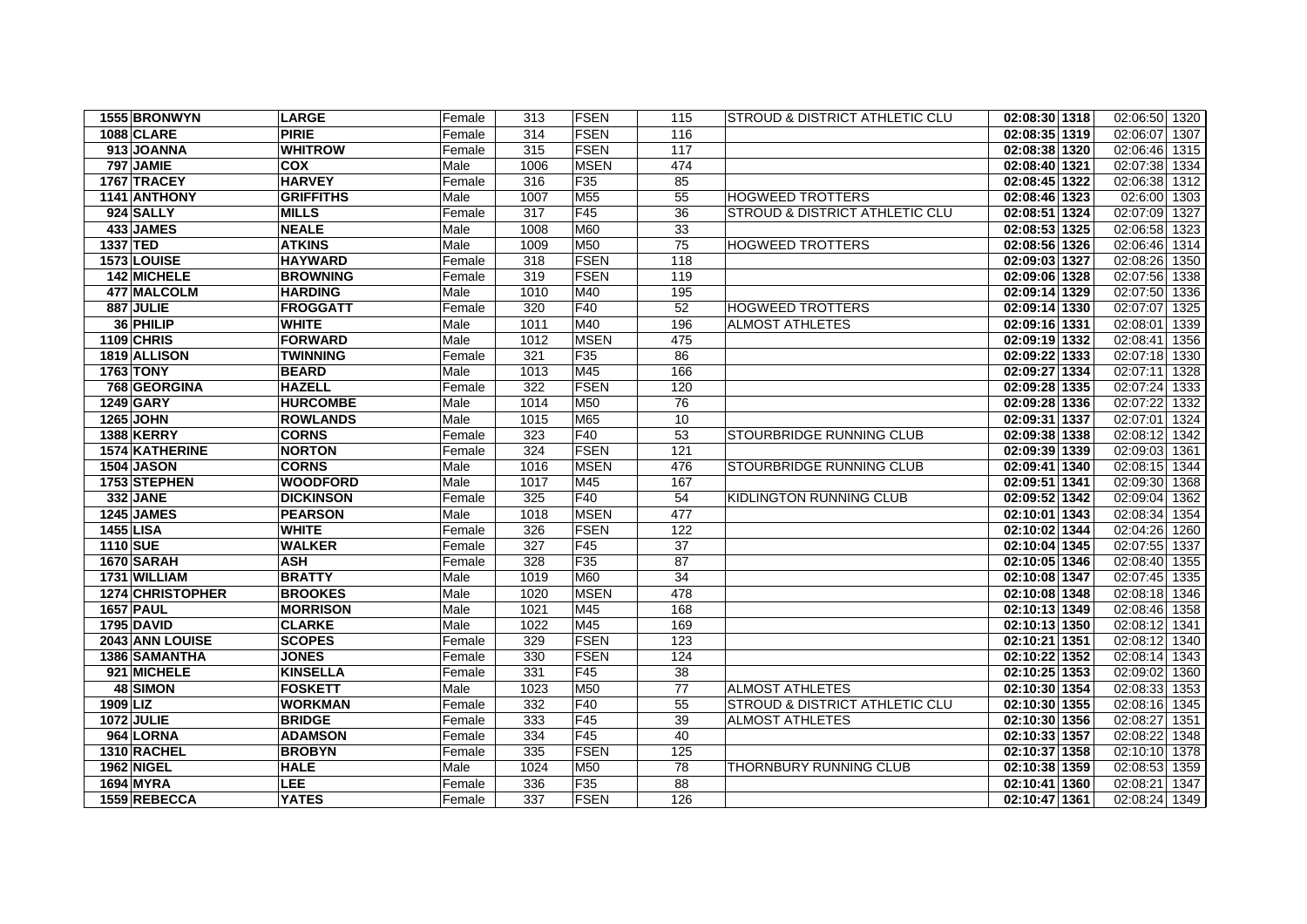| 1555 BRONWYN      | <b>LARGE</b>     | Female | 313  | <b>FSEN</b>     | 115             | STROUD & DISTRICT ATHLETIC CLU  | 02:08:30 1318 | 02:06:50 1320    |
|-------------------|------------------|--------|------|-----------------|-----------------|---------------------------------|---------------|------------------|
| <b>1088 CLARE</b> | <b>PIRIE</b>     | Female | 314  | <b>FSEN</b>     | 116             |                                 | 02:08:35 1319 | 02:06:07 1307    |
| 913 JOANNA        | <b>WHITROW</b>   | Female | 315  | FSEN            | 117             |                                 | 02:08:38 1320 | 02:06:46 1315    |
| 797 JAMIE         | <b>COX</b>       | Male   | 1006 | <b>MSEN</b>     | 474             |                                 | 02:08:40 1321 | 02:07:38 1334    |
| 1767 TRACEY       | <b>HARVEY</b>    | Female | 316  | F <sub>35</sub> | 85              |                                 | 02:08:45 1322 | 02:06:38 1312    |
| 1141 ANTHONY      | <b>GRIFFITHS</b> | Male   | 1007 | M55             | $\overline{55}$ | <b>HOGWEED TROTTERS</b>         | 02:08:46 1323 | 02:6:00 1303     |
| 924 SALLY         | <b>MILLS</b>     | Female | 317  | F45             | 36              | STROUD & DISTRICT ATHLETIC CLU  | 02:08:51 1324 | 02:07:09 1327    |
| 433 JAMES         | <b>NEALE</b>     | Male   | 1008 | M60             | 33              |                                 | 02:08:53 1325 | 02:06:58 1323    |
| 1337 TED          | <b>ATKINS</b>    | Male   | 1009 | M50             | 75              | <b>HOGWEED TROTTERS</b>         | 02:08:56 1326 | 02:06:46 1314    |
| 1573 LOUISE       | <b>HAYWARD</b>   | Female | 318  | FSEN            | 118             |                                 | 02:09:03 1327 | 02:08:26 1350    |
| 142 MICHELE       | <b>BROWNING</b>  | Female | 319  | FSEN            | 119             |                                 | 02:09:06 1328 | 02:07:56 1338    |
| 477 MALCOLM       | <b>HARDING</b>   | Male   | 1010 | M40             | 195             |                                 | 02:09:14 1329 | 02:07:50 1336    |
| 887 JULIE         | <b>FROGGATT</b>  | Female | 320  | F40             | 52              | <b>HOGWEED TROTTERS</b>         | 02:09:14 1330 | 02:07:07 1325    |
| 36 PHILIP         | <b>WHITE</b>     | Male   | 1011 | M40             | 196             | <b>ALMOST ATHLETES</b>          | 02:09:16 1331 | 02:08:01<br>1339 |
| 1109 CHRIS        | <b>FORWARD</b>   | Male   | 1012 | <b>MSEN</b>     | 475             |                                 | 02:09:19 1332 | 02:08:41<br>1356 |
| 1819 ALLISON      | <b>TWINNING</b>  | Female | 321  | F35             | 86              |                                 | 02:09:22 1333 | 02:07:18 1330    |
| <b>1763 TONY</b>  | <b>BEARD</b>     | Male   | 1013 | M45             | 166             |                                 | 02:09:27 1334 | 02:07:11<br>1328 |
| 768 GEORGINA      | <b>HAZELL</b>    | Female | 322  | FSEN            | 120             |                                 | 02:09:28 1335 | 02:07:24 1333    |
| <b>1249 GARY</b>  | <b>HURCOMBE</b>  | Male   | 1014 | M50             | 76              |                                 | 02:09:28 1336 | 02:07:22<br>1332 |
| <b>1265 JOHN</b>  | <b>ROWLANDS</b>  | Male   | 1015 | M65             | 10              |                                 | 02:09:31 1337 | 02:07:01<br>1324 |
| 1388 KERRY        | <b>CORNS</b>     | Female | 323  | F40             | 53              | STOURBRIDGE RUNNING CLUB        | 02:09:38 1338 | 02:08:12 1342    |
| 1574 KATHERINE    | <b>NORTON</b>    | Female | 324  | FSEN            | 121             |                                 | 02:09:39 1339 | 02:09:03 1361    |
| <b>1504 JASON</b> | <b>CORNS</b>     | Male   | 1016 | <b>MSEN</b>     | 476             | <b>STOURBRIDGE RUNNING CLUB</b> | 02:09:41 1340 | 02:08:15 1344    |
| 1753 STEPHEN      | <b>WOODFORD</b>  | Male   | 1017 | M45             | 167             |                                 | 02:09:51 1341 | 02:09:30 1368    |
| <b>332 JANE</b>   | <b>DICKINSON</b> | Female | 325  | F40             | 54              | KIDLINGTON RUNNING CLUB         | 02:09:52 1342 | 02:09:04<br>1362 |
| 1245 JAMES        | <b>PEARSON</b>   | Male   | 1018 | <b>MSEN</b>     | 477             |                                 | 02:10:01 1343 | 02:08:34 1354    |
| <b>1455 LISA</b>  | <b>WHITE</b>     | Female | 326  | FSEN            | 122             |                                 | 02:10:02 1344 | 02:04:26 1260    |
| 1110 SUE          | <b>WALKER</b>    | Female | 327  | F45             | 37              |                                 | 02:10:04 1345 | 02:07:55 1337    |
| 1670 SARAH        | <b>ASH</b>       | Female | 328  | F <sub>35</sub> | 87              |                                 | 02:10:05 1346 | 02:08:40 1355    |
| 1731 WILLIAM      | <b>BRATTY</b>    | Male   | 1019 | M60             | 34              |                                 | 02:10:08 1347 | 02:07:45 1335    |
| 1274 CHRISTOPHER  | <b>BROOKES</b>   | Male   | 1020 | <b>MSEN</b>     | 478             |                                 | 02:10:08 1348 | 02:08:18 1346    |
| <b>1657 PAUL</b>  | <b>MORRISON</b>  | Male   | 1021 | M45             | 168             |                                 | 02:10:13 1349 | 02:08:46 1358    |
| 1795 DAVID        | <b>CLARKE</b>    | Male   | 1022 | M45             | 169             |                                 | 02:10:13 1350 | 02:08:12 1341    |
| 2043 ANN LOUISE   | <b>SCOPES</b>    | Female | 329  | FSEN            | 123             |                                 | 02:10:21 1351 | 02:08:12 1340    |
| 1386 SAMANTHA     | <b>JONES</b>     | Female | 330  | FSEN            | 124             |                                 | 02:10:22 1352 | 02:08:14 1343    |
| 921 MICHELE       | <b>KINSELLA</b>  | Female | 331  | F45             | 38              |                                 | 02:10:25 1353 | 02:09:02 1360    |
| 48 SIMON          | <b>FOSKETT</b>   | Male   | 1023 | M50             | 77              | <b>ALMOST ATHLETES</b>          | 02:10:30 1354 | 02:08:33 1353    |
| 1909 LIZ          | <b>WORKMAN</b>   | Female | 332  | F40             | 55              | STROUD & DISTRICT ATHLETIC CLU  | 02:10:30 1355 | 02:08:16 1345    |
| 1072 JULIE        | <b>BRIDGE</b>    | Female | 333  | F45             | 39              | <b>ALMOST ATHLETES</b>          | 02:10:30 1356 | 02:08:27 1351    |
| 964 LORNA         | <b>ADAMSON</b>   | Female | 334  | F45             | 40              |                                 | 02:10:33 1357 | 02:08:22<br>1348 |
| 1310 RACHEL       | <b>BROBYN</b>    | Female | 335  | FSEN            | 125             |                                 | 02:10:37 1358 | 02:10:10 1378    |
| 1962 NIGEL        | <b>HALE</b>      | Male   | 1024 | <b>M50</b>      | 78              | THORNBURY RUNNING CLUB          | 02:10:38 1359 | 02:08:53 1359    |
| <b>1694 MYRA</b>  | <b>LEE</b>       | Female | 336  | F <sub>35</sub> | 88              |                                 | 02:10:41 1360 | 02:08:21 1347    |
| 1559 REBECCA      | <b>YATES</b>     | Female | 337  | FSEN            | 126             |                                 | 02:10:47 1361 | 02:08:24 1349    |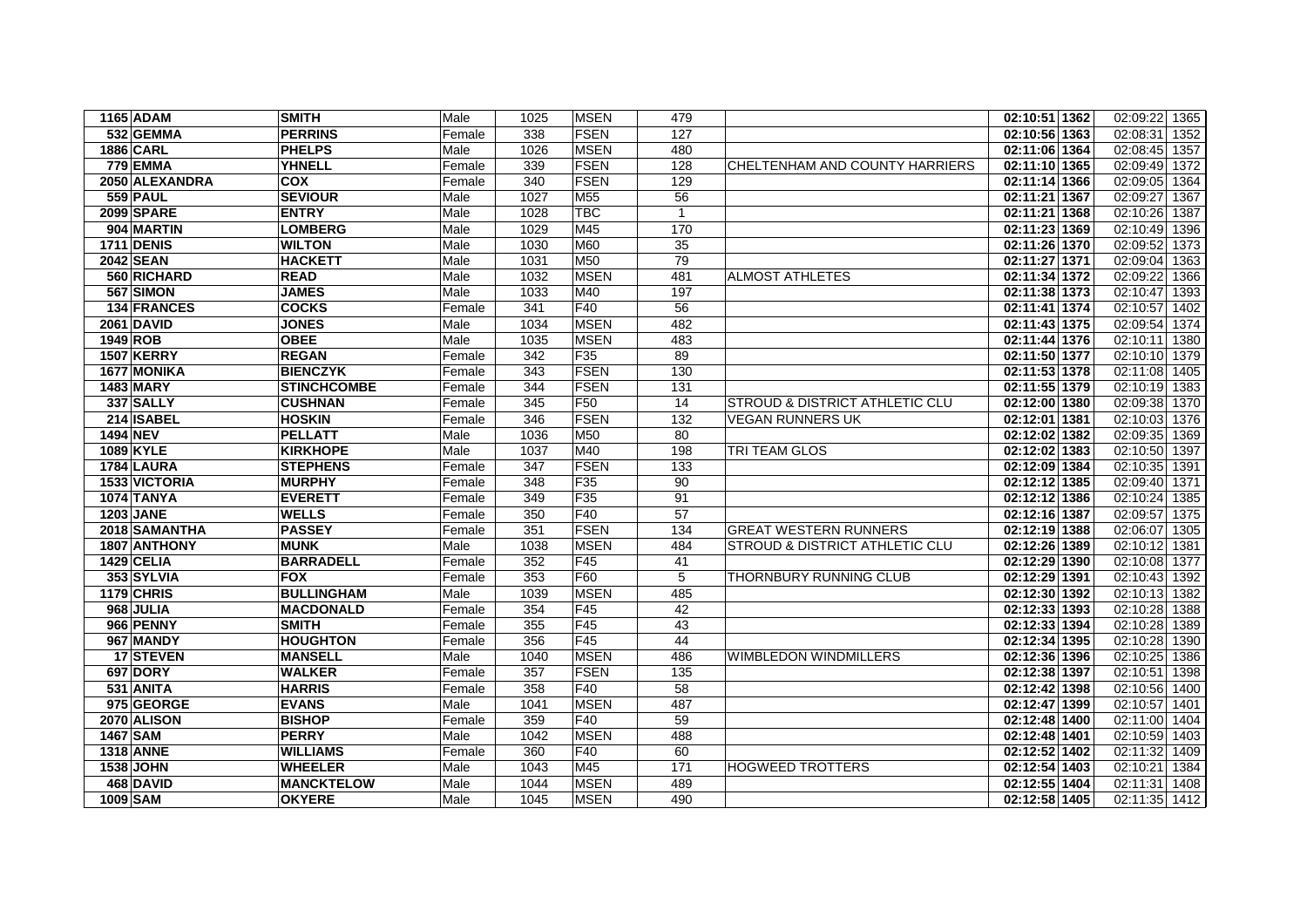| 1165 ADAM         | <b>SMITH</b>            | Male   | 1025 | <b>MSEN</b> | 479          |                                           | 02:10:51 1362 | 02:09:22 1365    |
|-------------------|-------------------------|--------|------|-------------|--------------|-------------------------------------------|---------------|------------------|
| 532 GEMMA         | <b>PERRINS</b>          | Female | 338  | <b>FSEN</b> | 127          |                                           | 02:10:56 1363 | 02:08:31<br>1352 |
| <b>1886 CARL</b>  | <b>PHELPS</b>           | Male   | 1026 | <b>MSEN</b> | 480          |                                           | 02:11:06 1364 | 02:08:45 1357    |
| 779 EMMA          | <b>YHNELL</b>           | Female | 339  | <b>FSEN</b> | 128          | CHELTENHAM AND COUNTY HARRIERS            | 02:11:10 1365 | 02:09:49 1372    |
| 2050 ALEXANDRA    | $\overline{\text{cov}}$ | Female | 340  | <b>FSEN</b> | 129          |                                           | 02:11:14 1366 | 02:09:05<br>1364 |
| <b>559 PAUL</b>   | <b>SEVIOUR</b>          | Male   | 1027 | M55         | 56           |                                           | 02:11:21 1367 | 02:09:27<br>1367 |
| 2099 SPARE        | <b>ENTRY</b>            | Male   | 1028 | <b>TBC</b>  | $\mathbf{1}$ |                                           | 02:11:21 1368 | 02:10:26 1387    |
| 904 MARTIN        | <b>LOMBERG</b>          | Male   | 1029 | M45         | 170          |                                           | 02:11:23 1369 | 02:10:49<br>1396 |
| <b>1711 DENIS</b> | <b>WILTON</b>           | Male   | 1030 | M60         | 35           |                                           | 02:11:26 1370 | 02:09:52<br>1373 |
| 2042 SEAN         | <b>HACKETT</b>          | Male   | 1031 | M50         | 79           |                                           | 02:11:27 1371 | 02:09:04<br>1363 |
| 560 RICHARD       | <b>READ</b>             | Male   | 1032 | <b>MSEN</b> | 481          | <b>ALMOST ATHLETES</b>                    | 02:11:34 1372 | 02:09:22<br>1366 |
| 567 SIMON         | <b>JAMES</b>            | Male   | 1033 | M40         | 197          |                                           | 02:11:38 1373 | 02:10:47<br>1393 |
| 134 FRANCES       | <b>COCKS</b>            | Female | 341  | F40         | 56           |                                           | 02:11:41 1374 | 02:10:57 1402    |
| <b>2061 DAVID</b> | <b>JONES</b>            | Male   | 1034 | <b>MSEN</b> | 482          |                                           | 02:11:43 1375 | 02:09:54<br>1374 |
| 1949 ROB          | <b>OBEE</b>             | Male   | 1035 | <b>MSEN</b> | 483          |                                           | 02:11:44 1376 | 02:10:11 1380    |
| <b>1507 KERRY</b> | <b>REGAN</b>            | Female | 342  | F35         | 89           |                                           | 02:11:50 1377 | 02:10:10 1379    |
| 1677 MONIKA       | <b>BIENCZYK</b>         | Female | 343  | <b>FSEN</b> | 130          |                                           | 02:11:53 1378 | 02:11:08 1405    |
| <b>1483 MARY</b>  | <b>STINCHCOMBE</b>      | Female | 344  | <b>FSEN</b> | 131          |                                           | 02:11:55 1379 | 02:10:19 1383    |
| 337 SALLY         | <b>CUSHNAN</b>          | Female | 345  | F50         | 14           | <b>STROUD &amp; DISTRICT ATHLETIC CLU</b> | 02:12:00 1380 | 02:09:38<br>1370 |
| 214 ISABEL        | <b>HOSKIN</b>           | Female | 346  | <b>FSEN</b> | 132          | <b>VEGAN RUNNERS UK</b>                   | 02:12:01 1381 | 02:10:03<br>1376 |
| <b>1494 NEV</b>   | <b>PELLATT</b>          | Male   | 1036 | M50         | 80           |                                           | 02:12:02 1382 | 02:09:35 1369    |
| <b>1089 KYLE</b>  | <b>KIRKHOPE</b>         | Male   | 1037 | M40         | 198          | TRI TEAM GLOS                             | 02:12:02 1383 | 02:10:50<br>1397 |
| 1784 LAURA        | <b>STEPHENS</b>         | Female | 347  | <b>FSEN</b> | 133          |                                           | 02:12:09 1384 | 02:10:35 1391    |
| 1533 VICTORIA     | <b>MURPHY</b>           | Female | 348  | F35         | 90           |                                           | 02:12:12 1385 | 02:09:40<br>1371 |
| <b>1074 TANYA</b> | <b>EVERETT</b>          | Female | 349  | F35         | 91           |                                           | 02:12:12 1386 | 02:10:24<br>1385 |
| <b>1203 JANE</b>  | <b>WELLS</b>            | Female | 350  | F40         | 57           |                                           | 02:12:16 1387 | 02:09:57 1375    |
| 2018 SAMANTHA     | <b>PASSEY</b>           | Female | 351  | FSEN        | 134          | <b>GREAT WESTERN RUNNERS</b>              | 02:12:19 1388 | 02:06:07 1305    |
| 1807 ANTHONY      | <b>MUNK</b>             | Male   | 1038 | <b>MSEN</b> | 484          | STROUD & DISTRICT ATHLETIC CLU            | 02:12:26 1389 | 02:10:12<br>1381 |
| 1429 CELIA        | <b>BARRADELL</b>        | Female | 352  | F45         | 41           |                                           | 02:12:29 1390 | 02:10:08 1377    |
| 353 SYLVIA        | <b>FOX</b>              | Female | 353  | F60         | 5            | THORNBURY RUNNING CLUB                    | 02:12:29 1391 | 02:10:43 1392    |
| 1179 CHRIS        | <b>BULLINGHAM</b>       | Male   | 1039 | <b>MSEN</b> | 485          |                                           | 02:12:30 1392 | 02:10:13 1382    |
| 968 JULIA         | <b>MACDONALD</b>        | Female | 354  | F45         | 42           |                                           | 02:12:33 1393 | 02:10:28 1388    |
| 966 PENNY         | <b>SMITH</b>            | Female | 355  | F45         | 43           |                                           | 02:12:33 1394 | 02:10:28 1389    |
| 967 MANDY         | <b>HOUGHTON</b>         | Female | 356  | F45         | 44           |                                           | 02:12:34 1395 | 02:10:28 1390    |
| 17 STEVEN         | <b>MANSELL</b>          | Male   | 1040 | <b>MSEN</b> | 486          | <b>WIMBLEDON WINDMILLERS</b>              | 02:12:36 1396 | 02:10:25 1386    |
| <b>697 DORY</b>   | <b>WALKER</b>           | Female | 357  | <b>FSEN</b> | 135          |                                           | 02:12:38 1397 | 02:10:51 1398    |
| 531 ANITA         | <b>HARRIS</b>           | Female | 358  | F40         | 58           |                                           | 02:12:42 1398 | 02:10:56 1400    |
| 975 GEORGE        | <b>EVANS</b>            | Male   | 1041 | <b>MSEN</b> | 487          |                                           | 02:12:47 1399 | 02:10:57 1401    |
| 2070 ALISON       | <b>BISHOP</b>           | Female | 359  | F40         | 59           |                                           | 02:12:48 1400 | 02:11:00 1404    |
| 1467 SAM          | <b>PERRY</b>            | Male   | 1042 | <b>MSEN</b> | 488          |                                           | 02:12:48 1401 | 02:10:59 1403    |
| <b>1318 ANNE</b>  | WILLIAMS                | Female | 360  | F40         | 60           |                                           | 02:12:52 1402 | 02:11:32 1409    |
| <b>1538 JOHN</b>  | <b>WHEELER</b>          | Male   | 1043 | M45         | 171          | <b>HOGWEED TROTTERS</b>                   | 02:12:54 1403 | 02:10:21 1384    |
| 468 DAVID         | <b>MANCKTELOW</b>       | Male   | 1044 | <b>MSEN</b> | 489          |                                           | 02:12:55 1404 | 02:11:31 1408    |
| <b>1009 SAM</b>   | <b>OKYERE</b>           | Male   | 1045 | <b>MSEN</b> | 490          |                                           | 02:12:58 1405 | 02:11:35 1412    |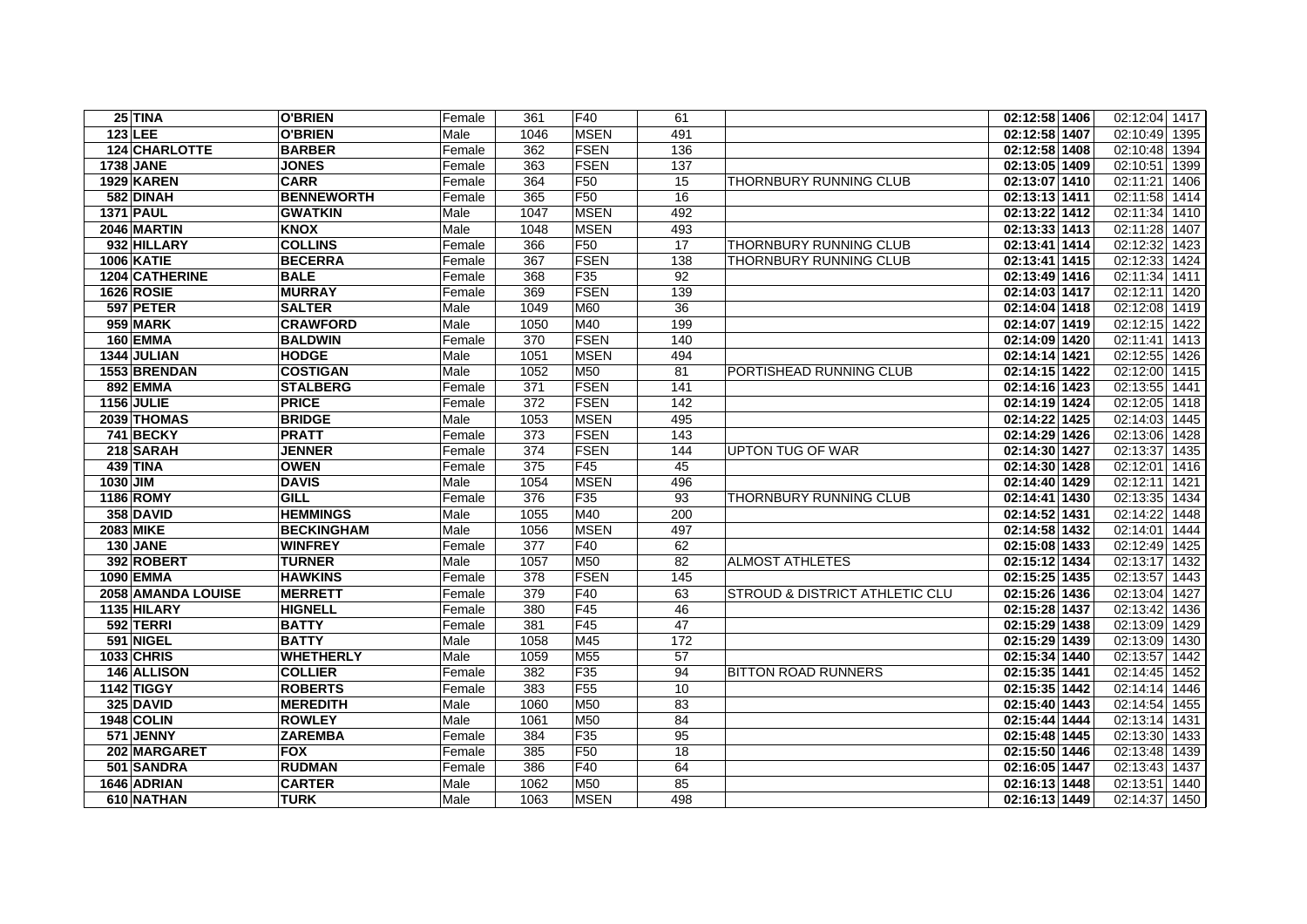| $25$ TINA          | <b>O'BRIEN</b>    | Female | 361  | IF40            | 61                |                                | 02:12:58 1406              | 02:12:04 1417 |      |
|--------------------|-------------------|--------|------|-----------------|-------------------|--------------------------------|----------------------------|---------------|------|
| $123$ LEE          | <b>O'BRIEN</b>    | Male   | 1046 | <b>IMSEN</b>    | 491               |                                | 02:12:58 1407              | 02:10:49 1395 |      |
| 124 CHARLOTTE      | <b>BARBER</b>     | Female | 362  | <b>FSEN</b>     | 136               |                                | 02:12:58 1408              | 02:10:48      | 1394 |
| <b>1738 JANE</b>   | <b>JONES</b>      | Female | 363  | FSEN            | 137               |                                | 02:13:05 1409              | 02:10:51      | 1399 |
| 1929 KAREN         | <b>CARR</b>       | Female | 364  | F <sub>50</sub> | 15                | THORNBURY RUNNING CLUB         | 02:13:07 1410              | 02:11:21      | 1406 |
| 582 DINAH          | <b>BENNEWORTH</b> | Female | 365  | <b>F50</b>      | 16                |                                | 02:13:13 1411              | 02:11:58 1414 |      |
| <b>1371 PAUL</b>   | <b>GWATKIN</b>    | Male   | 1047 | <b>MSEN</b>     | 492               |                                | 02:13:22 1412              | 02:11:34      | 1410 |
| 2046 MARTIN        | <b>KNOX</b>       | Male   | 1048 | <b>MSEN</b>     | 493               |                                | 02:13:33 1413              | 02:11:28      | 1407 |
| 932 HILLARY        | <b>COLLINS</b>    | Female | 366  | F <sub>50</sub> | 17                | THORNBURY RUNNING CLUB         | 02:13:41 1414              | 02:12:32      | 1423 |
| <b>1006 KATIE</b>  | <b>BECERRA</b>    | Female | 367  | <b>FSEN</b>     | 138               | THORNBURY RUNNING CLUB         | 02:13:41 1415              | 02:12:33      | 1424 |
| 1204 CATHERINE     | <b>BALE</b>       | Female | 368  | F35             | 92                |                                | 02:13:49 1416              | 02:11:34      | 1411 |
| <b>1626 ROSIE</b>  | <b>MURRAY</b>     | Female | 369  | <b>FSEN</b>     | 139               |                                | 02:14:03 1417              | 02:12:11      | 1420 |
| 597 PETER          | <b>SALTER</b>     | Male   | 1049 | M60             | 36                |                                | 02:14:04 1418              | 02:12:08      | 1419 |
| 959 MARK           | <b>CRAWFORD</b>   | Male   | 1050 | M40             | 199               |                                | 02:14:07 1419              | 02:12:15 1422 |      |
| 160 EMMA           | <b>BALDWIN</b>    | Female | 370  | <b>FSEN</b>     | 140               |                                | 02:14:09 1420              | 02:11:41      | 1413 |
| 1344 JULIAN        | <b>HODGE</b>      | Male   | 1051 | <b>MSEN</b>     | 494               |                                | 02:14:14 1421              | 02:12:55      | 1426 |
| 1553 BRENDAN       | <b>COSTIGAN</b>   | Male   | 1052 | M50             | 81                | PORTISHEAD RUNNING CLUB        | 02:14:15 1422              | 02:12:00      | 1415 |
| 892 EMMA           | <b>STALBERG</b>   | Female | 371  | <b>FSEN</b>     | 141               |                                | 02:14:16 1423              | 02:13:55 1441 |      |
| <b>1156 JULIE</b>  | <b>PRICE</b>      | Female | 372  | <b>FSEN</b>     | 142               |                                | 02:14:19 1424              | 02:12:05 1418 |      |
| 2039 THOMAS        | <b>BRIDGE</b>     | Male   | 1053 | <b>MSEN</b>     | 495               |                                | 02:14:22 1425              | 02:14:03      | 1445 |
| 741 BECKY          | <b>PRATT</b>      | Female | 373  | <b>FSEN</b>     | 143               |                                | 02:14:29 1426              | 02:13:06      | 1428 |
| 218 SARAH          | <b>JENNER</b>     | Female | 374  | <b>FSEN</b>     | 144               | UPTON TUG OF WAR               | 02:14:30 1427              | 02:13:37      | 1435 |
| 439 TINA           | <b>OWEN</b>       | Female | 375  | F45             | 45                |                                | 02:14:30 1428              | 02:12:01      | 1416 |
| 1030 JIM           | <b>DAVIS</b>      | Male   | 1054 | <b>MSEN</b>     | 496               |                                | 02:14:40 1429              | 02:12:11      | 1421 |
| 1186 ROMY          | <b>GILL</b>       | Female | 376  | F <sub>35</sub> | 93                | THORNBURY RUNNING CLUB         | 02:14:41 1430              | 02:13:35      | 1434 |
| 358 DAVID          | <b>HEMMINGS</b>   | Male   | 1055 | M40             | 200               |                                | 02:14:52 1431              | 02:14:22      | 1448 |
| <b>2083 MIKE</b>   | <b>BECKINGHAM</b> | Male   | 1056 | <b>MSEN</b>     | 497               |                                | 02:14:58 1432              | 02:14:01      | 1444 |
| 130 JANE           | <b>WINFREY</b>    | Female | 377  | F40             | 62                |                                | 02:15:08 1433              | 02:12:49      | 1425 |
| 392 ROBERT         | <b>TURNER</b>     | Male   | 1057 | M50             | 82                | <b>ALMOST ATHLETES</b>         | 02:15:12 1434              | 02:13:17      | 1432 |
| 1090 EMMA          | <b>HAWKINS</b>    | Female | 378  | <b>FSEN</b>     | $\frac{145}{145}$ |                                | 02:15:25 1435              | 02:13:57      | 1443 |
| 2058 AMANDA LOUISE | <b>MERRETT</b>    | Female | 379  | F40             | 63                | STROUD & DISTRICT ATHLETIC CLU | $\overline{02:15:26}$ 1436 | 02:13:04      | 1427 |
| 1135 HILARY        | <b>HIGNELL</b>    | Female | 380  | F45             | 46                |                                | 02:15:28 1437              | 02:13:42      | 1436 |
| 592 TERRI          | <b>BATTY</b>      | Female | 381  | F45             | 47                |                                | 02:15:29 1438              | 02:13:09      | 1429 |
| 591 NIGEL          | <b>BATTY</b>      | Male   | 1058 | M45             | 172               |                                | 02:15:29 1439              | 02:13:09      | 1430 |
| <b>1033 CHRIS</b>  | <b>WHETHERLY</b>  | Male   | 1059 | M55             | 57                |                                | 02:15:34 1440              | 02:13:57      | 1442 |
| 146 ALLISON        | <b>COLLIER</b>    | Female | 382  | F <sub>35</sub> | 94                | <b>BITTON ROAD RUNNERS</b>     | 02:15:35 1441              | 02:14:45      | 1452 |
| 1142 TIGGY         | <b>ROBERTS</b>    | Female | 383  | F <sub>55</sub> | 10                |                                | 02:15:35 1442              | 02:14:14      | 1446 |
| 325 DAVID          | <b>MEREDITH</b>   | Male   | 1060 | M50             | 83                |                                | 02:15:40 1443              | 02:14:54      | 1455 |
| 1948 COLIN         | <b>ROWLEY</b>     | Male   | 1061 | M50             | 84                |                                | 02:15:44 1444              | 02:13:14      | 1431 |
| 571 JENNY          | <b>ZAREMBA</b>    | Female | 384  | F35             | 95                |                                | 02:15:48 1445              | 02:13:30      | 1433 |
| 202 MARGARET       | <b>FOX</b>        | Female | 385  | F50             | 18                |                                | 02:15:50 1446              | 02:13:48 1439 |      |
| 501 SANDRA         | <b>RUDMAN</b>     | Female | 386  | F40             | 64                |                                | 02:16:05 1447              | 02:13:43 1437 |      |
| 1646 ADRIAN        | <b>CARTER</b>     | Male   | 1062 | M50             | 85                |                                | 02:16:13 1448              | 02:13:51 1440 |      |
| 610 NATHAN         | <b>TURK</b>       | Male   | 1063 | <b>MSEN</b>     | 498               |                                | 02:16:13 1449              | 02:14:37 1450 |      |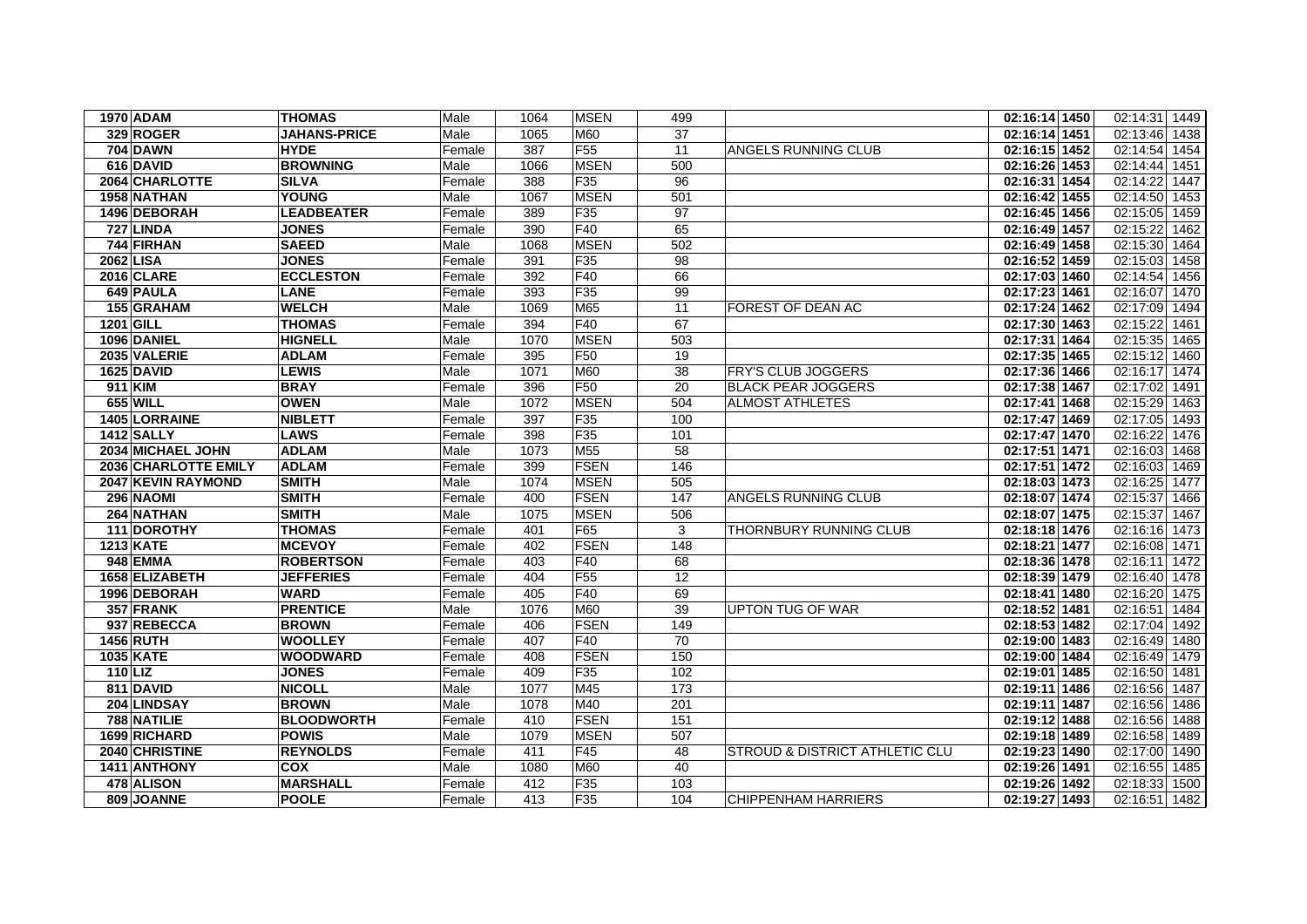| <b>1970 ADAM</b>            | <b>THOMAS</b>       | Male   | 1064             | <b>MSEN</b>     | 499              |                                | 02:16:14 1450 | 02:14:31 1449    |
|-----------------------------|---------------------|--------|------------------|-----------------|------------------|--------------------------------|---------------|------------------|
| 329 ROGER                   | <b>JAHANS-PRICE</b> | Male   | 1065             | M60             | 37               |                                | 02:16:14 1451 | 02:13:46 1438    |
| <b>704 DAWN</b>             | <b>HYDE</b>         | Female | 387              | F <sub>55</sub> | 11               | ANGELS RUNNING CLUB            | 02:16:15 1452 | 02:14:54 1454    |
| 616 DAVID                   | <b>BROWNING</b>     | Male   | 1066             | <b>MSEN</b>     | 500              |                                | 02:16:26 1453 | 02:14:44<br>1451 |
| 2064 CHARLOTTE              | <b>SILVA</b>        | Female | 388              | F35             | 96               |                                | 02:16:31 1454 | 02:14:22<br>1447 |
| 1958 NATHAN                 | <b>YOUNG</b>        | Male   | 1067             | <b>MSEN</b>     | 501              |                                | 02:16:42 1455 | 02:14:50<br>1453 |
| 1496 DEBORAH                | <b>LEADBEATER</b>   | Female | 389              | F35             | $\overline{97}$  |                                | 02:16:45 1456 | 02:15:05 1459    |
| 727 LINDA                   | <b>JONES</b>        | Female | 390              | F40             | 65               |                                | 02:16:49 1457 | 02:15:22<br>1462 |
| 744 FIRHAN                  | <b>SAEED</b>        | Male   | 1068             | <b>MSEN</b>     | 502              |                                | 02:16:49 1458 | 02:15:30<br>1464 |
| 2062 LISA                   | <b>JONES</b>        | Female | 391              | F35             | 98               |                                | 02:16:52 1459 | 02:15:03<br>1458 |
| 2016 CLARE                  | <b>ECCLESTON</b>    | Female | $\overline{392}$ | F40             | 66               |                                | 02:17:03 1460 | 02:14:54<br>1456 |
| 649 PAULA                   | <b>LANE</b>         | Female | 393              | F35             | 99               |                                | 02:17:23 1461 | 02:16:07 1470    |
| 155 GRAHAM                  | <b>WELCH</b>        | Male   | 1069             | M65             | 11               | FOREST OF DEAN AC              | 02:17:24 1462 | 02:17:09 1494    |
| 1201 GILL                   | <b>THOMAS</b>       | Female | 394              | F40             | 67               |                                | 02:17:30 1463 | 02:15:22<br>1461 |
| 1096 DANIEL                 | <b>HIGNELL</b>      | Male   | 1070             | <b>MSEN</b>     | 503              |                                | 02:17:31 1464 | 02:15:35<br>1465 |
| 2035 VALERIE                | <b>ADLAM</b>        | Female | 395              | F <sub>50</sub> | 19               |                                | 02:17:35 1465 | 02:15:12<br>1460 |
| <b>1625 DAVID</b>           | <b>LEWIS</b>        | Male   | 1071             | M60             | 38               | <b>FRY'S CLUB JOGGERS</b>      | 02:17:36 1466 | 02:16:17 1474    |
| 911 KIM                     | <b>BRAY</b>         | Female | 396              | F <sub>50</sub> | 20               | <b>BLACK PEAR JOGGERS</b>      | 02:17:38 1467 | 02:17:02<br>1491 |
| 655 WILL                    | <b>OWEN</b>         | Male   | 1072             | <b>MSEN</b>     | 504              | <b>ALMOST ATHLETES</b>         | 02:17:41 1468 | 02:15:29 1463    |
| 1405 LORRAINE               | <b>NIBLETT</b>      | Female | 397              | F35             | 100              |                                | 02:17:47 1469 | 02:17:05 1493    |
| 1412 SALLY                  | <b>LAWS</b>         | Female | 398              | F35             | 101              |                                | 02:17:47 1470 | 02:16:22<br>1476 |
| 2034 MICHAEL JOHN           | <b>ADLAM</b>        | Male   | 1073             | M55             | $\overline{58}$  |                                | 02:17:51 1471 | 02:16:03 1468    |
| <b>2036 CHARLOTTE EMILY</b> | <b>ADLAM</b>        | Female | 399              | <b>FSEN</b>     | 146              |                                | 02:17:51 1472 | 02:16:03 1469    |
| <b>2047 KEVIN RAYMOND</b>   | <b>SMITH</b>        | Male   | 1074             | <b>MSEN</b>     | 505              |                                | 02:18:03 1473 | 02:16:25 1477    |
| 296 NAOMI                   | <b>SMITH</b>        | Female | 400              | <b>FSEN</b>     | 147              | ANGELS RUNNING CLUB            | 02:18:07 1474 | 02:15:37 1466    |
| 264 NATHAN                  | <b>SMITH</b>        | Male   | 1075             | <b>MSEN</b>     | 506              |                                | 02:18:07 1475 | 02:15:37 1467    |
| 111 DOROTHY                 | <b>THOMAS</b>       | Female | 401              | F65             | 3                | THORNBURY RUNNING CLUB         | 02:18:18 1476 | 02:16:16 1473    |
| <b>1213 KATE</b>            | <b>MCEVOY</b>       | Female | 402              | <b>FSEN</b>     | 148              |                                | 02:18:21 1477 | 02:16:08 1471    |
| 948 EMMA                    | <b>ROBERTSON</b>    | Female | 403              | F40             | 68               |                                | 02:18:36 1478 | 02:16:11<br>1472 |
| 1658 ELIZABETH              | <b>JEFFERIES</b>    | Female | 404              | F <sub>55</sub> | $\overline{12}$  |                                | 02:18:39 1479 | 02:16:40 1478    |
| 1996 DEBORAH                | <b>WARD</b>         | Female | 405              | F40             | 69               |                                | 02:18:41 1480 | 02:16:20<br>1475 |
| 357 FRANK                   | <b>PRENTICE</b>     | Male   | 1076             | M60             | 39               | <b>UPTON TUG OF WAR</b>        | 02:18:52 1481 | 02:16:51 1484    |
| 937 REBECCA                 | <b>BROWN</b>        | Female | 406              | <b>FSEN</b>     | 149              |                                | 02:18:53 1482 | 02:17:04 1492    |
| 1456 RUTH                   | <b>WOOLLEY</b>      | Female | 407              | F40             | 70               |                                | 02:19:00 1483 | 02:16:49 1480    |
| 1035 KATE                   | <b>WOODWARD</b>     | Female | 408              | <b>FSEN</b>     | 150              |                                | 02:19:00 1484 | 02:16:49<br>1479 |
| <b>110 LIZ</b>              | <b>JONES</b>        | Female | 409              | F35             | 102              |                                | 02:19:01 1485 | 02:16:50 1481    |
| 811 DAVID                   | <b>NICOLL</b>       | Male   | 1077             | M45             | $\overline{173}$ |                                | 02:19:11 1486 | 02:16:56<br>1487 |
| 204 LINDSAY                 | <b>BROWN</b>        | Male   | 1078             | M40             | 201              |                                | 02:19:11 1487 | 02:16:56<br>1486 |
| 788 NATILIE                 | <b>BLOODWORTH</b>   | Female | 410              | <b>FSEN</b>     | 151              |                                | 02:19:12 1488 | 02:16:56 1488    |
| 1699 RICHARD                | <b>POWIS</b>        | Male   | 1079             | <b>MSEN</b>     | 507              |                                | 02:19:18 1489 | 02:16:58 1489    |
| 2040 CHRISTINE              | <b>REYNOLDS</b>     | Female | 411              | F45             | 48               | STROUD & DISTRICT ATHLETIC CLU | 02:19:23 1490 | 02:17:00 1490    |
| 1411 ANTHONY                | <b>COX</b>          | Male   | 1080             | M60             | 40               |                                | 02:19:26 1491 | 02:16:55 1485    |
| 478 ALISON                  | <b>MARSHALL</b>     | Female | 412              | F35             | 103              |                                | 02:19:26 1492 | 02:18:33 1500    |
| 809 JOANNE                  | <b>POOLE</b>        | Female | 413              | F35             | 104              | <b>CHIPPENHAM HARRIERS</b>     | 02:19:27 1493 | 02:16:51 1482    |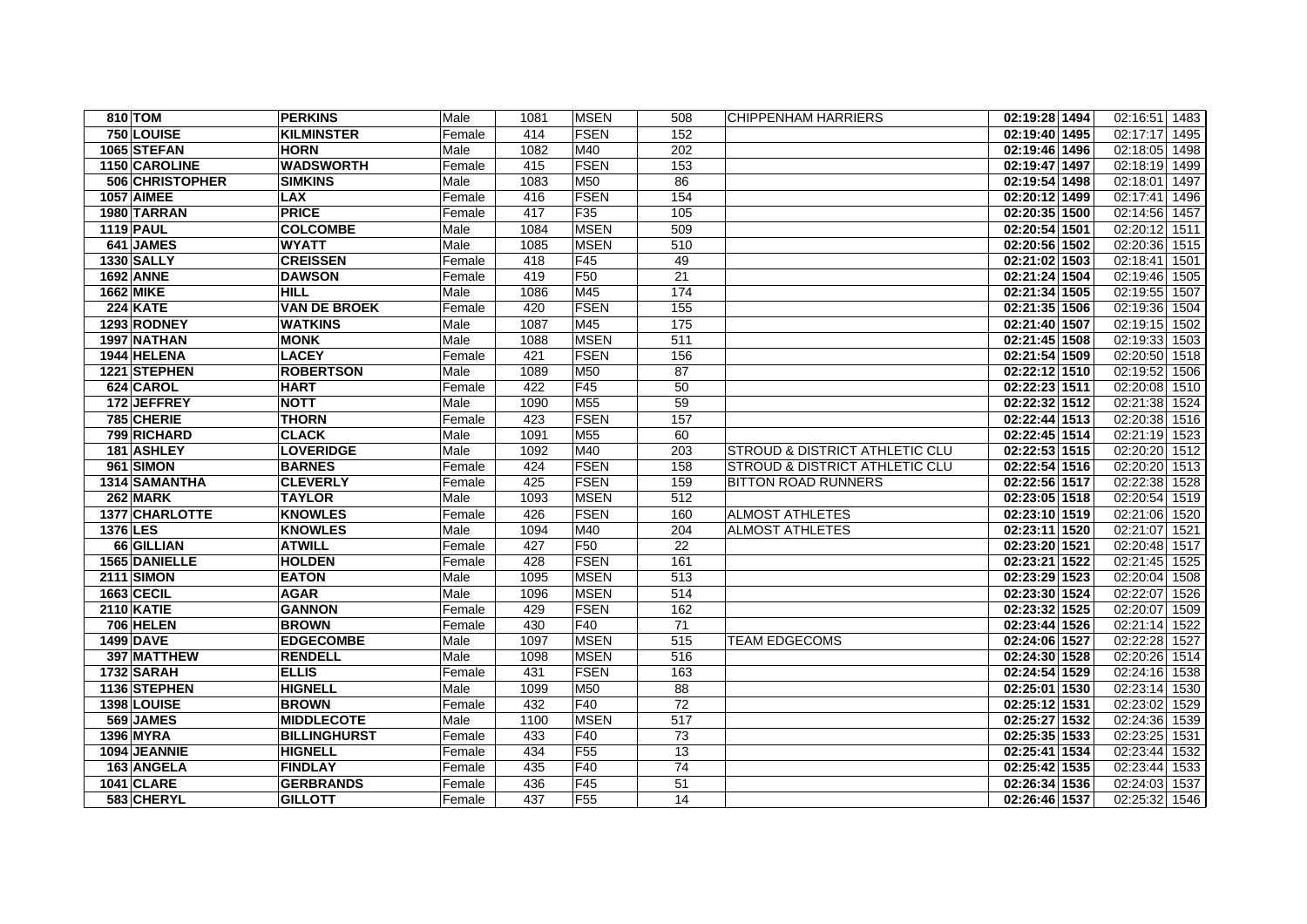| 810 TOM           |                 | <b>PERKINS</b>      | Male   | 1081 | <b>MSEN</b>     | 508             | <b>CHIPPENHAM HARRIERS</b>                | 02:19:28 1494 | 02:16:51 1483    |
|-------------------|-----------------|---------------------|--------|------|-----------------|-----------------|-------------------------------------------|---------------|------------------|
| 750 LOUISE        |                 | <b>KILMINSTER</b>   | Female | 414  | FSEN            | 152             |                                           | 02:19:40 1495 | 02:17:17 1495    |
| 1065 STEFAN       |                 | <b>HORN</b>         | Male   | 1082 | M40             | 202             |                                           | 02:19:46 1496 | 02:18:05 1498    |
|                   | 1150 CAROLINE   | <b>WADSWORTH</b>    | Female | 415  | FSEN            | 153             |                                           | 02:19:47 1497 | 02:18:19 1499    |
|                   | 506 CHRISTOPHER | <b>SIMKINS</b>      | Male   | 1083 | M50             | 86              |                                           | 02:19:54 1498 | 02:18:01 1497    |
| <b>1057 AIMEE</b> |                 | <b>LAX</b>          | Female | 416  | FSEN            | 154             |                                           | 02:20:12 1499 | 02:17:41 1496    |
| 1980 TARRAN       |                 | <b>PRICE</b>        | Female | 417  | F35             | 105             |                                           | 02:20:35 1500 | 02:14:56 1457    |
| <b>1119 PAUL</b>  |                 | <b>COLCOMBE</b>     | Male   | 1084 | <b>MSEN</b>     | 509             |                                           | 02:20:54 1501 | 02:20:12 1511    |
| 641 JAMES         |                 | <b>WYATT</b>        | Male   | 1085 | <b>MSEN</b>     | 510             |                                           | 02:20:56 1502 | 02:20:36 1515    |
| <b>1330 SALLY</b> |                 | <b>CREISSEN</b>     | Female | 418  | F45             | 49              |                                           | 02:21:02 1503 | 02:18:41 1501    |
| <b>1692 ANNE</b>  |                 | <b>DAWSON</b>       | Female | 419  | F <sub>50</sub> | $\overline{21}$ |                                           | 02:21:24 1504 | 02:19:46 1505    |
| 1662 MIKE         |                 | <b>HILL</b>         | Male   | 1086 | M45             | 174             |                                           | 02:21:34 1505 | 02:19:55 1507    |
| 224 KATE          |                 | <b>VAN DE BROEK</b> | Female | 420  | FSEN            | 155             |                                           | 02:21:35 1506 | 02:19:36 1504    |
| 1293 RODNEY       |                 | <b>WATKINS</b>      | Male   | 1087 | M45             | 175             |                                           | 02:21:40 1507 | 02:19:15 1502    |
| 1997 NATHAN       |                 | <b>MONK</b>         | Male   | 1088 | <b>MSEN</b>     | 511             |                                           | 02:21:45 1508 | 02:19:33 1503    |
| 1944 HELENA       |                 | <b>LACEY</b>        | Female | 421  | <b>FSEN</b>     | 156             |                                           | 02:21:54 1509 | 02:20:50 1518    |
| 1221 STEPHEN      |                 | <b>ROBERTSON</b>    | Male   | 1089 | M50             | 87              |                                           | 02:22:12 1510 | 02:19:52 1506    |
| 624 CAROL         |                 | <b>HART</b>         | Female | 422  | F45             | 50              |                                           | 02:22:23 1511 | 02:20:08 1510    |
|                   | 172 JEFFREY     | <b>NOTT</b>         | Male   | 1090 | M55             | 59              |                                           | 02:22:32 1512 | 02:21:38 1524    |
| 785 CHERIE        |                 | <b>THORN</b>        | Female | 423  | <b>FSEN</b>     | 157             |                                           | 02:22:44 1513 | 02:20:38 1516    |
|                   | 799 RICHARD     | <b>CLACK</b>        | Male   | 1091 | M <sub>55</sub> | 60              |                                           | 02:22:45 1514 | 02:21:19 1523    |
| 181 ASHLEY        |                 | <b>LOVERIDGE</b>    | Male   | 1092 | M40             | 203             | <b>STROUD &amp; DISTRICT ATHLETIC CLU</b> | 02:22:53 1515 | 02:20:20 1512    |
| 961 SIMON         |                 | <b>BARNES</b>       | Female | 424  | <b>FSEN</b>     | 158             | <b>STROUD &amp; DISTRICT ATHLETIC CLU</b> | 02:22:54 1516 | 02:20:20 1513    |
|                   | 1314 SAMANTHA   | <b>CLEVERLY</b>     | Female | 425  | FSEN            | 159             | <b>BITTON ROAD RUNNERS</b>                | 02:22:56 1517 | 02:22:38 1528    |
| 262 MARK          |                 | <b>TAYLOR</b>       | Male   | 1093 | <b>MSEN</b>     | 512             |                                           | 02:23:05 1518 | 02:20:54 1519    |
|                   | 1377 CHARLOTTE  | <b>KNOWLES</b>      | Female | 426  | <b>FSEN</b>     | 160             | <b>ALMOST ATHLETES</b>                    | 02:23:10 1519 | 02:21:06 1520    |
| <b>1376 LES</b>   |                 | <b>KNOWLES</b>      | Male   | 1094 | M40             | 204             | <b>ALMOST ATHLETES</b>                    | 02:23:11 1520 | 02:21:07 1521    |
|                   | 66 GILLIAN      | <b>ATWILL</b>       | Female | 427  | F <sub>50</sub> | 22              |                                           | 02:23:20 1521 | 02:20:48 1517    |
|                   | 1565 DANIELLE   | <b>HOLDEN</b>       | Female | 428  | <b>FSEN</b>     | 161             |                                           | 02:23:21 1522 | 02:21:45 1525    |
| <b>2111 SIMON</b> |                 | <b>EATON</b>        | Male   | 1095 | <b>MSEN</b>     | 513             |                                           | 02:23:29 1523 | 02:20:04 1508    |
| 1663 CECIL        |                 | <b>AGAR</b>         | Male   | 1096 | <b>MSEN</b>     | 514             |                                           | 02:23:30 1524 | 02:22:07 1526    |
| <b>2110 KATIE</b> |                 | <b>GANNON</b>       | Female | 429  | <b>FSEN</b>     | 162             |                                           | 02:23:32 1525 | 02:20:07 1509    |
| <b>706 HELEN</b>  |                 | <b>BROWN</b>        | Female | 430  | F40             | 71              |                                           | 02:23:44 1526 | 02:21:14 1522    |
| <b>1499 DAVE</b>  |                 | <b>EDGECOMBE</b>    | Male   | 1097 | <b>MSEN</b>     | 515             | <b>TEAM EDGECOMS</b>                      | 02:24:06 1527 | 02:22:28 1527    |
|                   | 397 MATTHEW     | <b>RENDELL</b>      | Male   | 1098 | <b>MSEN</b>     | 516             |                                           | 02:24:30 1528 | 02:20:26 1514    |
| 1732 SARAH        |                 | <b>ELLIS</b>        | Female | 431  | FSEN            | 163             |                                           | 02:24:54 1529 | 02:24:16 1538    |
| 1136 STEPHEN      |                 | <b>HIGNELL</b>      | Male   | 1099 | M <sub>50</sub> | 88              |                                           | 02:25:01 1530 | 02:23:14 1530    |
| 1398 LOUISE       |                 | <b>BROWN</b>        | Female | 432  | F40             | 72              |                                           | 02:25:12 1531 | 02:23:02<br>1529 |
| 569 JAMES         |                 | <b>MIDDLECOTE</b>   | Male   | 1100 | <b>MSEN</b>     | 517             |                                           | 02:25:27 1532 | 02:24:36 1539    |
| 1396 MYRA         |                 | <b>BILLINGHURST</b> | Female | 433  | F40             | 73              |                                           | 02:25:35 1533 | 02:23:25 1531    |
| 1094 JEANNIE      |                 | <b>HIGNELL</b>      | Female | 434  | <b>F55</b>      | 13              |                                           | 02:25:41 1534 | 02:23:44 1532    |
| 163 ANGELA        |                 | <b>FINDLAY</b>      | Female | 435  | F40             | 74              |                                           | 02:25:42 1535 | 02:23:44 1533    |
| 1041 CLARE        |                 | <b>GERBRANDS</b>    | Female | 436  | F45             | 51              |                                           | 02:26:34 1536 | 02:24:03 1537    |
|                   | 583 CHERYL      | <b>GILLOTT</b>      | Female | 437  | <b>F55</b>      | 14              |                                           | 02:26:46 1537 | 02:25:32 1546    |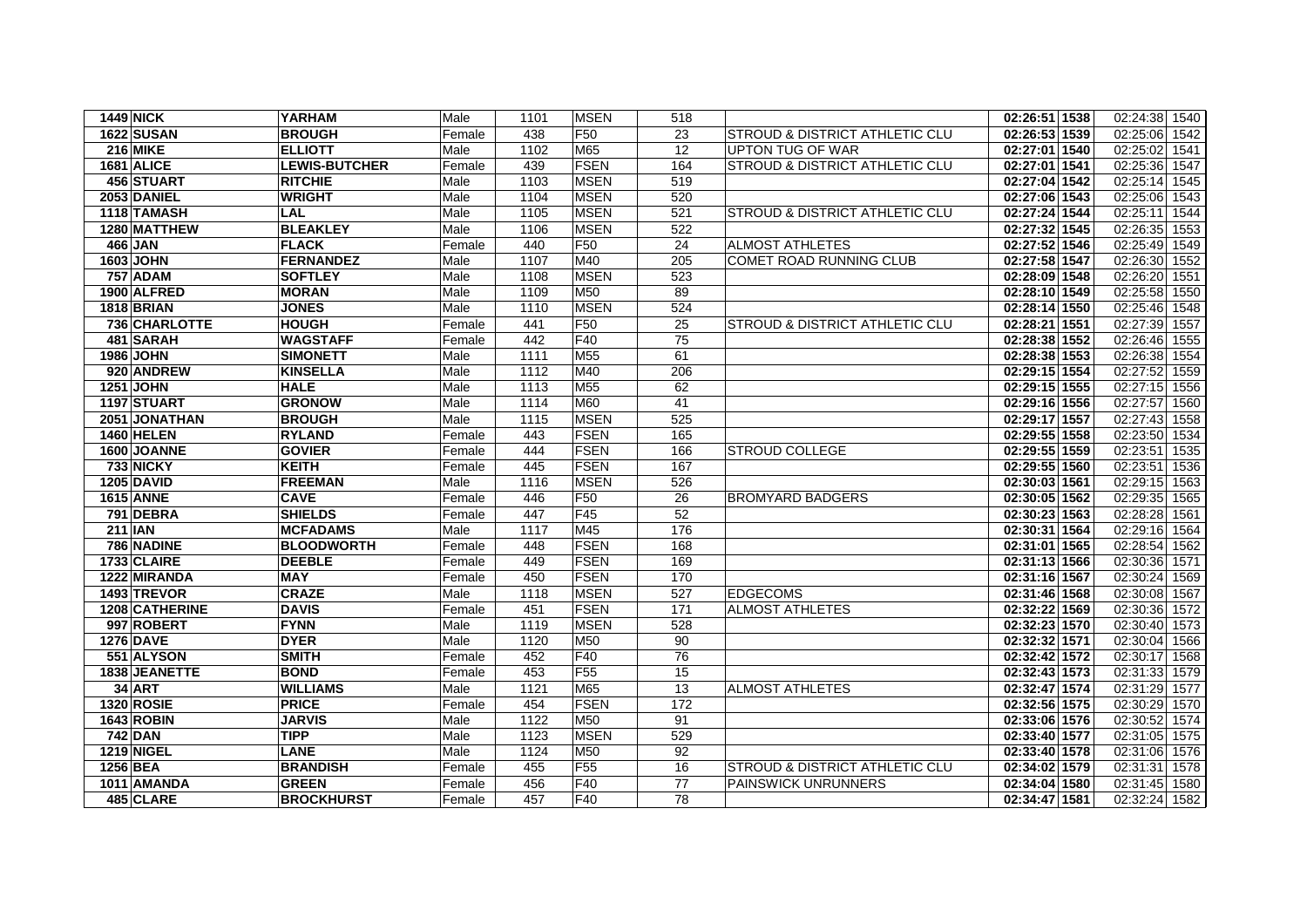| <b>1449 NICK</b>  | <b>YARHAM</b>        | Male   | 1101 | <b>MSEN</b>     | 518 |                                           | 02:26:51 1538 | 02:24:38 1540    |
|-------------------|----------------------|--------|------|-----------------|-----|-------------------------------------------|---------------|------------------|
| <b>1622 SUSAN</b> | <b>BROUGH</b>        | Female | 438  | F <sub>50</sub> | 23  | <b>STROUD &amp; DISTRICT ATHLETIC CLU</b> | 02:26:53 1539 | 02:25:06<br>1542 |
| <b>216 MIKE</b>   | <b>ELLIOTT</b>       | Male   | 1102 | M65             | 12  | UPTON TUG OF WAR                          | 02:27:01 1540 | 02:25:02 1541    |
| 1681 ALICE        | <b>LEWIS-BUTCHER</b> | Female | 439  | <b>FSEN</b>     | 164 | STROUD & DISTRICT ATHLETIC CLU            | 02:27:01 1541 | 02:25:36 1547    |
| 456 STUART        | <b>RITCHIE</b>       | Male   | 1103 | <b>MSEN</b>     | 519 |                                           | 02:27:04 1542 | 02:25:14<br>1545 |
| 2053 DANIEL       | <b>WRIGHT</b>        | Male   | 1104 | <b>MSEN</b>     | 520 |                                           | 02:27:06 1543 | 02:25:06<br>1543 |
| 1118 TAMASH       | <b>LAL</b>           | Male   | 1105 | <b>MSEN</b>     | 521 | <b>STROUD &amp; DISTRICT ATHLETIC CLU</b> | 02:27:24 1544 | 1544<br>02:25:11 |
| 1280 MATTHEW      | <b>BLEAKLEY</b>      | Male   | 1106 | <b>MSEN</b>     | 522 |                                           | 02:27:32 1545 | 02:26:35 1553    |
| 466 JAN           | <b>FLACK</b>         | Female | 440  | F <sub>50</sub> | 24  | <b>ALMOST ATHLETES</b>                    | 02:27:52 1546 | 02:25:49 1549    |
| 1603 JOHN         | <b>FERNANDEZ</b>     | Male   | 1107 | M40             | 205 | COMET ROAD RUNNING CLUB                   | 02:27:58 1547 | 02:26:30<br>1552 |
| <b>757 ADAM</b>   | <b>SOFTLEY</b>       | Male   | 1108 | <b>MSEN</b>     | 523 |                                           | 02:28:09 1548 | 02:26:20<br>1551 |
| 1900 ALFRED       | <b>MORAN</b>         | Male   | 1109 | M50             | 89  |                                           | 02:28:10 1549 | 02:25:58<br>1550 |
| 1818 BRIAN        | <b>JONES</b>         | Male   | 1110 | <b>MSEN</b>     | 524 |                                           | 02:28:14 1550 | 02:25:46 1548    |
| 736 CHARLOTTE     | <b>HOUGH</b>         | Female | 441  | F <sub>50</sub> | 25  | <b>STROUD &amp; DISTRICT ATHLETIC CLU</b> | 02:28:21 1551 | 02:27:39<br>1557 |
| 481 SARAH         | <b>WAGSTAFF</b>      | Female | 442  | F40             | 75  |                                           | 02:28:38 1552 | 02:26:46 1555    |
| <b>1986 JOHN</b>  | <b>SIMONETT</b>      | Male   | 1111 | M55             | 61  |                                           | 02:28:38 1553 | 02:26:38<br>1554 |
| 920 ANDREW        | <b>KINSELLA</b>      | Male   | 1112 | M40             | 206 |                                           | 02:29:15 1554 | 02:27:52<br>1559 |
| <b>1251 JOHN</b>  | <b>HALE</b>          | Male   | 1113 | M <sub>55</sub> | 62  |                                           | 02:29:15 1555 | 02:27:15<br>1556 |
| 1197 STUART       | <b>GRONOW</b>        | Male   | 1114 | M60             | 41  |                                           | 02:29:16 1556 | 02:27:57<br>1560 |
| 2051 JONATHAN     | <b>BROUGH</b>        | Male   | 1115 | <b>MSEN</b>     | 525 |                                           | 02:29:17 1557 | 02:27:43 1558    |
| <b>1460 HELEN</b> | <b>RYLAND</b>        | Female | 443  | <b>FSEN</b>     | 165 |                                           | 02:29:55 1558 | 02:23:50<br>1534 |
| 1600 JOANNE       | <b>GOVIER</b>        | Female | 444  | <b>FSEN</b>     | 166 | <b>STROUD COLLEGE</b>                     | 02:29:55 1559 | 02:23:51<br>1535 |
| 733 NICKY         | <b>KEITH</b>         | Female | 445  | FSEN            | 167 |                                           | 02:29:55 1560 | 02:23:51<br>1536 |
| <b>1205 DAVID</b> | <b>FREEMAN</b>       | Male   | 1116 | <b>MSEN</b>     | 526 |                                           | 02:30:03 1561 | 02:29:15<br>1563 |
| <b>1615 ANNE</b>  | <b>CAVE</b>          | Female | 446  | F50             | 26  | <b>BROMYARD BADGERS</b>                   | 02:30:05 1562 | 02:29:35<br>1565 |
| 791 DEBRA         | <b>SHIELDS</b>       | Female | 447  | F45             | 52  |                                           | 02:30:23 1563 | 02:28:28<br>1561 |
| <b>211 IAN</b>    | <b>MCFADAMS</b>      | Male   | 1117 | M45             | 176 |                                           | 02:30:31 1564 | 02:29:16 1564    |
| 786 NADINE        | <b>BLOODWORTH</b>    | Female | 448  | <b>FSEN</b>     | 168 |                                           | 02:31:01 1565 | 02:28:54<br>1562 |
| 1733 CLAIRE       | <b>DEEBLE</b>        | Female | 449  | <b>FSEN</b>     | 169 |                                           | 02:31:13 1566 | 02:30:36<br>1571 |
| 1222 MIRANDA      | <b>MAY</b>           | Female | 450  | <b>FSEN</b>     | 170 |                                           | 02:31:16 1567 | 02:30:24<br>1569 |
| 1493 TREVOR       | <b>CRAZE</b>         | Male   | 1118 | <b>MSEN</b>     | 527 | <b>EDGECOMS</b>                           | 02:31:46 1568 | 02:30:08<br>1567 |
| 1208 CATHERINE    | <b>DAVIS</b>         | Female | 451  | <b>FSEN</b>     | 171 | <b>ALMOST ATHLETES</b>                    | 02:32:22 1569 | 02:30:36<br>1572 |
| 997 ROBERT        | <b>FYNN</b>          | Male   | 1119 | <b>MSEN</b>     | 528 |                                           | 02:32:23 1570 | 02:30:40 1573    |
| <b>1276 DAVE</b>  | <b>DYER</b>          | Male   | 1120 | M50             | 90  |                                           | 02:32:32 1571 | 02:30:04<br>1566 |
| 551 ALYSON        | <b>SMITH</b>         | Female | 452  | F40             | 76  |                                           | 02:32:42 1572 | 02:30:17<br>1568 |
| 1838 JEANETTE     | <b>BOND</b>          | Female | 453  | F <sub>55</sub> | 15  |                                           | 02:32:43 1573 | 02:31:33 1579    |
| <b>34 ART</b>     | <b>WILLIAMS</b>      | Male   | 1121 | M65             | 13  | <b>ALMOST ATHLETES</b>                    | 02:32:47 1574 | 02:31:29<br>1577 |
| <b>1320 ROSIE</b> | <b>PRICE</b>         | Female | 454  | <b>FSEN</b>     | 172 |                                           | 02:32:56 1575 | 02:30:29 1570    |
| <b>1643 ROBIN</b> | <b>JARVIS</b>        | Male   | 1122 | M50             | 91  |                                           | 02:33:06 1576 | 02:30:52<br>1574 |
| 742 DAN           | <b>TIPP</b>          | Male   | 1123 | <b>MSEN</b>     | 529 |                                           | 02:33:40 1577 | 02:31:05 1575    |
| <b>1219 NIGEL</b> | <b>LANE</b>          | Male   | 1124 | M50             | 92  |                                           | 02:33:40 1578 | 02:31:06 1576    |
| 1256 BEA          | <b>BRANDISH</b>      | Female | 455  | F <sub>55</sub> | 16  | <b>STROUD &amp; DISTRICT ATHLETIC CLU</b> | 02:34:02 1579 | 02:31:31 1578    |
| 1011 AMANDA       | <b>GREEN</b>         | Female | 456  | F40             | 77  | PAINSWICK UNRUNNERS                       | 02:34:04 1580 | 02:31:45<br>1580 |
| 485 CLARE         | <b>BROCKHURST</b>    | Female | 457  | F40             | 78  |                                           | 02:34:47 1581 | 02:32:24 1582    |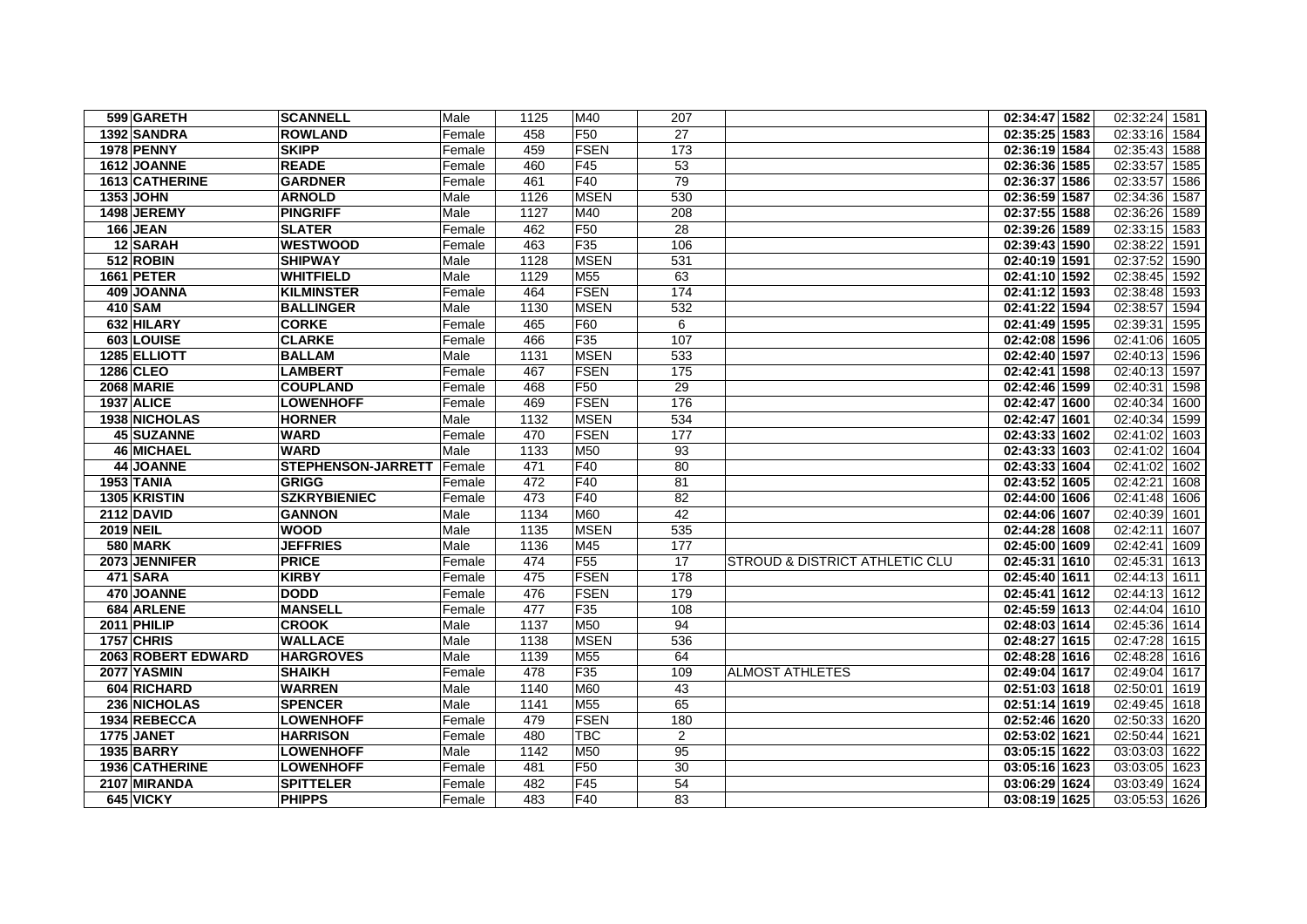|                   | 599 GARETH                | <b>SCANNELL</b>              | Male             | 1125       | M40                     | 207            |                                | 02:34:47 1582                  | 02:32:24 1581                |
|-------------------|---------------------------|------------------------------|------------------|------------|-------------------------|----------------|--------------------------------|--------------------------------|------------------------------|
|                   | 1392 SANDRA               | <b>ROWLAND</b>               | Female           | 458        | F <sub>50</sub>         | 27             |                                | 02:35:25 1583                  | 02:33:16<br>1584             |
|                   | <b>1978 PENNY</b>         | <b>SKIPP</b>                 | Female           | 459        | <b>FSEN</b>             | 173            |                                | 02:36:19 1584                  | 02:35:43 1588                |
|                   | 1612 JOANNE               | <b>READE</b>                 | Female           | 460        | F45                     | 53             |                                | 02:36:36 1585                  | 02:33:57<br>1585             |
|                   | 1613 CATHERINE            | <b>GARDNER</b>               | Female           | 461        | F40                     | 79             |                                | 02:36:37 1586                  | 02:33:57<br>1586             |
| <b>1353 JOHN</b>  |                           | <b>ARNOLD</b>                | Male             | 1126       | <b>MSEN</b>             | 530            |                                | 02:36:59 1587                  | 02:34:36<br>1587             |
|                   | 1498 JEREMY               | <b>PINGRIFF</b>              | Male             | 1127       | M40                     | 208            |                                | 02:37:55 1588                  | 02:36:26 1589                |
|                   | 166 JEAN                  | <b>SLATER</b>                | Female           | 462        | F50                     | 28             |                                | 02:39:26 1589                  | 02:33:15 1583                |
|                   | 12 SARAH                  | <b>WESTWOOD</b>              | Female           | 463        | F35                     | 106            |                                | 02:39:43 1590                  | 02:38:22<br>1591             |
|                   | 512 ROBIN                 | <b>SHIPWAY</b>               | Male             | 1128       | <b>MSEN</b>             | 531            |                                | $\overline{02:}40:19$ 1591     | 02:37:52<br>1590             |
|                   | 1661 PETER                | <b>WHITFIELD</b>             | Male             | 1129       | M <sub>55</sub>         | 63             |                                | 02:41:10 1592                  | 02:38:45 1592                |
|                   | 409 JOANNA                | <b>KILMINSTER</b>            | Female           | 464        | <b>FSEN</b>             | 174            |                                | 02:41:12 1593                  | 02:38:48 1593                |
| 410 SAM           |                           | <b>BALLINGER</b>             | Male             | 1130       | <b>MSEN</b>             | 532            |                                | 02:41:22 1594                  | 02:38:57 1594                |
|                   | 632 HILARY                | <b>CORKE</b>                 | Female           | 465        | F60                     | 6              |                                | 02:41:49 1595                  | 02:39:31<br>1595             |
|                   | 603 LOUISE                | <b>CLARKE</b>                | Female           | 466        | F <sub>35</sub>         | 107            |                                | 02:42:08 1596                  | 02:41:06<br>1605             |
|                   | 1285 ELLIOTT              | <b>BALLAM</b>                | Male             | 1131       | <b>MSEN</b>             | 533            |                                | 02:42:40 1597                  | 02:40:13<br>1596             |
| 1286 CLEO         |                           | <b>LAMBERT</b>               | Female           | 467        | FSEN                    | 175            |                                | 02:42:41 1598                  | 02:40:13 1597                |
|                   | <b>2068 MARIE</b>         | <b>COUPLAND</b>              | Female           | 468        | F50                     | 29             |                                | 02:42:46 1599                  | 02:40:31<br>1598             |
| 1937 ALICE        |                           | <b>LOWENHOFF</b>             | Female           | 469        | <b>FSEN</b>             | 176            |                                | 02:42:47 1600                  | 02:40:34<br>1600             |
|                   | 1938 NICHOLAS             | <b>HORNER</b>                | Male             | 1132       | <b>MSEN</b>             | 534            |                                | 02:42:47 1601                  | 02:40:34<br>1599             |
|                   | 45 SUZANNE                | <b>WARD</b>                  | Female           | 470        | <b>FSEN</b>             | 177            |                                | 02:43:33 1602                  | 02:41:02<br>1603             |
|                   | <b>46 MICHAEL</b>         | <b>WARD</b>                  | Male             | 1133       | M50                     | 93             |                                | 02:43:33 1603                  | 02:41:02<br>1604             |
|                   | 44 JOANNE                 | STEPHENSON-JARRETT           | Female           | 471        | F40                     | 80             |                                | 02:43:33 1604                  | 02:41:02<br>1602             |
| 1953 TANIA        |                           | <b>GRIGG</b>                 | Female           | 472        | F <sub>40</sub>         | 81             |                                | 02:43:52 1605                  | 02:42:21<br>1608             |
|                   | 1305 KRISTIN              | <b>SZKRYBIENIEC</b>          | Female           | 473        | F40                     | 82             |                                | 02:44:00 1606                  | 02:41:48 1606                |
| <b>2112 DAVID</b> |                           | <b>GANNON</b>                | Male             | 1134       | M60                     | 42             |                                | 02:44:06 1607                  | 02:40:39<br>1601             |
| <b>2019 NEIL</b>  |                           | <b>WOOD</b>                  | Male             | 1135       | <b>MSEN</b>             | 535            |                                | 02:44:28 1608                  | 02:42:11<br>1607             |
|                   | <b>580 MARK</b>           | <b>JEFFRIES</b>              | Male             | 1136       | M45                     | 177<br>17      |                                | 02:45:00 1609                  | 02:42:41<br>1609<br>02:45:31 |
|                   | 2073 JENNIFER<br>471 SARA | <b>PRICE</b><br><b>KIRBY</b> | Female           | 474<br>475 | F <sub>55</sub><br>FSEN | 178            | STROUD & DISTRICT ATHLETIC CLU | 02:45:31 1610<br>02:45:40 1611 | 1613<br>02:44:13 1611        |
|                   | 470 JOANNE                | <b>DODD</b>                  | Female<br>Female | 476        | <b>FSEN</b>             | 179            |                                | 02:45:41 1612                  | 02:44:13 1612                |
|                   | 684 ARLENE                | <b>MANSELL</b>               | Female           | 477        | F35                     | 108            |                                | 02:45:59 1613                  | 02:44:04 1610                |
|                   | 2011 PHILIP               | <b>CROOK</b>                 | Male             | 1137       | M50                     | 94             |                                | 02:48:03 1614                  | 02:45:36<br>1614             |
| 1757 CHRIS        |                           | <b>WALLACE</b>               | Male             | 1138       | <b>MSEN</b>             | 536            |                                | 02:48:27 1615                  | 02:47:28<br>1615             |
|                   | 2063 ROBERT EDWARD        | <b>HARGROVES</b>             | Male             | 1139       | M55                     | 64             |                                | 02:48:28 1616                  | 02:48:28 1616                |
|                   | 2077 YASMIN               | <b>SHAIKH</b>                | Female           | 478        | F35                     | 109            | <b>ALMOST ATHLETES</b>         | 02:49:04 1617                  | 02:49:04 1617                |
|                   | 604 RICHARD               | <b>WARREN</b>                | Male             | 1140       | M60                     | 43             |                                | 02:51:03 1618                  | 02:50:01<br>1619             |
|                   | 236 NICHOLAS              | <b>SPENCER</b>               | Male             | 1141       | M55                     | 65             |                                | 02:51:14 1619                  | 02:49:45 1618                |
|                   | 1934 REBECCA              | <b>LOWENHOFF</b>             | Female           | 479        | FSEN                    | 180            |                                | 02:52:46 1620                  | 02:50:33<br>1620             |
|                   | 1775 JANET                | <b>HARRISON</b>              | Female           | 480        | <b>TBC</b>              | $\overline{2}$ |                                | 02:53:02 1621                  | 02:50:44 1621                |
|                   | <b>1935 BARRY</b>         | <b>LOWENHOFF</b>             | Male             | 1142       | M50                     | 95             |                                | 03:05:15 1622                  | 03:03:03 1622                |
|                   | 1936 CATHERINE            | <b>LOWENHOFF</b>             | Female           | 481        | F <sub>50</sub>         | 30             |                                | 03:05:16 1623                  | 03:03:05 1623                |
|                   | 2107 MIRANDA              | <b>SPITTELER</b>             | Female           | 482        | F45                     | 54             |                                | 03:06:29 1624                  | 03:03:49 1624                |
|                   | 645 VICKY                 | <b>PHIPPS</b>                | Female           | 483        | F40                     | 83             |                                | 03:08:19 1625                  | 03:05:53 1626                |
|                   |                           |                              |                  |            |                         |                |                                |                                |                              |